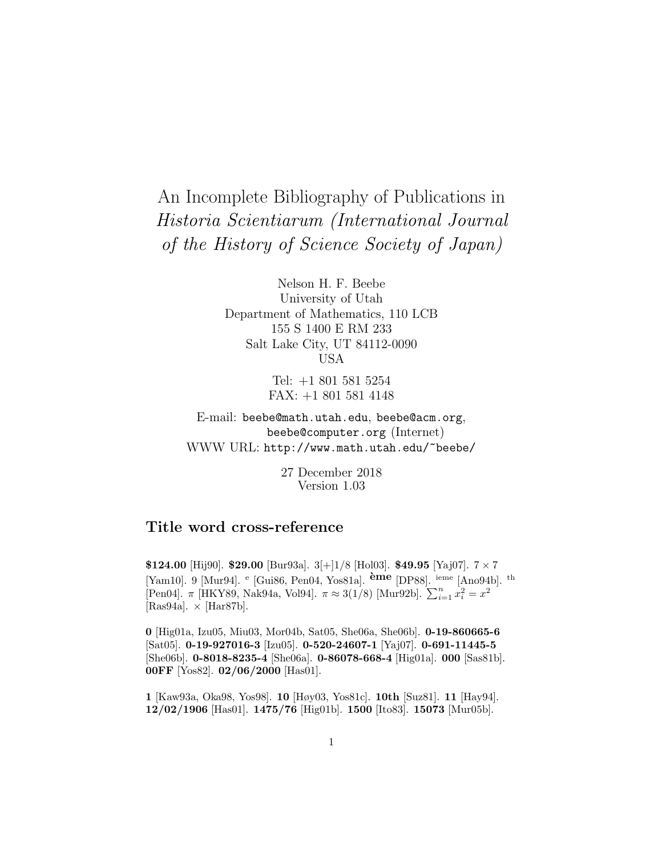# An Incomplete Bibliography of Publications in Historia Scientiarum (International Journal of the History of Science Society of Japan)

Nelson H. F. Beebe University of Utah Department of Mathematics, 110 LCB 155 S 1400 E RM 233 Salt Lake City, UT 84112-0090 USA

> Tel: +1 801 581 5254 FAX: +1 801 581 4148

E-mail: beebe@math.utah.edu, beebe@acm.org, beebe@computer.org (Internet) WWW URL: http://www.math.utah.edu/~beebe/

> 27 December 2018 Version 1.03

# **Title word cross-reference**

**\$124.00** [Hij90]. **\$29.00** [Bur93a]. 3[+]1/8 [Hol03]. **\$49.95** [Yaj07]. 7 × 7 [Yam10]. 9 [Mur94]. <sup>e</sup> [Gui86, Pen04, Yos81a]. **`eme** [DP88]. ieme [Ano94b]. th [Pen04].  $\pi$  [HKY89, Nak94a, Vol94].  $\pi \approx 3(1/8)$  [Mur92b].  $\sum_{i=1}^{n} x_i^2 = x^2$ [Ras94a].  $\times$  [Har87b].

**0** [Hig01a, Izu05, Miu03, Mor04b, Sat05, She06a, She06b]. **0-19-860665-6** [Sat05]. **0-19-927016-3** [Izu05]. **0-520-24607-1** [Yaj07]. **0-691-11445-5** [She06b]. **0-8018-8235-4** [She06a]. **0-86078-668-4** [Hig01a]. **000** [Sas81b]. **00FF** [Yos82]. **02/06/2000** [Has01].

**1** [Kaw93a, Oka98, Yos98]. **10** [Høy03, Yos81c]. **10th** [Suz81]. **11** [Hay94]. **12/02/1906** [Has01]. **1475/76** [Hig01b]. **1500** [Ito83]. **15073** [Mur05b].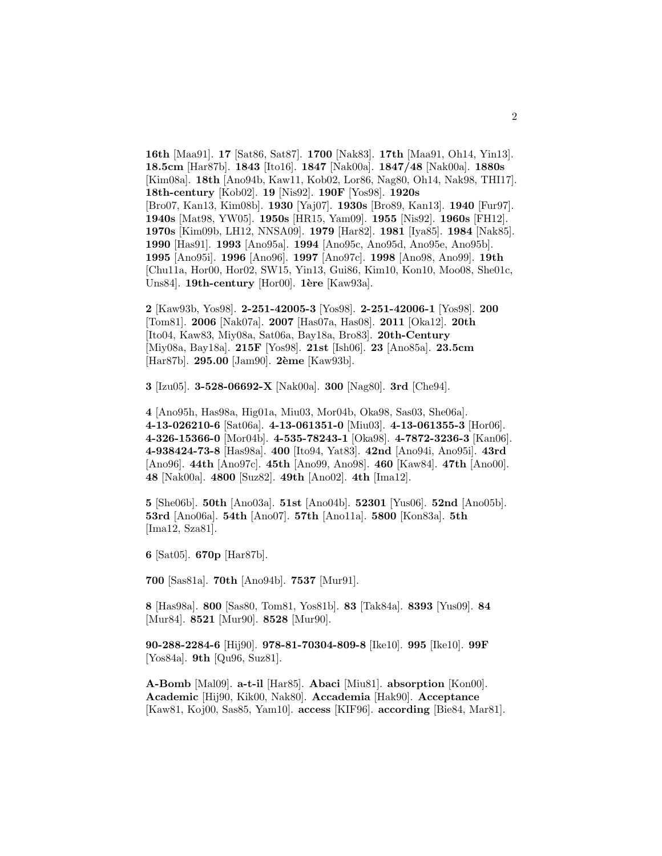**16th** [Maa91]. **17** [Sat86, Sat87]. **1700** [Nak83]. **17th** [Maa91, Oh14, Yin13]. **18.5cm** [Har87b]. **1843** [Ito16]. **1847** [Nak00a]. **1847/48** [Nak00a]. **1880s** [Kim08a]. **18th** [Ano94b, Kaw11, Kob02, Lor86, Nag80, Oh14, Nak98, THI17]. **18th-century** [Kob02]. **19** [Nis92]. **190F** [Yos98]. **1920s** [Bro07, Kan13, Kim08b]. **1930** [Yaj07]. **1930s** [Bro89, Kan13]. **1940** [Fur97]. **1940s** [Mat98, YW05]. **1950s** [HR15, Yam09]. **1955** [Nis92]. **1960s** [FH12]. **1970s** [Kim09b, LH12, NNSA09]. **1979** [Har82]. **1981** [Iya85]. **1984** [Nak85]. **1990** [Has91]. **1993** [Ano95a]. **1994** [Ano95c, Ano95d, Ano95e, Ano95b]. **1995** [Ano95i]. **1996** [Ano96]. **1997** [Ano97c]. **1998** [Ano98, Ano99]. **19th** [Chu11a, Hor00, Hor02, SW15, Yin13, Gui86, Kim10, Kon10, Moo08, She01c, Uns84]. **19th-century** [Hor00]. **1`ere** [Kaw93a].

**2** [Kaw93b, Yos98]. **2-251-42005-3** [Yos98]. **2-251-42006-1** [Yos98]. **200** [Tom81]. **2006** [Nak07a]. **2007** [Has07a, Has08]. **2011** [Oka12]. **20th** [Ito04, Kaw83, Miy08a, Sat06a, Bay18a, Bro83]. **20th-Century** [Miy08a, Bay18a]. **215F** [Yos98]. **21st** [Ish06]. **23** [Ano85a]. **23.5cm** [Har87b]. **295.00** [Jam90]. **2`eme** [Kaw93b].

**3** [Izu05]. **3-528-06692-X** [Nak00a]. **300** [Nag80]. **3rd** [Che94].

**4** [Ano95h, Has98a, Hig01a, Miu03, Mor04b, Oka98, Sas03, She06a]. **4-13-026210-6** [Sat06a]. **4-13-061351-0** [Miu03]. **4-13-061355-3** [Hor06]. **4-326-15366-0** [Mor04b]. **4-535-78243-1** [Oka98]. **4-7872-3236-3** [Kan06]. **4-938424-73-8** [Has98a]. **400** [Ito94, Yat83]. **42nd** [Ano94i, Ano95i]. **43rd** [Ano96]. **44th** [Ano97c]. **45th** [Ano99, Ano98]. **460** [Kaw84]. **47th** [Ano00]. **48** [Nak00a]. **4800** [Suz82]. **49th** [Ano02]. **4th** [Ima12].

**5** [She06b]. **50th** [Ano03a]. **51st** [Ano04b]. **52301** [Yus06]. **52nd** [Ano05b]. **53rd** [Ano06a]. **54th** [Ano07]. **57th** [Ano11a]. **5800** [Kon83a]. **5th** [Ima12, Sza81].

**6** [Sat05]. **670p** [Har87b].

**700** [Sas81a]. **70th** [Ano94b]. **7537** [Mur91].

**8** [Has98a]. **800** [Sas80, Tom81, Yos81b]. **83** [Tak84a]. **8393** [Yus09]. **84** [Mur84]. **8521** [Mur90]. **8528** [Mur90].

**90-288-2284-6** [Hij90]. **978-81-70304-809-8** [Ike10]. **995** [Ike10]. **99F** [Yos84a]. **9th** [Qu96, Suz81].

**A-Bomb** [Mal09]. **a-t-il** [Har85]. **Abaci** [Miu81]. **absorption** [Kon00]. **Academic** [Hij90, Kik00, Nak80]. **Accademia** [Hak90]. **Acceptance** [Kaw81, Koj00, Sas85, Yam10]. **access** [KIF96]. **according** [Bie84, Mar81].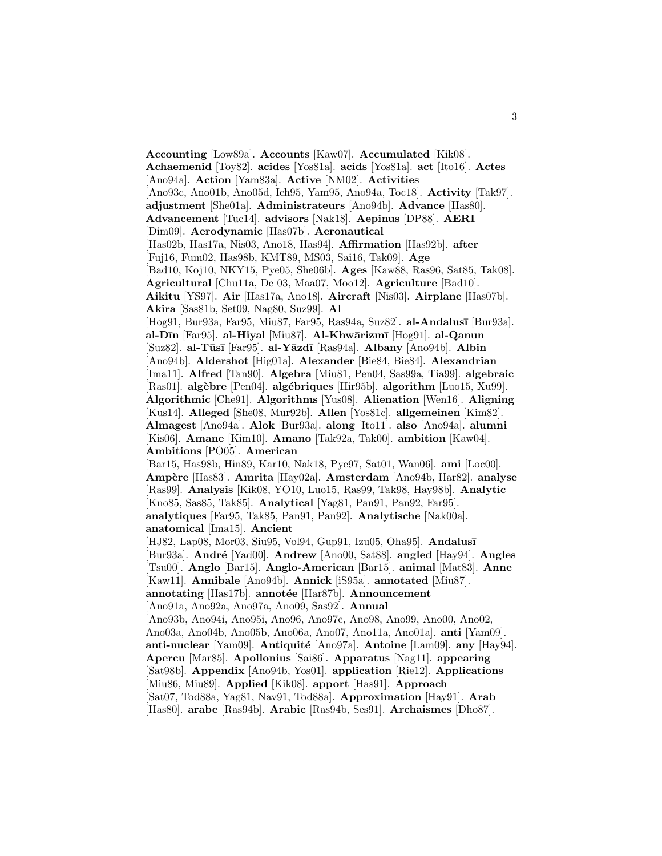**Accounting** [Low89a]. **Accounts** [Kaw07]. **Accumulated** [Kik08]. **Achaemenid** [Toy82]. **acides** [Yos81a]. **acids** [Yos81a]. **act** [Ito16]. **Actes** [Ano94a]. **Action** [Yam83a]. **Active** [NM02]. **Activities** [Ano93c, Ano01b, Ano05d, Ich95, Yam95, Ano94a, Toc18]. **Activity** [Tak97]. **adjustment** [She01a]. **Administrateurs** [Ano94b]. **Advance** [Has80]. **Advancement** [Tuc14]. **advisors** [Nak18]. **Aepinus** [DP88]. **AERI** [Dim09]. **Aerodynamic** [Has07b]. **Aeronautical** [Has02b, Has17a, Nis03, Ano18, Has94]. **Affirmation** [Has92b]. **after** [Fuj16, Fum02, Has98b, KMT89, MS03, Sai16, Tak09]. **Age** [Bad10, Koj10, NKY15, Pye05, She06b]. **Ages** [Kaw88, Ras96, Sat85, Tak08]. **Agricultural** [Chu11a, De 03, Maa07, Moo12]. **Agriculture** [Bad10]. **Aikitu** [YS97]. **Air** [Has17a, Ano18]. **Aircraft** [Nis03]. **Airplane** [Has07b]. **Akira** [Sas81b, Set09, Nag80, Suz99]. **Al** [Hog91, Bur93a, Far95, Miu87, Far95, Ras94a, Suz82]. **al-Andalus¯ı** [Bur93a]. **al-D¯ın** [Far95]. **al-Hiyal** [Miu87]. **Al-Khw¯arizm¯ı** [Hog91]. **al-Qanun** [Suz82]. **al-T¯us¯ı** [Far95]. **al-Y¯azd¯ı** [Ras94a]. **Albany** [Ano94b]. **Albin** [Ano94b]. **Aldershot** [Hig01a]. **Alexander** [Bie84, Bie84]. **Alexandrian** [Ima11]. **Alfred** [Tan90]. **Algebra** [Miu81, Pen04, Sas99a, Tia99]. **algebraic** [Ras01]. **alg`ebre** [Pen04]. **alg´ebriques** [Hir95b]. **algorithm** [Luo15, Xu99]. **Algorithmic** [Che91]. **Algorithms** [Yus08]. **Alienation** [Wen16]. **Aligning** [Kus14]. **Alleged** [She08, Mur92b]. **Allen** [Yos81c]. **allgemeinen** [Kim82]. **Almagest** [Ano94a]. **Alok** [Bur93a]. **along** [Ito11]. **also** [Ano94a]. **alumni** [Kis06]. **Amane** [Kim10]. **Amano** [Tak92a, Tak00]. **ambition** [Kaw04]. **Ambitions** [PO05]. **American** [Bar15, Has98b, Hin89, Kar10, Nak18, Pye97, Sat01, Wan06]. **ami** [Loc00]. **Amp`ere** [Has83]. **Amrita** [Hay02a]. **Amsterdam** [Ano94b, Har82]. **analyse** [Ras99]. **Analysis** [Kik08, YO10, Luo15, Ras99, Tak98, Hay98b]. **Analytic** [Kno85, Sas85, Tak85]. **Analytical** [Yag81, Pan91, Pan92, Far95]. **analytiques** [Far95, Tak85, Pan91, Pan92]. **Analytische** [Nak00a]. **anatomical** [Ima15]. **Ancient** [HJ82, Lap08, Mor03, Siu95, Vol94, Gup91, Izu05, Oha95]. **Andalus¯ı** [Bur93a]. **André** [Yad00]. **Andrew** [Ano00, Sat88]. **angled** [Hay94]. **Angles** [Tsu00]. **Anglo** [Bar15]. **Anglo-American** [Bar15]. **animal** [Mat83]. **Anne** [Kaw11]. **Annibale** [Ano94b]. **Annick** [iS95a]. **annotated** [Miu87]. annotating [Has17b]. **annotée** [Har87b]. **Announcement** [Ano91a, Ano92a, Ano97a, Ano09, Sas92]. **Annual** [Ano93b, Ano94i, Ano95i, Ano96, Ano97c, Ano98, Ano99, Ano00, Ano02, Ano03a, Ano04b, Ano05b, Ano06a, Ano07, Ano11a, Ano01a]. **anti** [Yam09]. **anti-nuclear** [Yam09]. **Antiquité** [Ano97a]. **Antoine** [Lam09]. **any** [Hay94]. **Apercu** [Mar85]. **Apollonius** [Sai86]. **Apparatus** [Nag11]. **appearing** [Sat98b]. **Appendix** [Ano94b, Yos01]. **application** [Rie12]. **Applications** [Miu86, Miu89]. **Applied** [Kik08]. **apport** [Has91]. **Approach** [Sat07, Tod88a, Yag81, Nav91, Tod88a]. **Approximation** [Hay91]. **Arab** [Has80]. **arabe** [Ras94b]. **Arabic** [Ras94b, Ses91]. **Archaismes** [Dho87].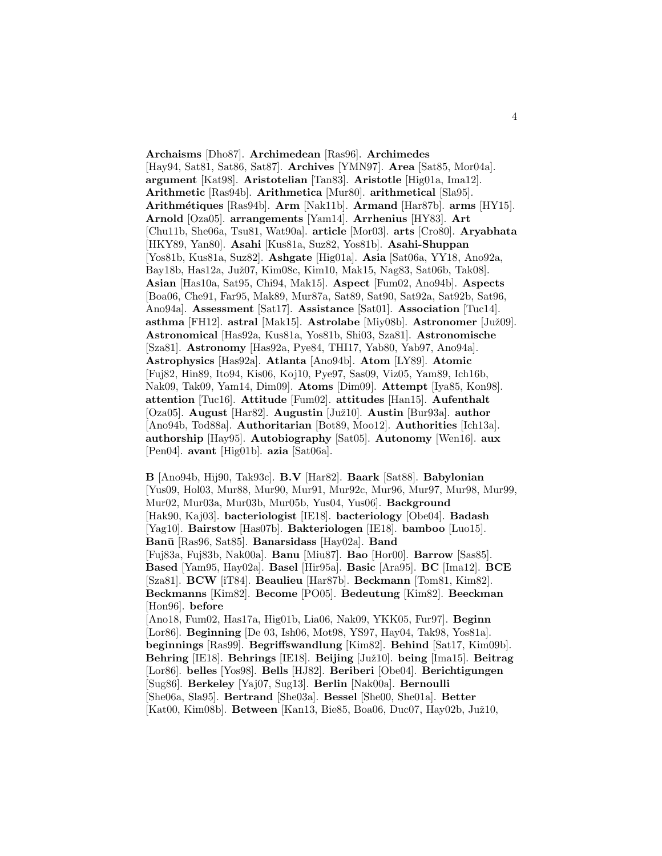**Archaisms** [Dho87]. **Archimedean** [Ras96]. **Archimedes** [Hay94, Sat81, Sat86, Sat87]. **Archives** [YMN97]. **Area** [Sat85, Mor04a]. **argument** [Kat98]. **Aristotelian** [Tan83]. **Aristotle** [Hig01a, Ima12]. **Arithmetic** [Ras94b]. **Arithmetica** [Mur80]. **arithmetical** [Sla95]. **Arithm´etiques** [Ras94b]. **Arm** [Nak11b]. **Armand** [Har87b]. **arms** [HY15]. **Arnold** [Oza05]. **arrangements** [Yam14]. **Arrhenius** [HY83]. **Art** [Chu11b, She06a, Tsu81, Wat90a]. **article** [Mor03]. **arts** [Cro80]. **Aryabhata** [HKY89, Yan80]. **Asahi** [Kus81a, Suz82, Yos81b]. **Asahi-Shuppan** [Yos81b, Kus81a, Suz82]. **Ashgate** [Hig01a]. **Asia** [Sat06a, YY18, Ano92a, Bay18b, Has12a, Juž07, Kim08c, Kim10, Mak15, Nag83, Sat06b, Tak08. **Asian** [Has10a, Sat95, Chi94, Mak15]. **Aspect** [Fum02, Ano94b]. **Aspects** [Boa06, Che91, Far95, Mak89, Mur87a, Sat89, Sat90, Sat92a, Sat92b, Sat96, Ano94a]. **Assessment** [Sat17]. **Assistance** [Sat01]. **Association** [Tuc14]. **asthma** [FH12]. **astral** [Mak15]. **Astrolabe** [Miy08b]. **Astronomer** [Juˇz09]. **Astronomical** [Has92a, Kus81a, Yos81b, Shi03, Sza81]. **Astronomische** [Sza81]. **Astronomy** [Has92a, Pye84, THI17, Yab80, Yab97, Ano94a]. **Astrophysics** [Has92a]. **Atlanta** [Ano94b]. **Atom** [LY89]. **Atomic** [Fuj82, Hin89, Ito94, Kis06, Koj10, Pye97, Sas09, Viz05, Yam89, Ich16b, Nak09, Tak09, Yam14, Dim09]. **Atoms** [Dim09]. **Attempt** [Iya85, Kon98]. **attention** [Tuc16]. **Attitude** [Fum02]. **attitudes** [Han15]. **Aufenthalt** [Oza05]. **August** [Har82]. **Augustin** [Juˇz10]. **Austin** [Bur93a]. **author** [Ano94b, Tod88a]. **Authoritarian** [Bot89, Moo12]. **Authorities** [Ich13a]. **authorship** [Hay95]. **Autobiography** [Sat05]. **Autonomy** [Wen16]. **aux** [Pen04]. **avant** [Hig01b]. **azia** [Sat06a].

**B** [Ano94b, Hij90, Tak93c]. **B.V** [Har82]. **Baark** [Sat88]. **Babylonian** [Yus09, Hol03, Mur88, Mur90, Mur91, Mur92c, Mur96, Mur97, Mur98, Mur99, Mur02, Mur03a, Mur03b, Mur05b, Yus04, Yus06]. **Background** [Hak90, Kaj03]. **bacteriologist** [IE18]. **bacteriology** [Obe04]. **Badash** [Yag10]. **Bairstow** [Has07b]. **Bakteriologen** [IE18]. **bamboo** [Luo15]. **Ban¯u** [Ras96, Sat85]. **Banarsidass** [Hay02a]. **Band** [Fuj83a, Fuj83b, Nak00a]. **Banu** [Miu87]. **Bao** [Hor00]. **Barrow** [Sas85]. **Based** [Yam95, Hay02a]. **Basel** [Hir95a]. **Basic** [Ara95]. **BC** [Ima12]. **BCE** [Sza81]. **BCW** [iT84]. **Beaulieu** [Har87b]. **Beckmann** [Tom81, Kim82]. **Beckmanns** [Kim82]. **Become** [PO05]. **Bedeutung** [Kim82]. **Beeckman** [Hon96]. **before** [Ano18, Fum02, Has17a, Hig01b, Lia06, Nak09, YKK05, Fur97]. **Beginn** [Lor86]. **Beginning** [De 03, Ish06, Mot98, YS97, Hay04, Tak98, Yos81a]. **beginnings** [Ras99]. **Begriffswandlung** [Kim82]. **Behind** [Sat17, Kim09b]. **Behring** [IE18]. **Behrings** [IE18]. **Beijing** [Juˇz10]. **being** [Ima15]. **Beitrag** [Lor86]. **belles** [Yos98]. **Bells** [HJ82]. **Beriberi** [Obe04]. **Berichtigungen** [Sug86]. **Berkeley** [Yaj07, Sug13]. **Berlin** [Nak00a]. **Bernoulli** [She06a, Sla95]. **Bertrand** [She03a]. **Bessel** [She00, She01a]. **Better** [Kat00, Kim08b]. **Between** [Kan13, Bie85, Boa06, Duc07, Hay02b, Juž10,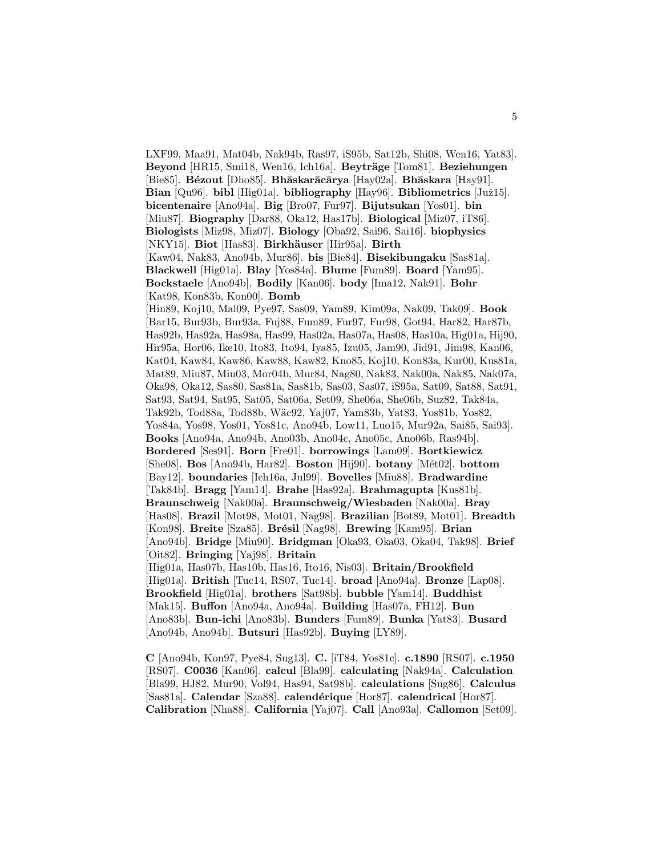LXF99, Maa91, Mat04b, Nak94b, Ras97, iS95b, Sat12b, Shi08, Wen16, Yat83]. Beyond [HR15, Smi18, Wen16, Ich16a]. **Beyträge** [Tom81]. **Beziehungen** [Bie85]. **B´ezout** [Dho85]. **Bh¯askar¯ac¯arya** [Hay02a]. **Bh¯askara** [Hay91]. **Bian** [Qu96]. **bibl** [Hig01a]. **bibliography** [Hay96]. **Bibliometrics** [Juž15]. **bicentenaire** [Ano94a]. **Big** [Bro07, Fur97]. **Bijutsukan** [Yos01]. **bin** [Miu87]. **Biography** [Dar88, Oka12, Has17b]. **Biological** [Miz07, iT86]. **Biologists** [Miz98, Miz07]. **Biology** [Oba92, Sai96, Sai16]. **biophysics** [NKY15]. **Biot** [Has83]. **Birkhäuser** [Hir95a]. **Birth** [Kaw04, Nak83, Ano94b, Mur86]. **bis** [Bie84]. **Bisekibungaku** [Sas81a]. **Blackwell** [Hig01a]. **Blay** [Yos84a]. **Blume** [Fum89]. **Board** [Yam95]. **Bockstaele** [Ano94b]. **Bodily** [Kan06]. **body** [Ima12, Nak91]. **Bohr** [Kat98, Kon83b, Kon00]. **Bomb** [Hin89, Koj10, Mal09, Pye97, Sas09, Yam89, Kim09a, Nak09, Tak09]. **Book** [Bar15, Bur93b, Bur93a, Fuj88, Fum89, Fur97, Fur98, Got94, Har82, Har87b, Has92b, Has92a, Has98a, Has99, Has02a, Has07a, Has08, Has10a, Hig01a, Hij90, Hir95a, Hor06, Ike10, Ito83, Ito94, Iya85, Izu05, Jam90, Jid91, Jim98, Kan06, Kat04, Kaw84, Kaw86, Kaw88, Kaw82, Kno85, Koj10, Kon83a, Kur00, Kus81a, Mat89, Miu87, Miu03, Mor04b, Mur84, Nag80, Nak83, Nak00a, Nak85, Nak07a, Oka98, Oka12, Sas80, Sas81a, Sas81b, Sas03, Sas07, iS95a, Sat09, Sat88, Sat91, Sat93, Sat94, Sat95, Sat05, Sat06a, Set09, She06a, She06b, Suz82, Tak84a, Tak92b, Tod88a, Tod88b, W¨ac92, Yaj07, Yam83b, Yat83, Yos81b, Yos82, Yos84a, Yos98, Yos01, Yos81c, Ano94b, Low11, Luo15, Mur92a, Sai85, Sai93]. **Books** [Ano94a, Ano94b, Ano03b, Ano04c, Ano05c, Ano06b, Ras94b]. **Bordered** [Ses91]. **Born** [Fre01]. **borrowings** [Lam09]. **Bortkiewicz** [She08]. **Bos** [Ano94b, Har82]. **Boston** [Hij90]. **botany** [M´et02]. **bottom** [Bay12]. **boundaries** [Ich16a, Jul99]. **Bovelles** [Miu88]. **Bradwardine** [Tak84b]. **Bragg** [Yam14]. **Brahe** [Has92a]. **Brahmagupta** [Kus81b]. **Braunschweig** [Nak00a]. **Braunschweig/Wiesbaden** [Nak00a]. **Bray** [Has08]. **Brazil** [Mot98, Mot01, Nag98]. **Brazilian** [Bot89, Mot01]. **Breadth** [Kon98]. **Breite** [Sza85]. **Brésil** [Nag98]. **Brewing** [Kam95]. **Brian** [Ano94b]. **Bridge** [Miu90]. **Bridgman** [Oka93, Oka03, Oka04, Tak98]. **Brief** [Oit82]. **Bringing** [Yaj98]. **Britain** [Hig01a, Has07b, Has10b, Has16, Ito16, Nis03]. **Britain/Brookfield** [Hig01a]. **British** [Tuc14, RS07, Tuc14]. **broad** [Ano94a]. **Bronze** [Lap08]. **Brookfield** [Hig01a]. **brothers** [Sat98b]. **bubble** [Yam14]. **Buddhist** [Mak15]. **Buffon** [Ano94a, Ano94a]. **Building** [Has07a, FH12]. **Bun** [Ano83b]. **Bun-ichi** [Ano83b]. **Bunders** [Fum89]. **Bunka** [Yat83]. **Busard** [Ano94b, Ano94b]. **Butsuri** [Has92b]. **Buying** [LY89].

**C** [Ano94b, Kon97, Pye84, Sug13]. **C.** [iT84, Yos81c]. **c.1890** [RS07]. **c.1950** [RS07]. **C0036** [Kan06]. **calcul** [Bla99]. **calculating** [Nak94a]. **Calculation** [Bla99, HJ82, Mur90, Vol94, Has94, Sat98b]. **calculations** [Sug86]. **Calculus** [Sas81a]. **Calendar** [Sza88]. **calend´erique** [Hor87]. **calendrical** [Hor87]. **Calibration** [Nha88]. **California** [Yaj07]. **Call** [Ano93a]. **Callomon** [Set09].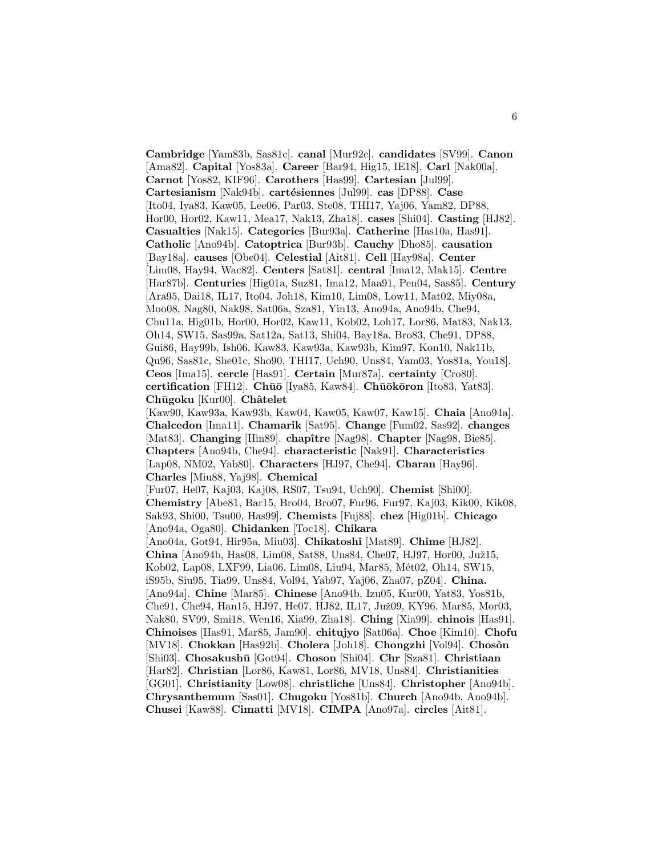**Cambridge** [Yam83b, Sas81c]. **canal** [Mur92c]. **candidates** [SV99]. **Canon** [Ama82]. **Capital** [Yos83a]. **Career** [Bar94, Hig15, IE18]. **Carl** [Nak00a]. **Carnot** [Yos82, KIF96]. **Carothers** [Has99]. **Cartesian** [Jul99]. **Cartesianism** [Nak94b]. **cartésiennes** [Jul99]. **cas** [DP88]. **Case** [Ito04, Iya83, Kaw05, Lee06, Par03, Ste08, THI17, Yaj06, Yam82, DP88, Hor00, Hor02, Kaw11, Mea17, Nak13, Zha18]. **cases** [Shi04]. **Casting** [HJ82]. **Casualties** [Nak15]. **Categories** [Bur93a]. **Catherine** [Has10a, Has91]. **Catholic** [Ano94b]. **Catoptrica** [Bur93b]. **Cauchy** [Dho85]. **causation** [Bay18a]. **causes** [Obe04]. **Celestial** [Ait81]. **Cell** [Hay98a]. **Center** [Lim08, Hay94, Wac82]. **Centers** [Sat81]. **central** [Ima12, Mak15]. **Centre** [Har87b]. **Centuries** [Hig01a, Suz81, Ima12, Maa91, Pen04, Sas85]. **Century** [Ara95, Dai18, IL17, Ito04, Joh18, Kim10, Lim08, Low11, Mat02, Miy08a, Moo08, Nag80, Nak98, Sat06a, Sza81, Yin13, Ano94a, Ano94b, Che94, Chu11a, Hig01b, Hor00, Hor02, Kaw11, Kob02, Loh17, Lor86, Mat83, Nak13, Oh14, SW15, Sas99a, Sat12a, Sat13, Shi04, Bay18a, Bro83, Che91, DP88, Gui86, Hay99b, Ish06, Kaw83, Kaw93a, Kaw93b, Kim97, Kon10, Nak11b, Qu96, Sas81c, She01c, Sho90, THI17, Uch90, Uns84, Yam03, Yos81a, You18]. **Ceos** [Ima15]. **cercle** [Has91]. **Certain** [Mur87a]. **certainty** [Cro80]. **certification** [FH12]. **Chūō** [Iya85, Kaw84]. **Chūōkōron** [Ito83, Yat83]. **Ch¯ugoku** [Kur00]. **Chˆatelet** [Kaw90, Kaw93a, Kaw93b, Kaw04, Kaw05, Kaw07, Kaw15]. **Chaia** [Ano94a]. **Chalcedon** [Ima11]. **Chamarik** [Sat95]. **Change** [Fum02, Sas92]. **changes** [Mat83]. **Changing** [Hin89]. **chapître** [Nag98]. **Chapter** [Nag98, Bie85]. **Chapters** [Ano94b, Che94]. **characteristic** [Nak91]. **Characteristics** [Lap08, NM02, Yab80]. **Characters** [HJ97, Che94]. **Charan** [Hay96]. **Charles** [Miu88, Yaj98]. **Chemical** [Fur07, He07, Kaj03, Kaj08, RS07, Tsu94, Uch90]. **Chemist** [Shi00]. **Chemistry** [Abe81, Bar15, Bro04, Bro07, Fur96, Fur97, Kaj03, Kik00, Kik08, Sak93, Shi00, Tsu00, Has99]. **Chemists** [Fuj88]. **chez** [Hig01b]. **Chicago** [Ano94a, Oga80]. **Chidanken** [Toc18]. **Chikara** [Ano04a, Got94, Hir95a, Miu03]. **Chikatoshi** [Mat89]. **Chime** [HJ82]. **China** [Ano94b, Has08, Lim08, Sat88, Uns84, Che07, HJ97, Hor00, Juž15, Kob02, Lap08, LXF99, Lia06, Lim08, Liu94, Mar85, Mét02, Oh14, SW15, iS95b, Siu95, Tia99, Uns84, Vol94, Yab97, Yaj06, Zha07, pZ04]. **China.** [Ano94a]. **Chine** [Mar85]. **Chinese** [Ano94b, Izu05, Kur00, Yat83, Yos81b, Che91, Che94, Han15, HJ97, He07, HJ82, IL17, Juž09, KY96, Mar85, Mor03, Nak80, SV99, Smi18, Wen16, Xia99, Zha18]. **Ching** [Xia99]. **chinois** [Has91]. **Chinoises** [Has91, Mar85, Jam90]. **chitujyo** [Sat06a]. **Choe** [Kim10]. **Chofu** [MV18]. **Chokkan** [Has92b]. **Cholera** [Joh18]. **Chongzhi** [Vol94]. **Chosôn** [Shi03]. **Chosakush¯u** [Got94]. **Choson** [Shi04]. **Chr** [Sza81]. **Christiaan** [Har82]. **Christian** [Lor86, Kaw81, Lor86, MV18, Uns84]. **Christianities** [GG01]. **Christianity** [Low08]. **christliche** [Uns84]. **Christopher** [Ano94b]. **Chrysanthemum** [Sas01]. **Chugoku** [Yos81b]. **Church** [Ano94b, Ano94b]. **Chusei** [Kaw88]. **Cimatti** [MV18]. **CIMPA** [Ano97a]. **circles** [Ait81].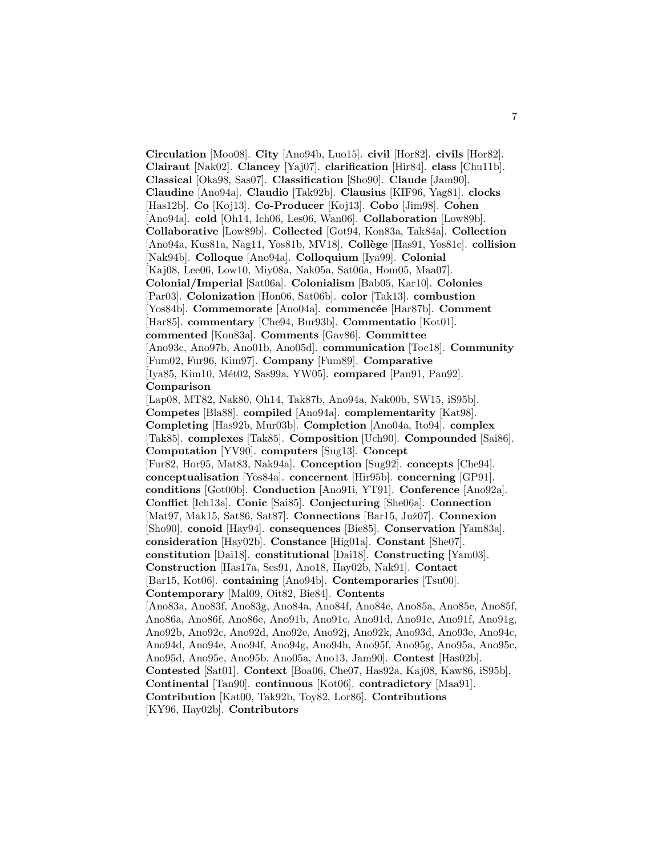**Circulation** [Moo08]. **City** [Ano94b, Luo15]. **civil** [Hor82]. **civils** [Hor82]. **Clairaut** [Nak02]. **Clancey** [Yaj07]. **clarification** [Hir84]. **class** [Chu11b]. **Classical** [Oka98, Sas07]. **Classification** [Sho90]. **Claude** [Jam90]. **Claudine** [Ano94a]. **Claudio** [Tak92b]. **Clausius** [KIF96, Yag81]. **clocks** [Has12b]. **Co** [Koj13]. **Co-Producer** [Koj13]. **Cobo** [Jim98]. **Cohen** [Ano94a]. **cold** [Oh14, Ich06, Les06, Wan06]. **Collaboration** [Low89b]. **Collaborative** [Low89b]. **Collected** [Got94, Kon83a, Tak84a]. **Collection** [Ano94a, Kus81a, Nag11, Yos81b, MV18]. **Coll`ege** [Has91, Yos81c]. **collision** [Nak94b]. **Colloque** [Ano94a]. **Colloquium** [Iya99]. **Colonial** [Kaj08, Lee06, Low10, Miy08a, Nak05a, Sat06a, Hom05, Maa07]. **Colonial/Imperial** [Sat06a]. **Colonialism** [Bab05, Kar10]. **Colonies** [Par03]. **Colonization** [Hon06, Sat06b]. **color** [Tak13]. **combustion** [Yos84b]. **Commemorate** [Ano04a]. **commencée** [Har87b]. **Comment** [Har85]. **commentary** [Che94, Bur93b]. **Commentatio** [Kot01]. **commented** [Kon83a]. **Comments** [Gav86]. **Committee** [Ano93c, Ano97b, Ano01b, Ano05d]. **communication** [Toc18]. **Community** [Fum02, Fur96, Kim97]. **Company** [Fum89]. **Comparative** [Iya85, Kim10, M´et02, Sas99a, YW05]. **compared** [Pan91, Pan92]. **Comparison** [Lap08, MT82, Nak80, Oh14, Tak87b, Ano94a, Nak00b, SW15, iS95b]. **Competes** [Bla88]. **compiled** [Ano94a]. **complementarity** [Kat98]. **Completing** [Has92b, Mur03b]. **Completion** [Ano04a, Ito94]. **complex** [Tak85]. **complexes** [Tak85]. **Composition** [Uch90]. **Compounded** [Sai86]. **Computation** [YV90]. **computers** [Sug13]. **Concept** [Fur82, Hor95, Mat83, Nak94a]. **Conception** [Sug92]. **concepts** [Che94]. **conceptualisation** [Yos84a]. **concernent** [Hir95b]. **concerning** [GP91]. **conditions** [Got00b]. **Conduction** [Ano91i, YT91]. **Conference** [Ano92a]. **Conflict** [Ich13a]. **Conic** [Sai85]. **Conjecturing** [She06a]. **Connection** [Mat97, Mak15, Sat86, Sat87]. **Connections** [Bar15, Juž07]. **Connexion** [Sho90]. **conoid** [Hay94]. **consequences** [Bie85]. **Conservation** [Yam83a]. **consideration** [Hay02b]. **Constance** [Hig01a]. **Constant** [She07]. **constitution** [Dai18]. **constitutional** [Dai18]. **Constructing** [Yam03]. **Construction** [Has17a, Ses91, Ano18, Hay02b, Nak91]. **Contact** [Bar15, Kot06]. **containing** [Ano94b]. **Contemporaries** [Tsu00]. **Contemporary** [Mal09, Oit82, Bie84]. **Contents** [Ano83a, Ano83f, Ano83g, Ano84a, Ano84f, Ano84e, Ano85a, Ano85e, Ano85f, Ano86a, Ano86f, Ano86e, Ano91b, Ano91c, Ano91d, Ano91e, Ano91f, Ano91g, Ano92b, Ano92c, Ano92d, Ano92e, Ano92j, Ano92k, Ano93d, Ano93e, Ano94c, Ano94d, Ano94e, Ano94f, Ano94g, Ano94h, Ano95f, Ano95g, Ano95a, Ano95c, Ano95d, Ano95e, Ano95b, Ano05a, Ano13, Jam90]. **Contest** [Has02b]. **Contested** [Sat01]. **Context** [Boa06, Che07, Has92a, Kaj08, Kaw86, iS95b]. **Continental** [Tan90]. **continuous** [Kot06]. **contradictory** [Maa91]. **Contribution** [Kat00, Tak92b, Toy82, Lor86]. **Contributions**

[KY96, Hay02b]. **Contributors**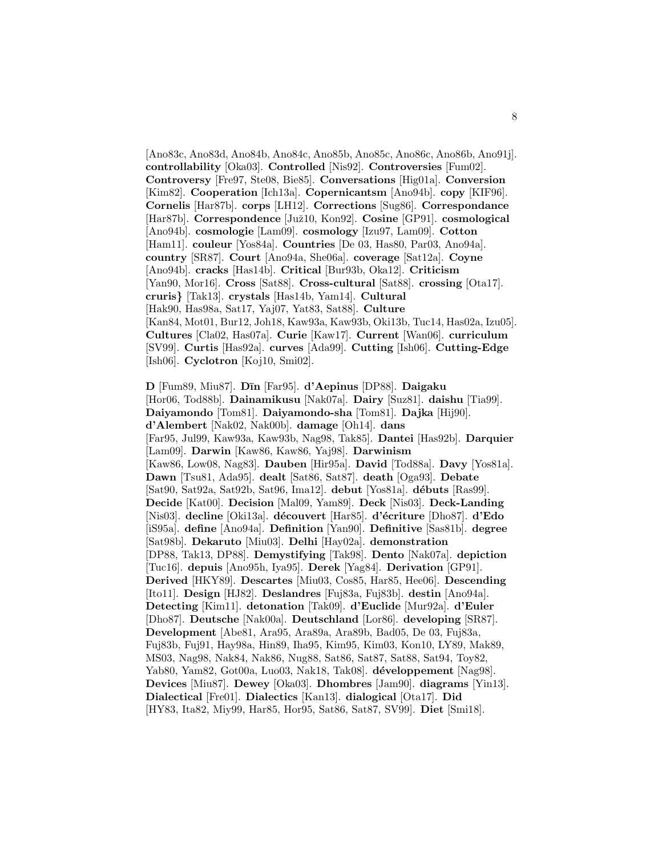[Ano83c, Ano83d, Ano84b, Ano84c, Ano85b, Ano85c, Ano86c, Ano86b, Ano91j]. **controllability** [Oka03]. **Controlled** [Nis92]. **Controversies** [Fum02]. **Controversy** [Fre97, Ste08, Bie85]. **Conversations** [Hig01a]. **Conversion** [Kim82]. **Cooperation** [Ich13a]. **Copernicantsm** [Ano94b]. **copy** [KIF96]. **Cornelis** [Har87b]. **corps** [LH12]. **Corrections** [Sug86]. **Correspondance** [Har87b]. **Correspondence** [Juˇz10, Kon92]. **Cosine** [GP91]. **cosmological** [Ano94b]. **cosmologie** [Lam09]. **cosmology** [Izu97, Lam09]. **Cotton** [Ham11]. **couleur** [Yos84a]. **Countries** [De 03, Has80, Par03, Ano94a]. **country** [SR87]. **Court** [Ano94a, She06a]. **coverage** [Sat12a]. **Coyne** [Ano94b]. **cracks** [Has14b]. **Critical** [Bur93b, Oka12]. **Criticism** [Yan90, Mor16]. **Cross** [Sat88]. **Cross-cultural** [Sat88]. **crossing** [Ota17]. **cruris***}* [Tak13]. **crystals** [Has14b, Yam14]. **Cultural** [Hak90, Has98a, Sat17, Yaj07, Yat83, Sat88]. **Culture** [Kan84, Mot01, Bur12, Joh18, Kaw93a, Kaw93b, Oki13b, Tuc14, Has02a, Izu05]. **Cultures** [Cla02, Has07a]. **Curie** [Kaw17]. **Current** [Wan06]. **curriculum** [SV99]. **Curtis** [Has92a]. **curves** [Ada99]. **Cutting** [Ish06]. **Cutting-Edge** [Ish06]. **Cyclotron** [Koj10, Smi02].

**D** [Fum89, Miu87]. **D¯ın** [Far95]. **d'Aepinus** [DP88]. **Daigaku** [Hor06, Tod88b]. **Dainamikusu** [Nak07a]. **Dairy** [Suz81]. **daishu** [Tia99]. **Daiyamondo** [Tom81]. **Daiyamondo-sha** [Tom81]. **Dajka** [Hij90]. **d'Alembert** [Nak02, Nak00b]. **damage** [Oh14]. **dans** [Far95, Jul99, Kaw93a, Kaw93b, Nag98, Tak85]. **Dantei** [Has92b]. **Darquier** [Lam09]. **Darwin** [Kaw86, Kaw86, Yaj98]. **Darwinism** [Kaw86, Low08, Nag83]. **Dauben** [Hir95a]. **David** [Tod88a]. **Davy** [Yos81a]. **Dawn** [Tsu81, Ada95]. **dealt** [Sat86, Sat87]. **death** [Oga93]. **Debate** [Sat90, Sat92a, Sat92b, Sat96, Ima12]. **debut** [Yos81a]. **d´ebuts** [Ras99]. **Decide** [Kat00]. **Decision** [Mal09, Yam89]. **Deck** [Nis03]. **Deck-Landing** [Nis03]. **decline** [Oki13a]. **d´ecouvert** [Har85]. **d'´ecriture** [Dho87]. **d'Edo** [iS95a]. **define** [Ano94a]. **Definition** [Yan90]. **Definitive** [Sas81b]. **degree** [Sat98b]. **Dekaruto** [Miu03]. **Delhi** [Hay02a]. **demonstration** [DP88, Tak13, DP88]. **Demystifying** [Tak98]. **Dento** [Nak07a]. **depiction** [Tuc16]. **depuis** [Ano95h, Iya95]. **Derek** [Yag84]. **Derivation** [GP91]. **Derived** [HKY89]. **Descartes** [Miu03, Cos85, Har85, Hee06]. **Descending** [Ito11]. **Design** [HJ82]. **Deslandres** [Fuj83a, Fuj83b]. **destin** [Ano94a]. **Detecting** [Kim11]. **detonation** [Tak09]. **d'Euclide** [Mur92a]. **d'Euler** [Dho87]. **Deutsche** [Nak00a]. **Deutschland** [Lor86]. **developing** [SR87]. **Development** [Abe81, Ara95, Ara89a, Ara89b, Bad05, De 03, Fuj83a, Fuj83b, Fuj91, Hay98a, Hin89, Iha95, Kim95, Kim03, Kon10, LY89, Mak89, MS03, Nag98, Nak84, Nak86, Nug88, Sat86, Sat87, Sat88, Sat94, Toy82, Yab80, Yam82, Got00a, Luo03, Nak18, Tak08]. **d´eveloppement** [Nag98]. **Devices** [Miu87]. **Dewey** [Oka03]. **Dhombres** [Jam90]. **diagrams** [Yin13]. **Dialectical** [Fre01]. **Dialectics** [Kan13]. **dialogical** [Ota17]. **Did** [HY83, Ita82, Miy99, Har85, Hor95, Sat86, Sat87, SV99]. **Diet** [Smi18].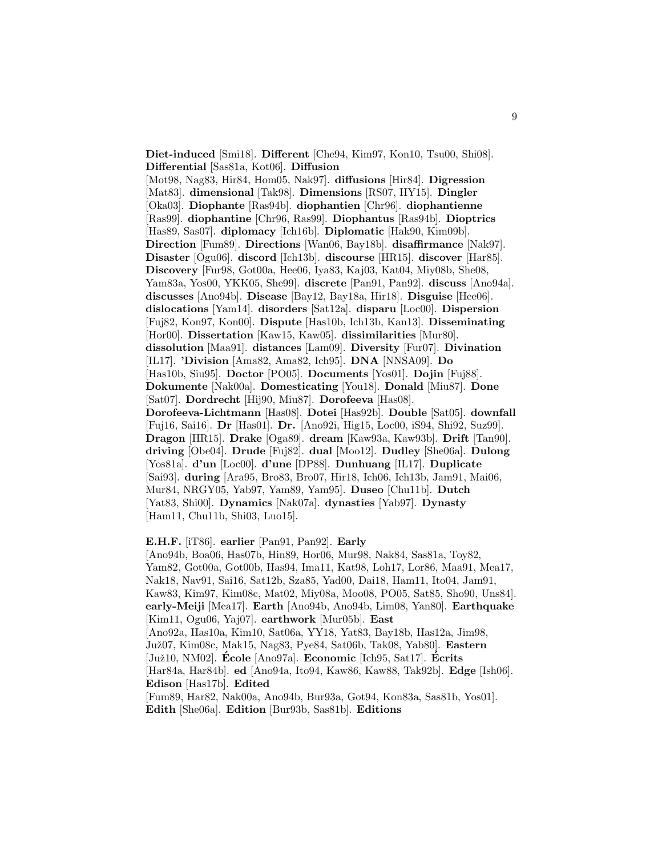**Diet-induced** [Smi18]. **Different** [Che94, Kim97, Kon10, Tsu00, Shi08]. **Differential** [Sas81a, Kot06]. **Diffusion**

[Mot98, Nag83, Hir84, Hom05, Nak97]. **diffusions** [Hir84]. **Digression** [Mat83]. **dimensional** [Tak98]. **Dimensions** [RS07, HY15]. **Dingler** [Oka03]. **Diophante** [Ras94b]. **diophantien** [Chr96]. **diophantienne** [Ras99]. **diophantine** [Chr96, Ras99]. **Diophantus** [Ras94b]. **Dioptrics** [Has89, Sas07]. **diplomacy** [Ich16b]. **Diplomatic** [Hak90, Kim09b]. **Direction** [Fum89]. **Directions** [Wan06, Bay18b]. **disaffirmance** [Nak97]. **Disaster** [Ogu06]. **discord** [Ich13b]. **discourse** [HR15]. **discover** [Har85]. **Discovery** [Fur98, Got00a, Hee06, Iya83, Kaj03, Kat04, Miy08b, She08, Yam83a, Yos00, YKK05, She99]. **discrete** [Pan91, Pan92]. **discuss** [Ano94a]. **discusses** [Ano94b]. **Disease** [Bay12, Bay18a, Hir18]. **Disguise** [Hee06]. **dislocations** [Yam14]. **disorders** [Sat12a]. **disparu** [Loc00]. **Dispersion** [Fuj82, Kon97, Kon00]. **Dispute** [Has10b, Ich13b, Kan13]. **Disseminating** [Hor00]. **Dissertation** [Kaw15, Kaw05]. **dissimilarities** [Mur80]. **dissolution** [Maa91]. **distances** [Lam09]. **Diversity** [Fur07]. **Divination** [IL17]. **'Division** [Ama82, Ama82, Ich95]. **DNA** [NNSA09]. **Do** [Has10b, Siu95]. **Doctor** [PO05]. **Documents** [Yos01]. **Dojin** [Fuj88]. **Dokumente** [Nak00a]. **Domesticating** [You18]. **Donald** [Miu87]. **Done** [Sat07]. **Dordrecht** [Hij90, Miu87]. **Dorofeeva** [Has08]. **Dorofeeva-Lichtmann** [Has08]. **Dotei** [Has92b]. **Double** [Sat05]. **downfall** [Fuj16, Sai16]. **Dr** [Has01]. **Dr.** [Ano92i, Hig15, Loc00, iS94, Shi92, Suz99]. **Dragon** [HR15]. **Drake** [Oga89]. **dream** [Kaw93a, Kaw93b]. **Drift** [Tan90]. **driving** [Obe04]. **Drude** [Fuj82]. **dual** [Moo12]. **Dudley** [She06a]. **Dulong** [Yos81a]. **d'un** [Loc00]. **d'une** [DP88]. **Dunhuang** [IL17]. **Duplicate** [Sai93]. **during** [Ara95, Bro83, Bro07, Hir18, Ich06, Ich13b, Jam91, Mai06, Mur84, NRGY05, Yab97, Yam89, Yam95]. **Duseo** [Chu11b]. **Dutch** [Yat83, Shi00]. **Dynamics** [Nak07a]. **dynasties** [Yab97]. **Dynasty** [Ham11, Chu11b, Shi03, Luo15].

# **E.H.F.** [iT86]. **earlier** [Pan91, Pan92]. **Early**

[Ano94b, Boa06, Has07b, Hin89, Hor06, Mur98, Nak84, Sas81a, Toy82, Yam82, Got00a, Got00b, Has94, Ima11, Kat98, Loh17, Lor86, Maa91, Mea17, Nak18, Nav91, Sai16, Sat12b, Sza85, Yad00, Dai18, Ham11, Ito04, Jam91, Kaw83, Kim97, Kim08c, Mat02, Miy08a, Moo08, PO05, Sat85, Sho90, Uns84]. **early-Meiji** [Mea17]. **Earth** [Ano94b, Ano94b, Lim08, Yan80]. **Earthquake** [Kim11, Ogu06, Yaj07]. **earthwork** [Mur05b]. **East** [Ano92a, Has10a, Kim10, Sat06a, YY18, Yat83, Bay18b, Has12a, Jim98, Juˇz07, Kim08c, Mak15, Nag83, Pye84, Sat06b, Tak08, Yab80]. **Eastern** [Juž10, NM02]. **École** [Ano97a]. **Economic** [Ich95, Sat17]. **Écrits** [Har84a, Har84b]. **ed** [Ano94a, Ito94, Kaw86, Kaw88, Tak92b]. **Edge** [Ish06]. **Edison** [Has17b]. **Edited** [Fum89, Har82, Nak00a, Ano94b, Bur93a, Got94, Kon83a, Sas81b, Yos01].

**Edith** [She06a]. **Edition** [Bur93b, Sas81b]. **Editions**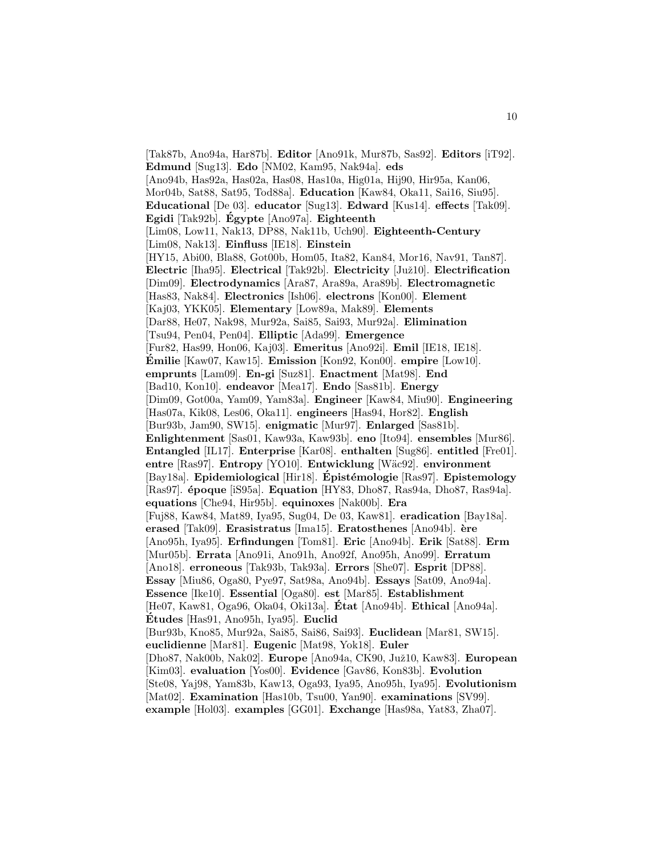[Tak87b, Ano94a, Har87b]. **Editor** [Ano91k, Mur87b, Sas92]. **Editors** [iT92]. **Edmund** [Sug13]. **Edo** [NM02, Kam95, Nak94a]. **eds** [Ano94b, Has92a, Has02a, Has08, Has10a, Hig01a, Hij90, Hir95a, Kan06, Mor04b, Sat88, Sat95, Tod88a]. **Education** [Kaw84, Oka11, Sai16, Siu95]. **Educational** [De 03]. **educator** [Sug13]. **Edward** [Kus14]. **effects** [Tak09]. **Egidi** [Tak92b]. **Egypte ´** [Ano97a]. **Eighteenth** [Lim08, Low11, Nak13, DP88, Nak11b, Uch90]. **Eighteenth-Century** [Lim08, Nak13]. **Einfluss** [IE18]. **Einstein** [HY15, Abi00, Bla88, Got00b, Hom05, Ita82, Kan84, Mor16, Nav91, Tan87]. **Electric** [Iha95]. **Electrical** [Tak92b]. **Electricity** [Juˇz10]. **Electrification** [Dim09]. **Electrodynamics** [Ara87, Ara89a, Ara89b]. **Electromagnetic** [Has83, Nak84]. **Electronics** [Ish06]. **electrons** [Kon00]. **Element** [Kaj03, YKK05]. **Elementary** [Low89a, Mak89]. **Elements** [Dar88, He07, Nak98, Mur92a, Sai85, Sai93, Mur92a]. **Elimination** [Tsu94, Pen04, Pen04]. **Elliptic** [Ada99]. **Emergence** [Fur82, Has99, Hon06, Kaj03]. **Emeritus** [Ano92i]. **Emil** [IE18, IE18]. **Émilie** [Kaw07, Kaw15]. **Emission** [Kon92, Kon00]. **empire** [Low10]. **emprunts** [Lam09]. **En-gi** [Suz81]. **Enactment** [Mat98]. **End** [Bad10, Kon10]. **endeavor** [Mea17]. **Endo** [Sas81b]. **Energy** [Dim09, Got00a, Yam09, Yam83a]. **Engineer** [Kaw84, Miu90]. **Engineering** [Has07a, Kik08, Les06, Oka11]. **engineers** [Has94, Hor82]. **English** [Bur93b, Jam90, SW15]. **enigmatic** [Mur97]. **Enlarged** [Sas81b]. **Enlightenment** [Sas01, Kaw93a, Kaw93b]. **eno** [Ito94]. **ensembles** [Mur86]. **Entangled** [IL17]. **Enterprise** [Kar08]. **enthalten** [Sug86]. **entitled** [Fre01]. **entre** [Ras97]. **Entropy** [YO10]. **Entwicklung** [W¨ac92]. **environment** [Bay18a]. **Epidemiological** [Hir18]. **Epist´ ´ emologie** [Ras97]. **Epistemology** [Ras97]. **´epoque** [iS95a]. **Equation** [HY83, Dho87, Ras94a, Dho87, Ras94a]. **equations** [Che94, Hir95b]. **equinoxes** [Nak00b]. **Era** [Fuj88, Kaw84, Mat89, Iya95, Sug04, De 03, Kaw81]. **eradication** [Bay18a]. **erased** [Tak09]. **Erasistratus** [Ima15]. **Eratosthenes** [Ano94b]. **`ere** [Ano95h, Iya95]. **Erfindungen** [Tom81]. **Eric** [Ano94b]. **Erik** [Sat88]. **Erm** [Mur05b]. **Errata** [Ano91i, Ano91h, Ano92f, Ano95h, Ano99]. **Erratum** [Ano18]. **erroneous** [Tak93b, Tak93a]. **Errors** [She07]. **Esprit** [DP88]. **Essay** [Miu86, Oga80, Pye97, Sat98a, Ano94b]. **Essays** [Sat09, Ano94a]. **Essence** [Ike10]. **Essential** [Oga80]. **est** [Mar85]. **Establishment** [He07, Kaw81, Oga96, Oka04, Oki13a]. **Etat ´** [Ano94b]. **Ethical** [Ano94a]. **Etudes ´** [Has91, Ano95h, Iya95]. **Euclid** [Bur93b, Kno85, Mur92a, Sai85, Sai86, Sai93]. **Euclidean** [Mar81, SW15]. **euclidienne** [Mar81]. **Eugenic** [Mat98, Yok18]. **Euler** [Dho87, Nak00b, Nak02]. **Europe** [Ano94a, CK90, Juž10, Kaw83]. **European** [Kim03]. **evaluation** [Yos00]. **Evidence** [Gav86, Kon83b]. **Evolution** [Ste08, Yaj98, Yam83b, Kaw13, Oga93, Iya95, Ano95h, Iya95]. **Evolutionism** [Mat02]. **Examination** [Has10b, Tsu00, Yan90]. **examinations** [SV99]. **example** [Hol03]. **examples** [GG01]. **Exchange** [Has98a, Yat83, Zha07].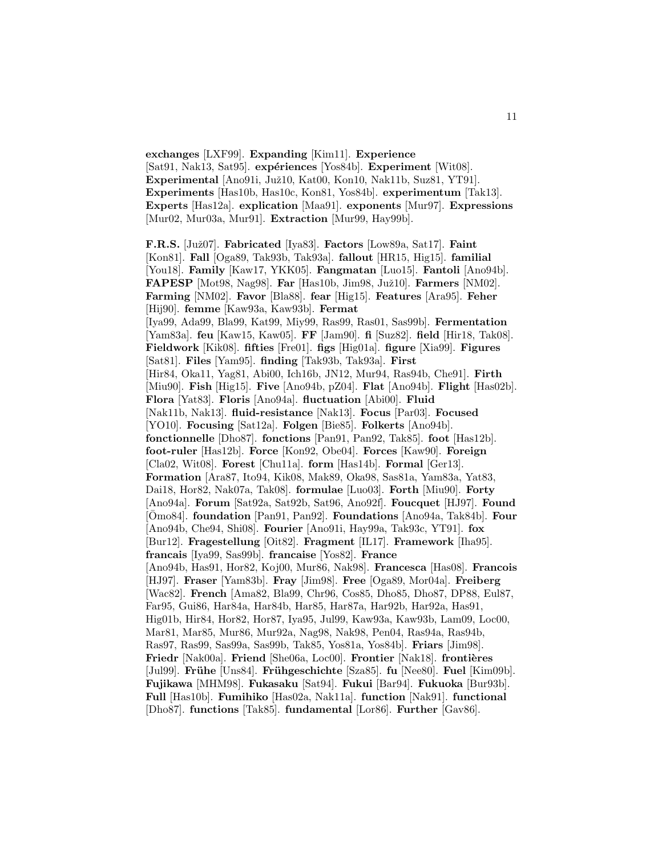**exchanges** [LXF99]. **Expanding** [Kim11]. **Experience** [Sat91, Nak13, Sat95]. **expériences** [Yos84b]. **Experiment** [Wit08]. Experimental [Ano91i, Juž10, Kat00, Kon10, Nak11b, Suz81, YT91]. **Experiments** [Has10b, Has10c, Kon81, Yos84b]. **experimentum** [Tak13]. **Experts** [Has12a]. **explication** [Maa91]. **exponents** [Mur97]. **Expressions** [Mur02, Mur03a, Mur91]. **Extraction** [Mur99, Hay99b].

**F.R.S.** [Juˇz07]. **Fabricated** [Iya83]. **Factors** [Low89a, Sat17]. **Faint** [Kon81]. **Fall** [Oga89, Tak93b, Tak93a]. **fallout** [HR15, Hig15]. **familial** [You18]. **Family** [Kaw17, YKK05]. **Fangmatan** [Luo15]. **Fantoli** [Ano94b]. **FAPESP** [Mot98, Nag98]. **Far** [Has10b, Jim98, Juž10]. **Farmers** [NM02]. **Farming** [NM02]. **Favor** [Bla88]. **fear** [Hig15]. **Features** [Ara95]. **Feher** [Hij90]. **femme** [Kaw93a, Kaw93b]. **Fermat** [Iya99, Ada99, Bla99, Kat99, Miy99, Ras99, Ras01, Sas99b]. **Fermentation** [Yam83a]. **feu** [Kaw15, Kaw05]. **FF** [Jam90]. **fi** [Suz82]. **field** [Hir18, Tak08]. **Fieldwork** [Kik08]. **fifties** [Fre01]. **figs** [Hig01a]. **figure** [Xia99]. **Figures** [Sat81]. **Files** [Yam95]. **finding** [Tak93b, Tak93a]. **First** [Hir84, Oka11, Yag81, Abi00, Ich16b, JN12, Mur94, Ras94b, Che91]. **Firth** [Miu90]. **Fish** [Hig15]. **Five** [Ano94b, pZ04]. **Flat** [Ano94b]. **Flight** [Has02b]. **Flora** [Yat83]. **Floris** [Ano94a]. **fluctuation** [Abi00]. **Fluid** [Nak11b, Nak13]. **fluid-resistance** [Nak13]. **Focus** [Par03]. **Focused** [YO10]. **Focusing** [Sat12a]. **Folgen** [Bie85]. **Folkerts** [Ano94b]. **fonctionnelle** [Dho87]. **fonctions** [Pan91, Pan92, Tak85]. **foot** [Has12b]. **foot-ruler** [Has12b]. **Force** [Kon92, Obe04]. **Forces** [Kaw90]. **Foreign** [Cla02, Wit08]. **Forest** [Chu11a]. **form** [Has14b]. **Formal** [Ger13]. **Formation** [Ara87, Ito94, Kik08, Mak89, Oka98, Sas81a, Yam83a, Yat83, Dai18, Hor82, Nak07a, Tak08]. **formulae** [Luo03]. **Forth** [Miu90]. **Forty** [Ano94a]. **Forum** [Sat92a, Sat92b, Sat96, Ano92f]. **Foucquet** [HJ97]. **Found** [Omo84]. ¯ **foundation** [Pan91, Pan92]. **Foundations** [Ano94a, Tak84b]. **Four** [Ano94b, Che94, Shi08]. **Fourier** [Ano91i, Hay99a, Tak93c, YT91]. **fox** [Bur12]. **Fragestellung** [Oit82]. **Fragment** [IL17]. **Framework** [Iha95]. **francais** [Iya99, Sas99b]. **francaise** [Yos82]. **France** [Ano94b, Has91, Hor82, Koj00, Mur86, Nak98]. **Francesca** [Has08]. **Francois** [HJ97]. **Fraser** [Yam83b]. **Fray** [Jim98]. **Free** [Oga89, Mor04a]. **Freiberg** [Wac82]. **French** [Ama82, Bla99, Chr96, Cos85, Dho85, Dho87, DP88, Eul87, Far95, Gui86, Har84a, Har84b, Har85, Har87a, Har92b, Har92a, Has91, Hig01b, Hir84, Hor82, Hor87, Iya95, Jul99, Kaw93a, Kaw93b, Lam09, Loc00, Mar81, Mar85, Mur86, Mur92a, Nag98, Nak98, Pen04, Ras94a, Ras94b, Ras97, Ras99, Sas99a, Sas99b, Tak85, Yos81a, Yos84b]. **Friars** [Jim98]. **Friedr** [Nak00a]. **Friend** [She06a, Loc00]. **Frontier** [Nak18]. **frontières** [Jul99]. **Fr¨uhe** [Uns84]. **Fr¨uhgeschichte** [Sza85]. **fu** [Nee80]. **Fuel** [Kim09b]. **Fujikawa** [MHM98]. **Fukasaku** [Sat94]. **Fukui** [Bar94]. **Fukuoka** [Bur93b]. **Full** [Has10b]. **Fumihiko** [Has02a, Nak11a]. **function** [Nak91]. **functional** [Dho87]. **functions** [Tak85]. **fundamental** [Lor86]. **Further** [Gav86].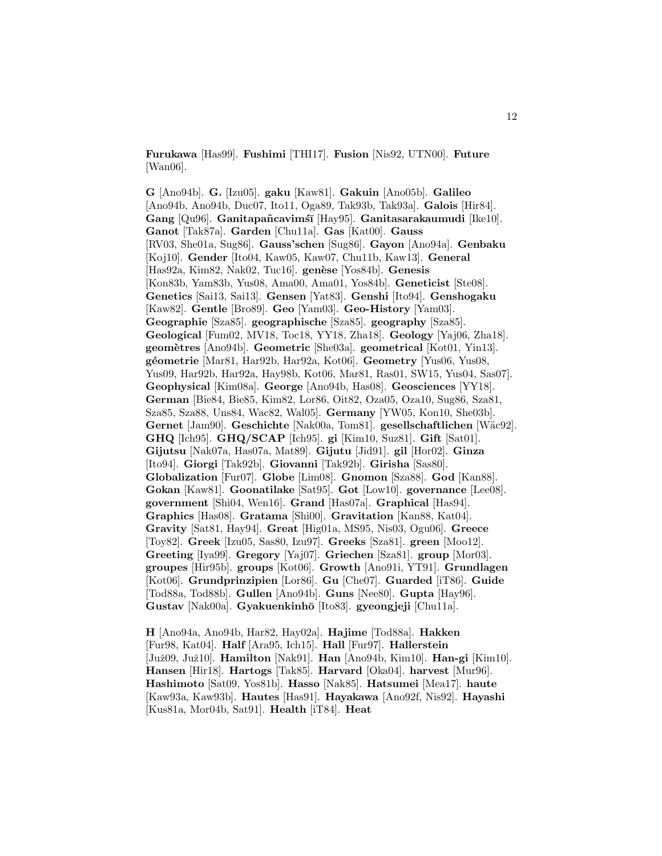**Furukawa** [Has99]. **Fushimi** [THI17]. **Fusion** [Nis92, UTN00]. **Future** [Wan06].

**G** [Ano94b]. **G.** [Izu05]. **gaku** [Kaw81]. **Gakuin** [Ano05b]. **Galileo** [Ano94b, Ano94b, Duc07, Ito11, Oga89, Tak93b, Tak93a]. **Galois** [Hir84]. Gang<sup>[Qu96]</sup>. Ganitapañcavimśī [Hay95]. Ganitasarakaumudi [Ike10]. **Ganot** [Tak87a]. **Garden** [Chu11a]. **Gas** [Kat00]. **Gauss** [RV03, She01a, Sug86]. **Gauss'schen** [Sug86]. **Gayon** [Ano94a]. **Genbaku** [Koj10]. **Gender** [Ito04, Kaw05, Kaw07, Chu11b, Kaw13]. **General** [Has92a, Kim82, Nak02, Tuc16]. **gen`ese** [Yos84b]. **Genesis** [Kon83b, Yam83b, Yus08, Ama00, Ama01, Yos84b]. **Geneticist** [Ste08]. **Genetics** [Sai13, Sai13]. **Gensen** [Yat83]. **Genshi** [Ito94]. **Genshogaku** [Kaw82]. **Gentle** [Bro89]. **Geo** [Yam03]. **Geo-History** [Yam03]. **Geographie** [Sza85]. **geographische** [Sza85]. **geography** [Sza85]. **Geological** [Fum02, MV18, Toc18, YY18, Zha18]. **Geology** [Yaj06, Zha18]. **geom`etres** [Ano94b]. **Geometric** [She03a]. **geometrical** [Kot01, Yin13]. **g´eometrie** [Mar81, Har92b, Har92a, Kot06]. **Geometry** [Yus06, Yus08, Yus09, Har92b, Har92a, Hay98b, Kot06, Mar81, Ras01, SW15, Yus04, Sas07]. **Geophysical** [Kim08a]. **George** [Ano94b, Has08]. **Geosciences** [YY18]. **German** [Bie84, Bie85, Kim82, Lor86, Oit82, Oza05, Oza10, Sug86, Sza81, Sza85, Sza88, Uns84, Wac82, Wal05]. **Germany** [YW05, Kon10, She03b]. **Gernet** [Jam90]. **Geschichte** [Nak00a, Tom81]. **gesellschaftlichen** [Wäc92]. **GHQ** [Ich95]. **GHQ/SCAP** [Ich95]. **gi** [Kim10, Suz81]. **Gift** [Sat01]. **Gijutsu** [Nak07a, Has07a, Mat89]. **Gijutu** [Jid91]. **gil** [Hor02]. **Ginza** [Ito94]. **Giorgi** [Tak92b]. **Giovanni** [Tak92b]. **Girisha** [Sas80]. **Globalization** [Fur07]. **Globe** [Lim08]. **Gnomon** [Sza88]. **God** [Kan88]. **Gokan** [Kaw81]. **Goonatilake** [Sat95]. **Got** [Low10]. **governance** [Lee08]. **government** [Shi04, Wen16]. **Grand** [Has07a]. **Graphical** [Has94]. **Graphics** [Has08]. **Gratama** [Shi00]. **Gravitation** [Kan88, Kat04]. **Gravity** [Sat81, Hay94]. **Great** [Hig01a, MS95, Nis03, Ogu06]. **Greece** [Toy82]. **Greek** [Izu05, Sas80, Izu97]. **Greeks** [Sza81]. **green** [Moo12]. **Greeting** [Iya99]. **Gregory** [Yaj07]. **Griechen** [Sza81]. **group** [Mor03]. **groupes** [Hir95b]. **groups** [Kot06]. **Growth** [Ano91i, YT91]. **Grundlagen** [Kot06]. **Grundprinzipien** [Lor86]. **Gu** [Che07]. **Guarded** [iT86]. **Guide** [Tod88a, Tod88b]. **Gullen** [Ano94b]. **Guns** [Nee80]. **Gupta** [Hay96]. **Gustav** [Nak00a]. **Gyakuenkinh¯o** [Ito83]. **gyeongjeji** [Chu11a].

**H** [Ano94a, Ano94b, Har82, Hay02a]. **Hajime** [Tod88a]. **Hakken** [Fur98, Kat04]. **Half** [Ara95, Ich15]. **Hall** [Fur97]. **Hallerstein** [Juˇz09, Juˇz10]. **Hamilton** [Nak91]. **Han** [Ano94b, Kim10]. **Han-gi** [Kim10]. **Hansen** [Hir18]. **Hartogs** [Tak85]. **Harvard** [Oka04]. **harvest** [Mur96]. **Hashimoto** [Sat09, Yos81b]. **Hasso** [Nak85]. **Hatsumei** [Mea17]. **haute** [Kaw93a, Kaw93b]. **Hautes** [Has91]. **Hayakawa** [Ano92f, Nis92]. **Hayashi** [Kus81a, Mor04b, Sat91]. **Health** [iT84]. **Heat**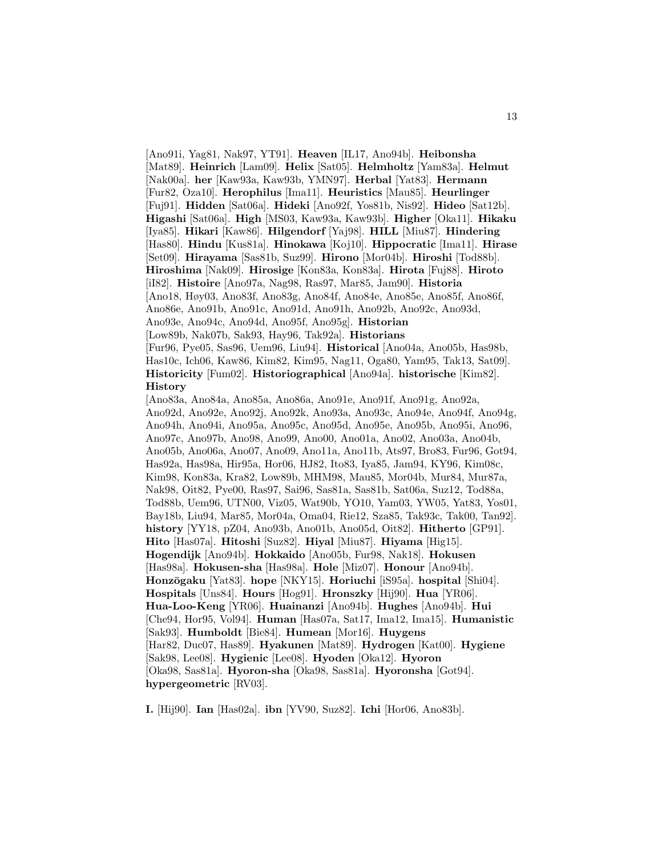[Ano91i, Yag81, Nak97, YT91]. **Heaven** [IL17, Ano94b]. **Heibonsha** [Mat89]. **Heinrich** [Lam09]. **Helix** [Sat05]. **Helmholtz** [Yam83a]. **Helmut** [Nak00a]. **her** [Kaw93a, Kaw93b, YMN97]. **Herbal** [Yat83]. **Hermann** [Fur82, Oza10]. **Herophilus** [Ima11]. **Heuristics** [Mau85]. **Heurlinger** [Fuj91]. **Hidden** [Sat06a]. **Hideki** [Ano92f, Yos81b, Nis92]. **Hideo** [Sat12b]. **Higashi** [Sat06a]. **High** [MS03, Kaw93a, Kaw93b]. **Higher** [Oka11]. **Hikaku** [Iya85]. **Hikari** [Kaw86]. **Hilgendorf** [Yaj98]. **HILL** [Miu87]. **Hindering** [Has80]. **Hindu** [Kus81a]. **Hinokawa** [Koj10]. **Hippocratic** [Ima11]. **Hirase** [Set09]. **Hirayama** [Sas81b, Suz99]. **Hirono** [Mor04b]. **Hiroshi** [Tod88b]. **Hiroshima** [Nak09]. **Hirosige** [Kon83a, Kon83a]. **Hirota** [Fuj88]. **Hiroto** [iI82]. **Histoire** [Ano97a, Nag98, Ras97, Mar85, Jam90]. **Historia** [Ano18, Høy03, Ano83f, Ano83g, Ano84f, Ano84e, Ano85e, Ano85f, Ano86f, Ano86e, Ano91b, Ano91c, Ano91d, Ano91h, Ano92b, Ano92c, Ano93d, Ano93e, Ano94c, Ano94d, Ano95f, Ano95g]. **Historian** [Low89b, Nak07b, Sak93, Hay96, Tak92a]. **Historians** [Fur96, Pye05, Sas96, Uem96, Liu94]. **Historical** [Ano04a, Ano05b, Has98b, Has10c, Ich06, Kaw86, Kim82, Kim95, Nag11, Oga80, Yam95, Tak13, Sat09]. **Historicity** [Fum02]. **Historiographical** [Ano94a]. **historische** [Kim82]. **History** [Ano83a, Ano84a, Ano85a, Ano86a, Ano91e, Ano91f, Ano91g, Ano92a, Ano92d, Ano92e, Ano92j, Ano92k, Ano93a, Ano93c, Ano94e, Ano94f, Ano94g, Ano94h, Ano94i, Ano95a, Ano95c, Ano95d, Ano95e, Ano95b, Ano95i, Ano96, Ano97c, Ano97b, Ano98, Ano99, Ano00, Ano01a, Ano02, Ano03a, Ano04b, Ano05b, Ano06a, Ano07, Ano09, Ano11a, Ano11b, Ats97, Bro83, Fur96, Got94, Has92a, Has98a, Hir95a, Hor06, HJ82, Ito83, Iya85, Jam94, KY96, Kim08c, Kim98, Kon83a, Kra82, Low89b, MHM98, Mau85, Mor04b, Mur84, Mur87a, Nak98, Oit82, Pye00, Ras97, Sai96, Sas81a, Sas81b, Sat06a, Suz12, Tod88a, Tod88b, Uem96, UTN00, Viz05, Wat90b, YO10, Yam03, YW05, Yat83, Yos01, Bay18b, Liu94, Mar85, Mor04a, Oma04, Rie12, Sza85, Tak93c, Tak00, Tan92]. **history** [YY18, pZ04, Ano93b, Ano01b, Ano05d, Oit82]. **Hitherto** [GP91]. **Hito** [Has07a]. **Hitoshi** [Suz82]. **Hiyal** [Miu87]. **Hiyama** [Hig15]. **Hogendijk** [Ano94b]. **Hokkaido** [Ano05b, Fur98, Nak18]. **Hokusen** [Has98a]. **Hokusen-sha** [Has98a]. **Hole** [Miz07]. **Honour** [Ano94b]. **Honz¯ogaku** [Yat83]. **hope** [NKY15]. **Horiuchi** [iS95a]. **hospital** [Shi04]. **Hospitals** [Uns84]. **Hours** [Hog91]. **Hronszky** [Hij90]. **Hua** [YR06]. **Hua-Loo-Keng** [YR06]. **Huainanzi** [Ano94b]. **Hughes** [Ano94b]. **Hui** [Che94, Hor95, Vol94]. **Human** [Has07a, Sat17, Ima12, Ima15]. **Humanistic** [Sak93]. **Humboldt** [Bie84]. **Humean** [Mor16]. **Huygens** [Har82, Duc07, Has89]. **Hyakunen** [Mat89]. **Hydrogen** [Kat00]. **Hygiene** [Sak98, Lee08]. **Hygienic** [Lee08]. **Hyoden** [Oka12]. **Hyoron**

[Oka98, Sas81a]. **Hyoron-sha** [Oka98, Sas81a]. **Hyoronsha** [Got94]. **hypergeometric** [RV03].

**I.** [Hij90]. **Ian** [Has02a]. **ibn** [YV90, Suz82]. **Ichi** [Hor06, Ano83b].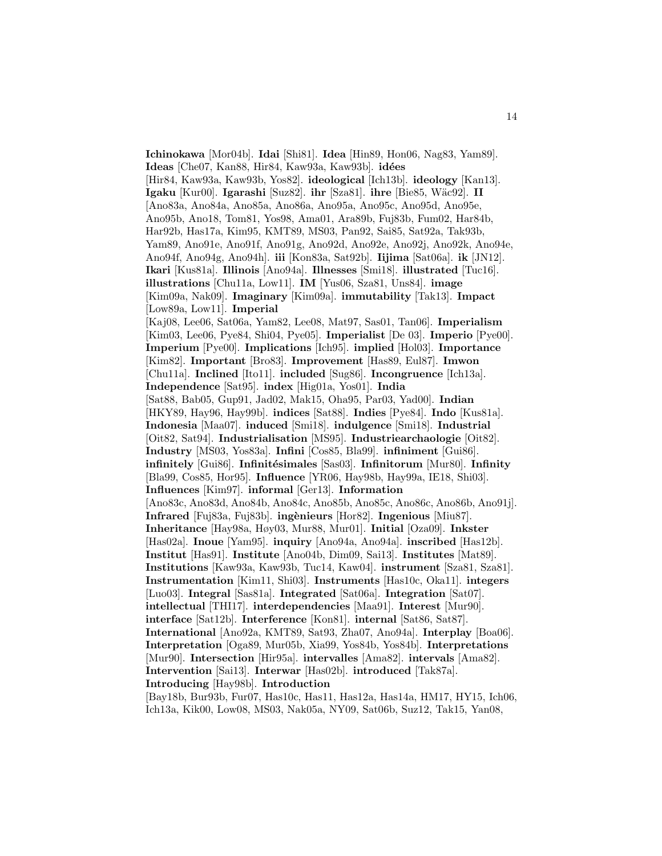**Ichinokawa** [Mor04b]. **Idai** [Shi81]. **Idea** [Hin89, Hon06, Nag83, Yam89]. **Ideas** [Che07, Kan88, Hir84, Kaw93a, Kaw93b]. **id´ees** [Hir84, Kaw93a, Kaw93b, Yos82]. **ideological** [Ich13b]. **ideology** [Kan13]. **Igaku** [Kur00]. **Igarashi** [Suz82]. **ihr** [Sza81]. **ihre** [Bie85, W¨ac92]. **II** [Ano83a, Ano84a, Ano85a, Ano86a, Ano95a, Ano95c, Ano95d, Ano95e, Ano95b, Ano18, Tom81, Yos98, Ama01, Ara89b, Fuj83b, Fum02, Har84b, Har92b, Has17a, Kim95, KMT89, MS03, Pan92, Sai85, Sat92a, Tak93b, Yam89, Ano91e, Ano91f, Ano91g, Ano92d, Ano92e, Ano92j, Ano92k, Ano94e, Ano94f, Ano94g, Ano94h]. **iii** [Kon83a, Sat92b]. **Iijima** [Sat06a]. **ik** [JN12]. **Ikari** [Kus81a]. **Illinois** [Ano94a]. **Illnesses** [Smi18]. **illustrated** [Tuc16]. **illustrations** [Chu11a, Low11]. **IM** [Yus06, Sza81, Uns84]. **image** [Kim09a, Nak09]. **Imaginary** [Kim09a]. **immutability** [Tak13]. **Impact** [Low89a, Low11]. **Imperial** [Kaj08, Lee06, Sat06a, Yam82, Lee08, Mat97, Sas01, Tan06]. **Imperialism** [Kim03, Lee06, Pye84, Shi04, Pye05]. **Imperialist** [De 03]. **Imperio** [Pye00]. **Imperium** [Pye00]. **Implications** [Ich95]. **implied** [Hol03]. **Importance** [Kim82]. **Important** [Bro83]. **Improvement** [Has89, Eul87]. **Imwon** [Chu11a]. **Inclined** [Ito11]. **included** [Sug86]. **Incongruence** [Ich13a]. **Independence** [Sat95]. **index** [Hig01a, Yos01]. **India** [Sat88, Bab05, Gup91, Jad02, Mak15, Oha95, Par03, Yad00]. **Indian** [HKY89, Hay96, Hay99b]. **indices** [Sat88]. **Indies** [Pye84]. **Indo** [Kus81a]. **Indonesia** [Maa07]. **induced** [Smi18]. **indulgence** [Smi18]. **Industrial** [Oit82, Sat94]. **Industrialisation** [MS95]. **Industriearchaologie** [Oit82]. **Industry** [MS03, Yos83a]. **Infini** [Cos85, Bla99]. **infiniment** [Gui86]. **infinitely** [Gui86]. **Infinitésimales** [Sas03]. **Infinitorum** [Mur80]. **Infinity** [Bla99, Cos85, Hor95]. **Influence** [YR06, Hay98b, Hay99a, IE18, Shi03]. **Influences** [Kim97]. **informal** [Ger13]. **Information** [Ano83c, Ano83d, Ano84b, Ano84c, Ano85b, Ano85c, Ano86c, Ano86b, Ano91j]. **Infrared** [Fuj83a, Fuj83b]. **ing`enieurs** [Hor82]. **Ingenious** [Miu87]. **Inheritance** [Hay98a, Høy03, Mur88, Mur01]. **Initial** [Oza09]. **Inkster** [Has02a]. **Inoue** [Yam95]. **inquiry** [Ano94a, Ano94a]. **inscribed** [Has12b]. **Institut** [Has91]. **Institute** [Ano04b, Dim09, Sai13]. **Institutes** [Mat89]. **Institutions** [Kaw93a, Kaw93b, Tuc14, Kaw04]. **instrument** [Sza81, Sza81]. **Instrumentation** [Kim11, Shi03]. **Instruments** [Has10c, Oka11]. **integers** [Luo03]. **Integral** [Sas81a]. **Integrated** [Sat06a]. **Integration** [Sat07]. **intellectual** [THI17]. **interdependencies** [Maa91]. **Interest** [Mur90]. **interface** [Sat12b]. **Interference** [Kon81]. **internal** [Sat86, Sat87]. **International** [Ano92a, KMT89, Sat93, Zha07, Ano94a]. **Interplay** [Boa06]. **Interpretation** [Oga89, Mur05b, Xia99, Yos84b, Yos84b]. **Interpretations** [Mur90]. **Intersection** [Hir95a]. **intervalles** [Ama82]. **intervals** [Ama82]. **Intervention** [Sai13]. **Interwar** [Has02b]. **introduced** [Tak87a]. **Introducing** [Hay98b]. **Introduction**

[Bay18b, Bur93b, Fur07, Has10c, Has11, Has12a, Has14a, HM17, HY15, Ich06, Ich13a, Kik00, Low08, MS03, Nak05a, NY09, Sat06b, Suz12, Tak15, Yan08,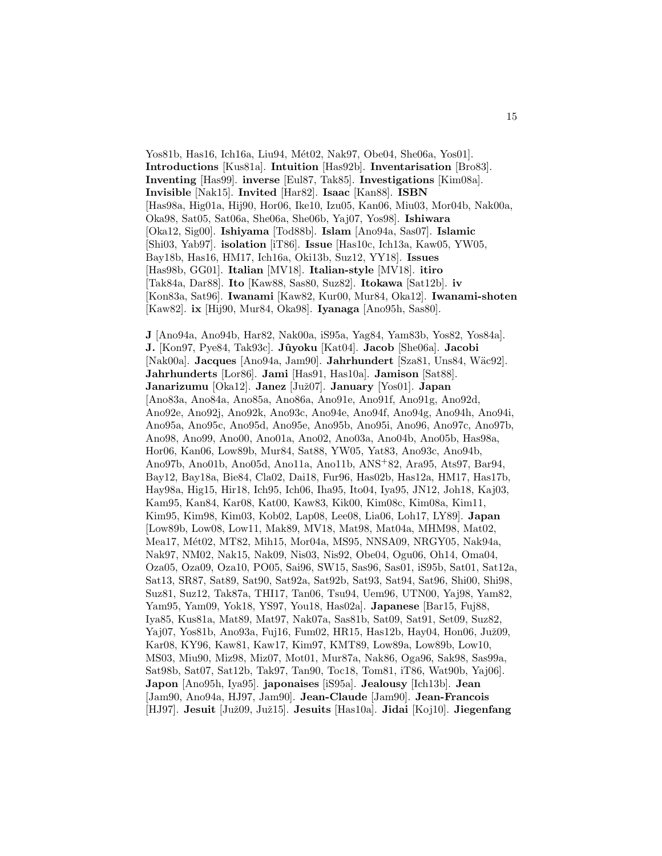Yos81b, Has16, Ich16a, Liu94, Mét02, Nak97, Obe04, She06a, Yos01. **Introductions** [Kus81a]. **Intuition** [Has92b]. **Inventarisation** [Bro83]. **Inventing** [Has99]. **inverse** [Eul87, Tak85]. **Investigations** [Kim08a]. **Invisible** [Nak15]. **Invited** [Har82]. **Isaac** [Kan88]. **ISBN** [Has98a, Hig01a, Hij90, Hor06, Ike10, Izu05, Kan06, Miu03, Mor04b, Nak00a, Oka98, Sat05, Sat06a, She06a, She06b, Yaj07, Yos98]. **Ishiwara** [Oka12, Sig00]. **Ishiyama** [Tod88b]. **Islam** [Ano94a, Sas07]. **Islamic** [Shi03, Yab97]. **isolation** [iT86]. **Issue** [Has10c, Ich13a, Kaw05, YW05, Bay18b, Has16, HM17, Ich16a, Oki13b, Suz12, YY18]. **Issues** [Has98b, GG01]. **Italian** [MV18]. **Italian-style** [MV18]. **itiro** [Tak84a, Dar88]. **Ito** [Kaw88, Sas80, Suz82]. **Itokawa** [Sat12b]. **iv** [Kon83a, Sat96]. **Iwanami** [Kaw82, Kur00, Mur84, Oka12]. **Iwanami-shoten** [Kaw82]. **ix** [Hij90, Mur84, Oka98]. **Iyanaga** [Ano95h, Sas80].

**J** [Ano94a, Ano94b, Har82, Nak00a, iS95a, Yag84, Yam83b, Yos82, Yos84a]. **J.** [Kon97, Pye84, Tak93c]. **Jˆuyoku** [Kat04]. **Jacob** [She06a]. **Jacobi** [Nak00a]. **Jacques** [Ano94a, Jam90]. **Jahrhundert** [Sza81, Uns84, W¨ac92]. **Jahrhunderts** [Lor86]. **Jami** [Has91, Has10a]. **Jamison** [Sat88]. **Janarizumu** [Oka12]. **Janez** [Juˇz07]. **January** [Yos01]. **Japan** [Ano83a, Ano84a, Ano85a, Ano86a, Ano91e, Ano91f, Ano91g, Ano92d, Ano92e, Ano92j, Ano92k, Ano93c, Ano94e, Ano94f, Ano94g, Ano94h, Ano94i, Ano95a, Ano95c, Ano95d, Ano95e, Ano95b, Ano95i, Ano96, Ano97c, Ano97b, Ano98, Ano99, Ano00, Ano01a, Ano02, Ano03a, Ano04b, Ano05b, Has98a, Hor06, Kan06, Low89b, Mur84, Sat88, YW05, Yat83, Ano93c, Ano94b, Ano97b, Ano01b, Ano05d, Ano11a, Ano11b, ANS<sup>+</sup>82, Ara95, Ats97, Bar94, Bay12, Bay18a, Bie84, Cla02, Dai18, Fur96, Has02b, Has12a, HM17, Has17b, Hay98a, Hig15, Hir18, Ich95, Ich06, Iha95, Ito04, Iya95, JN12, Joh18, Kaj03, Kam95, Kan84, Kar08, Kat00, Kaw83, Kik00, Kim08c, Kim08a, Kim11, Kim95, Kim98, Kim03, Kob02, Lap08, Lee08, Lia06, Loh17, LY89]. **Japan** [Low89b, Low08, Low11, Mak89, MV18, Mat98, Mat04a, MHM98, Mat02, Mea17, Mét02, MT82, Mih15, Mor04a, MS95, NNSA09, NRGY05, Nak94a, Nak97, NM02, Nak15, Nak09, Nis03, Nis92, Obe04, Ogu06, Oh14, Oma04, Oza05, Oza09, Oza10, PO05, Sai96, SW15, Sas96, Sas01, iS95b, Sat01, Sat12a, Sat13, SR87, Sat89, Sat90, Sat92a, Sat92b, Sat93, Sat94, Sat96, Shi00, Shi98, Suz81, Suz12, Tak87a, THI17, Tan06, Tsu94, Uem96, UTN00, Yaj98, Yam82, Yam95, Yam09, Yok18, YS97, You18, Has02a]. **Japanese** [Bar15, Fuj88, Iya85, Kus81a, Mat89, Mat97, Nak07a, Sas81b, Sat09, Sat91, Set09, Suz82, Yaj07, Yos81b, Ano93a, Fuj16, Fum02, HR15, Has12b, Hay04, Hon06, Juž09, Kar08, KY96, Kaw81, Kaw17, Kim97, KMT89, Low89a, Low89b, Low10, MS03, Miu90, Miz98, Miz07, Mot01, Mur87a, Nak86, Oga96, Sak98, Sas99a, Sat98b, Sat07, Sat12b, Tak97, Tan90, Toc18, Tom81, iT86, Wat90b, Yaj06]. **Japon** [Ano95h, Iya95]. **japonaises** [iS95a]. **Jealousy** [Ich13b]. **Jean** [Jam90, Ano94a, HJ97, Jam90]. **Jean-Claude** [Jam90]. **Jean-Francois** [HJ97]. **Jesuit** [Juˇz09, Juˇz15]. **Jesuits** [Has10a]. **Jidai** [Koj10]. **Jiegenfang**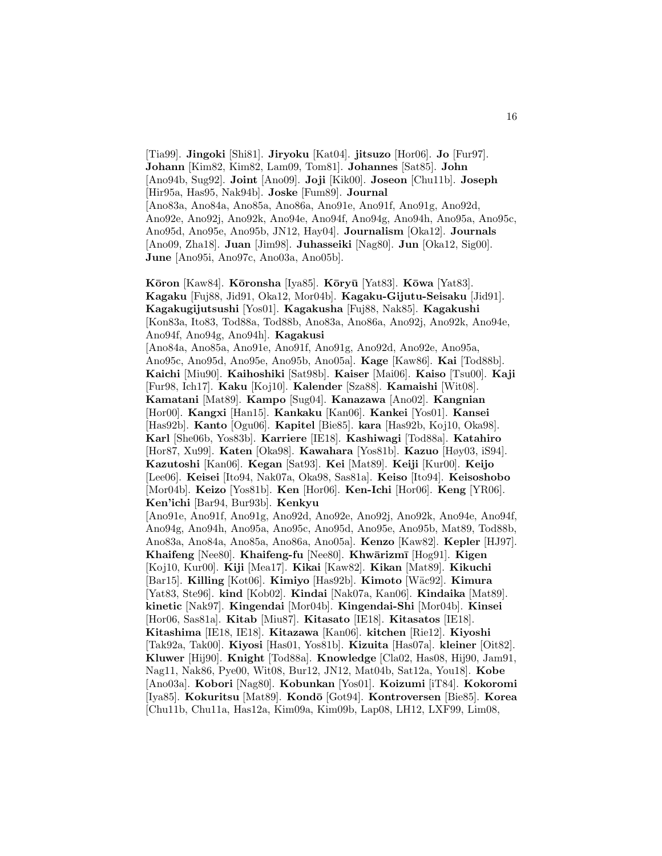[Tia99]. **Jingoki** [Shi81]. **Jiryoku** [Kat04]. **jitsuzo** [Hor06]. **Jo** [Fur97]. **Johann** [Kim82, Kim82, Lam09, Tom81]. **Johannes** [Sat85]. **John** [Ano94b, Sug92]. **Joint** [Ano09]. **Joji** [Kik00]. **Joseon** [Chu11b]. **Joseph** [Hir95a, Has95, Nak94b]. **Joske** [Fum89]. **Journal** [Ano83a, Ano84a, Ano85a, Ano86a, Ano91e, Ano91f, Ano91g, Ano92d, Ano92e, Ano92j, Ano92k, Ano94e, Ano94f, Ano94g, Ano94h, Ano95a, Ano95c, Ano95d, Ano95e, Ano95b, JN12, Hay04]. **Journalism** [Oka12]. **Journals** [Ano09, Zha18]. **Juan** [Jim98]. **Juhasseiki** [Nag80]. **Jun** [Oka12, Sig00]. **June** [Ano95i, Ano97c, Ano03a, Ano05b].

**K¯oron** [Kaw84]. **K¯oronsha** [Iya85]. **K¯ory¯u** [Yat83]. **K¯owa** [Yat83]. **Kagaku** [Fuj88, Jid91, Oka12, Mor04b]. **Kagaku-Gijutu-Seisaku** [Jid91]. **Kagakugijutsushi** [Yos01]. **Kagakusha** [Fuj88, Nak85]. **Kagakushi** [Kon83a, Ito83, Tod88a, Tod88b, Ano83a, Ano86a, Ano92j, Ano92k, Ano94e, Ano94f, Ano94g, Ano94h]. **Kagakusi** [Ano84a, Ano85a, Ano91e, Ano91f, Ano91g, Ano92d, Ano92e, Ano95a, Ano95c, Ano95d, Ano95e, Ano95b, Ano05a]. **Kage** [Kaw86]. **Kai** [Tod88b]. **Kaichi** [Miu90]. **Kaihoshiki** [Sat98b]. **Kaiser** [Mai06]. **Kaiso** [Tsu00]. **Kaji** [Fur98, Ich17]. **Kaku** [Koj10]. **Kalender** [Sza88]. **Kamaishi** [Wit08]. **Kamatani** [Mat89]. **Kampo** [Sug04]. **Kanazawa** [Ano02]. **Kangnian** [Hor00]. **Kangxi** [Han15]. **Kankaku** [Kan06]. **Kankei** [Yos01]. **Kansei** [Has92b]. **Kanto** [Ogu06]. **Kapitel** [Bie85]. **kara** [Has92b, Koj10, Oka98]. **Karl** [She06b, Yos83b]. **Karriere** [IE18]. **Kashiwagi** [Tod88a]. **Katahiro** [Hor87, Xu99]. **Katen** [Oka98]. **Kawahara** [Yos81b]. **Kazuo** [Høy03, iS94]. **Kazutoshi** [Kan06]. **Kegan** [Sat93]. **Kei** [Mat89]. **Keiji** [Kur00]. **Keijo** [Lee06]. **Keisei** [Ito94, Nak07a, Oka98, Sas81a]. **Keiso** [Ito94]. **Keisoshobo** [Mor04b]. **Keizo** [Yos81b]. **Ken** [Hor06]. **Ken-Ichi** [Hor06]. **Keng** [YR06]. **Ken'ichi** [Bar94, Bur93b]. **Kenkyu** [Ano91e, Ano91f, Ano91g, Ano92d, Ano92e, Ano92j, Ano92k, Ano94e, Ano94f, Ano94g, Ano94h, Ano95a, Ano95c, Ano95d, Ano95e, Ano95b, Mat89, Tod88b, Ano83a, Ano84a, Ano85a, Ano86a, Ano05a]. **Kenzo** [Kaw82]. **Kepler** [HJ97]. Khaifeng [Nee80]. **Khaifeng-fu** [Nee80]. **Khwārizmī** [Hog91]. **Kigen** [Koj10, Kur00]. **Kiji** [Mea17]. **Kikai** [Kaw82]. **Kikan** [Mat89]. **Kikuchi** [Bar15]. **Killing** [Kot06]. **Kimiyo** [Has92b]. **Kimoto** [W¨ac92]. **Kimura** [Yat83, Ste96]. **kind** [Kob02]. **Kindai** [Nak07a, Kan06]. **Kindaika** [Mat89]. **kinetic** [Nak97]. **Kingendai** [Mor04b]. **Kingendai-Shi** [Mor04b]. **Kinsei** [Hor06, Sas81a]. **Kitab** [Miu87]. **Kitasato** [IE18]. **Kitasatos** [IE18]. **Kitashima** [IE18, IE18]. **Kitazawa** [Kan06]. **kitchen** [Rie12]. **Kiyoshi** [Tak92a, Tak00]. **Kiyosi** [Has01, Yos81b]. **Kizuita** [Has07a]. **kleiner** [Oit82]. **Kluwer** [Hij90]. **Knight** [Tod88a]. **Knowledge** [Cla02, Has08, Hij90, Jam91, Nag11, Nak86, Pye00, Wit08, Bur12, JN12, Mat04b, Sat12a, You18]. **Kobe** [Ano03a]. **Kobori** [Nag80]. **Kobunkan** [Yos01]. **Koizumi** [iT84]. **Kokoromi** [Iya85]. **Kokuritsu** [Mat89]. **Kond¯o** [Got94]. **Kontroversen** [Bie85]. **Korea** [Chu11b, Chu11a, Has12a, Kim09a, Kim09b, Lap08, LH12, LXF99, Lim08,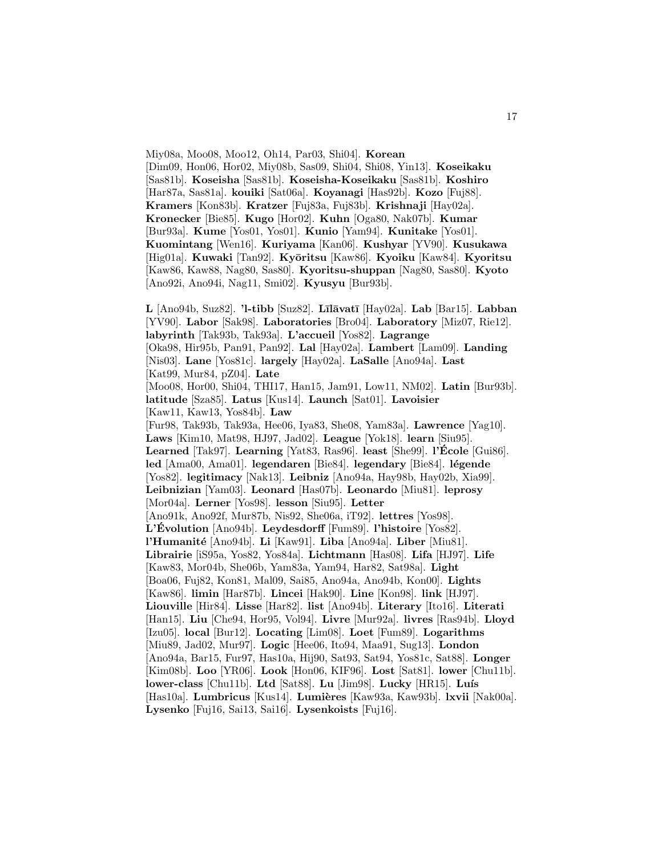Miy08a, Moo08, Moo12, Oh14, Par03, Shi04]. **Korean** [Dim09, Hon06, Hor02, Miy08b, Sas09, Shi04, Shi08, Yin13]. **Koseikaku** [Sas81b]. **Koseisha** [Sas81b]. **Koseisha-Koseikaku** [Sas81b]. **Koshiro** [Har87a, Sas81a]. **kouiki** [Sat06a]. **Koyanagi** [Has92b]. **Kozo** [Fuj88]. **Kramers** [Kon83b]. **Kratzer** [Fuj83a, Fuj83b]. **Krishnaji** [Hay02a]. **Kronecker** [Bie85]. **Kugo** [Hor02]. **Kuhn** [Oga80, Nak07b]. **Kumar** [Bur93a]. **Kume** [Yos01, Yos01]. **Kunio** [Yam94]. **Kunitake** [Yos01]. **Kuomintang** [Wen16]. **Kuriyama** [Kan06]. **Kushyar** [YV90]. **Kusukawa** [Hig01a]. **Kuwaki** [Tan92]. **Ky¯oritsu** [Kaw86]. **Kyoiku** [Kaw84]. **Kyoritsu** [Kaw86, Kaw88, Nag80, Sas80]. **Kyoritsu-shuppan** [Nag80, Sas80]. **Kyoto** [Ano92i, Ano94i, Nag11, Smi02]. **Kyusyu** [Bur93b].

**L** [Ano94b, Suz82]. **'l-tibb** [Suz82]. **L¯ıl¯avat¯ı** [Hay02a]. **Lab** [Bar15]. **Labban** [YV90]. **Labor** [Sak98]. **Laboratories** [Bro04]. **Laboratory** [Miz07, Rie12]. **labyrinth** [Tak93b, Tak93a]. **L'accueil** [Yos82]. **Lagrange** [Oka98, Hir95b, Pan91, Pan92]. **Lal** [Hay02a]. **Lambert** [Lam09]. **Landing** [Nis03]. **Lane** [Yos81c]. **largely** [Hay02a]. **LaSalle** [Ano94a]. **Last** [Kat99, Mur84, pZ04]. **Late** [Moo08, Hor00, Shi04, THI17, Han15, Jam91, Low11, NM02]. **Latin** [Bur93b]. **latitude** [Sza85]. **Latus** [Kus14]. **Launch** [Sat01]. **Lavoisier** [Kaw11, Kaw13, Yos84b]. **Law** [Fur98, Tak93b, Tak93a, Hee06, Iya83, She08, Yam83a]. **Lawrence** [Yag10]. **Laws** [Kim10, Mat98, HJ97, Jad02]. **League** [Yok18]. **learn** [Siu95]. **Learned** [Tak97]. **Learning** [Yat83, Ras96]. **least** [She99]. **l'Ecole ´** [Gui86]. **led** [Ama00, Ama01]. **legendaren** [Bie84]. **legendary** [Bie84]. **l´egende** [Yos82]. **legitimacy** [Nak13]. **Leibniz** [Ano94a, Hay98b, Hay02b, Xia99]. **Leibnizian** [Yam03]. **Leonard** [Has07b]. **Leonardo** [Miu81]. **leprosy** [Mor04a]. **Lerner** [Yos98]. **lesson** [Siu95]. **Letter** [Ano91k, Ano92f, Mur87b, Nis92, She06a, iT92]. **lettres** [Yos98]. **L'Evolution ´** [Ano94b]. **Leydesdorff** [Fum89]. **l'histoire** [Yos82]. **l'Humanit´e** [Ano94b]. **Li** [Kaw91]. **Liba** [Ano94a]. **Liber** [Miu81]. **Librairie** [iS95a, Yos82, Yos84a]. **Lichtmann** [Has08]. **Lifa** [HJ97]. **Life** [Kaw83, Mor04b, She06b, Yam83a, Yam94, Har82, Sat98a]. **Light** [Boa06, Fuj82, Kon81, Mal09, Sai85, Ano94a, Ano94b, Kon00]. **Lights** [Kaw86]. **limin** [Har87b]. **Lincei** [Hak90]. **Line** [Kon98]. **link** [HJ97]. **Liouville** [Hir84]. **Lisse** [Har82]. **list** [Ano94b]. **Literary** [Ito16]. **Literati** [Han15]. **Liu** [Che94, Hor95, Vol94]. **Livre** [Mur92a]. **livres** [Ras94b]. **Lloyd** [Izu05]. **local** [Bur12]. **Locating** [Lim08]. **Loet** [Fum89]. **Logarithms** [Miu89, Jad02, Mur97]. **Logic** [Hee06, Ito94, Maa91, Sug13]. **London** [Ano94a, Bar15, Fur97, Has10a, Hij90, Sat93, Sat94, Yos81c, Sat88]. **Longer** [Kim08b]. **Loo** [YR06]. **Look** [Hon06, KIF96]. **Lost** [Sat81]. **lower** [Chu11b]. lower-class [Chu11b]. Ltd [Sat88]. Lu [Jim98]. Lucky [HR15]. Luís [Has10a]. Lumbricus [Kus14]. Lumières [Kaw93a, Kaw93b]. lxvii [Nak00a]. **Lysenko** [Fuj16, Sai13, Sai16]. **Lysenkoists** [Fuj16].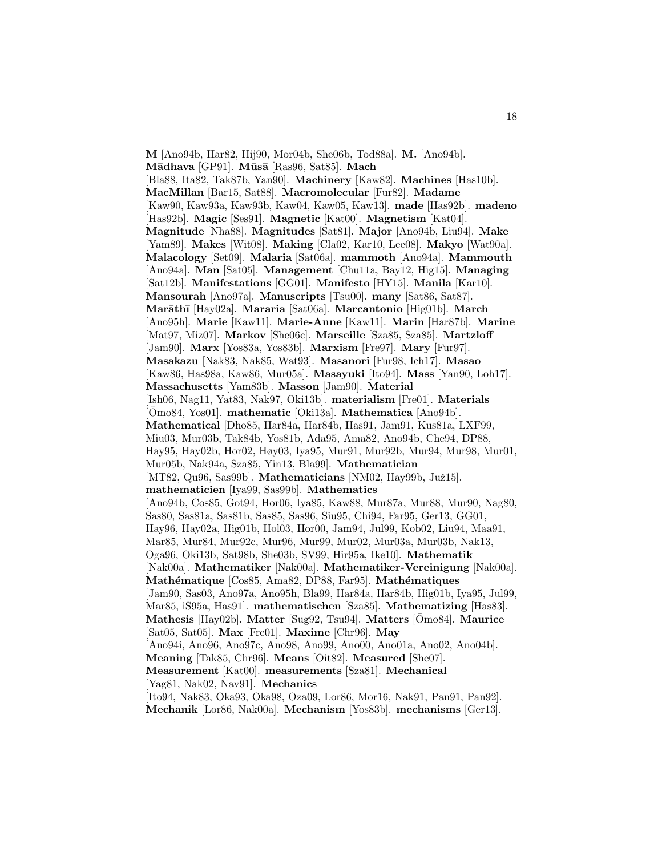**M** [Ano94b, Har82, Hij90, Mor04b, She06b, Tod88a]. **M.** [Ano94b]. **M¯adhava** [GP91]. **M¯us¯a** [Ras96, Sat85]. **Mach** [Bla88, Ita82, Tak87b, Yan90]. **Machinery** [Kaw82]. **Machines** [Has10b]. **MacMillan** [Bar15, Sat88]. **Macromolecular** [Fur82]. **Madame** [Kaw90, Kaw93a, Kaw93b, Kaw04, Kaw05, Kaw13]. **made** [Has92b]. **madeno** [Has92b]. **Magic** [Ses91]. **Magnetic** [Kat00]. **Magnetism** [Kat04]. **Magnitude** [Nha88]. **Magnitudes** [Sat81]. **Major** [Ano94b, Liu94]. **Make** [Yam89]. **Makes** [Wit08]. **Making** [Cla02, Kar10, Lee08]. **Makyo** [Wat90a]. **Malacology** [Set09]. **Malaria** [Sat06a]. **mammoth** [Ano94a]. **Mammouth** [Ano94a]. **Man** [Sat05]. **Management** [Chu11a, Bay12, Hig15]. **Managing** [Sat12b]. **Manifestations** [GG01]. **Manifesto** [HY15]. **Manila** [Kar10]. **Mansourah** [Ano97a]. **Manuscripts** [Tsu00]. **many** [Sat86, Sat87]. **Mar¯ath¯ı** [Hay02a]. **Mararia** [Sat06a]. **Marcantonio** [Hig01b]. **March** [Ano95h]. **Marie** [Kaw11]. **Marie-Anne** [Kaw11]. **Marin** [Har87b]. **Marine** [Mat97, Miz07]. **Markov** [She06c]. **Marseille** [Sza85, Sza85]. **Martzloff** [Jam90]. **Marx** [Yos83a, Yos83b]. **Marxism** [Fre97]. **Mary** [Fur97]. **Masakazu** [Nak83, Nak85, Wat93]. **Masanori** [Fur98, Ich17]. **Masao** [Kaw86, Has98a, Kaw86, Mur05a]. **Masayuki** [Ito94]. **Mass** [Yan90, Loh17]. **Massachusetts** [Yam83b]. **Masson** [Jam90]. **Material** [Ish06, Nag11, Yat83, Nak97, Oki13b]. **materialism** [Fre01]. **Materials** [ $\overline{\text{O}}$ mo84, Yos01]. **mathematic** [Oki13a]. **Mathematica** [Ano94b]. **Mathematical** [Dho85, Har84a, Har84b, Has91, Jam91, Kus81a, LXF99, Miu03, Mur03b, Tak84b, Yos81b, Ada95, Ama82, Ano94b, Che94, DP88, Hay95, Hay02b, Hor02, Høy03, Iya95, Mur91, Mur92b, Mur94, Mur98, Mur01, Mur05b, Nak94a, Sza85, Yin13, Bla99]. **Mathematician** [MT82, Qu96, Sas99b]. **Mathematicians** [NM02, Hay99b, Juž15]. **mathematicien** [Iya99, Sas99b]. **Mathematics** [Ano94b, Cos85, Got94, Hor06, Iya85, Kaw88, Mur87a, Mur88, Mur90, Nag80, Sas80, Sas81a, Sas81b, Sas85, Sas96, Siu95, Chi94, Far95, Ger13, GG01, Hay96, Hay02a, Hig01b, Hol03, Hor00, Jam94, Jul99, Kob02, Liu94, Maa91, Mar85, Mur84, Mur92c, Mur96, Mur99, Mur02, Mur03a, Mur03b, Nak13, Oga96, Oki13b, Sat98b, She03b, SV99, Hir95a, Ike10]. **Mathematik** [Nak00a]. **Mathematiker** [Nak00a]. **Mathematiker-Vereinigung** [Nak00a]. **Mathématique** [Cos85, Ama82, DP88, Far95]. **Mathématiques** [Jam90, Sas03, Ano97a, Ano95h, Bla99, Har84a, Har84b, Hig01b, Iya95, Jul99, Mar85, iS95a, Has91]. **mathematischen** [Sza85]. **Mathematizing** [Has83]. **Mathesis** [Hay02b]. **Matter** [Sug92, Tsu94]. **Matters** [Omo84]. **Maurice** [Sat05, Sat05]. **Max** [Fre01]. **Maxime** [Chr96]. **May** [Ano94i, Ano96, Ano97c, Ano98, Ano99, Ano00, Ano01a, Ano02, Ano04b]. **Meaning** [Tak85, Chr96]. **Means** [Oit82]. **Measured** [She07]. **Measurement** [Kat00]. **measurements** [Sza81]. **Mechanical** [Yag81, Nak02, Nav91]. **Mechanics** [Ito94, Nak83, Oka93, Oka98, Oza09, Lor86, Mor16, Nak91, Pan91, Pan92].

**Mechanik** [Lor86, Nak00a]. **Mechanism** [Yos83b]. **mechanisms** [Ger13].

18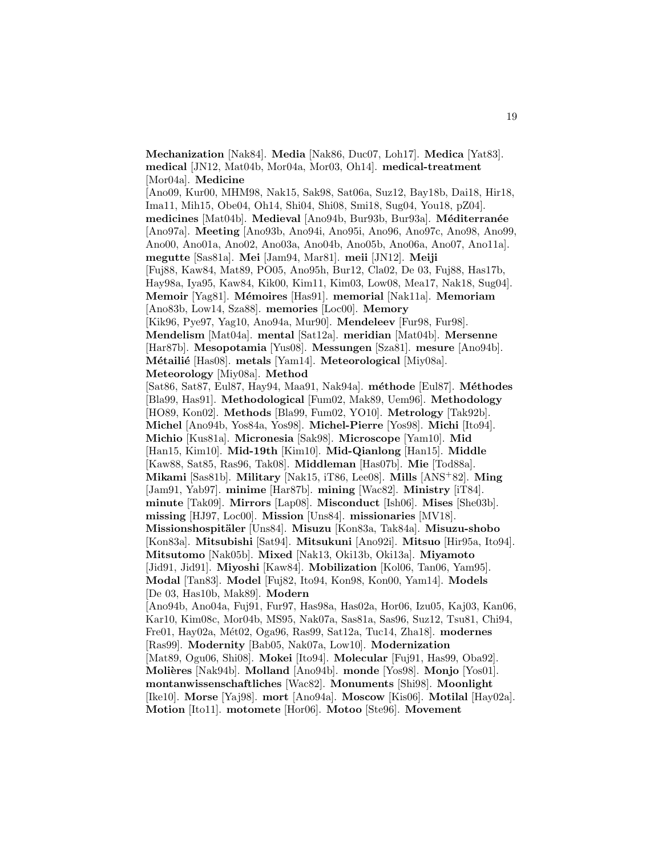[Mor04a]. **Medicine** [Ano09, Kur00, MHM98, Nak15, Sak98, Sat06a, Suz12, Bay18b, Dai18, Hir18, Ima11, Mih15, Obe04, Oh14, Shi04, Shi08, Smi18, Sug04, You18, pZ04]. **medicines** [Mat04b]. **Medieval** [Ano94b, Bur93b, Bur93a]. **M´editerran´ee** [Ano97a]. **Meeting** [Ano93b, Ano94i, Ano95i, Ano96, Ano97c, Ano98, Ano99, Ano00, Ano01a, Ano02, Ano03a, Ano04b, Ano05b, Ano06a, Ano07, Ano11a]. **megutte** [Sas81a]. **Mei** [Jam94, Mar81]. **meii** [JN12]. **Meiji** [Fuj88, Kaw84, Mat89, PO05, Ano95h, Bur12, Cla02, De 03, Fuj88, Has17b, Hay98a, Iya95, Kaw84, Kik00, Kim11, Kim03, Low08, Mea17, Nak18, Sug04]. **Memoir** [Yag81]. **M´emoires** [Has91]. **memorial** [Nak11a]. **Memoriam** [Ano83b, Low14, Sza88]. **memories** [Loc00]. **Memory** [Kik96, Pye97, Yag10, Ano94a, Mur90]. **Mendeleev** [Fur98, Fur98]. **Mendelism** [Mat04a]. **mental** [Sat12a]. **meridian** [Mat04b]. **Mersenne** [Har87b]. **Mesopotamia** [Yus08]. **Messungen** [Sza81]. **mesure** [Ano94b]. **M´etaili´e** [Has08]. **metals** [Yam14]. **Meteorological** [Miy08a]. **Meteorology** [Miy08a]. **Method** [Sat86, Sat87, Eul87, Hay94, Maa91, Nak94a]. **m´ethode** [Eul87]. **M´ethodes** [Bla99, Has91]. **Methodological** [Fum02, Mak89, Uem96]. **Methodology** [HO89, Kon02]. **Methods** [Bla99, Fum02, YO10]. **Metrology** [Tak92b]. **Michel** [Ano94b, Yos84a, Yos98]. **Michel-Pierre** [Yos98]. **Michi** [Ito94]. **Michio** [Kus81a]. **Micronesia** [Sak98]. **Microscope** [Yam10]. **Mid** [Han15, Kim10]. **Mid-19th** [Kim10]. **Mid-Qianlong** [Han15]. **Middle** [Kaw88, Sat85, Ras96, Tak08]. **Middleman** [Has07b]. **Mie** [Tod88a]. **Mikami** [Sas81b]. **Military** [Nak15, iT86, Lee08]. **Mills** [ANS<sup>+</sup>82]. **Ming** [Jam91, Yab97]. **minime** [Har87b]. **mining** [Wac82]. **Ministry** [iT84]. **minute** [Tak09]. **Mirrors** [Lap08]. **Misconduct** [Ish06]. **Mises** [She03b]. **missing** [HJ97, Loc00]. **Mission** [Uns84]. **missionaries** [MV18]. **Missionshospit¨aler** [Uns84]. **Misuzu** [Kon83a, Tak84a]. **Misuzu-shobo** [Kon83a]. **Mitsubishi** [Sat94]. **Mitsukuni** [Ano92i]. **Mitsuo** [Hir95a, Ito94]. **Mitsutomo** [Nak05b]. **Mixed** [Nak13, Oki13b, Oki13a]. **Miyamoto** [Jid91, Jid91]. **Miyoshi** [Kaw84]. **Mobilization** [Kol06, Tan06, Yam95]. **Modal** [Tan83]. **Model** [Fuj82, Ito94, Kon98, Kon00, Yam14]. **Models** [De 03, Has10b, Mak89]. **Modern** [Ano94b, Ano04a, Fuj91, Fur97, Has98a, Has02a, Hor06, Izu05, Kaj03, Kan06, Kar10, Kim08c, Mor04b, MS95, Nak07a, Sas81a, Sas96, Suz12, Tsu81, Chi94, Fre01, Hay02a, M´et02, Oga96, Ras99, Sat12a, Tuc14, Zha18]. **modernes** [Ras99]. **Modernity** [Bab05, Nak07a, Low10]. **Modernization** [Mat89, Ogu06, Shi08]. **Mokei** [Ito94]. **Molecular** [Fuj91, Has99, Oba92]. **Moli`eres** [Nak94b]. **Molland** [Ano94b]. **monde** [Yos98]. **Monjo** [Yos01]. **montanwissenschaftliches** [Wac82]. **Monuments** [Shi98]. **Moonlight** [Ike10]. **Morse** [Yaj98]. **mort** [Ano94a]. **Moscow** [Kis06]. **Motilal** [Hay02a]. **Motion** [Ito11]. **motomete** [Hor06]. **Motoo** [Ste96]. **Movement**

**Mechanization** [Nak84]. **Media** [Nak86, Duc07, Loh17]. **Medica** [Yat83]. **medical** [JN12, Mat04b, Mor04a, Mor03, Oh14]. **medical-treatment**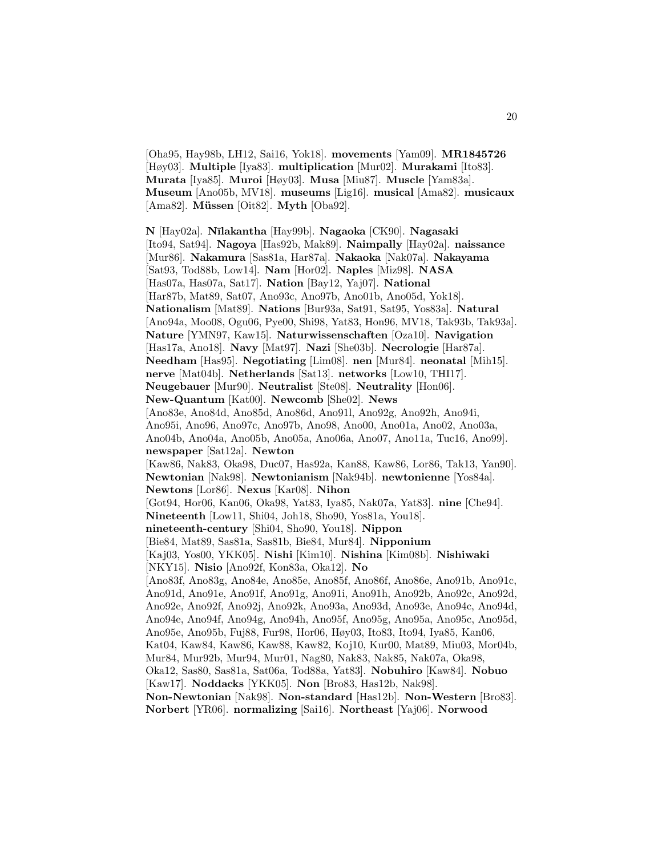[Oha95, Hay98b, LH12, Sai16, Yok18]. **movements** [Yam09]. **MR1845726** [Høy03]. **Multiple** [Iya83]. **multiplication** [Mur02]. **Murakami** [Ito83]. **Murata** [Iya85]. **Muroi** [Høy03]. **Musa** [Miu87]. **Muscle** [Yam83a]. **Museum** [Ano05b, MV18]. **museums** [Lig16]. **musical** [Ama82]. **musicaux** [Ama82]. **Müssen** [Oit82]. **Myth** [Oba92].

**N** [Hay02a]. **N¯ılakantha** [Hay99b]. **Nagaoka** [CK90]. **Nagasaki** [Ito94, Sat94]. **Nagoya** [Has92b, Mak89]. **Naimpally** [Hay02a]. **naissance** [Mur86]. **Nakamura** [Sas81a, Har87a]. **Nakaoka** [Nak07a]. **Nakayama** [Sat93, Tod88b, Low14]. **Nam** [Hor02]. **Naples** [Miz98]. **NASA** [Has07a, Has07a, Sat17]. **Nation** [Bay12, Yaj07]. **National** [Har87b, Mat89, Sat07, Ano93c, Ano97b, Ano01b, Ano05d, Yok18]. **Nationalism** [Mat89]. **Nations** [Bur93a, Sat91, Sat95, Yos83a]. **Natural** [Ano94a, Moo08, Ogu06, Pye00, Shi98, Yat83, Hon96, MV18, Tak93b, Tak93a]. **Nature** [YMN97, Kaw15]. **Naturwissenschaften** [Oza10]. **Navigation** [Has17a, Ano18]. **Navy** [Mat97]. **Nazi** [She03b]. **Necrologie** [Har87a]. **Needham** [Has95]. **Negotiating** [Lim08]. **nen** [Mur84]. **neonatal** [Mih15]. **nerve** [Mat04b]. **Netherlands** [Sat13]. **networks** [Low10, THI17]. **Neugebauer** [Mur90]. **Neutralist** [Ste08]. **Neutrality** [Hon06]. **New-Quantum** [Kat00]. **Newcomb** [She02]. **News** [Ano83e, Ano84d, Ano85d, Ano86d, Ano91l, Ano92g, Ano92h, Ano94i, Ano95i, Ano96, Ano97c, Ano97b, Ano98, Ano00, Ano01a, Ano02, Ano03a, Ano04b, Ano04a, Ano05b, Ano05a, Ano06a, Ano07, Ano11a, Tuc16, Ano99]. **newspaper** [Sat12a]. **Newton** [Kaw86, Nak83, Oka98, Duc07, Has92a, Kan88, Kaw86, Lor86, Tak13, Yan90]. **Newtonian** [Nak98]. **Newtonianism** [Nak94b]. **newtonienne** [Yos84a]. **Newtons** [Lor86]. **Nexus** [Kar08]. **Nihon** [Got94, Hor06, Kan06, Oka98, Yat83, Iya85, Nak07a, Yat83]. **nine** [Che94]. **Nineteenth** [Low11, Shi04, Joh18, Sho90, Yos81a, You18]. **nineteenth-century** [Shi04, Sho90, You18]. **Nippon** [Bie84, Mat89, Sas81a, Sas81b, Bie84, Mur84]. **Nipponium** [Kaj03, Yos00, YKK05]. **Nishi** [Kim10]. **Nishina** [Kim08b]. **Nishiwaki** [NKY15]. **Nisio** [Ano92f, Kon83a, Oka12]. **No** [Ano83f, Ano83g, Ano84e, Ano85e, Ano85f, Ano86f, Ano86e, Ano91b, Ano91c, Ano91d, Ano91e, Ano91f, Ano91g, Ano91i, Ano91h, Ano92b, Ano92c, Ano92d, Ano92e, Ano92f, Ano92j, Ano92k, Ano93a, Ano93d, Ano93e, Ano94c, Ano94d, Ano94e, Ano94f, Ano94g, Ano94h, Ano95f, Ano95g, Ano95a, Ano95c, Ano95d, Ano95e, Ano95b, Fuj88, Fur98, Hor06, Høy03, Ito83, Ito94, Iya85, Kan06, Kat04, Kaw84, Kaw86, Kaw88, Kaw82, Koj10, Kur00, Mat89, Miu03, Mor04b, Mur84, Mur92b, Mur94, Mur01, Nag80, Nak83, Nak85, Nak07a, Oka98, Oka12, Sas80, Sas81a, Sat06a, Tod88a, Yat83]. **Nobuhiro** [Kaw84]. **Nobuo** [Kaw17]. **Noddacks** [YKK05]. **Non** [Bro83, Has12b, Nak98]. **Non-Newtonian** [Nak98]. **Non-standard** [Has12b]. **Non-Western** [Bro83].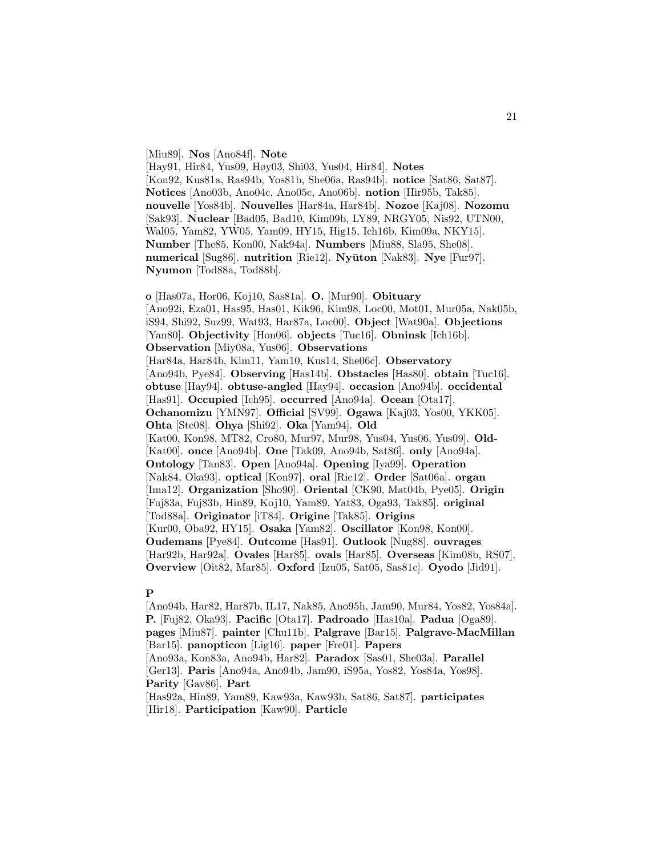#### [Miu89]. **Nos** [Ano84f]. **Note**

[Hay91, Hir84, Yus09, Høy03, Shi03, Yus04, Hir84]. **Notes** [Kon92, Kus81a, Ras94b, Yos81b, She06a, Ras94b]. **notice** [Sat86, Sat87]. **Notices** [Ano03b, Ano04c, Ano05c, Ano06b]. **notion** [Hir95b, Tak85]. **nouvelle** [Yos84b]. **Nouvelles** [Har84a, Har84b]. **Nozoe** [Kaj08]. **Nozomu** [Sak93]. **Nuclear** [Bad05, Bad10, Kim09b, LY89, NRGY05, Nis92, UTN00, Wal05, Yam82, YW05, Yam09, HY15, Hig15, Ich16b, Kim09a, NKY15]. **Number** [The85, Kon00, Nak94a]. **Numbers** [Miu88, Sla95, She08]. **numerical** [Sug86]. **nutrition** [Rie12]. **Nyūton** [Nak83]. **Nye** [Fur97]. **Nyumon** [Tod88a, Tod88b].

**o** [Has07a, Hor06, Koj10, Sas81a]. **O.** [Mur90]. **Obituary** [Ano92i, Eza01, Has95, Has01, Kik96, Kim98, Loc00, Mot01, Mur05a, Nak05b, iS94, Shi92, Suz99, Wat93, Har87a, Loc00]. **Object** [Wat90a]. **Objections** [Yan80]. **Objectivity** [Hon06]. **objects** [Tuc16]. **Obninsk** [Ich16b]. **Observation** [Miy08a, Yus06]. **Observations** [Har84a, Har84b, Kim11, Yam10, Kus14, She06c]. **Observatory** [Ano94b, Pye84]. **Observing** [Has14b]. **Obstacles** [Has80]. **obtain** [Tuc16]. **obtuse** [Hay94]. **obtuse-angled** [Hay94]. **occasion** [Ano94b]. **occidental** [Has91]. **Occupied** [Ich95]. **occurred** [Ano94a]. **Ocean** [Ota17]. **Ochanomizu** [YMN97]. **Official** [SV99]. **Ogawa** [Kaj03, Yos00, YKK05]. **Ohta** [Ste08]. **Ohya** [Shi92]. **Oka** [Yam94]. **Old** [Kat00, Kon98, MT82, Cro80, Mur97, Mur98, Yus04, Yus06, Yus09]. **Old-** [Kat00]. **once** [Ano94b]. **One** [Tak09, Ano94b, Sat86]. **only** [Ano94a]. **Ontology** [Tan83]. **Open** [Ano94a]. **Opening** [Iya99]. **Operation** [Nak84, Oka93]. **optical** [Kon97]. **oral** [Rie12]. **Order** [Sat06a]. **organ** [Ima12]. **Organization** [Sho90]. **Oriental** [CK90, Mat04b, Pye05]. **Origin** [Fuj83a, Fuj83b, Hin89, Koj10, Yam89, Yat83, Oga93, Tak85]. **original** [Tod88a]. **Originator** [iT84]. **Origine** [Tak85]. **Origins** [Kur00, Oba92, HY15]. **Osaka** [Yam82]. **Oscillator** [Kon98, Kon00]. **Oudemans** [Pye84]. **Outcome** [Has91]. **Outlook** [Nug88]. **ouvrages** [Har92b, Har92a]. **Ovales** [Har85]. **ovals** [Har85]. **Overseas** [Kim08b, RS07]. **Overview** [Oit82, Mar85]. **Oxford** [Izu05, Sat05, Sas81c]. **Oyodo** [Jid91].

### **P**

[Ano94b, Har82, Har87b, IL17, Nak85, Ano95h, Jam90, Mur84, Yos82, Yos84a]. **P.** [Fuj82, Oka93]. **Pacific** [Ota17]. **Padroado** [Has10a]. **Padua** [Oga89]. **pages** [Miu87]. **painter** [Chu11b]. **Palgrave** [Bar15]. **Palgrave-MacMillan** [Bar15]. **panopticon** [Lig16]. **paper** [Fre01]. **Papers** [Ano93a, Kon83a, Ano94b, Har82]. **Paradox** [Sas01, She03a]. **Parallel** [Ger13]. **Paris** [Ano94a, Ano94b, Jam90, iS95a, Yos82, Yos84a, Yos98]. **Parity** [Gav86]. **Part** [Has92a, Hin89, Yam89, Kaw93a, Kaw93b, Sat86, Sat87]. **participates** [Hir18]. **Participation** [Kaw90]. **Particle**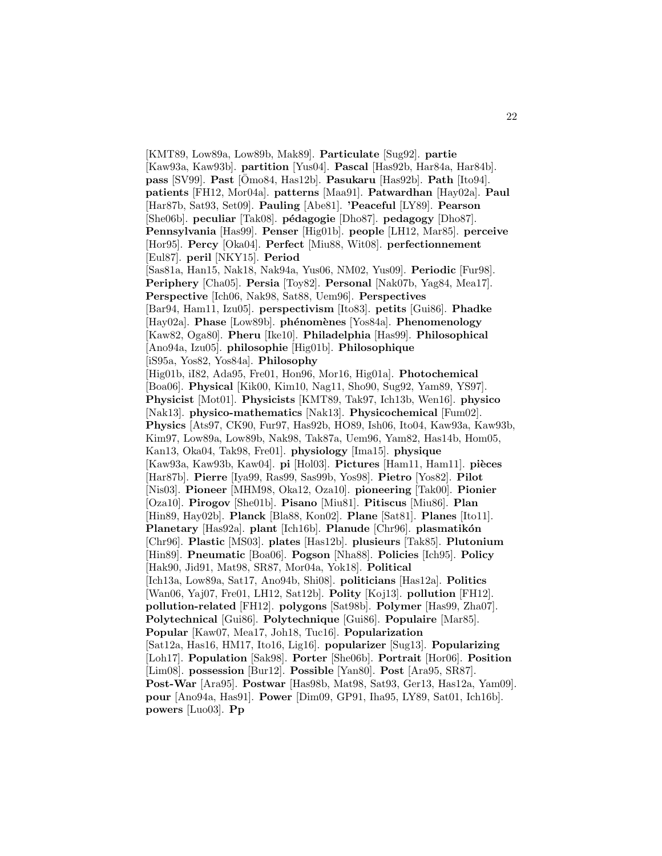[KMT89, Low89a, Low89b, Mak89]. **Particulate** [Sug92]. **partie** [Kaw93a, Kaw93b]. **partition** [Yus04]. **Pascal** [Has92b, Har84a, Har84b]. **pass** [SV99]. **Past** [Omo84, Has12b]. ¯ **Pasukaru** [Has92b]. **Path** [Ito94]. **patients** [FH12, Mor04a]. **patterns** [Maa91]. **Patwardhan** [Hay02a]. **Paul** [Har87b, Sat93, Set09]. **Pauling** [Abe81]. **'Peaceful** [LY89]. **Pearson** [She06b]. **peculiar** [Tak08]. **p´edagogie** [Dho87]. **pedagogy** [Dho87]. **Pennsylvania** [Has99]. **Penser** [Hig01b]. **people** [LH12, Mar85]. **perceive** [Hor95]. **Percy** [Oka04]. **Perfect** [Miu88, Wit08]. **perfectionnement** [Eul87]. **peril** [NKY15]. **Period** [Sas81a, Han15, Nak18, Nak94a, Yus06, NM02, Yus09]. **Periodic** [Fur98]. **Periphery** [Cha05]. **Persia** [Toy82]. **Personal** [Nak07b, Yag84, Mea17]. **Perspective** [Ich06, Nak98, Sat88, Uem96]. **Perspectives** [Bar94, Ham11, Izu05]. **perspectivism** [Ito83]. **petits** [Gui86]. **Phadke** [Hay02a]. **Phase** [Low89b]. **ph´enom`enes** [Yos84a]. **Phenomenology** [Kaw82, Oga80]. **Pheru** [Ike10]. **Philadelphia** [Has99]. **Philosophical** [Ano94a, Izu05]. **philosophie** [Hig01b]. **Philosophique** [iS95a, Yos82, Yos84a]. **Philosophy** [Hig01b, iI82, Ada95, Fre01, Hon96, Mor16, Hig01a]. **Photochemical** [Boa06]. **Physical** [Kik00, Kim10, Nag11, Sho90, Sug92, Yam89, YS97]. **Physicist** [Mot01]. **Physicists** [KMT89, Tak97, Ich13b, Wen16]. **physico** [Nak13]. **physico-mathematics** [Nak13]. **Physicochemical** [Fum02]. **Physics** [Ats97, CK90, Fur97, Has92b, HO89, Ish06, Ito04, Kaw93a, Kaw93b, Kim97, Low89a, Low89b, Nak98, Tak87a, Uem96, Yam82, Has14b, Hom05, Kan13, Oka04, Tak98, Fre01]. **physiology** [Ima15]. **physique** [Kaw93a, Kaw93b, Kaw04]. **pi** [Hol03]. **Pictures** [Ham11, Ham11]. **pi`eces** [Har87b]. **Pierre** [Iya99, Ras99, Sas99b, Yos98]. **Pietro** [Yos82]. **Pilot** [Nis03]. **Pioneer** [MHM98, Oka12, Oza10]. **pioneering** [Tak00]. **Pionier** [Oza10]. **Pirogov** [She01b]. **Pisano** [Miu81]. **Pitiscus** [Miu86]. **Plan** [Hin89, Hay02b]. **Planck** [Bla88, Kon02]. **Plane** [Sat81]. **Planes** [Ito11]. Planetary [Has92a]. plant [Ich16b]. Planude [Chr96]. plasmatikón [Chr96]. **Plastic** [MS03]. **plates** [Has12b]. **plusieurs** [Tak85]. **Plutonium** [Hin89]. **Pneumatic** [Boa06]. **Pogson** [Nha88]. **Policies** [Ich95]. **Policy** [Hak90, Jid91, Mat98, SR87, Mor04a, Yok18]. **Political** [Ich13a, Low89a, Sat17, Ano94b, Shi08]. **politicians** [Has12a]. **Politics** [Wan06, Yaj07, Fre01, LH12, Sat12b]. **Polity** [Koj13]. **pollution** [FH12]. **pollution-related** [FH12]. **polygons** [Sat98b]. **Polymer** [Has99, Zha07]. **Polytechnical** [Gui86]. **Polytechnique** [Gui86]. **Populaire** [Mar85]. **Popular** [Kaw07, Mea17, Joh18, Tuc16]. **Popularization** [Sat12a, Has16, HM17, Ito16, Lig16]. **popularizer** [Sug13]. **Popularizing** [Loh17]. **Population** [Sak98]. **Porter** [She06b]. **Portrait** [Hor06]. **Position** [Lim08]. **possession** [Bur12]. **Possible** [Yan80]. **Post** [Ara95, SR87]. **Post-War** [Ara95]. **Postwar** [Has98b, Mat98, Sat93, Ger13, Has12a, Yam09]. **pour** [Ano94a, Has91]. **Power** [Dim09, GP91, Iha95, LY89, Sat01, Ich16b]. **powers** [Luo03]. **Pp**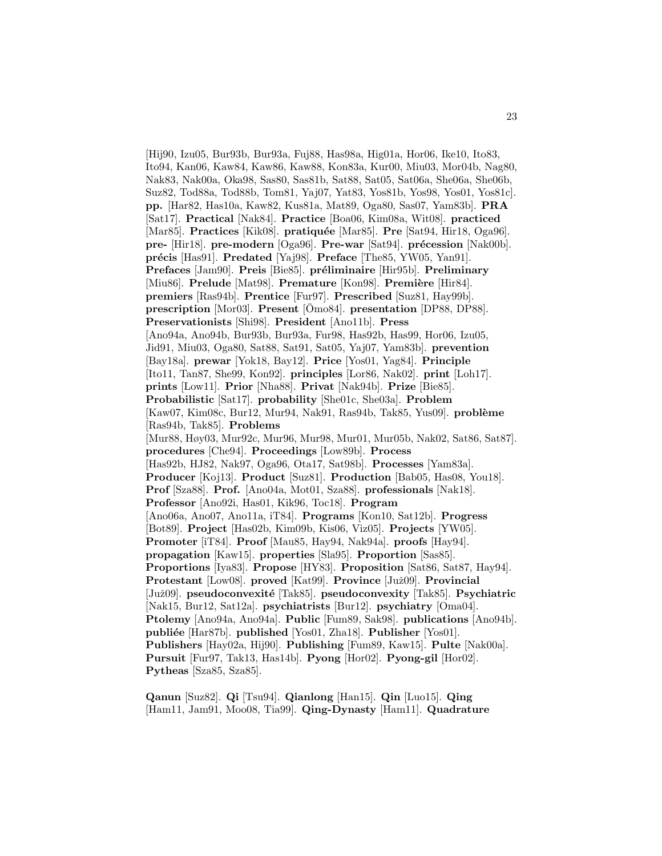[Hij90, Izu05, Bur93b, Bur93a, Fuj88, Has98a, Hig01a, Hor06, Ike10, Ito83, Ito94, Kan06, Kaw84, Kaw86, Kaw88, Kon83a, Kur00, Miu03, Mor04b, Nag80, Nak83, Nak00a, Oka98, Sas80, Sas81b, Sat88, Sat05, Sat06a, She06a, She06b, Suz82, Tod88a, Tod88b, Tom81, Yaj07, Yat83, Yos81b, Yos98, Yos01, Yos81c]. **pp.** [Har82, Has10a, Kaw82, Kus81a, Mat89, Oga80, Sas07, Yam83b]. **PRA** [Sat17]. **Practical** [Nak84]. **Practice** [Boa06, Kim08a, Wit08]. **practiced** [Mar85]. **Practices** [Kik08]. **pratiquée** [Mar85]. **Pre** [Sat94, Hir18, Oga96]. **pre-** [Hir18]. **pre-modern** [Oga96]. **Pre-war** [Sat94]. **précession** [Nak00b]. **pr´ecis** [Has91]. **Predated** [Yaj98]. **Preface** [The85, YW05, Yan91]. **Prefaces** [Jam90]. **Preis** [Bie85]. **préliminaire** [Hir95b]. **Preliminary** [Miu86]. **Prelude** [Mat98]. **Premature** [Kon98]. **Première** [Hir84]. **premiers** [Ras94b]. **Prentice** [Fur97]. **Prescribed** [Suz81, Hay99b]. **prescription** [Mor03]. **Present** [Omo84]. **presentation** [DP88, DP88]. **Preservationists** [Shi98]. **President** [Ano11b]. **Press** [Ano94a, Ano94b, Bur93b, Bur93a, Fur98, Has92b, Has99, Hor06, Izu05, Jid91, Miu03, Oga80, Sat88, Sat91, Sat05, Yaj07, Yam83b]. **prevention** [Bay18a]. **prewar** [Yok18, Bay12]. **Price** [Yos01, Yag84]. **Principle** [Ito11, Tan87, She99, Kon92]. **principles** [Lor86, Nak02]. **print** [Loh17]. **prints** [Low11]. **Prior** [Nha88]. **Privat** [Nak94b]. **Prize** [Bie85]. **Probabilistic** [Sat17]. **probability** [She01c, She03a]. **Problem** [Kaw07, Kim08c, Bur12, Mur94, Nak91, Ras94b, Tak85, Yus09]. **problème** [Ras94b, Tak85]. **Problems** [Mur88, Høy03, Mur92c, Mur96, Mur98, Mur01, Mur05b, Nak02, Sat86, Sat87]. **procedures** [Che94]. **Proceedings** [Low89b]. **Process** [Has92b, HJ82, Nak97, Oga96, Ota17, Sat98b]. **Processes** [Yam83a]. **Producer** [Koj13]. **Product** [Suz81]. **Production** [Bab05, Has08, You18]. **Prof** [Sza88]. **Prof.** [Ano04a, Mot01, Sza88]. **professionals** [Nak18]. **Professor** [Ano92i, Has01, Kik96, Toc18]. **Program** [Ano06a, Ano07, Ano11a, iT84]. **Programs** [Kon10, Sat12b]. **Progress** [Bot89]. **Project** [Has02b, Kim09b, Kis06, Viz05]. **Projects** [YW05]. **Promoter** [iT84]. **Proof** [Mau85, Hay94, Nak94a]. **proofs** [Hay94]. **propagation** [Kaw15]. **properties** [Sla95]. **Proportion** [Sas85]. **Proportions** [Iya83]. **Propose** [HY83]. **Proposition** [Sat86, Sat87, Hay94]. **Protestant** [Low08]. **proved** [Kat99]. **Province** [Juž09]. **Provincial** [Juˇz09]. **pseudoconvexit´e** [Tak85]. **pseudoconvexity** [Tak85]. **Psychiatric** [Nak15, Bur12, Sat12a]. **psychiatrists** [Bur12]. **psychiatry** [Oma04]. **Ptolemy** [Ano94a, Ano94a]. **Public** [Fum89, Sak98]. **publications** [Ano94b]. **publi´ee** [Har87b]. **published** [Yos01, Zha18]. **Publisher** [Yos01]. **Publishers** [Hay02a, Hij90]. **Publishing** [Fum89, Kaw15]. **Pulte** [Nak00a]. **Pursuit** [Fur97, Tak13, Has14b]. **Pyong** [Hor02]. **Pyong-gil** [Hor02]. **Pytheas** [Sza85, Sza85].

**Qanun** [Suz82]. **Qi** [Tsu94]. **Qianlong** [Han15]. **Qin** [Luo15]. **Qing** [Ham11, Jam91, Moo08, Tia99]. **Qing-Dynasty** [Ham11]. **Quadrature**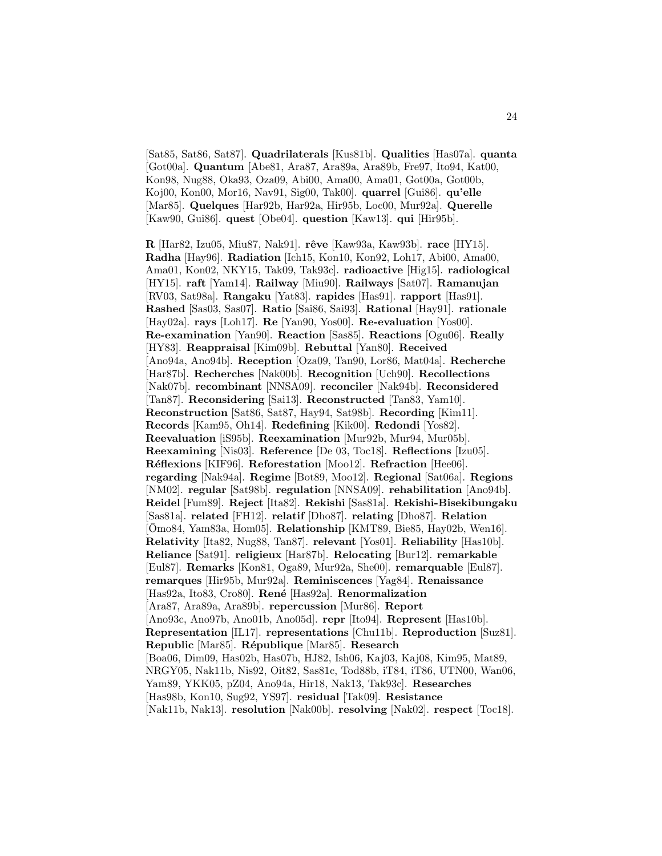[Sat85, Sat86, Sat87]. **Quadrilaterals** [Kus81b]. **Qualities** [Has07a]. **quanta** [Got00a]. **Quantum** [Abe81, Ara87, Ara89a, Ara89b, Fre97, Ito94, Kat00, Kon98, Nug88, Oka93, Oza09, Abi00, Ama00, Ama01, Got00a, Got00b, Koj00, Kon00, Mor16, Nav91, Sig00, Tak00]. **quarrel** [Gui86]. **qu'elle** [Mar85]. **Quelques** [Har92b, Har92a, Hir95b, Loc00, Mur92a]. **Querelle** [Kaw90, Gui86]. **quest** [Obe04]. **question** [Kaw13]. **qui** [Hir95b].

**R** [Har82, Izu05, Miu87, Nak91]. **rˆeve** [Kaw93a, Kaw93b]. **race** [HY15]. **Radha** [Hay96]. **Radiation** [Ich15, Kon10, Kon92, Loh17, Abi00, Ama00, Ama01, Kon02, NKY15, Tak09, Tak93c]. **radioactive** [Hig15]. **radiological** [HY15]. **raft** [Yam14]. **Railway** [Miu90]. **Railways** [Sat07]. **Ramanujan** [RV03, Sat98a]. **Rangaku** [Yat83]. **rapides** [Has91]. **rapport** [Has91]. **Rashed** [Sas03, Sas07]. **Ratio** [Sai86, Sai93]. **Rational** [Hay91]. **rationale** [Hay02a]. **rays** [Loh17]. **Re** [Yan90, Yos00]. **Re-evaluation** [Yos00]. **Re-examination** [Yan90]. **Reaction** [Sas85]. **Reactions** [Ogu06]. **Really** [HY83]. **Reappraisal** [Kim09b]. **Rebuttal** [Yan80]. **Received** [Ano94a, Ano94b]. **Reception** [Oza09, Tan90, Lor86, Mat04a]. **Recherche** [Har87b]. **Recherches** [Nak00b]. **Recognition** [Uch90]. **Recollections** [Nak07b]. **recombinant** [NNSA09]. **reconciler** [Nak94b]. **Reconsidered** [Tan87]. **Reconsidering** [Sai13]. **Reconstructed** [Tan83, Yam10]. **Reconstruction** [Sat86, Sat87, Hay94, Sat98b]. **Recording** [Kim11]. **Records** [Kam95, Oh14]. **Redefining** [Kik00]. **Redondi** [Yos82]. **Reevaluation** [iS95b]. **Reexamination** [Mur92b, Mur94, Mur05b]. **Reexamining** [Nis03]. **Reference** [De 03, Toc18]. **Reflections** [Izu05]. **R´eflexions** [KIF96]. **Reforestation** [Moo12]. **Refraction** [Hee06]. **regarding** [Nak94a]. **Regime** [Bot89, Moo12]. **Regional** [Sat06a]. **Regions** [NM02]. **regular** [Sat98b]. **regulation** [NNSA09]. **rehabilitation** [Ano94b]. **Reidel** [Fum89]. **Reject** [Ita82]. **Rekishi** [Sas81a]. **Rekishi-Bisekibungaku** [Sas81a]. **related** [FH12]. **relatif** [Dho87]. **relating** [Dho87]. **Relation** [ $\overline{\text{O}}$ mo84, Yam83a, Hom05]. **Relationship** [KMT89, Bie85, Hay02b, Wen16]. **Relativity** [Ita82, Nug88, Tan87]. **relevant** [Yos01]. **Reliability** [Has10b]. **Reliance** [Sat91]. **religieux** [Har87b]. **Relocating** [Bur12]. **remarkable** [Eul87]. **Remarks** [Kon81, Oga89, Mur92a, She00]. **remarquable** [Eul87]. **remarques** [Hir95b, Mur92a]. **Reminiscences** [Yag84]. **Renaissance** [Has92a, Ito83, Cro80]. **René** [Has92a]. **Renormalization** [Ara87, Ara89a, Ara89b]. **repercussion** [Mur86]. **Report** [Ano93c, Ano97b, Ano01b, Ano05d]. **repr** [Ito94]. **Represent** [Has10b]. **Representation** [IL17]. **representations** [Chu11b]. **Reproduction** [Suz81]. **Republic** [Mar85]. **R´epublique** [Mar85]. **Research** [Boa06, Dim09, Has02b, Has07b, HJ82, Ish06, Kaj03, Kaj08, Kim95, Mat89, NRGY05, Nak11b, Nis92, Oit82, Sas81c, Tod88b, iT84, iT86, UTN00, Wan06, Yam89, YKK05, pZ04, Ano94a, Hir18, Nak13, Tak93c]. **Researches** [Has98b, Kon10, Sug92, YS97]. **residual** [Tak09]. **Resistance** [Nak11b, Nak13]. **resolution** [Nak00b]. **resolving** [Nak02]. **respect** [Toc18].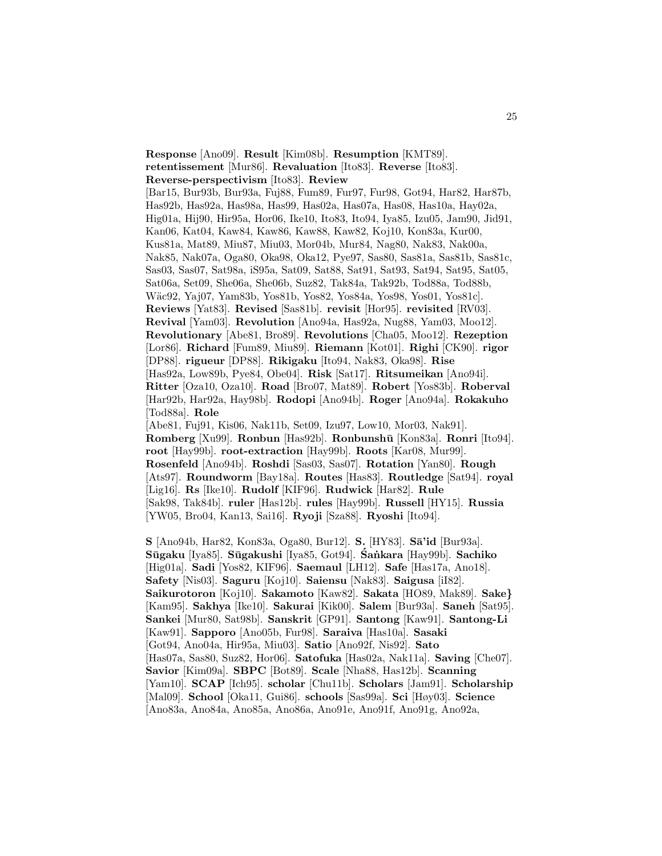**Response** [Ano09]. **Result** [Kim08b]. **Resumption** [KMT89]. **retentissement** [Mur86]. **Revaluation** [Ito83]. **Reverse** [Ito83]. **Reverse-perspectivism** [Ito83]. **Review** [Bar15, Bur93b, Bur93a, Fuj88, Fum89, Fur97, Fur98, Got94, Har82, Har87b, Has92b, Has92a, Has98a, Has99, Has02a, Has07a, Has08, Has10a, Hay02a, Hig01a, Hij90, Hir95a, Hor06, Ike10, Ito83, Ito94, Iya85, Izu05, Jam90, Jid91, Kan06, Kat04, Kaw84, Kaw86, Kaw88, Kaw82, Koj10, Kon83a, Kur00, Kus81a, Mat89, Miu87, Miu03, Mor04b, Mur84, Nag80, Nak83, Nak00a, Nak85, Nak07a, Oga80, Oka98, Oka12, Pye97, Sas80, Sas81a, Sas81b, Sas81c, Sas03, Sas07, Sat98a, iS95a, Sat09, Sat88, Sat91, Sat93, Sat94, Sat95, Sat05, Sat06a, Set09, She06a, She06b, Suz82, Tak84a, Tak92b, Tod88a, Tod88b, W¨ac92, Yaj07, Yam83b, Yos81b, Yos82, Yos84a, Yos98, Yos01, Yos81c]. **Reviews** [Yat83]. **Revised** [Sas81b]. **revisit** [Hor95]. **revisited** [RV03]. **Revival** [Yam03]. **Revolution** [Ano94a, Has92a, Nug88, Yam03, Moo12]. **Revolutionary** [Abe81, Bro89]. **Revolutions** [Cha05, Moo12]. **Rezeption** [Lor86]. **Richard** [Fum89, Miu89]. **Riemann** [Kot01]. **Righi** [CK90]. **rigor** [DP88]. **rigueur** [DP88]. **Rikigaku** [Ito94, Nak83, Oka98]. **Rise** [Has92a, Low89b, Pye84, Obe04]. **Risk** [Sat17]. **Ritsumeikan** [Ano94i]. **Ritter** [Oza10, Oza10]. **Road** [Bro07, Mat89]. **Robert** [Yos83b]. **Roberval** [Har92b, Har92a, Hay98b]. **Rodopi** [Ano94b]. **Roger** [Ano94a]. **Rokakuho** [Tod88a]. **Role** [Abe81, Fuj91, Kis06, Nak11b, Set09, Izu97, Low10, Mor03, Nak91]. **Romberg** [Xu99]. **Ronbun** [Has92b]. **Ronbunsh¯u** [Kon83a]. **Ronri** [Ito94]. **root** [Hay99b]. **root-extraction** [Hay99b]. **Roots** [Kar08, Mur99]. **Rosenfeld** [Ano94b]. **Roshdi** [Sas03, Sas07]. **Rotation** [Yan80]. **Rough** [Ats97]. **Roundworm** [Bay18a]. **Routes** [Has83]. **Routledge** [Sat94]. **royal** [Lig16]. **Rs** [Ike10]. **Rudolf** [KIF96]. **Rudwick** [Har82]. **Rule**

[Sak98, Tak84b]. **ruler** [Has12b]. **rules** [Hay99b]. **Russell** [HY15]. **Russia** [YW05, Bro04, Kan13, Sai16]. **Ryoji** [Sza88]. **Ryoshi** [Ito94].

**S** [Ano94b, Har82, Kon83a, Oga80, Bur12]. **S.** [HY83]. **S¯a'id** [Bur93a]. **S¯ugaku** [Iya85]. **S¯ugakushi** [Iya85, Got94]. **Sa ˙ ´ nkara** [Hay99b]. **Sachiko** [Hig01a]. **Sadi** [Yos82, KIF96]. **Saemaul** [LH12]. **Safe** [Has17a, Ano18]. **Safety** [Nis03]. **Saguru** [Koj10]. **Saiensu** [Nak83]. **Saigusa** [iI82]. **Saikurotoron** [Koj10]. **Sakamoto** [Kaw82]. **Sakata** [HO89, Mak89]. **Sake***}* [Kam95]. **Sakhya** [Ike10]. **Sakurai** [Kik00]. **Salem** [Bur93a]. **Saneh** [Sat95]. **Sankei** [Mur80, Sat98b]. **Sanskrit** [GP91]. **Santong** [Kaw91]. **Santong-Li** [Kaw91]. **Sapporo** [Ano05b, Fur98]. **Saraiva** [Has10a]. **Sasaki** [Got94, Ano04a, Hir95a, Miu03]. **Satio** [Ano92f, Nis92]. **Sato** [Has07a, Sas80, Suz82, Hor06]. **Satofuka** [Has02a, Nak11a]. **Saving** [Che07]. **Savior** [Kim09a]. **SBPC** [Bot89]. **Scale** [Nha88, Has12b]. **Scanning** [Yam10]. **SCAP** [Ich95]. **scholar** [Chu11b]. **Scholars** [Jam91]. **Scholarship** [Mal09]. **School** [Oka11, Gui86]. **schools** [Sas99a]. **Sci** [Høy03]. **Science** [Ano83a, Ano84a, Ano85a, Ano86a, Ano91e, Ano91f, Ano91g, Ano92a,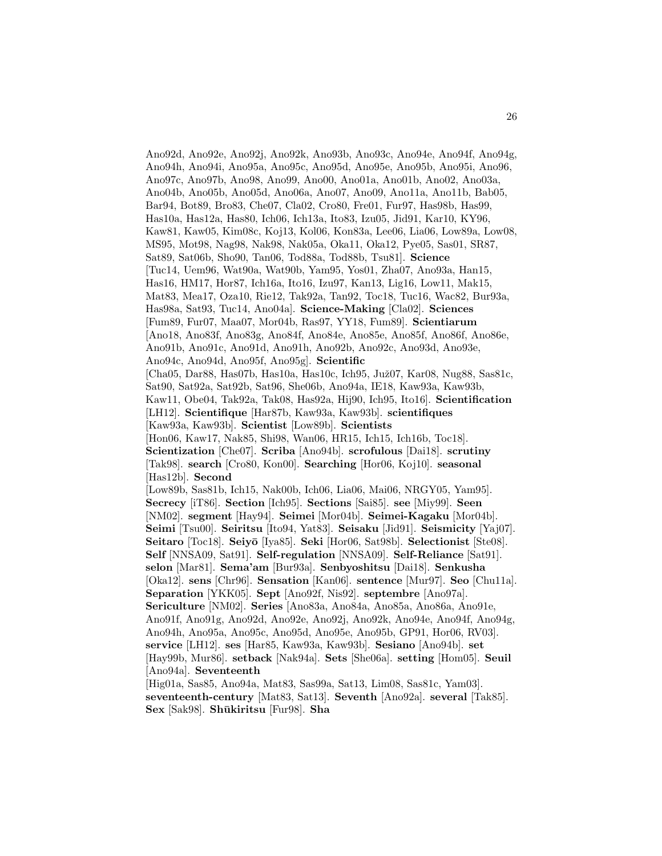Ano92d, Ano92e, Ano92j, Ano92k, Ano93b, Ano93c, Ano94e, Ano94f, Ano94g, Ano94h, Ano94i, Ano95a, Ano95c, Ano95d, Ano95e, Ano95b, Ano95i, Ano96, Ano97c, Ano97b, Ano98, Ano99, Ano00, Ano01a, Ano01b, Ano02, Ano03a, Ano04b, Ano05b, Ano05d, Ano06a, Ano07, Ano09, Ano11a, Ano11b, Bab05, Bar94, Bot89, Bro83, Che07, Cla02, Cro80, Fre01, Fur97, Has98b, Has99, Has10a, Has12a, Has80, Ich06, Ich13a, Ito83, Izu05, Jid91, Kar10, KY96, Kaw81, Kaw05, Kim08c, Koj13, Kol06, Kon83a, Lee06, Lia06, Low89a, Low08, MS95, Mot98, Nag98, Nak98, Nak05a, Oka11, Oka12, Pye05, Sas01, SR87, Sat89, Sat06b, Sho90, Tan06, Tod88a, Tod88b, Tsu81]. **Science** [Tuc14, Uem96, Wat90a, Wat90b, Yam95, Yos01, Zha07, Ano93a, Han15, Has16, HM17, Hor87, Ich16a, Ito16, Izu97, Kan13, Lig16, Low11, Mak15, Mat83, Mea17, Oza10, Rie12, Tak92a, Tan92, Toc18, Tuc16, Wac82, Bur93a, Has98a, Sat93, Tuc14, Ano04a]. **Science-Making** [Cla02]. **Sciences** [Fum89, Fur07, Maa07, Mor04b, Ras97, YY18, Fum89]. **Scientiarum** [Ano18, Ano83f, Ano83g, Ano84f, Ano84e, Ano85e, Ano85f, Ano86f, Ano86e, Ano91b, Ano91c, Ano91d, Ano91h, Ano92b, Ano92c, Ano93d, Ano93e, Ano94c, Ano94d, Ano95f, Ano95g]. **Scientific** [Cha05, Dar88, Has07b, Has10a, Has10c, Ich95, Juž07, Kar08, Nug88, Sas81c, Sat90, Sat92a, Sat92b, Sat96, She06b, Ano94a, IE18, Kaw93a, Kaw93b, Kaw11, Obe04, Tak92a, Tak08, Has92a, Hij90, Ich95, Ito16]. **Scientification** [LH12]. **Scientifique** [Har87b, Kaw93a, Kaw93b]. **scientifiques** [Kaw93a, Kaw93b]. **Scientist** [Low89b]. **Scientists** [Hon06, Kaw17, Nak85, Shi98, Wan06, HR15, Ich15, Ich16b, Toc18]. **Scientization** [Che07]. **Scriba** [Ano94b]. **scrofulous** [Dai18]. **scrutiny** [Tak98]. **search** [Cro80, Kon00]. **Searching** [Hor06, Koj10]. **seasonal** [Has12b]. **Second** [Low89b, Sas81b, Ich15, Nak00b, Ich06, Lia06, Mai06, NRGY05, Yam95]. **Secrecy** [iT86]. **Section** [Ich95]. **Sections** [Sai85]. **see** [Miy99]. **Seen** [NM02]. **segment** [Hay94]. **Seimei** [Mor04b]. **Seimei-Kagaku** [Mor04b]. **Seimi** [Tsu00]. **Seiritsu** [Ito94, Yat83]. **Seisaku** [Jid91]. **Seismicity** [Yaj07]. **Seitaro** [Toc18]. **Seiy¯o** [Iya85]. **Seki** [Hor06, Sat98b]. **Selectionist** [Ste08]. **Self** [NNSA09, Sat91]. **Self-regulation** [NNSA09]. **Self-Reliance** [Sat91]. **selon** [Mar81]. **Sema'am** [Bur93a]. **Senbyoshitsu** [Dai18]. **Senkusha** [Oka12]. **sens** [Chr96]. **Sensation** [Kan06]. **sentence** [Mur97]. **Seo** [Chu11a]. **Separation** [YKK05]. **Sept** [Ano92f, Nis92]. **septembre** [Ano97a]. **Sericulture** [NM02]. **Series** [Ano83a, Ano84a, Ano85a, Ano86a, Ano91e, Ano91f, Ano91g, Ano92d, Ano92e, Ano92j, Ano92k, Ano94e, Ano94f, Ano94g, Ano94h, Ano95a, Ano95c, Ano95d, Ano95e, Ano95b, GP91, Hor06, RV03]. **service** [LH12]. **ses** [Har85, Kaw93a, Kaw93b]. **Sesiano** [Ano94b]. **set** [Hay99b, Mur86]. **setback** [Nak94a]. **Sets** [She06a]. **setting** [Hom05]. **Seuil** [Ano94a]. **Seventeenth** [Hig01a, Sas85, Ano94a, Mat83, Sas99a, Sat13, Lim08, Sas81c, Yam03]. **seventeenth-century** [Mat83, Sat13]. **Seventh** [Ano92a]. **several** [Tak85].

**Sex** [Sak98]. **Sh¯ukiritsu** [Fur98]. **Sha**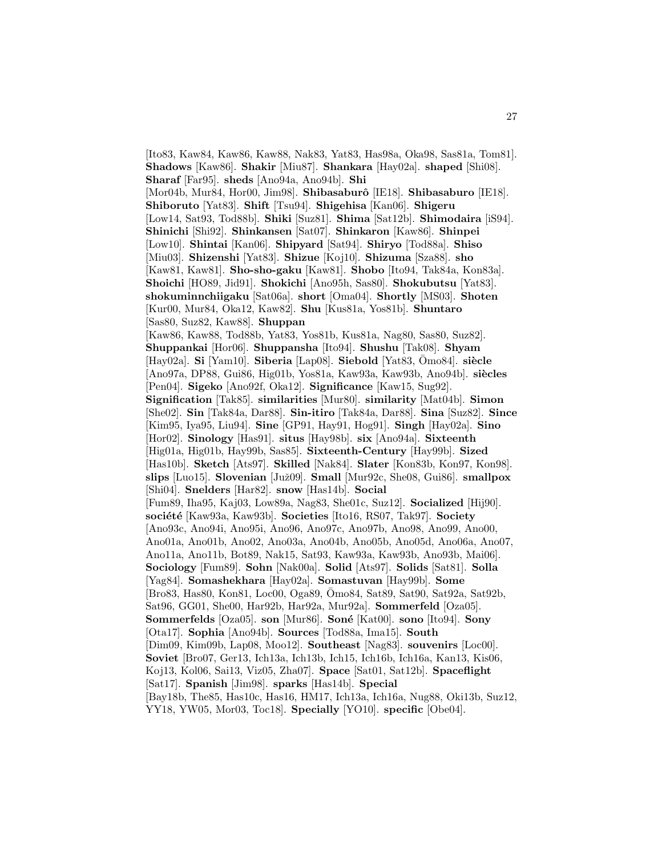[Ito83, Kaw84, Kaw86, Kaw88, Nak83, Yat83, Has98a, Oka98, Sas81a, Tom81]. **Shadows** [Kaw86]. **Shakir** [Miu87]. **Shankara** [Hay02a]. **shaped** [Shi08]. **Sharaf** [Far95]. **sheds** [Ano94a, Ano94b]. **Shi** [Mor04b, Mur84, Hor00, Jim98]. **Shibasaburˆo** [IE18]. **Shibasaburo** [IE18]. **Shiboruto** [Yat83]. **Shift** [Tsu94]. **Shigehisa** [Kan06]. **Shigeru** [Low14, Sat93, Tod88b]. **Shiki** [Suz81]. **Shima** [Sat12b]. **Shimodaira** [iS94]. **Shinichi** [Shi92]. **Shinkansen** [Sat07]. **Shinkaron** [Kaw86]. **Shinpei** [Low10]. **Shintai** [Kan06]. **Shipyard** [Sat94]. **Shiryo** [Tod88a]. **Shiso** [Miu03]. **Shizenshi** [Yat83]. **Shizue** [Koj10]. **Shizuma** [Sza88]. **sho** [Kaw81, Kaw81]. **Sho-sho-gaku** [Kaw81]. **Shobo** [Ito94, Tak84a, Kon83a]. **Shoichi** [HO89, Jid91]. **Shokichi** [Ano95h, Sas80]. **Shokubutsu** [Yat83]. **shokuminnchiigaku** [Sat06a]. **short** [Oma04]. **Shortly** [MS03]. **Shoten** [Kur00, Mur84, Oka12, Kaw82]. **Shu** [Kus81a, Yos81b]. **Shuntaro** [Sas80, Suz82, Kaw88]. **Shuppan** [Kaw86, Kaw88, Tod88b, Yat83, Yos81b, Kus81a, Nag80, Sas80, Suz82]. **Shuppankai** [Hor06]. **Shuppansha** [Ito94]. **Shushu** [Tak08]. **Shyam** [Hay02a]. **Si** [Yam10]. **Siberia** [Lap08]. **Siebold** [Yat83,  $\bar{O}$ mo84]. **siècle** [Ano97a, DP88, Gui86, Hig01b, Yos81a, Kaw93a, Kaw93b, Ano94b]. **si`ecles** [Pen04]. **Sigeko** [Ano92f, Oka12]. **Significance** [Kaw15, Sug92]. **Signification** [Tak85]. **similarities** [Mur80]. **similarity** [Mat04b]. **Simon** [She02]. **Sin** [Tak84a, Dar88]. **Sin-itiro** [Tak84a, Dar88]. **Sina** [Suz82]. **Since** [Kim95, Iya95, Liu94]. **Sine** [GP91, Hay91, Hog91]. **Singh** [Hay02a]. **Sino** [Hor02]. **Sinology** [Has91]. **situs** [Hay98b]. **six** [Ano94a]. **Sixteenth** [Hig01a, Hig01b, Hay99b, Sas85]. **Sixteenth-Century** [Hay99b]. **Sized** [Has10b]. **Sketch** [Ats97]. **Skilled** [Nak84]. **Slater** [Kon83b, Kon97, Kon98]. **slips** [Luo15]. **Slovenian** [Juž09]. **Small** [Mur92c, She08, Gui86]. **smallpox** [Shi04]. **Snelders** [Har82]. **snow** [Has14b]. **Social** [Fum89, Iha95, Kaj03, Low89a, Nag83, She01c, Suz12]. **Socialized** [Hij90]. **soci´et´e** [Kaw93a, Kaw93b]. **Societies** [Ito16, RS07, Tak97]. **Society** [Ano93c, Ano94i, Ano95i, Ano96, Ano97c, Ano97b, Ano98, Ano99, Ano00, Ano01a, Ano01b, Ano02, Ano03a, Ano04b, Ano05b, Ano05d, Ano06a, Ano07, Ano11a, Ano11b, Bot89, Nak15, Sat93, Kaw93a, Kaw93b, Ano93b, Mai06]. **Sociology** [Fum89]. **Sohn** [Nak00a]. **Solid** [Ats97]. **Solids** [Sat81]. **Solla** [Yag84]. **Somashekhara** [Hay02a]. **Somastuvan** [Hay99b]. **Some** [Bro83, Has80, Kon81, Loc00, Oga89, Omo84, Sat89, Sat90, Sat92a, Sat92b, Sat96, GG01, She00, Har92b, Har92a, Mur92a]. **Sommerfeld** [Oza05]. **Sommerfelds** [Oza05]. **son** [Mur86]. **Soné** [Kat00]. **sono** [Ito94]. **Sony** [Ota17]. **Sophia** [Ano94b]. **Sources** [Tod88a, Ima15]. **South** [Dim09, Kim09b, Lap08, Moo12]. **Southeast** [Nag83]. **souvenirs** [Loc00]. **Soviet** [Bro07, Ger13, Ich13a, Ich13b, Ich15, Ich16b, Ich16a, Kan13, Kis06, Koj13, Kol06, Sai13, Viz05, Zha07]. **Space** [Sat01, Sat12b]. **Spaceflight** [Sat17]. **Spanish** [Jim98]. **sparks** [Has14b]. **Special** [Bay18b, The85, Has10c, Has16, HM17, Ich13a, Ich16a, Nug88, Oki13b, Suz12, YY18, YW05, Mor03, Toc18]. **Specially** [YO10]. **specific** [Obe04].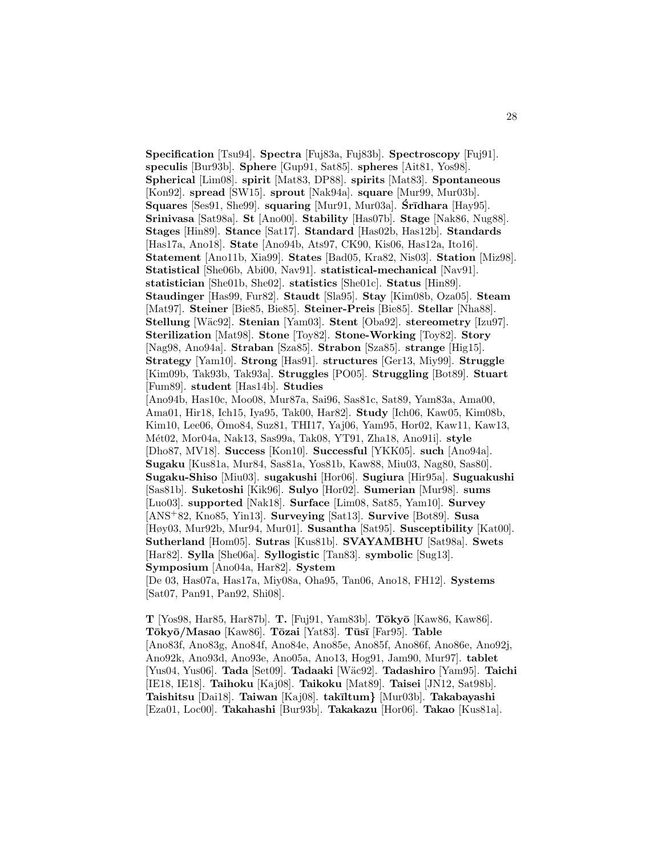**Specification** [Tsu94]. **Spectra** [Fuj83a, Fuj83b]. **Spectroscopy** [Fuj91]. **speculis** [Bur93b]. **Sphere** [Gup91, Sat85]. **spheres** [Ait81, Yos98]. **Spherical** [Lim08]. **spirit** [Mat83, DP88]. **spirits** [Mat83]. **Spontaneous** [Kon92]. **spread** [SW15]. **sprout** [Nak94a]. **square** [Mur99, Mur03b]. **Squares** [Ses91, She99]. **squaring** [Mur91, Mur03a]. **Stridhara** [Hay95]. **Srinivasa** [Sat98a]. **St** [Ano00]. **Stability** [Has07b]. **Stage** [Nak86, Nug88]. **Stages** [Hin89]. **Stance** [Sat17]. **Standard** [Has02b, Has12b]. **Standards** [Has17a, Ano18]. **State** [Ano94b, Ats97, CK90, Kis06, Has12a, Ito16]. **Statement** [Ano11b, Xia99]. **States** [Bad05, Kra82, Nis03]. **Station** [Miz98]. **Statistical** [She06b, Abi00, Nav91]. **statistical-mechanical** [Nav91]. **statistician** [She01b, She02]. **statistics** [She01c]. **Status** [Hin89]. **Staudinger** [Has99, Fur82]. **Staudt** [Sla95]. **Stay** [Kim08b, Oza05]. **Steam** [Mat97]. **Steiner** [Bie85, Bie85]. **Steiner-Preis** [Bie85]. **Stellar** [Nha88]. **Stellung** [W¨ac92]. **Stenian** [Yam03]. **Stent** [Oba92]. **stereometry** [Izu97]. **Sterilization** [Mat98]. **Stone** [Toy82]. **Stone-Working** [Toy82]. **Story** [Nag98, Ano94a]. **Straban** [Sza85]. **Strabon** [Sza85]. **strange** [Hig15]. **Strategy** [Yam10]. **Strong** [Has91]. **structures** [Ger13, Miy99]. **Struggle** [Kim09b, Tak93b, Tak93a]. **Struggles** [PO05]. **Struggling** [Bot89]. **Stuart** [Fum89]. **student** [Has14b]. **Studies** [Ano94b, Has10c, Moo08, Mur87a, Sai96, Sas81c, Sat89, Yam83a, Ama00, Ama01, Hir18, Ich15, Iya95, Tak00, Har82]. **Study** [Ich06, Kaw05, Kim08b, Kim10, Lee06, Omo84, Suz81, THI17, Yaj06, Yam95, Hor02, Kaw11, Kaw13, ¯ M´et02, Mor04a, Nak13, Sas99a, Tak08, YT91, Zha18, Ano91i]. **style** [Dho87, MV18]. **Success** [Kon10]. **Successful** [YKK05]. **such** [Ano94a]. **Sugaku** [Kus81a, Mur84, Sas81a, Yos81b, Kaw88, Miu03, Nag80, Sas80]. **Sugaku-Shiso** [Miu03]. **sugakushi** [Hor06]. **Sugiura** [Hir95a]. **Suguakushi** [Sas81b]. **Suketoshi** [Kik96]. **Sulyo** [Hor02]. **Sumerian** [Mur98]. **sums** [Luo03]. **supported** [Nak18]. **Surface** [Lim08, Sat85, Yam10]. **Survey** [ANS<sup>+</sup>82, Kno85, Yin13]. **Surveying** [Sat13]. **Survive** [Bot89]. **Susa** [Høy03, Mur92b, Mur94, Mur01]. **Susantha** [Sat95]. **Susceptibility** [Kat00]. **Sutherland** [Hom05]. **Sutras** [Kus81b]. **SVAYAMBHU** [Sat98a]. **Swets** [Har82]. **Sylla** [She06a]. **Syllogistic** [Tan83]. **symbolic** [Sug13]. **Symposium** [Ano04a, Har82]. **System** [De 03, Has07a, Has17a, Miy08a, Oha95, Tan06, Ano18, FH12]. **Systems**

**T** [Yos98, Har85, Har87b]. **T.** [Fuj91, Yam83b]. **T¯oky¯o** [Kaw86, Kaw86]. **T¯oky¯o/Masao** [Kaw86]. **T¯ozai** [Yat83]. **T¯us¯ı** [Far95]. **Table** [Ano83f, Ano83g, Ano84f, Ano84e, Ano85e, Ano85f, Ano86f, Ano86e, Ano92j, Ano92k, Ano93d, Ano93e, Ano05a, Ano13, Hog91, Jam90, Mur97]. **tablet** [Yus04, Yus06]. **Tada** [Set09]. **Tadaaki** [W¨ac92]. **Tadashiro** [Yam95]. **Taichi** [IE18, IE18]. **Taihoku** [Kaj08]. **Taikoku** [Mat89]. **Taisei** [JN12, Sat98b]. **Taishitsu** [Dai18]. **Taiwan** [Kaj08]. **tak¯ıltum***}* [Mur03b]. **Takabayashi** [Eza01, Loc00]. **Takahashi** [Bur93b]. **Takakazu** [Hor06]. **Takao** [Kus81a].

[Sat07, Pan91, Pan92, Shi08].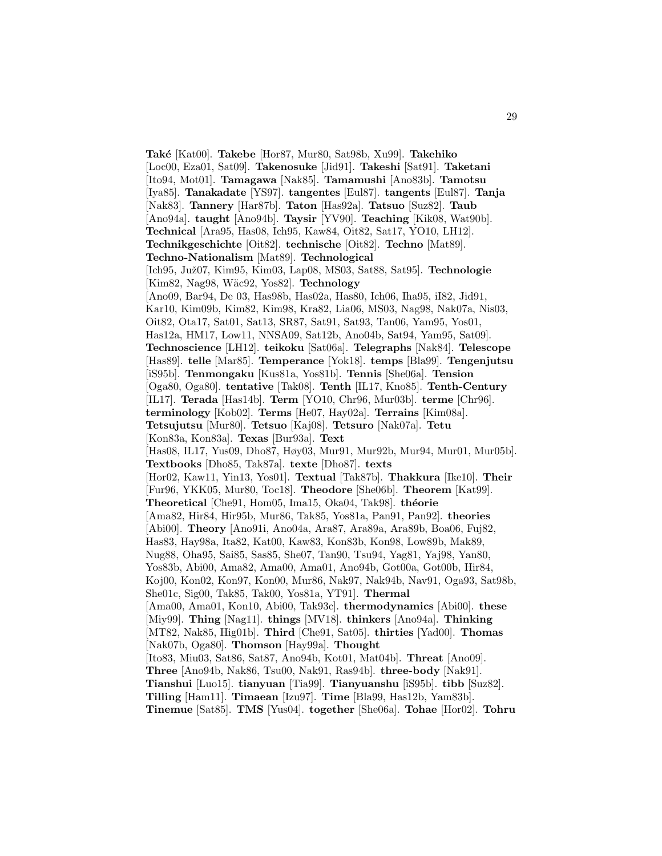**Tak´e** [Kat00]. **Takebe** [Hor87, Mur80, Sat98b, Xu99]. **Takehiko** [Loc00, Eza01, Sat09]. **Takenosuke** [Jid91]. **Takeshi** [Sat91]. **Taketani** [Ito94, Mot01]. **Tamagawa** [Nak85]. **Tamamushi** [Ano83b]. **Tamotsu** [Iya85]. **Tanakadate** [YS97]. **tangentes** [Eul87]. **tangents** [Eul87]. **Tanja** [Nak83]. **Tannery** [Har87b]. **Taton** [Has92a]. **Tatsuo** [Suz82]. **Taub** [Ano94a]. **taught** [Ano94b]. **Taysir** [YV90]. **Teaching** [Kik08, Wat90b]. **Technical** [Ara95, Has08, Ich95, Kaw84, Oit82, Sat17, YO10, LH12]. **Technikgeschichte** [Oit82]. **technische** [Oit82]. **Techno** [Mat89]. **Techno-Nationalism** [Mat89]. **Technological** [Ich95, Juˇz07, Kim95, Kim03, Lap08, MS03, Sat88, Sat95]. **Technologie** [Kim82, Nag98, W¨ac92, Yos82]. **Technology** [Ano09, Bar94, De 03, Has98b, Has02a, Has80, Ich06, Iha95, iI82, Jid91, Kar10, Kim09b, Kim82, Kim98, Kra82, Lia06, MS03, Nag98, Nak07a, Nis03, Oit82, Ota17, Sat01, Sat13, SR87, Sat91, Sat93, Tan06, Yam95, Yos01, Has12a, HM17, Low11, NNSA09, Sat12b, Ano04b, Sat94, Yam95, Sat09]. **Technoscience** [LH12]. **teikoku** [Sat06a]. **Telegraphs** [Nak84]. **Telescope** [Has89]. **telle** [Mar85]. **Temperance** [Yok18]. **temps** [Bla99]. **Tengenjutsu** [iS95b]. **Tenmongaku** [Kus81a, Yos81b]. **Tennis** [She06a]. **Tension** [Oga80, Oga80]. **tentative** [Tak08]. **Tenth** [IL17, Kno85]. **Tenth-Century** [IL17]. **Terada** [Has14b]. **Term** [YO10, Chr96, Mur03b]. **terme** [Chr96]. **terminology** [Kob02]. **Terms** [He07, Hay02a]. **Terrains** [Kim08a]. **Tetsujutsu** [Mur80]. **Tetsuo** [Kaj08]. **Tetsuro** [Nak07a]. **Tetu** [Kon83a, Kon83a]. **Texas** [Bur93a]. **Text** [Has08, IL17, Yus09, Dho87, Høy03, Mur91, Mur92b, Mur94, Mur01, Mur05b]. **Textbooks** [Dho85, Tak87a]. **texte** [Dho87]. **texts** [Hor02, Kaw11, Yin13, Yos01]. **Textual** [Tak87b]. **Thakkura** [Ike10]. **Their** [Fur96, YKK05, Mur80, Toc18]. **Theodore** [She06b]. **Theorem** [Kat99]. **Theoretical** [Che91, Hom05, Ima15, Oka04, Tak98]. **th´eorie** [Ama82, Hir84, Hir95b, Mur86, Tak85, Yos81a, Pan91, Pan92]. **theories** [Abi00]. **Theory** [Ano91i, Ano04a, Ara87, Ara89a, Ara89b, Boa06, Fuj82, Has83, Hay98a, Ita82, Kat00, Kaw83, Kon83b, Kon98, Low89b, Mak89, Nug88, Oha95, Sai85, Sas85, She07, Tan90, Tsu94, Yag81, Yaj98, Yan80, Yos83b, Abi00, Ama82, Ama00, Ama01, Ano94b, Got00a, Got00b, Hir84, Koj00, Kon02, Kon97, Kon00, Mur86, Nak97, Nak94b, Nav91, Oga93, Sat98b, She01c, Sig00, Tak85, Tak00, Yos81a, YT91]. **Thermal** [Ama00, Ama01, Kon10, Abi00, Tak93c]. **thermodynamics** [Abi00]. **these** [Miy99]. **Thing** [Nag11]. **things** [MV18]. **thinkers** [Ano94a]. **Thinking** [MT82, Nak85, Hig01b]. **Third** [Che91, Sat05]. **thirties** [Yad00]. **Thomas** [Nak07b, Oga80]. **Thomson** [Hay99a]. **Thought** [Ito83, Miu03, Sat86, Sat87, Ano94b, Kot01, Mat04b]. **Threat** [Ano09]. **Three** [Ano94b, Nak86, Tsu00, Nak91, Ras94b]. **three-body** [Nak91]. **Tianshui** [Luo15]. **tianyuan** [Tia99]. **Tianyuanshu** [iS95b]. **tibb** [Suz82]. **Tilling** [Ham11]. **Timaean** [Izu97]. **Time** [Bla99, Has12b, Yam83b]. **Tinemue** [Sat85]. **TMS** [Yus04]. **together** [She06a]. **Tohae** [Hor02]. **Tohru**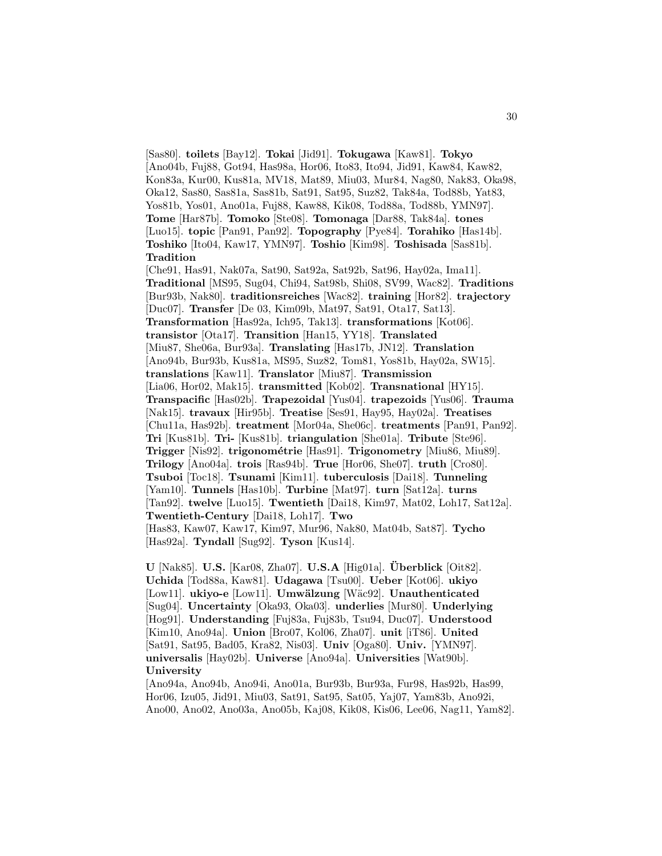[Sas80]. **toilets** [Bay12]. **Tokai** [Jid91]. **Tokugawa** [Kaw81]. **Tokyo** [Ano04b, Fuj88, Got94, Has98a, Hor06, Ito83, Ito94, Jid91, Kaw84, Kaw82, Kon83a, Kur00, Kus81a, MV18, Mat89, Miu03, Mur84, Nag80, Nak83, Oka98, Oka12, Sas80, Sas81a, Sas81b, Sat91, Sat95, Suz82, Tak84a, Tod88b, Yat83, Yos81b, Yos01, Ano01a, Fuj88, Kaw88, Kik08, Tod88a, Tod88b, YMN97]. **Tome** [Har87b]. **Tomoko** [Ste08]. **Tomonaga** [Dar88, Tak84a]. **tones** [Luo15]. **topic** [Pan91, Pan92]. **Topography** [Pye84]. **Torahiko** [Has14b]. **Toshiko** [Ito04, Kaw17, YMN97]. **Toshio** [Kim98]. **Toshisada** [Sas81b]. **Tradition** [Che91, Has91, Nak07a, Sat90, Sat92a, Sat92b, Sat96, Hay02a, Ima11]. **Traditional** [MS95, Sug04, Chi94, Sat98b, Shi08, SV99, Wac82]. **Traditions** [Bur93b, Nak80]. **traditionsreiches** [Wac82]. **training** [Hor82]. **trajectory** [Duc07]. **Transfer** [De 03, Kim09b, Mat97, Sat91, Ota17, Sat13]. **Transformation** [Has92a, Ich95, Tak13]. **transformations** [Kot06]. **transistor** [Ota17]. **Transition** [Han15, YY18]. **Translated** [Miu87, She06a, Bur93a]. **Translating** [Has17b, JN12]. **Translation** [Ano94b, Bur93b, Kus81a, MS95, Suz82, Tom81, Yos81b, Hay02a, SW15]. **translations** [Kaw11]. **Translator** [Miu87]. **Transmission** [Lia06, Hor02, Mak15]. **transmitted** [Kob02]. **Transnational** [HY15]. **Transpacific** [Has02b]. **Trapezoidal** [Yus04]. **trapezoids** [Yus06]. **Trauma** [Nak15]. **travaux** [Hir95b]. **Treatise** [Ses91, Hay95, Hay02a]. **Treatises** [Chu11a, Has92b]. **treatment** [Mor04a, She06c]. **treatments** [Pan91, Pan92]. **Tri** [Kus81b]. **Tri-** [Kus81b]. **triangulation** [She01a]. **Tribute** [Ste96]. **Trigger** [Nis92]. **trigonom´etrie** [Has91]. **Trigonometry** [Miu86, Miu89]. **Trilogy** [Ano04a]. **trois** [Ras94b]. **True** [Hor06, She07]. **truth** [Cro80]. **Tsuboi** [Toc18]. **Tsunami** [Kim11]. **tuberculosis** [Dai18]. **Tunneling** [Yam10]. **Tunnels** [Has10b]. **Turbine** [Mat97]. **turn** [Sat12a]. **turns** [Tan92]. **twelve** [Luo15]. **Twentieth** [Dai18, Kim97, Mat02, Loh17, Sat12a]. **Twentieth-Century** [Dai18, Loh17]. **Two** [Has83, Kaw07, Kaw17, Kim97, Mur96, Nak80, Mat04b, Sat87]. **Tycho** [Has92a]. **Tyndall** [Sug92]. **Tyson** [Kus14].

**U** [Nak85]. **U.S.** [Kar08, Zha07]. **U.S.A** [Hig01a]. **Uberblick ¨** [Oit82]. **Uchida** [Tod88a, Kaw81]. **Udagawa** [Tsu00]. **Ueber** [Kot06]. **ukiyo** [Low11]. **ukiyo-e** [Low11]. **Umwälzung** [Wäc92]. **Unauthenticated** [Sug04]. **Uncertainty** [Oka93, Oka03]. **underlies** [Mur80]. **Underlying** [Hog91]. **Understanding** [Fuj83a, Fuj83b, Tsu94, Duc07]. **Understood** [Kim10, Ano94a]. **Union** [Bro07, Kol06, Zha07]. **unit** [iT86]. **United** [Sat91, Sat95, Bad05, Kra82, Nis03]. **Univ** [Oga80]. **Univ.** [YMN97]. **universalis** [Hay02b]. **Universe** [Ano94a]. **Universities** [Wat90b]. **University**

[Ano94a, Ano94b, Ano94i, Ano01a, Bur93b, Bur93a, Fur98, Has92b, Has99, Hor06, Izu05, Jid91, Miu03, Sat91, Sat95, Sat05, Yaj07, Yam83b, Ano92i, Ano00, Ano02, Ano03a, Ano05b, Kaj08, Kik08, Kis06, Lee06, Nag11, Yam82].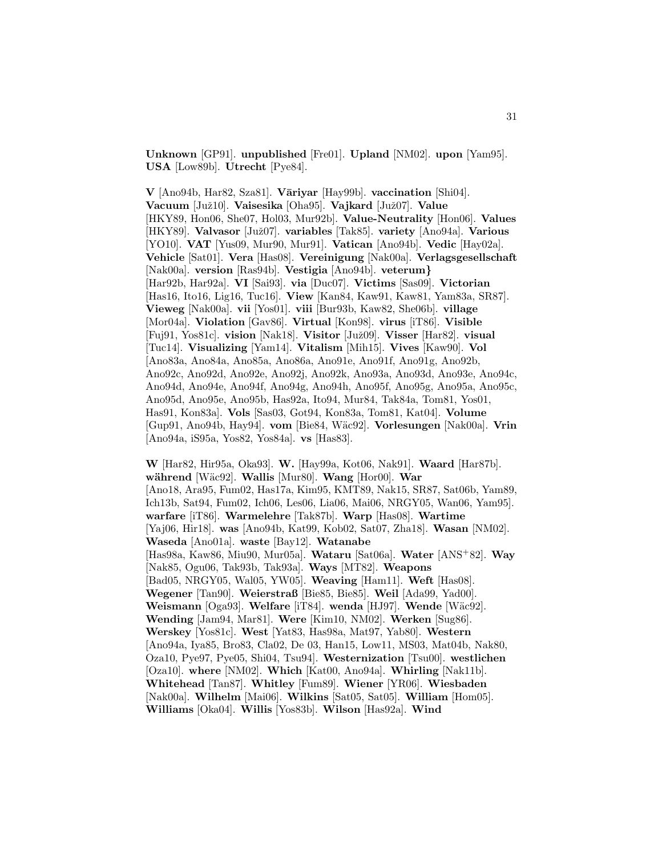**Unknown** [GP91]. **unpublished** [Fre01]. **Upland** [NM02]. **upon** [Yam95]. **USA** [Low89b]. **Utrecht** [Pye84].

**V** [Ano94b, Har82, Sza81]. **V¯ariyar** [Hay99b]. **vaccination** [Shi04]. **Vacuum** [Juˇz10]. **Vaisesika** [Oha95]. **Vajkard** [Juˇz07]. **Value** [HKY89, Hon06, She07, Hol03, Mur92b]. **Value-Neutrality** [Hon06]. **Values** [HKY89]. **Valvasor** [Juˇz07]. **variables** [Tak85]. **variety** [Ano94a]. **Various** [YO10]. **VAT** [Yus09, Mur90, Mur91]. **Vatican** [Ano94b]. **Vedic** [Hay02a]. **Vehicle** [Sat01]. **Vera** [Has08]. **Vereinigung** [Nak00a]. **Verlagsgesellschaft** [Nak00a]. **version** [Ras94b]. **Vestigia** [Ano94b]. **veterum***}* [Har92b, Har92a]. **VI** [Sai93]. **via** [Duc07]. **Victims** [Sas09]. **Victorian** [Has16, Ito16, Lig16, Tuc16]. **View** [Kan84, Kaw91, Kaw81, Yam83a, SR87]. **Vieweg** [Nak00a]. **vii** [Yos01]. **viii** [Bur93b, Kaw82, She06b]. **village** [Mor04a]. **Violation** [Gav86]. **Virtual** [Kon98]. **virus** [iT86]. **Visible** [Fuj91, Yos81c]. **vision** [Nak18]. **Visitor** [Juˇz09]. **Visser** [Har82]. **visual** [Tuc14]. **Visualizing** [Yam14]. **Vitalism** [Mih15]. **Vives** [Kaw90]. **Vol** [Ano83a, Ano84a, Ano85a, Ano86a, Ano91e, Ano91f, Ano91g, Ano92b, Ano92c, Ano92d, Ano92e, Ano92j, Ano92k, Ano93a, Ano93d, Ano93e, Ano94c, Ano94d, Ano94e, Ano94f, Ano94g, Ano94h, Ano95f, Ano95g, Ano95a, Ano95c, Ano95d, Ano95e, Ano95b, Has92a, Ito94, Mur84, Tak84a, Tom81, Yos01, Has91, Kon83a]. **Vols** [Sas03, Got94, Kon83a, Tom81, Kat04]. **Volume** [Gup91, Ano94b, Hay94]. **vom** [Bie84, W¨ac92]. **Vorlesungen** [Nak00a]. **Vrin** [Ano94a, iS95a, Yos82, Yos84a]. **vs** [Has83].

**W** [Har82, Hir95a, Oka93]. **W.** [Hay99a, Kot06, Nak91]. **Waard** [Har87b]. **w¨ahrend** [W¨ac92]. **Wallis** [Mur80]. **Wang** [Hor00]. **War** [Ano18, Ara95, Fum02, Has17a, Kim95, KMT89, Nak15, SR87, Sat06b, Yam89, Ich13b, Sat94, Fum02, Ich06, Les06, Lia06, Mai06, NRGY05, Wan06, Yam95]. **warfare** [iT86]. **Warmelehre** [Tak87b]. **Warp** [Has08]. **Wartime** [Yaj06, Hir18]. **was** [Ano94b, Kat99, Kob02, Sat07, Zha18]. **Wasan** [NM02]. **Waseda** [Ano01a]. **waste** [Bay12]. **Watanabe** [Has98a, Kaw86, Miu90, Mur05a]. **Wataru** [Sat06a]. **Water** [ANS<sup>+</sup>82]. **Way** [Nak85, Ogu06, Tak93b, Tak93a]. **Ways** [MT82]. **Weapons** [Bad05, NRGY05, Wal05, YW05]. **Weaving** [Ham11]. **Weft** [Has08]. **Wegener** [Tan90]. **Weierstraß** [Bie85, Bie85]. **Weil** [Ada99, Yad00]. **Weismann** [Oga93]. **Welfare** [iT84]. **wenda** [HJ97]. **Wende** [W¨ac92]. **Wending** [Jam94, Mar81]. **Were** [Kim10, NM02]. **Werken** [Sug86]. **Werskey** [Yos81c]. **West** [Yat83, Has98a, Mat97, Yab80]. **Western** [Ano94a, Iya85, Bro83, Cla02, De 03, Han15, Low11, MS03, Mat04b, Nak80, Oza10, Pye97, Pye05, Shi04, Tsu94]. **Westernization** [Tsu00]. **westlichen** [Oza10]. **where** [NM02]. **Which** [Kat00, Ano94a]. **Whirling** [Nak11b]. **Whitehead** [Tan87]. **Whitley** [Fum89]. **Wiener** [YR06]. **Wiesbaden** [Nak00a]. **Wilhelm** [Mai06]. **Wilkins** [Sat05, Sat05]. **William** [Hom05]. **Williams** [Oka04]. **Willis** [Yos83b]. **Wilson** [Has92a]. **Wind**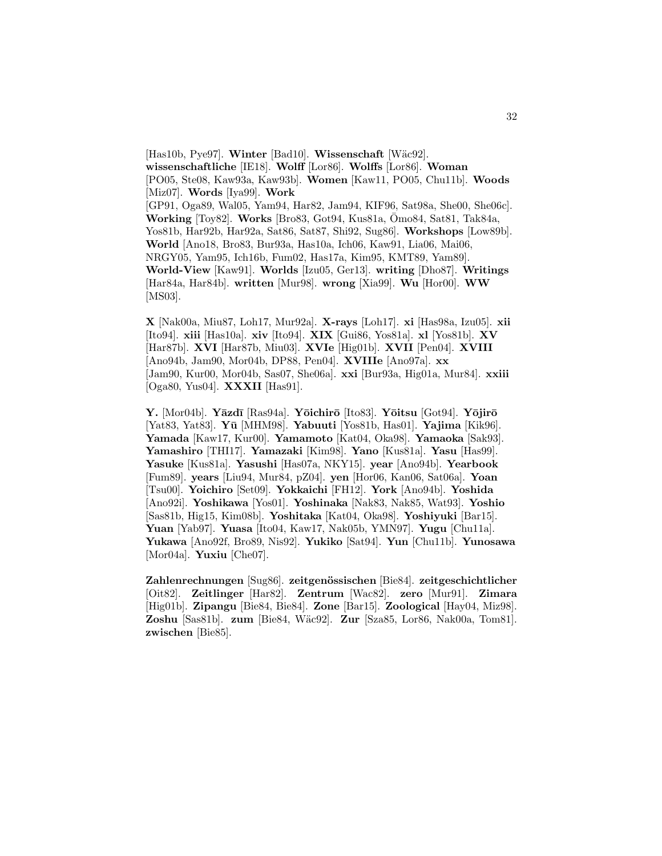[Has10b, Pye97]. **Winter** [Bad10]. **Wissenschaft** [Wäc92]. **wissenschaftliche** [IE18]. **Wolff** [Lor86]. **Wolffs** [Lor86]. **Woman** [PO05, Ste08, Kaw93a, Kaw93b]. **Women** [Kaw11, PO05, Chu11b]. **Woods** [Miz07]. **Words** [Iya99]. **Work** [GP91, Oga89, Wal05, Yam94, Har82, Jam94, KIF96, Sat98a, She00, She06c]. **Working** [Toy82]. **Works** [Bro83, Got94, Kus81a, Omo84, Sat81, Tak84a, Yos81b, Har92b, Har92a, Sat86, Sat87, Shi92, Sug86]. **Workshops** [Low89b]. **World** [Ano18, Bro83, Bur93a, Has10a, Ich06, Kaw91, Lia06, Mai06, NRGY05, Yam95, Ich16b, Fum02, Has17a, Kim95, KMT89, Yam89]. **World-View** [Kaw91]. **Worlds** [Izu05, Ger13]. **writing** [Dho87]. **Writings** [Har84a, Har84b]. **written** [Mur98]. **wrong** [Xia99]. **Wu** [Hor00]. **WW** [MS03].

**X** [Nak00a, Miu87, Loh17, Mur92a]. **X-rays** [Loh17]. **xi** [Has98a, Izu05]. **xii** [Ito94]. **xiii** [Has10a]. **xiv** [Ito94]. **XIX** [Gui86, Yos81a]. **xl** [Yos81b]. **XV** [Har87b]. **XVI** [Har87b, Miu03]. **XVIe** [Hig01b]. **XVII** [Pen04]. **XVIII** [Ano94b, Jam90, Mor04b, DP88, Pen04]. **XVIIIe** [Ano97a]. **xx** [Jam90, Kur00, Mor04b, Sas07, She06a]. **xxi** [Bur93a, Hig01a, Mur84]. **xxiii** [Oga80, Yus04]. **XXXII** [Has91].

**Y.** [Mor04b]. **Y¯azd¯ı** [Ras94a]. **Y¯oichir¯o** [Ito83]. **Y¯oitsu** [Got94]. **Y¯ojir¯o** [Yat83, Yat83]. **Y¯u** [MHM98]. **Yabuuti** [Yos81b, Has01]. **Yajima** [Kik96]. **Yamada** [Kaw17, Kur00]. **Yamamoto** [Kat04, Oka98]. **Yamaoka** [Sak93]. **Yamashiro** [THI17]. **Yamazaki** [Kim98]. **Yano** [Kus81a]. **Yasu** [Has99]. **Yasuke** [Kus81a]. **Yasushi** [Has07a, NKY15]. **year** [Ano94b]. **Yearbook** [Fum89]. **years** [Liu94, Mur84, pZ04]. **yen** [Hor06, Kan06, Sat06a]. **Yoan** [Tsu00]. **Yoichiro** [Set09]. **Yokkaichi** [FH12]. **York** [Ano94b]. **Yoshida** [Ano92i]. **Yoshikawa** [Yos01]. **Yoshinaka** [Nak83, Nak85, Wat93]. **Yoshio** [Sas81b, Hig15, Kim08b]. **Yoshitaka** [Kat04, Oka98]. **Yoshiyuki** [Bar15]. **Yuan** [Yab97]. **Yuasa** [Ito04, Kaw17, Nak05b, YMN97]. **Yugu** [Chu11a]. **Yukawa** [Ano92f, Bro89, Nis92]. **Yukiko** [Sat94]. **Yun** [Chu11b]. **Yunosawa** [Mor04a]. **Yuxiu** [Che07].

Zahlenrechnungen [Sug86]. zeitgenössischen [Bie84]. zeitgeschichtlicher [Oit82]. **Zeitlinger** [Har82]. **Zentrum** [Wac82]. **zero** [Mur91]. **Zimara** [Hig01b]. **Zipangu** [Bie84, Bie84]. **Zone** [Bar15]. **Zoological** [Hay04, Miz98]. **Zoshu** [Sas81b]. **zum** [Bie84, W¨ac92]. **Zur** [Sza85, Lor86, Nak00a, Tom81]. **zwischen** [Bie85].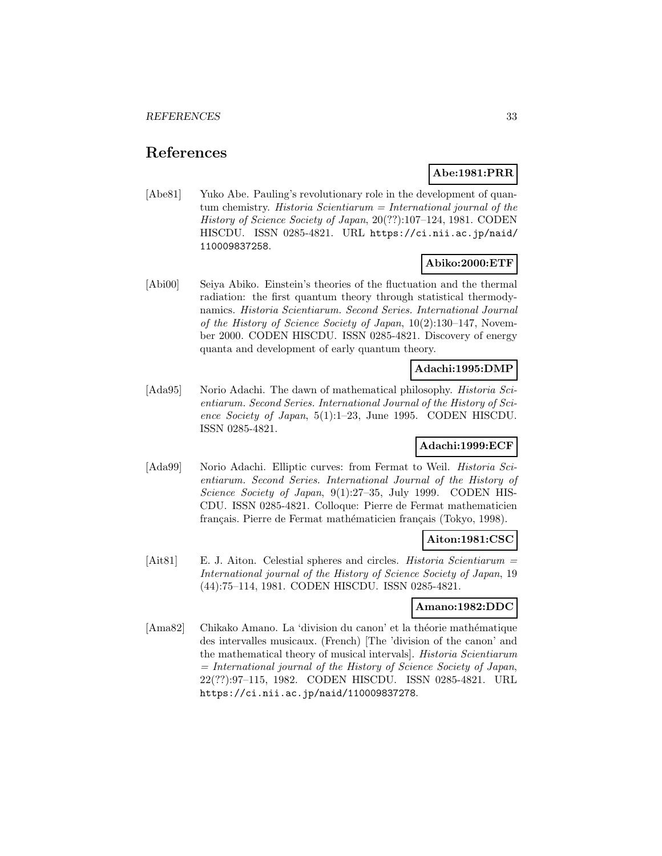# **References**

# **Abe:1981:PRR**

[Abe81] Yuko Abe. Pauling's revolutionary role in the development of quantum chemistry. Historia Scientiarum = International journal of the History of Science Society of Japan, 20(??):107–124, 1981. CODEN HISCDU. ISSN 0285-4821. URL https://ci.nii.ac.jp/naid/ 110009837258.

# **Abiko:2000:ETF**

[Abi00] Seiya Abiko. Einstein's theories of the fluctuation and the thermal radiation: the first quantum theory through statistical thermodynamics. Historia Scientiarum. Second Series. International Journal of the History of Science Society of Japan, 10(2):130–147, November 2000. CODEN HISCDU. ISSN 0285-4821. Discovery of energy quanta and development of early quantum theory.

# **Adachi:1995:DMP**

[Ada95] Norio Adachi. The dawn of mathematical philosophy. *Historia Sci*entiarum. Second Series. International Journal of the History of Science Society of Japan, 5(1):1–23, June 1995. CODEN HISCDU. ISSN 0285-4821.

# **Adachi:1999:ECF**

[Ada99] Norio Adachi. Elliptic curves: from Fermat to Weil. *Historia Sci*entiarum. Second Series. International Journal of the History of Science Society of Japan, 9(1):27-35, July 1999. CODEN HIS-CDU. ISSN 0285-4821. Colloque: Pierre de Fermat mathematicien français. Pierre de Fermat mathématicien français (Tokyo, 1998).

# **Aiton:1981:CSC**

[Ait81] E. J. Aiton. Celestial spheres and circles. Historia Scientiarum = International journal of the History of Science Society of Japan, 19 (44):75–114, 1981. CODEN HISCDU. ISSN 0285-4821.

# **Amano:1982:DDC**

[Ama82] Chikako Amano. La 'division du canon' et la théorie mathématique des intervalles musicaux. (French) [The 'division of the canon' and the mathematical theory of musical intervals]. Historia Scientiarum  $=$  International journal of the History of Science Society of Japan, 22(??):97–115, 1982. CODEN HISCDU. ISSN 0285-4821. URL https://ci.nii.ac.jp/naid/110009837278.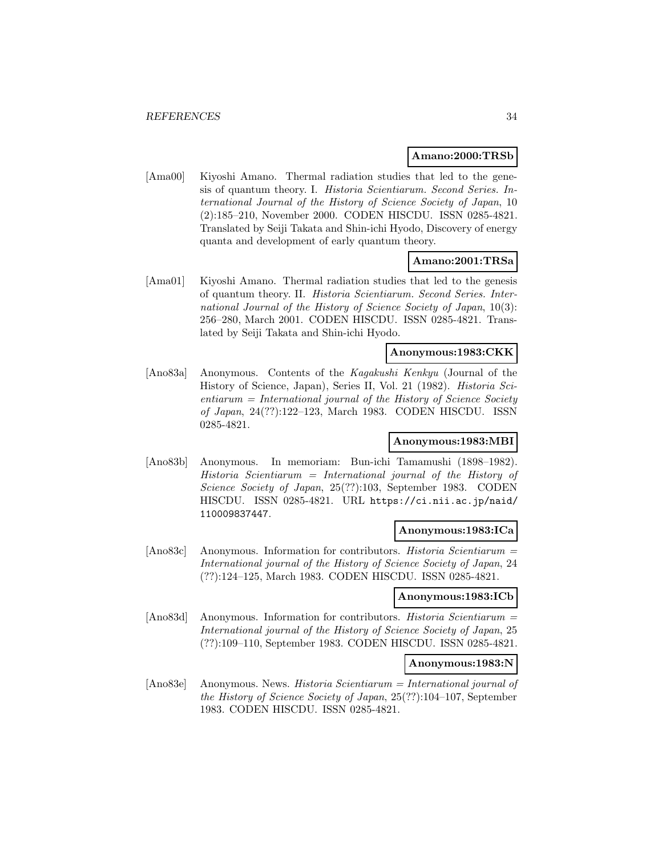#### **Amano:2000:TRSb**

[Ama00] Kiyoshi Amano. Thermal radiation studies that led to the genesis of quantum theory. I. Historia Scientiarum. Second Series. International Journal of the History of Science Society of Japan, 10 (2):185–210, November 2000. CODEN HISCDU. ISSN 0285-4821. Translated by Seiji Takata and Shin-ichi Hyodo, Discovery of energy quanta and development of early quantum theory.

# **Amano:2001:TRSa**

[Ama01] Kiyoshi Amano. Thermal radiation studies that led to the genesis of quantum theory. II. Historia Scientiarum. Second Series. International Journal of the History of Science Society of Japan, 10(3): 256–280, March 2001. CODEN HISCDU. ISSN 0285-4821. Translated by Seiji Takata and Shin-ichi Hyodo.

### **Anonymous:1983:CKK**

[Ano83a] Anonymous. Contents of the Kagakushi Kenkyu (Journal of the History of Science, Japan), Series II, Vol. 21 (1982). Historia Sci $entiarum = International journal of the History of Science Society$ of Japan, 24(??):122–123, March 1983. CODEN HISCDU. ISSN 0285-4821.

### **Anonymous:1983:MBI**

[Ano83b] Anonymous. In memoriam: Bun-ichi Tamamushi (1898–1982).  $Historia$  Scientiarum = International journal of the History of Science Society of Japan, 25(??):103, September 1983. CODEN HISCDU. ISSN 0285-4821. URL https://ci.nii.ac.jp/naid/ 110009837447.

#### **Anonymous:1983:ICa**

[Ano83c] Anonymous. Information for contributors. Historia Scientiarum = International journal of the History of Science Society of Japan, 24 (??):124–125, March 1983. CODEN HISCDU. ISSN 0285-4821.

#### **Anonymous:1983:ICb**

[Ano83d] Anonymous. Information for contributors. Historia Scientiarum = International journal of the History of Science Society of Japan, 25 (??):109–110, September 1983. CODEN HISCDU. ISSN 0285-4821.

### **Anonymous:1983:N**

[Ano83e] Anonymous. News. Historia Scientiarum = International journal of the History of Science Society of Japan, 25(??):104–107, September 1983. CODEN HISCDU. ISSN 0285-4821.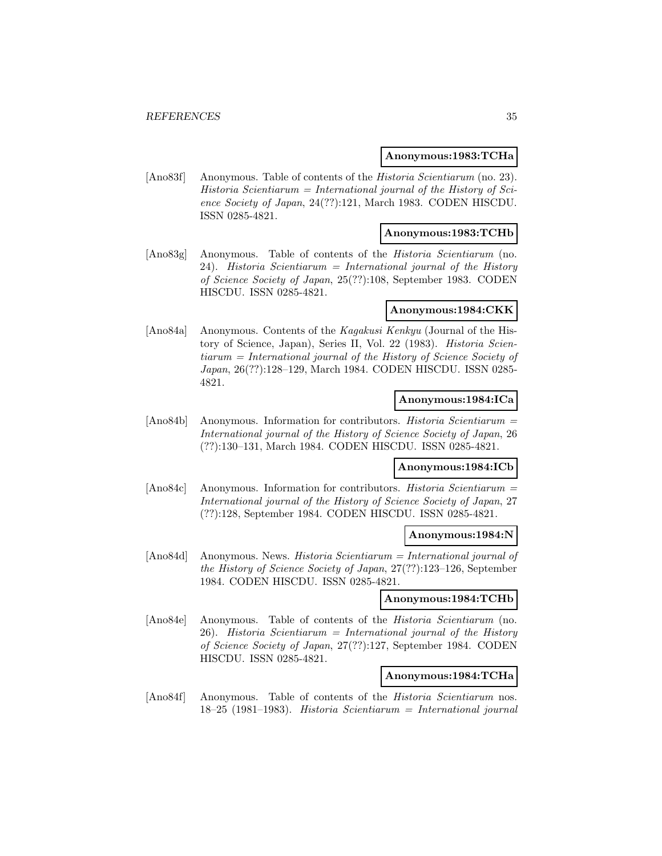#### **Anonymous:1983:TCHa**

[Ano83f] Anonymous. Table of contents of the *Historia Scientiarum* (no. 23).  $Historia$  Scientiarum = International journal of the History of Science Society of Japan, 24(??):121, March 1983. CODEN HISCDU. ISSN 0285-4821.

### **Anonymous:1983:TCHb**

[Ano83g] Anonymous. Table of contents of the Historia Scientiarum (no. 24). Historia Scientiarum = International journal of the History of Science Society of Japan, 25(??):108, September 1983. CODEN HISCDU. ISSN 0285-4821.

#### **Anonymous:1984:CKK**

[Ano84a] Anonymous. Contents of the Kagakusi Kenkyu (Journal of the History of Science, Japan), Series II, Vol. 22 (1983). Historia Scientiarum = International journal of the History of Science Society of Japan, 26(??):128–129, March 1984. CODEN HISCDU. ISSN 0285- 4821.

### **Anonymous:1984:ICa**

[Ano84b] Anonymous. Information for contributors. Historia Scientiarum = International journal of the History of Science Society of Japan, 26 (??):130–131, March 1984. CODEN HISCDU. ISSN 0285-4821.

# **Anonymous:1984:ICb**

[Ano84c] Anonymous. Information for contributors. Historia Scientiarum = International journal of the History of Science Society of Japan, 27 (??):128, September 1984. CODEN HISCDU. ISSN 0285-4821.

### **Anonymous:1984:N**

[Ano84d] Anonymous. News. Historia Scientiarum = International journal of the History of Science Society of Japan, 27(??):123–126, September 1984. CODEN HISCDU. ISSN 0285-4821.

#### **Anonymous:1984:TCHb**

[Ano84e] Anonymous. Table of contents of the Historia Scientiarum (no.  $26$ ). Historia Scientiarum = International journal of the History of Science Society of Japan, 27(??):127, September 1984. CODEN HISCDU. ISSN 0285-4821.

#### **Anonymous:1984:TCHa**

[Ano84f] Anonymous. Table of contents of the Historia Scientiarum nos. 18–25 (1981–1983). Historia Scientiarum = International journal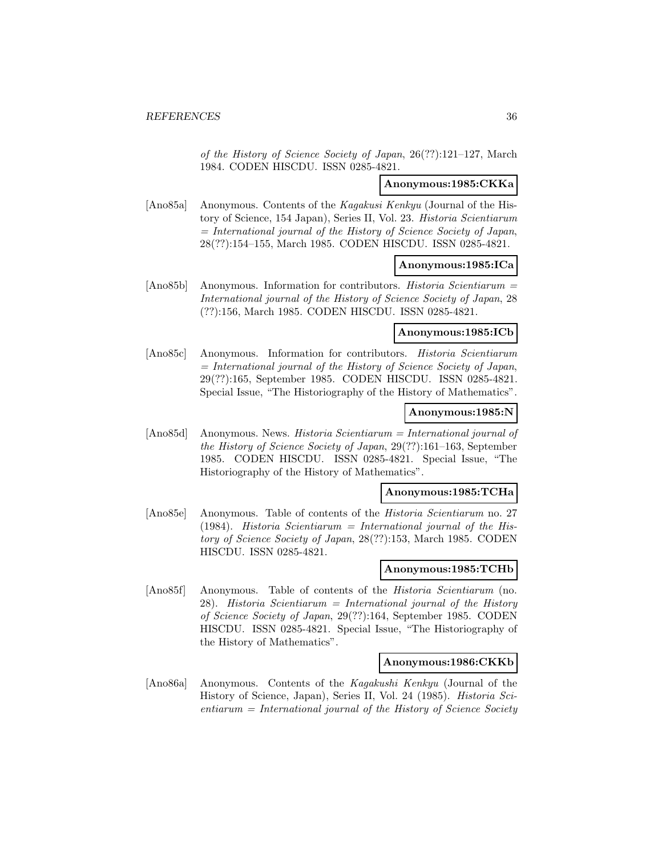of the History of Science Society of Japan, 26(??):121–127, March 1984. CODEN HISCDU. ISSN 0285-4821.

## **Anonymous:1985:CKKa**

[Ano85a] Anonymous. Contents of the Kagakusi Kenkyu (Journal of the History of Science, 154 Japan), Series II, Vol. 23. Historia Scientiarum  $=$  International journal of the History of Science Society of Japan, 28(??):154–155, March 1985. CODEN HISCDU. ISSN 0285-4821.

### **Anonymous:1985:ICa**

[Ano85b] Anonymous. Information for contributors. Historia Scientiarum = International journal of the History of Science Society of Japan, 28 (??):156, March 1985. CODEN HISCDU. ISSN 0285-4821.

## **Anonymous:1985:ICb**

[Ano85c] Anonymous. Information for contributors. Historia Scientiarum = International journal of the History of Science Society of Japan, 29(??):165, September 1985. CODEN HISCDU. ISSN 0285-4821. Special Issue, "The Historiography of the History of Mathematics".

#### **Anonymous:1985:N**

[Ano85d] Anonymous. News. Historia Scientiarum = International journal of the History of Science Society of Japan, 29(??):161–163, September 1985. CODEN HISCDU. ISSN 0285-4821. Special Issue, "The Historiography of the History of Mathematics".

#### **Anonymous:1985:TCHa**

[Ano85e] Anonymous. Table of contents of the Historia Scientiarum no. 27 (1984). Historia Scientiarum = International journal of the History of Science Society of Japan, 28(??):153, March 1985. CODEN HISCDU. ISSN 0285-4821.

### **Anonymous:1985:TCHb**

[Ano85f] Anonymous. Table of contents of the Historia Scientiarum (no. 28). Historia Scientiarum = International journal of the History of Science Society of Japan, 29(??):164, September 1985. CODEN HISCDU. ISSN 0285-4821. Special Issue, "The Historiography of the History of Mathematics".

# **Anonymous:1986:CKKb**

[Ano86a] Anonymous. Contents of the Kagakushi Kenkyu (Journal of the History of Science, Japan), Series II, Vol. 24 (1985). Historia Sci $entiarum = International journal of the History of Science Society$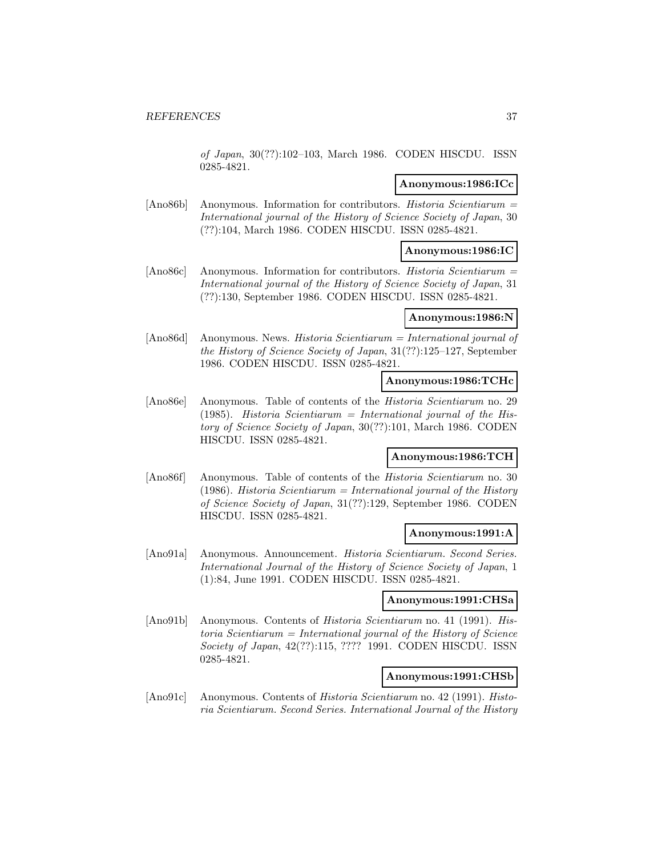of Japan, 30(??):102–103, March 1986. CODEN HISCDU. ISSN 0285-4821.

# **Anonymous:1986:ICc**

[Ano86b] Anonymous. Information for contributors. Historia Scientiarum = International journal of the History of Science Society of Japan, 30 (??):104, March 1986. CODEN HISCDU. ISSN 0285-4821.

# **Anonymous:1986:IC**

[Ano86c] Anonymous. Information for contributors. Historia Scientiarum = International journal of the History of Science Society of Japan, 31 (??):130, September 1986. CODEN HISCDU. ISSN 0285-4821.

#### **Anonymous:1986:N**

[Ano86d] Anonymous. News. Historia Scientiarum = International journal of the History of Science Society of Japan, 31(??):125–127, September 1986. CODEN HISCDU. ISSN 0285-4821.

## **Anonymous:1986:TCHc**

[Ano86e] Anonymous. Table of contents of the Historia Scientiarum no. 29 (1985). Historia Scientiarum = International journal of the History of Science Society of Japan, 30(??):101, March 1986. CODEN HISCDU. ISSN 0285-4821.

### **Anonymous:1986:TCH**

[Ano86f] Anonymous. Table of contents of the Historia Scientiarum no. 30 (1986). Historia Scientiarum = International journal of the History of Science Society of Japan, 31(??):129, September 1986. CODEN HISCDU. ISSN 0285-4821.

# **Anonymous:1991:A**

[Ano91a] Anonymous. Announcement. Historia Scientiarum. Second Series. International Journal of the History of Science Society of Japan, 1 (1):84, June 1991. CODEN HISCDU. ISSN 0285-4821.

#### **Anonymous:1991:CHSa**

[Ano91b] Anonymous. Contents of Historia Scientiarum no. 41 (1991). His $toria$  Scientiarum = International journal of the History of Science Society of Japan, 42(??):115, ???? 1991. CODEN HISCDU. ISSN 0285-4821.

# **Anonymous:1991:CHSb**

[Ano91c] Anonymous. Contents of Historia Scientiarum no. 42 (1991). Historia Scientiarum. Second Series. International Journal of the History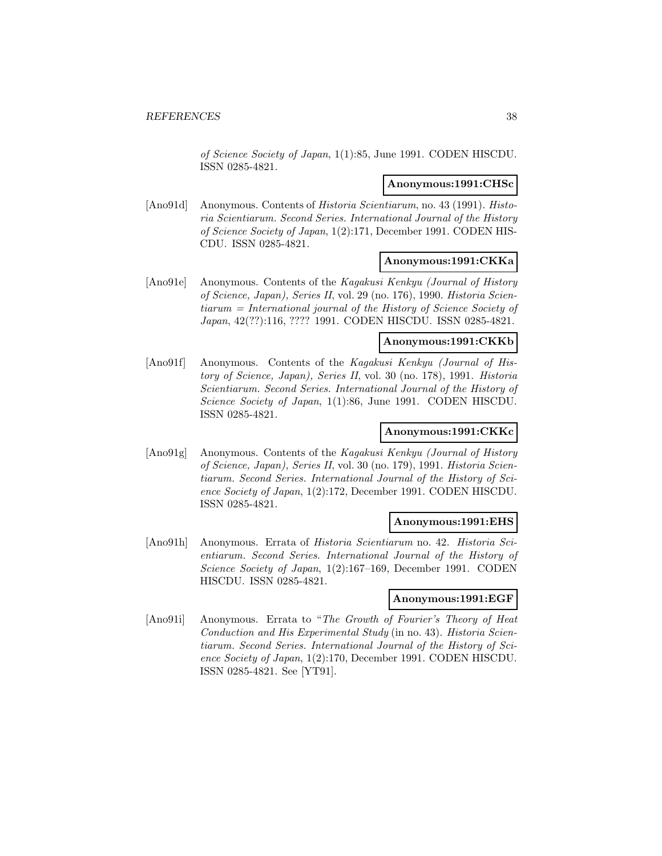of Science Society of Japan, 1(1):85, June 1991. CODEN HISCDU. ISSN 0285-4821.

#### **Anonymous:1991:CHSc**

[Ano91d] Anonymous. Contents of *Historia Scientiarum*, no. 43 (1991). *Histo*ria Scientiarum. Second Series. International Journal of the History of Science Society of Japan, 1(2):171, December 1991. CODEN HIS-CDU. ISSN 0285-4821.

#### **Anonymous:1991:CKKa**

[Ano91e] Anonymous. Contents of the Kagakusi Kenkyu (Journal of History of Science, Japan), Series II, vol. 29 (no. 176), 1990. Historia Scientiarum = International journal of the History of Science Society of Japan, 42(??):116, ???? 1991. CODEN HISCDU. ISSN 0285-4821.

# **Anonymous:1991:CKKb**

[Ano91f] Anonymous. Contents of the Kagakusi Kenkyu (Journal of History of Science, Japan), Series II, vol. 30 (no. 178), 1991. Historia Scientiarum. Second Series. International Journal of the History of Science Society of Japan, 1(1):86, June 1991. CODEN HISCDU. ISSN 0285-4821.

# **Anonymous:1991:CKKc**

[Ano91g] Anonymous. Contents of the Kagakusi Kenkyu (Journal of History of Science, Japan), Series II, vol. 30 (no. 179), 1991. Historia Scientiarum. Second Series. International Journal of the History of Science Society of Japan, 1(2):172, December 1991. CODEN HISCDU. ISSN 0285-4821.

### **Anonymous:1991:EHS**

[Ano91h] Anonymous. Errata of Historia Scientiarum no. 42. Historia Scientiarum. Second Series. International Journal of the History of Science Society of Japan, 1(2):167–169, December 1991. CODEN HISCDU. ISSN 0285-4821.

#### **Anonymous:1991:EGF**

[Ano91i] Anonymous. Errata to "The Growth of Fourier's Theory of Heat Conduction and His Experimental Study (in no. 43). Historia Scientiarum. Second Series. International Journal of the History of Science Society of Japan, 1(2):170, December 1991. CODEN HISCDU. ISSN 0285-4821. See [YT91].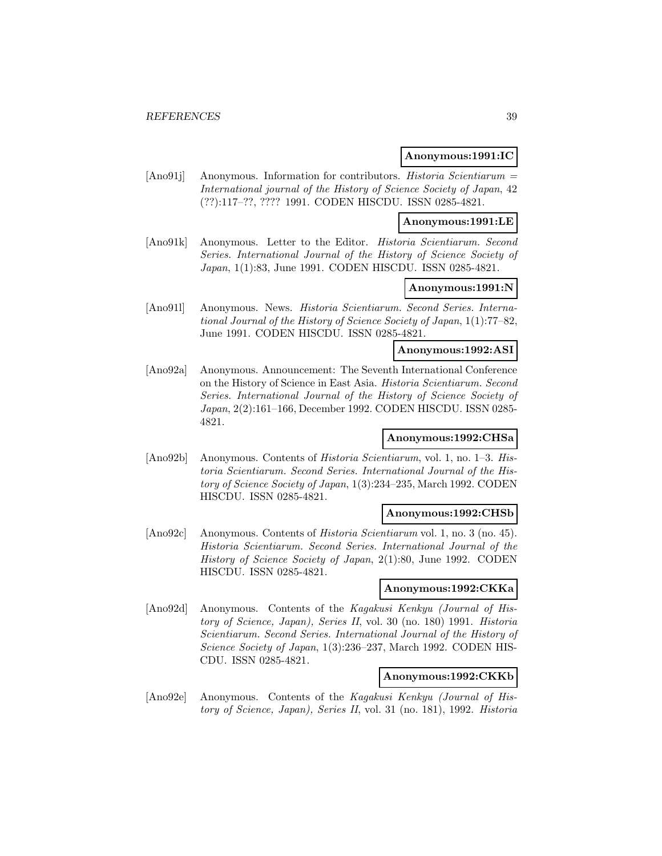#### **Anonymous:1991:IC**

[Ano91j] Anonymous. Information for contributors. Historia Scientiarum = International journal of the History of Science Society of Japan, 42 (??):117–??, ???? 1991. CODEN HISCDU. ISSN 0285-4821.

#### **Anonymous:1991:LE**

[Ano91k] Anonymous. Letter to the Editor. Historia Scientiarum. Second Series. International Journal of the History of Science Society of Japan, 1(1):83, June 1991. CODEN HISCDU. ISSN 0285-4821.

# **Anonymous:1991:N**

[Ano91l] Anonymous. News. Historia Scientiarum. Second Series. International Journal of the History of Science Society of Japan, 1(1):77–82, June 1991. CODEN HISCDU. ISSN 0285-4821.

### **Anonymous:1992:ASI**

[Ano92a] Anonymous. Announcement: The Seventh International Conference on the History of Science in East Asia. Historia Scientiarum. Second Series. International Journal of the History of Science Society of Japan, 2(2):161–166, December 1992. CODEN HISCDU. ISSN 0285- 4821.

# **Anonymous:1992:CHSa**

[Ano92b] Anonymous. Contents of Historia Scientiarum, vol. 1, no. 1–3. Historia Scientiarum. Second Series. International Journal of the History of Science Society of Japan, 1(3):234–235, March 1992. CODEN HISCDU. ISSN 0285-4821.

### **Anonymous:1992:CHSb**

[Ano92c] Anonymous. Contents of Historia Scientiarum vol. 1, no. 3 (no. 45). Historia Scientiarum. Second Series. International Journal of the History of Science Society of Japan, 2(1):80, June 1992. CODEN HISCDU. ISSN 0285-4821.

## **Anonymous:1992:CKKa**

[Ano92d] Anonymous. Contents of the Kagakusi Kenkyu (Journal of History of Science, Japan), Series II, vol. 30 (no. 180) 1991. Historia Scientiarum. Second Series. International Journal of the History of Science Society of Japan, 1(3):236–237, March 1992. CODEN HIS-CDU. ISSN 0285-4821.

### **Anonymous:1992:CKKb**

[Ano92e] Anonymous. Contents of the Kagakusi Kenkyu (Journal of History of Science, Japan), Series II, vol. 31 (no. 181), 1992. Historia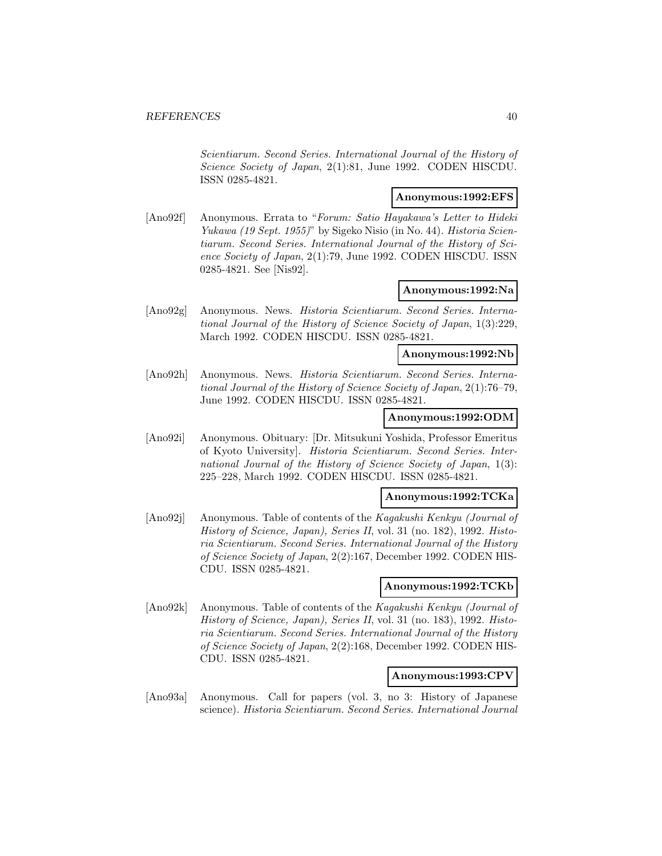Scientiarum. Second Series. International Journal of the History of Science Society of Japan, 2(1):81, June 1992. CODEN HISCDU. ISSN 0285-4821.

# **Anonymous:1992:EFS**

[Ano92f] Anonymous. Errata to "Forum: Satio Hayakawa's Letter to Hideki Yukawa (19 Sept. 1955)" by Sigeko Nisio (in No. 44). Historia Scientiarum. Second Series. International Journal of the History of Science Society of Japan, 2(1):79, June 1992. CODEN HISCDU. ISSN 0285-4821. See [Nis92].

# **Anonymous:1992:Na**

[Ano92g] Anonymous. News. Historia Scientiarum. Second Series. International Journal of the History of Science Society of Japan, 1(3):229, March 1992. CODEN HISCDU. ISSN 0285-4821.

# **Anonymous:1992:Nb**

[Ano92h] Anonymous. News. Historia Scientiarum. Second Series. International Journal of the History of Science Society of Japan, 2(1):76–79, June 1992. CODEN HISCDU. ISSN 0285-4821.

# **Anonymous:1992:ODM**

[Ano92i] Anonymous. Obituary: [Dr. Mitsukuni Yoshida, Professor Emeritus of Kyoto University]. Historia Scientiarum. Second Series. International Journal of the History of Science Society of Japan, 1(3): 225–228, March 1992. CODEN HISCDU. ISSN 0285-4821.

## **Anonymous:1992:TCKa**

[Ano92j] Anonymous. Table of contents of the Kagakushi Kenkyu (Journal of History of Science, Japan), Series II, vol. 31 (no. 182), 1992. Historia Scientiarum. Second Series. International Journal of the History of Science Society of Japan, 2(2):167, December 1992. CODEN HIS-CDU. ISSN 0285-4821.

#### **Anonymous:1992:TCKb**

[Ano92k] Anonymous. Table of contents of the Kagakushi Kenkyu (Journal of History of Science, Japan), Series II, vol. 31 (no. 183), 1992. Historia Scientiarum. Second Series. International Journal of the History of Science Society of Japan, 2(2):168, December 1992. CODEN HIS-CDU. ISSN 0285-4821.

#### **Anonymous:1993:CPV**

[Ano93a] Anonymous. Call for papers (vol. 3, no 3: History of Japanese science). Historia Scientiarum. Second Series. International Journal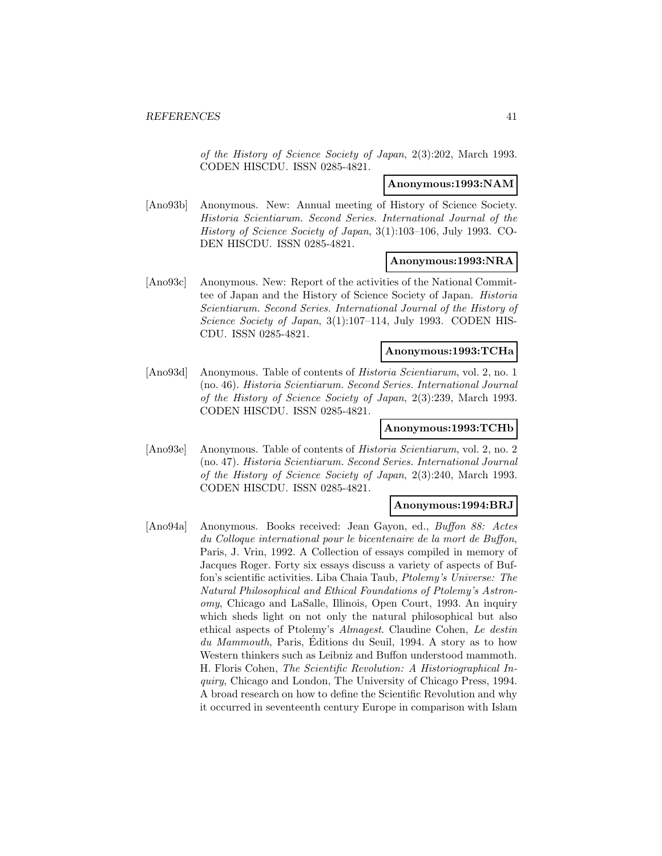of the History of Science Society of Japan, 2(3):202, March 1993. CODEN HISCDU. ISSN 0285-4821.

## **Anonymous:1993:NAM**

[Ano93b] Anonymous. New: Annual meeting of History of Science Society. Historia Scientiarum. Second Series. International Journal of the History of Science Society of Japan, 3(1):103–106, July 1993. CO-DEN HISCDU. ISSN 0285-4821.

#### **Anonymous:1993:NRA**

[Ano93c] Anonymous. New: Report of the activities of the National Committee of Japan and the History of Science Society of Japan. Historia Scientiarum. Second Series. International Journal of the History of Science Society of Japan, 3(1):107-114, July 1993. CODEN HIS-CDU. ISSN 0285-4821.

# **Anonymous:1993:TCHa**

[Ano93d] Anonymous. Table of contents of Historia Scientiarum, vol. 2, no. 1 (no. 46). Historia Scientiarum. Second Series. International Journal of the History of Science Society of Japan, 2(3):239, March 1993. CODEN HISCDU. ISSN 0285-4821.

# **Anonymous:1993:TCHb**

[Ano93e] Anonymous. Table of contents of Historia Scientiarum, vol. 2, no. 2 (no. 47). Historia Scientiarum. Second Series. International Journal of the History of Science Society of Japan, 2(3):240, March 1993. CODEN HISCDU. ISSN 0285-4821.

## **Anonymous:1994:BRJ**

[Ano94a] Anonymous. Books received: Jean Gayon, ed., Buffon 88: Actes du Colloque international pour le bicentenaire de la mort de Buffon, Paris, J. Vrin, 1992. A Collection of essays compiled in memory of Jacques Roger. Forty six essays discuss a variety of aspects of Buffon's scientific activities. Liba Chaia Taub, Ptolemy's Universe: The Natural Philosophical and Ethical Foundations of Ptolemy's Astronomy, Chicago and LaSalle, Illinois, Open Court, 1993. An inquiry which sheds light on not only the natural philosophical but also ethical aspects of Ptolemy's Almagest. Claudine Cohen, Le destin du Mammouth, Paris, Éditions du Seuil, 1994. A story as to how Western thinkers such as Leibniz and Buffon understood mammoth. H. Floris Cohen, The Scientific Revolution: A Historiographical Inquiry, Chicago and London, The University of Chicago Press, 1994. A broad research on how to define the Scientific Revolution and why it occurred in seventeenth century Europe in comparison with Islam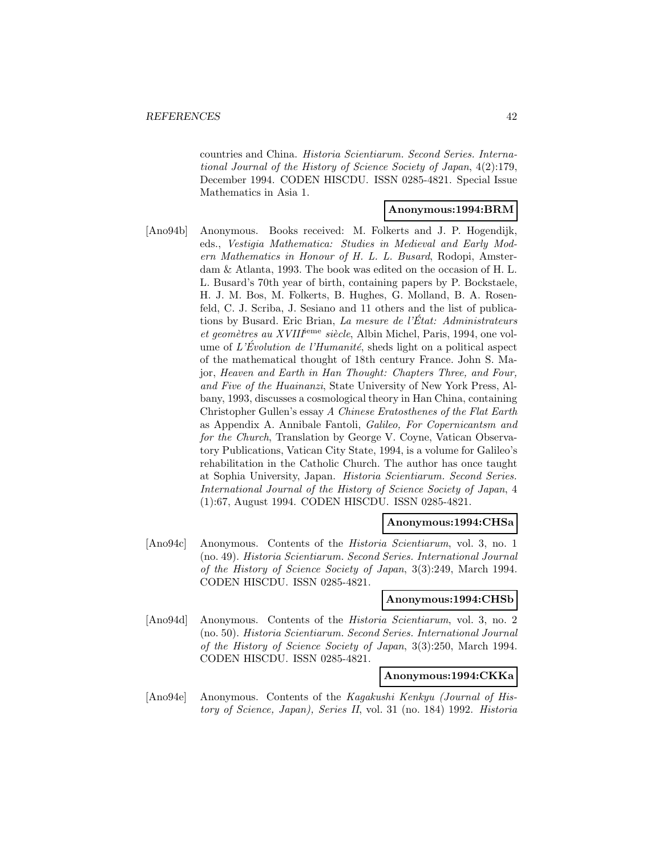countries and China. Historia Scientiarum. Second Series. International Journal of the History of Science Society of Japan, 4(2):179, December 1994. CODEN HISCDU. ISSN 0285-4821. Special Issue Mathematics in Asia 1.

#### **Anonymous:1994:BRM**

[Ano94b] Anonymous. Books received: M. Folkerts and J. P. Hogendijk, eds., Vestigia Mathematica: Studies in Medieval and Early Modern Mathematics in Honour of H. L. L. Busard, Rodopi, Amsterdam & Atlanta, 1993. The book was edited on the occasion of H. L. L. Busard's 70th year of birth, containing papers by P. Bockstaele, H. J. M. Bos, M. Folkerts, B. Hughes, G. Molland, B. A. Rosenfeld, C. J. Scriba, J. Sesiano and 11 others and the list of publications by Busard. Eric Brian, La mesure de l'État: Administrateurs et geomètres au XVIII<sup>ieme</sup> siècle, Albin Michel, Paris, 1994, one volume of L'Evolution de l'Humanité, sheds light on a political aspect of the mathematical thought of 18th century France. John S. Major, Heaven and Earth in Han Thought: Chapters Three, and Four, and Five of the Huainanzi, State University of New York Press, Albany, 1993, discusses a cosmological theory in Han China, containing Christopher Gullen's essay A Chinese Eratosthenes of the Flat Earth as Appendix A. Annibale Fantoli, Galileo, For Copernicantsm and for the Church, Translation by George V. Coyne, Vatican Observatory Publications, Vatican City State, 1994, is a volume for Galileo's rehabilitation in the Catholic Church. The author has once taught at Sophia University, Japan. Historia Scientiarum. Second Series. International Journal of the History of Science Society of Japan, 4 (1):67, August 1994. CODEN HISCDU. ISSN 0285-4821.

#### **Anonymous:1994:CHSa**

[Ano94c] Anonymous. Contents of the Historia Scientiarum, vol. 3, no. 1 (no. 49). Historia Scientiarum. Second Series. International Journal of the History of Science Society of Japan, 3(3):249, March 1994. CODEN HISCDU. ISSN 0285-4821.

#### **Anonymous:1994:CHSb**

[Ano94d] Anonymous. Contents of the Historia Scientiarum, vol. 3, no. 2 (no. 50). Historia Scientiarum. Second Series. International Journal of the History of Science Society of Japan, 3(3):250, March 1994. CODEN HISCDU. ISSN 0285-4821.

#### **Anonymous:1994:CKKa**

[Ano94e] Anonymous. Contents of the Kagakushi Kenkyu (Journal of History of Science, Japan), Series II, vol. 31 (no. 184) 1992. Historia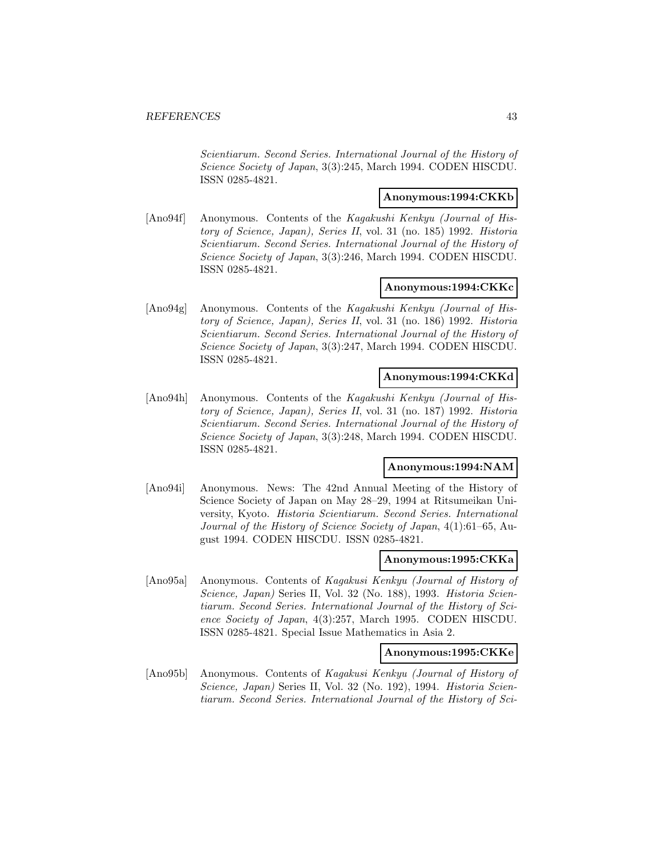Scientiarum. Second Series. International Journal of the History of Science Society of Japan, 3(3):245, March 1994. CODEN HISCDU. ISSN 0285-4821.

# **Anonymous:1994:CKKb**

[Ano94f] Anonymous. Contents of the Kagakushi Kenkyu (Journal of History of Science, Japan), Series II, vol. 31 (no. 185) 1992. Historia Scientiarum. Second Series. International Journal of the History of Science Society of Japan, 3(3):246, March 1994. CODEN HISCDU. ISSN 0285-4821.

# **Anonymous:1994:CKKc**

[Ano94g] Anonymous. Contents of the Kagakushi Kenkyu (Journal of History of Science, Japan), Series II, vol. 31 (no. 186) 1992. Historia Scientiarum. Second Series. International Journal of the History of Science Society of Japan, 3(3):247, March 1994. CODEN HISCDU. ISSN 0285-4821.

# **Anonymous:1994:CKKd**

[Ano94h] Anonymous. Contents of the Kagakushi Kenkyu (Journal of History of Science, Japan), Series II, vol. 31 (no. 187) 1992. Historia Scientiarum. Second Series. International Journal of the History of Science Society of Japan, 3(3):248, March 1994. CODEN HISCDU. ISSN 0285-4821.

### **Anonymous:1994:NAM**

[Ano94i] Anonymous. News: The 42nd Annual Meeting of the History of Science Society of Japan on May 28–29, 1994 at Ritsumeikan University, Kyoto. Historia Scientiarum. Second Series. International Journal of the History of Science Society of Japan, 4(1):61–65, August 1994. CODEN HISCDU. ISSN 0285-4821.

#### **Anonymous:1995:CKKa**

[Ano95a] Anonymous. Contents of Kagakusi Kenkyu (Journal of History of Science, Japan) Series II, Vol. 32 (No. 188), 1993. Historia Scientiarum. Second Series. International Journal of the History of Science Society of Japan, 4(3):257, March 1995. CODEN HISCDU. ISSN 0285-4821. Special Issue Mathematics in Asia 2.

## **Anonymous:1995:CKKe**

[Ano95b] Anonymous. Contents of Kagakusi Kenkyu (Journal of History of Science, Japan) Series II, Vol. 32 (No. 192), 1994. Historia Scientiarum. Second Series. International Journal of the History of Sci-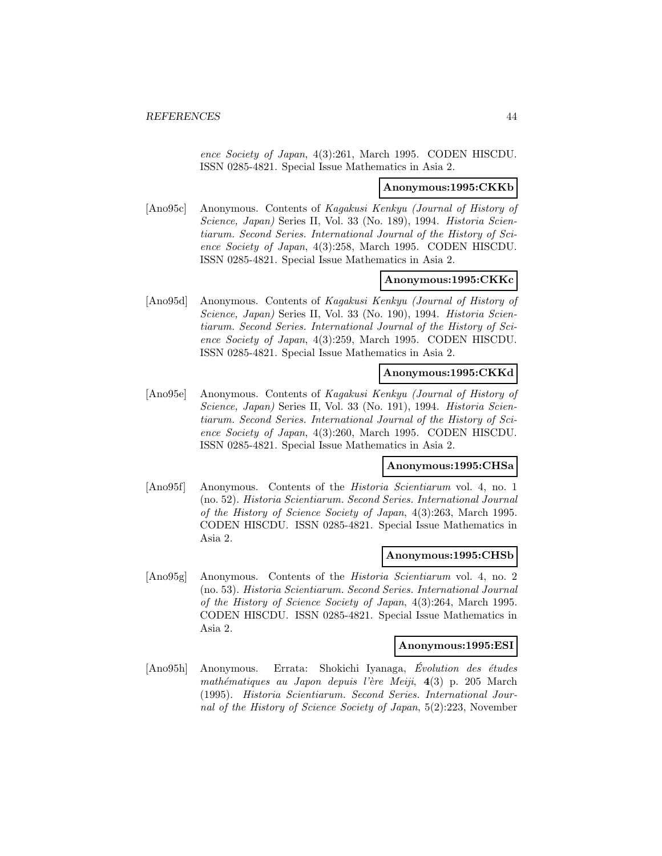ence Society of Japan, 4(3):261, March 1995. CODEN HISCDU. ISSN 0285-4821. Special Issue Mathematics in Asia 2.

#### **Anonymous:1995:CKKb**

[Ano95c] Anonymous. Contents of Kagakusi Kenkyu (Journal of History of Science, Japan) Series II, Vol. 33 (No. 189), 1994. Historia Scientiarum. Second Series. International Journal of the History of Science Society of Japan, 4(3):258, March 1995. CODEN HISCDU. ISSN 0285-4821. Special Issue Mathematics in Asia 2.

### **Anonymous:1995:CKKc**

[Ano95d] Anonymous. Contents of Kagakusi Kenkyu (Journal of History of Science, Japan) Series II, Vol. 33 (No. 190), 1994. Historia Scientiarum. Second Series. International Journal of the History of Science Society of Japan, 4(3):259, March 1995. CODEN HISCDU. ISSN 0285-4821. Special Issue Mathematics in Asia 2.

# **Anonymous:1995:CKKd**

[Ano95e] Anonymous. Contents of Kagakusi Kenkyu (Journal of History of Science, Japan) Series II, Vol. 33 (No. 191), 1994. Historia Scientiarum. Second Series. International Journal of the History of Science Society of Japan, 4(3):260, March 1995. CODEN HISCDU. ISSN 0285-4821. Special Issue Mathematics in Asia 2.

## **Anonymous:1995:CHSa**

[Ano95f] Anonymous. Contents of the *Historia Scientiarum* vol. 4, no. 1 (no. 52). Historia Scientiarum. Second Series. International Journal of the History of Science Society of Japan, 4(3):263, March 1995. CODEN HISCDU. ISSN 0285-4821. Special Issue Mathematics in Asia 2.

#### **Anonymous:1995:CHSb**

[Ano95g] Anonymous. Contents of the Historia Scientiarum vol. 4, no. 2 (no. 53). Historia Scientiarum. Second Series. International Journal of the History of Science Society of Japan, 4(3):264, March 1995. CODEN HISCDU. ISSN 0285-4821. Special Issue Mathematics in Asia 2.

### **Anonymous:1995:ESI**

[Ano95h] Anonymous. Errata: Shokichi Iyanaga, Évolution des études mathématiques au Japon depuis l'ère Meiji, 4(3) p. 205 March (1995). Historia Scientiarum. Second Series. International Journal of the History of Science Society of Japan, 5(2):223, November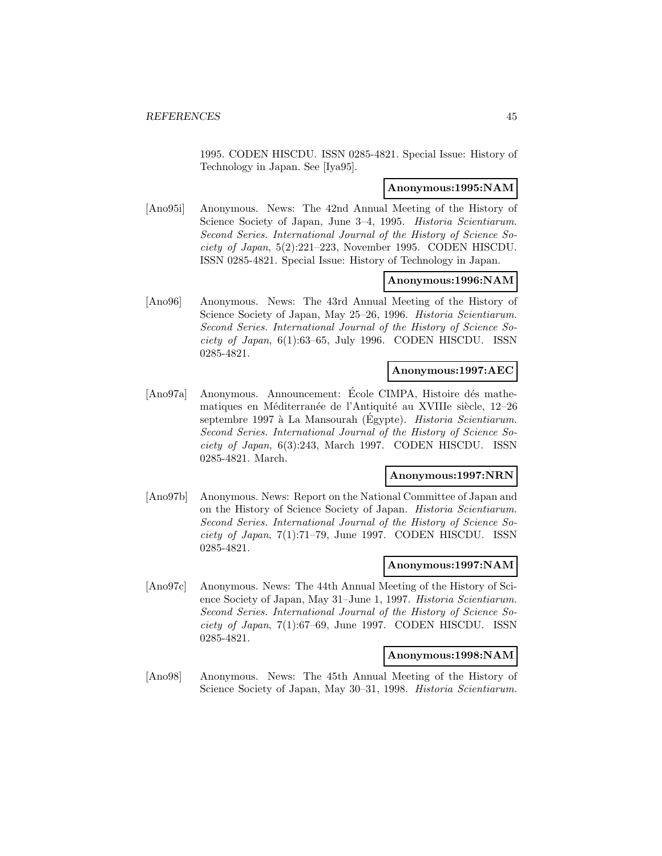1995. CODEN HISCDU. ISSN 0285-4821. Special Issue: History of Technology in Japan. See [Iya95].

## **Anonymous:1995:NAM**

[Ano95i] Anonymous. News: The 42nd Annual Meeting of the History of Science Society of Japan, June 3–4, 1995. *Historia Scientiarum*. Second Series. International Journal of the History of Science Society of Japan, 5(2):221–223, November 1995. CODEN HISCDU. ISSN 0285-4821. Special Issue: History of Technology in Japan.

## **Anonymous:1996:NAM**

[Ano96] Anonymous. News: The 43rd Annual Meeting of the History of Science Society of Japan, May 25–26, 1996. Historia Scientiarum. Second Series. International Journal of the History of Science Society of Japan,  $6(1):63-65$ , July 1996. CODEN HISCDU. ISSN 0285-4821.

## **Anonymous:1997:AEC**

[Ano97a] Anonymous. Announcement: Ecole CIMPA, Histoire dés mathematiques en Méditerranée de l'Antiquité au XVIIIe siècle, 12–26 septembre 1997 à La Mansourah (Egypte). Historia Scientiarum. Second Series. International Journal of the History of Science Society of Japan, 6(3):243, March 1997. CODEN HISCDU. ISSN 0285-4821. March.

## **Anonymous:1997:NRN**

[Ano97b] Anonymous. News: Report on the National Committee of Japan and on the History of Science Society of Japan. Historia Scientiarum. Second Series. International Journal of the History of Science Society of Japan, 7(1):71–79, June 1997. CODEN HISCDU. ISSN 0285-4821.

#### **Anonymous:1997:NAM**

[Ano97c] Anonymous. News: The 44th Annual Meeting of the History of Science Society of Japan, May 31–June 1, 1997. Historia Scientiarum. Second Series. International Journal of the History of Science Society of Japan, 7(1):67–69, June 1997. CODEN HISCDU. ISSN 0285-4821.

#### **Anonymous:1998:NAM**

[Ano98] Anonymous. News: The 45th Annual Meeting of the History of Science Society of Japan, May 30–31, 1998. Historia Scientiarum.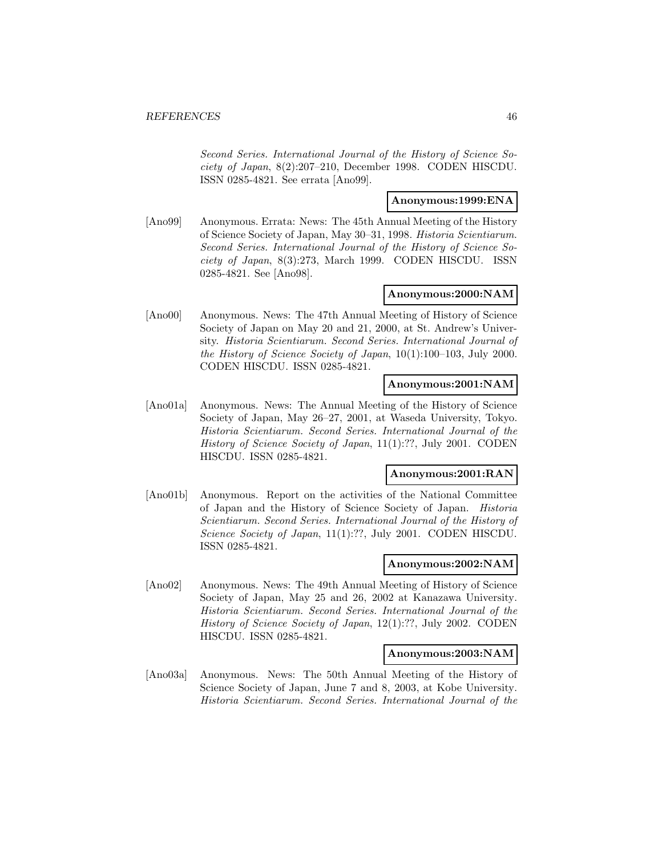Second Series. International Journal of the History of Science Society of Japan, 8(2):207–210, December 1998. CODEN HISCDU. ISSN 0285-4821. See errata [Ano99].

# **Anonymous:1999:ENA**

[Ano99] Anonymous. Errata: News: The 45th Annual Meeting of the History of Science Society of Japan, May 30–31, 1998. Historia Scientiarum. Second Series. International Journal of the History of Science Society of Japan, 8(3):273, March 1999. CODEN HISCDU. ISSN 0285-4821. See [Ano98].

# **Anonymous:2000:NAM**

[Ano00] Anonymous. News: The 47th Annual Meeting of History of Science Society of Japan on May 20 and 21, 2000, at St. Andrew's University. Historia Scientiarum. Second Series. International Journal of the History of Science Society of Japan, 10(1):100–103, July 2000. CODEN HISCDU. ISSN 0285-4821.

# **Anonymous:2001:NAM**

[Ano01a] Anonymous. News: The Annual Meeting of the History of Science Society of Japan, May 26–27, 2001, at Waseda University, Tokyo. Historia Scientiarum. Second Series. International Journal of the History of Science Society of Japan, 11(1):??, July 2001. CODEN HISCDU. ISSN 0285-4821.

# **Anonymous:2001:RAN**

[Ano01b] Anonymous. Report on the activities of the National Committee of Japan and the History of Science Society of Japan. Historia Scientiarum. Second Series. International Journal of the History of Science Society of Japan, 11(1):??, July 2001. CODEN HISCDU. ISSN 0285-4821.

### **Anonymous:2002:NAM**

[Ano02] Anonymous. News: The 49th Annual Meeting of History of Science Society of Japan, May 25 and 26, 2002 at Kanazawa University. Historia Scientiarum. Second Series. International Journal of the History of Science Society of Japan, 12(1):??, July 2002. CODEN HISCDU. ISSN 0285-4821.

### **Anonymous:2003:NAM**

[Ano03a] Anonymous. News: The 50th Annual Meeting of the History of Science Society of Japan, June 7 and 8, 2003, at Kobe University. Historia Scientiarum. Second Series. International Journal of the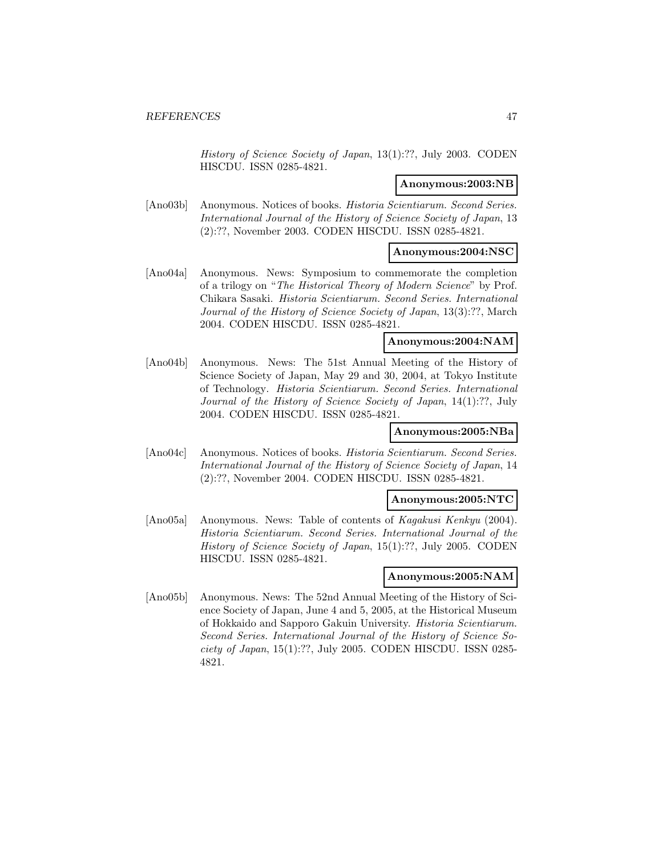History of Science Society of Japan, 13(1):??, July 2003. CODEN HISCDU. ISSN 0285-4821.

# **Anonymous:2003:NB**

[Ano03b] Anonymous. Notices of books. Historia Scientiarum. Second Series. International Journal of the History of Science Society of Japan, 13 (2):??, November 2003. CODEN HISCDU. ISSN 0285-4821.

# **Anonymous:2004:NSC**

[Ano04a] Anonymous. News: Symposium to commemorate the completion of a trilogy on "The Historical Theory of Modern Science" by Prof. Chikara Sasaki. Historia Scientiarum. Second Series. International Journal of the History of Science Society of Japan, 13(3):??, March 2004. CODEN HISCDU. ISSN 0285-4821.

### **Anonymous:2004:NAM**

[Ano04b] Anonymous. News: The 51st Annual Meeting of the History of Science Society of Japan, May 29 and 30, 2004, at Tokyo Institute of Technology. Historia Scientiarum. Second Series. International Journal of the History of Science Society of Japan, 14(1):??, July 2004. CODEN HISCDU. ISSN 0285-4821.

# **Anonymous:2005:NBa**

[Ano04c] Anonymous. Notices of books. Historia Scientiarum. Second Series. International Journal of the History of Science Society of Japan, 14 (2):??, November 2004. CODEN HISCDU. ISSN 0285-4821.

### **Anonymous:2005:NTC**

[Ano05a] Anonymous. News: Table of contents of Kagakusi Kenkyu (2004). Historia Scientiarum. Second Series. International Journal of the History of Science Society of Japan, 15(1):??, July 2005. CODEN HISCDU. ISSN 0285-4821.

## **Anonymous:2005:NAM**

[Ano05b] Anonymous. News: The 52nd Annual Meeting of the History of Science Society of Japan, June 4 and 5, 2005, at the Historical Museum of Hokkaido and Sapporo Gakuin University. Historia Scientiarum. Second Series. International Journal of the History of Science Society of Japan, 15(1):??, July 2005. CODEN HISCDU. ISSN 0285- 4821.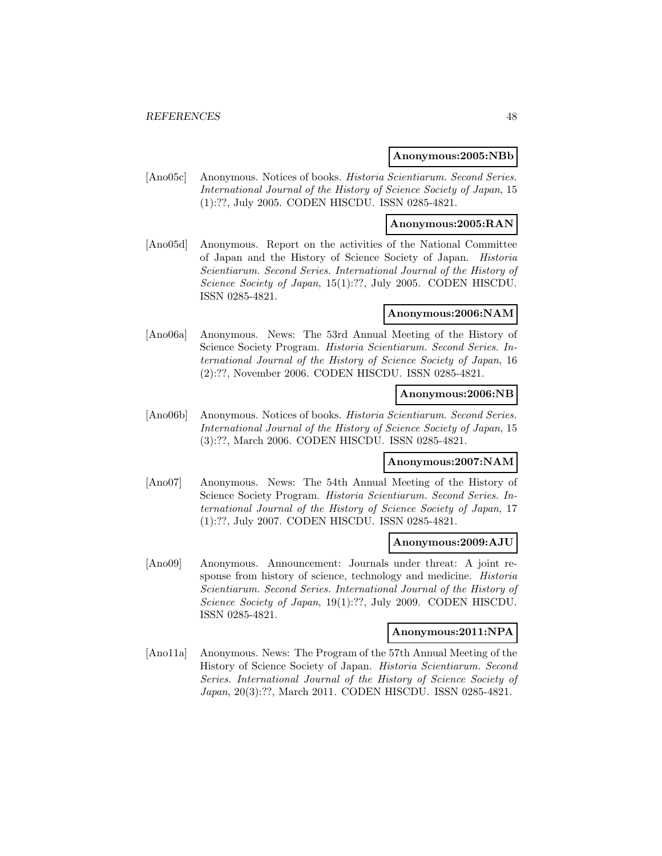### **Anonymous:2005:NBb**

[Ano05c] Anonymous. Notices of books. Historia Scientiarum. Second Series. International Journal of the History of Science Society of Japan, 15 (1):??, July 2005. CODEN HISCDU. ISSN 0285-4821.

# **Anonymous:2005:RAN**

[Ano05d] Anonymous. Report on the activities of the National Committee of Japan and the History of Science Society of Japan. Historia Scientiarum. Second Series. International Journal of the History of Science Society of Japan, 15(1):??, July 2005. CODEN HISCDU. ISSN 0285-4821.

### **Anonymous:2006:NAM**

[Ano06a] Anonymous. News: The 53rd Annual Meeting of the History of Science Society Program. Historia Scientiarum. Second Series. International Journal of the History of Science Society of Japan, 16 (2):??, November 2006. CODEN HISCDU. ISSN 0285-4821.

# **Anonymous:2006:NB**

[Ano06b] Anonymous. Notices of books. Historia Scientiarum. Second Series. International Journal of the History of Science Society of Japan, 15 (3):??, March 2006. CODEN HISCDU. ISSN 0285-4821.

# **Anonymous:2007:NAM**

[Ano07] Anonymous. News: The 54th Annual Meeting of the History of Science Society Program. Historia Scientiarum. Second Series. International Journal of the History of Science Society of Japan, 17 (1):??, July 2007. CODEN HISCDU. ISSN 0285-4821.

### **Anonymous:2009:AJU**

[Ano09] Anonymous. Announcement: Journals under threat: A joint response from history of science, technology and medicine. Historia Scientiarum. Second Series. International Journal of the History of Science Society of Japan, 19(1):??, July 2009. CODEN HISCDU. ISSN 0285-4821.

#### **Anonymous:2011:NPA**

[Ano11a] Anonymous. News: The Program of the 57th Annual Meeting of the History of Science Society of Japan. Historia Scientiarum. Second Series. International Journal of the History of Science Society of Japan, 20(3):??, March 2011. CODEN HISCDU. ISSN 0285-4821.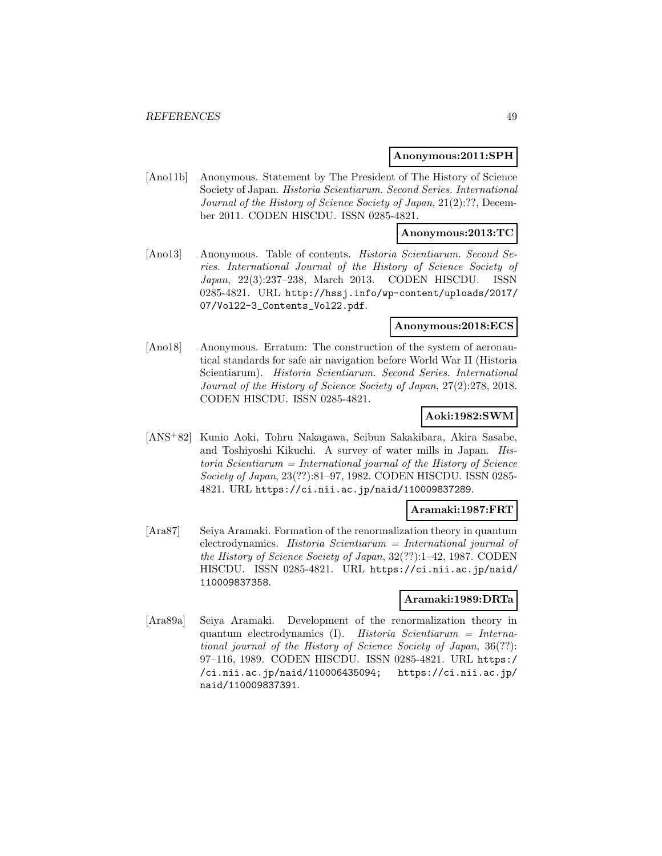#### **Anonymous:2011:SPH**

[Ano11b] Anonymous. Statement by The President of The History of Science Society of Japan. Historia Scientiarum. Second Series. International Journal of the History of Science Society of Japan, 21(2):??, December 2011. CODEN HISCDU. ISSN 0285-4821.

### **Anonymous:2013:TC**

[Ano13] Anonymous. Table of contents. *Historia Scientiarum. Second Se*ries. International Journal of the History of Science Society of Japan, 22(3):237–238, March 2013. CODEN HISCDU. ISSN 0285-4821. URL http://hssj.info/wp-content/uploads/2017/ 07/Vol22-3\_Contents\_Vol22.pdf.

#### **Anonymous:2018:ECS**

[Ano18] Anonymous. Erratum: The construction of the system of aeronautical standards for safe air navigation before World War II (Historia Scientiarum). Historia Scientiarum. Second Series. International Journal of the History of Science Society of Japan, 27(2):278, 2018. CODEN HISCDU. ISSN 0285-4821.

# **Aoki:1982:SWM**

[ANS<sup>+</sup>82] Kunio Aoki, Tohru Nakagawa, Seibun Sakakibara, Akira Sasabe, and Toshiyoshi Kikuchi. A survey of water mills in Japan. His $toria$  Scientiarum = International journal of the History of Science Society of Japan, 23(??):81–97, 1982. CODEN HISCDU. ISSN 0285- 4821. URL https://ci.nii.ac.jp/naid/110009837289.

### **Aramaki:1987:FRT**

[Ara87] Seiya Aramaki. Formation of the renormalization theory in quantum electrodynamics. Historia Scientiarum = International journal of the History of Science Society of Japan, 32(??):1–42, 1987. CODEN HISCDU. ISSN 0285-4821. URL https://ci.nii.ac.jp/naid/ 110009837358.

### **Aramaki:1989:DRTa**

[Ara89a] Seiya Aramaki. Development of the renormalization theory in quantum electrodynamics (I). Historia Scientiarum = International journal of the History of Science Society of Japan, 36(??): 97–116, 1989. CODEN HISCDU. ISSN 0285-4821. URL https:/ /ci.nii.ac.jp/naid/110006435094; https://ci.nii.ac.jp/ naid/110009837391.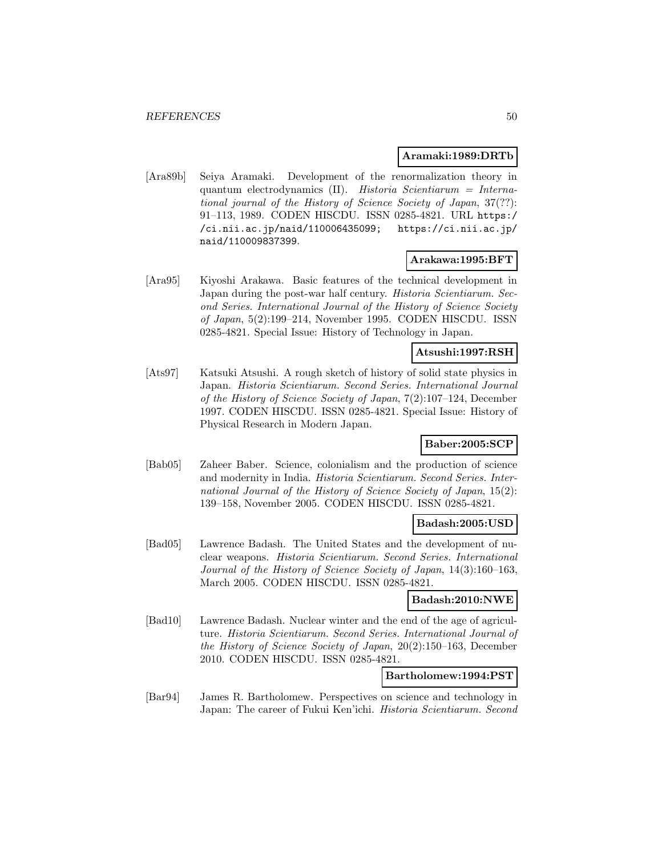# **Aramaki:1989:DRTb**

[Ara89b] Seiya Aramaki. Development of the renormalization theory in quantum electrodynamics (II). Historia Scientiarum = International journal of the History of Science Society of Japan, 37(??): 91–113, 1989. CODEN HISCDU. ISSN 0285-4821. URL https:/ /ci.nii.ac.jp/naid/110006435099; https://ci.nii.ac.jp/ naid/110009837399.

# **Arakawa:1995:BFT**

[Ara95] Kiyoshi Arakawa. Basic features of the technical development in Japan during the post-war half century. Historia Scientiarum. Second Series. International Journal of the History of Science Society of Japan, 5(2):199–214, November 1995. CODEN HISCDU. ISSN 0285-4821. Special Issue: History of Technology in Japan.

# **Atsushi:1997:RSH**

[Ats97] Katsuki Atsushi. A rough sketch of history of solid state physics in Japan. Historia Scientiarum. Second Series. International Journal of the History of Science Society of Japan, 7(2):107–124, December 1997. CODEN HISCDU. ISSN 0285-4821. Special Issue: History of Physical Research in Modern Japan.

# **Baber:2005:SCP**

[Bab05] Zaheer Baber. Science, colonialism and the production of science and modernity in India. Historia Scientiarum. Second Series. International Journal of the History of Science Society of Japan, 15(2): 139–158, November 2005. CODEN HISCDU. ISSN 0285-4821.

### **Badash:2005:USD**

[Bad05] Lawrence Badash. The United States and the development of nuclear weapons. Historia Scientiarum. Second Series. International Journal of the History of Science Society of Japan, 14(3):160–163, March 2005. CODEN HISCDU. ISSN 0285-4821.

## **Badash:2010:NWE**

[Bad10] Lawrence Badash. Nuclear winter and the end of the age of agriculture. Historia Scientiarum. Second Series. International Journal of the History of Science Society of Japan, 20(2):150–163, December 2010. CODEN HISCDU. ISSN 0285-4821.

## **Bartholomew:1994:PST**

[Bar94] James R. Bartholomew. Perspectives on science and technology in Japan: The career of Fukui Ken'ichi. Historia Scientiarum. Second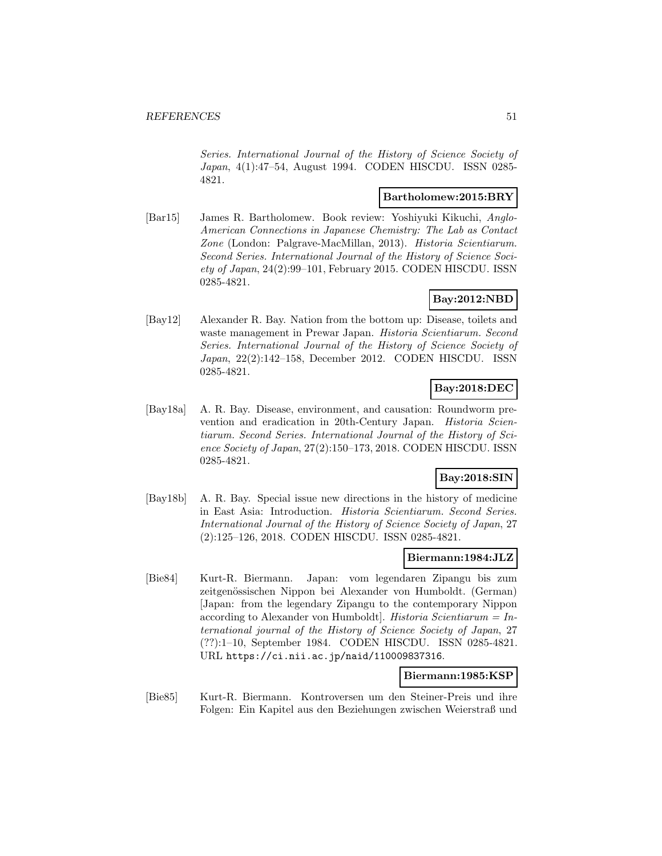Series. International Journal of the History of Science Society of Japan, 4(1):47–54, August 1994. CODEN HISCDU. ISSN 0285- 4821.

# **Bartholomew:2015:BRY**

[Bar15] James R. Bartholomew. Book review: Yoshiyuki Kikuchi, Anglo-American Connections in Japanese Chemistry: The Lab as Contact Zone (London: Palgrave-MacMillan, 2013). Historia Scientiarum. Second Series. International Journal of the History of Science Society of Japan, 24(2):99–101, February 2015. CODEN HISCDU. ISSN 0285-4821.

# **Bay:2012:NBD**

[Bay12] Alexander R. Bay. Nation from the bottom up: Disease, toilets and waste management in Prewar Japan. *Historia Scientiarum. Second* Series. International Journal of the History of Science Society of Japan, 22(2):142–158, December 2012. CODEN HISCDU. ISSN 0285-4821.

# **Bay:2018:DEC**

[Bay18a] A. R. Bay. Disease, environment, and causation: Roundworm prevention and eradication in 20th-Century Japan. Historia Scientiarum. Second Series. International Journal of the History of Science Society of Japan, 27(2):150–173, 2018. CODEN HISCDU. ISSN 0285-4821.

# **Bay:2018:SIN**

[Bay18b] A. R. Bay. Special issue new directions in the history of medicine in East Asia: Introduction. Historia Scientiarum. Second Series. International Journal of the History of Science Society of Japan, 27 (2):125–126, 2018. CODEN HISCDU. ISSN 0285-4821.

## **Biermann:1984:JLZ**

[Bie84] Kurt-R. Biermann. Japan: vom legendaren Zipangu bis zum zeitgenössischen Nippon bei Alexander von Humboldt. (German) [Japan: from the legendary Zipangu to the contemporary Nippon according to Alexander von Humboldt]. Historia Scientiarum =  $In$ ternational journal of the History of Science Society of Japan, 27 (??):1–10, September 1984. CODEN HISCDU. ISSN 0285-4821. URL https://ci.nii.ac.jp/naid/110009837316.

#### **Biermann:1985:KSP**

[Bie85] Kurt-R. Biermann. Kontroversen um den Steiner-Preis und ihre Folgen: Ein Kapitel aus den Beziehungen zwischen Weierstraß und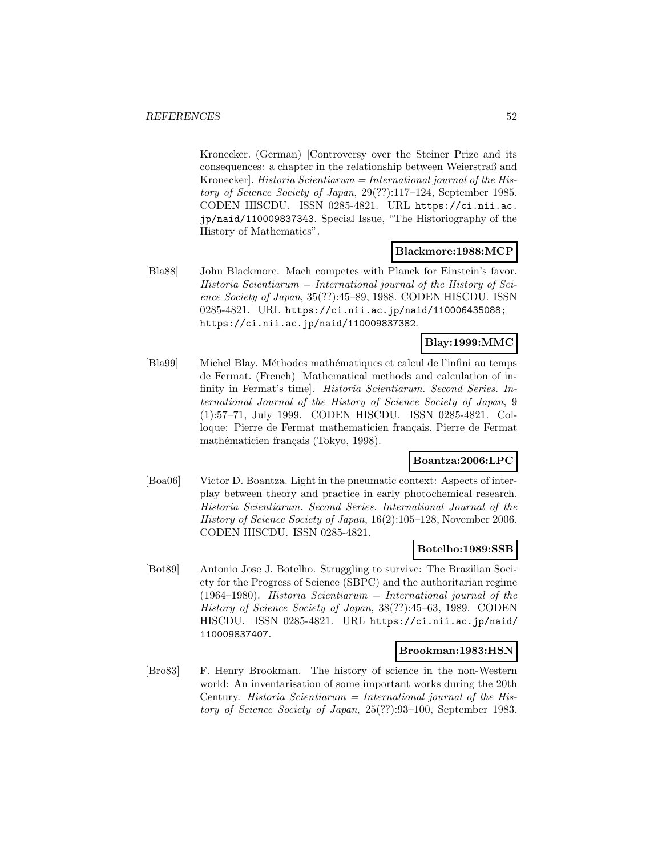Kronecker. (German) [Controversy over the Steiner Prize and its consequences: a chapter in the relationship between Weierstraß and Kronecker]. Historia Scientiarum = International journal of the History of Science Society of Japan, 29(??):117–124, September 1985. CODEN HISCDU. ISSN 0285-4821. URL https://ci.nii.ac. jp/naid/110009837343. Special Issue, "The Historiography of the History of Mathematics".

# **Blackmore:1988:MCP**

[Bla88] John Blackmore. Mach competes with Planck for Einstein's favor.  $Historia$  Scientiarum = International journal of the History of Science Society of Japan, 35(??):45–89, 1988. CODEN HISCDU. ISSN 0285-4821. URL https://ci.nii.ac.jp/naid/110006435088; https://ci.nii.ac.jp/naid/110009837382.

# **Blay:1999:MMC**

[Bla99] Michel Blay. Méthodes mathématiques et calcul de l'infini au temps de Fermat. (French) [Mathematical methods and calculation of infinity in Fermat's time]. Historia Scientiarum. Second Series. International Journal of the History of Science Society of Japan, 9 (1):57–71, July 1999. CODEN HISCDU. ISSN 0285-4821. Colloque: Pierre de Fermat mathematicien français. Pierre de Fermat mathématicien français (Tokyo, 1998).

### **Boantza:2006:LPC**

[Boa06] Victor D. Boantza. Light in the pneumatic context: Aspects of interplay between theory and practice in early photochemical research. Historia Scientiarum. Second Series. International Journal of the History of Science Society of Japan, 16(2):105–128, November 2006. CODEN HISCDU. ISSN 0285-4821.

#### **Botelho:1989:SSB**

[Bot89] Antonio Jose J. Botelho. Struggling to survive: The Brazilian Society for the Progress of Science (SBPC) and the authoritarian regime (1964–1980). Historia Scientiarum = International journal of the History of Science Society of Japan, 38(??):45–63, 1989. CODEN HISCDU. ISSN 0285-4821. URL https://ci.nii.ac.jp/naid/ 110009837407.

### **Brookman:1983:HSN**

[Bro83] F. Henry Brookman. The history of science in the non-Western world: An inventarisation of some important works during the 20th Century. Historia Scientiarum = International journal of the History of Science Society of Japan, 25(??):93–100, September 1983.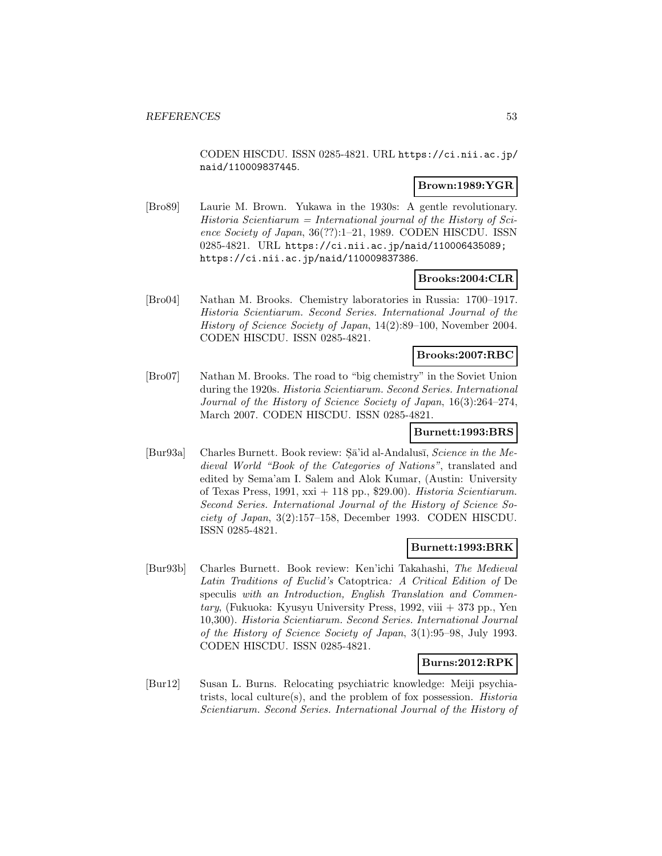CODEN HISCDU. ISSN 0285-4821. URL https://ci.nii.ac.jp/ naid/110009837445.

## **Brown:1989:YGR**

[Bro89] Laurie M. Brown. Yukawa in the 1930s: A gentle revolutionary.  $Historia$  Scientiarum = International journal of the History of Science Society of Japan, 36(??):1–21, 1989. CODEN HISCDU. ISSN 0285-4821. URL https://ci.nii.ac.jp/naid/110006435089; https://ci.nii.ac.jp/naid/110009837386.

# **Brooks:2004:CLR**

[Bro04] Nathan M. Brooks. Chemistry laboratories in Russia: 1700–1917. Historia Scientiarum. Second Series. International Journal of the History of Science Society of Japan, 14(2):89–100, November 2004. CODEN HISCDU. ISSN 0285-4821.

# **Brooks:2007:RBC**

[Bro07] Nathan M. Brooks. The road to "big chemistry" in the Soviet Union during the 1920s. Historia Scientiarum. Second Series. International Journal of the History of Science Society of Japan, 16(3):264–274, March 2007. CODEN HISCDU. ISSN 0285-4821.

# **Burnett:1993:BRS**

[Bur93a] Charles Burnett. Book review:  $S\bar{a}$ 'id al-Andalus $\bar{a}$ , *Science in the Me*dieval World "Book of the Categories of Nations", translated and edited by Sema'am I. Salem and Alok Kumar, (Austin: University of Texas Press, 1991, xxi + 118 pp., \$29.00). Historia Scientiarum. Second Series. International Journal of the History of Science Society of Japan, 3(2):157–158, December 1993. CODEN HISCDU. ISSN 0285-4821.

### **Burnett:1993:BRK**

[Bur93b] Charles Burnett. Book review: Ken'ichi Takahashi, The Medieval Latin Traditions of Euclid's Catoptrica: A Critical Edition of De speculis with an Introduction, English Translation and Commen $tary$ , (Fukuoka: Kyusyu University Press, 1992, viii  $+$  373 pp., Yen 10,300). Historia Scientiarum. Second Series. International Journal of the History of Science Society of Japan, 3(1):95–98, July 1993. CODEN HISCDU. ISSN 0285-4821.

# **Burns:2012:RPK**

[Bur12] Susan L. Burns. Relocating psychiatric knowledge: Meiji psychiatrists, local culture(s), and the problem of fox possession. Historia Scientiarum. Second Series. International Journal of the History of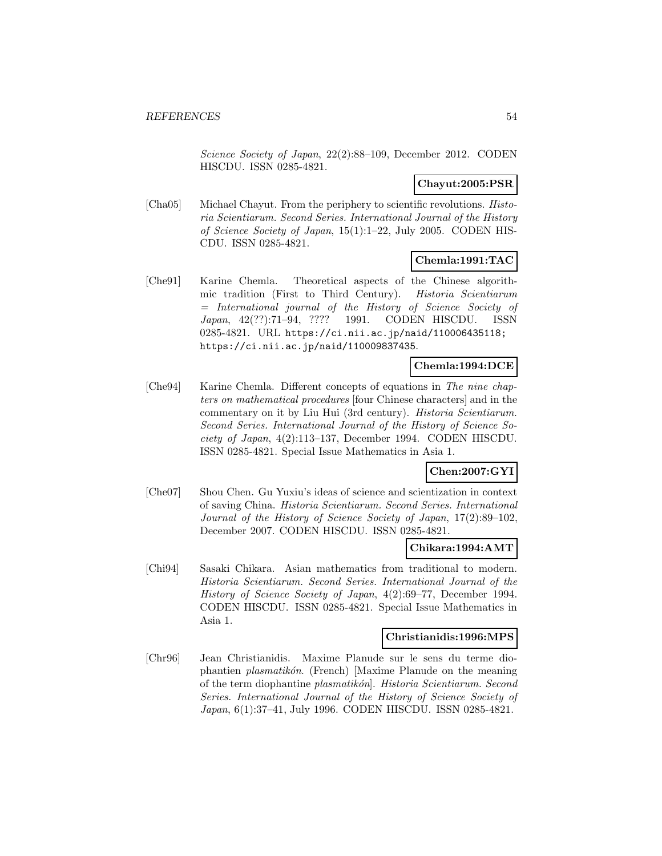Science Society of Japan, 22(2):88–109, December 2012. CODEN HISCDU. ISSN 0285-4821.

# **Chayut:2005:PSR**

[Cha05] Michael Chayut. From the periphery to scientific revolutions. Historia Scientiarum. Second Series. International Journal of the History of Science Society of Japan, 15(1):1–22, July 2005. CODEN HIS-CDU. ISSN 0285-4821.

# **Chemla:1991:TAC**

[Che91] Karine Chemla. Theoretical aspects of the Chinese algorithmic tradition (First to Third Century). Historia Scientiarum = International journal of the History of Science Society of Japan, 42(??):71–94, ???? 1991. CODEN HISCDU. ISSN 0285-4821. URL https://ci.nii.ac.jp/naid/110006435118; https://ci.nii.ac.jp/naid/110009837435.

# **Chemla:1994:DCE**

[Che94] Karine Chemla. Different concepts of equations in The nine chapters on mathematical procedures [four Chinese characters] and in the commentary on it by Liu Hui (3rd century). Historia Scientiarum. Second Series. International Journal of the History of Science Society of Japan, 4(2):113–137, December 1994. CODEN HISCDU. ISSN 0285-4821. Special Issue Mathematics in Asia 1.

# **Chen:2007:GYI**

[Che07] Shou Chen. Gu Yuxiu's ideas of science and scientization in context of saving China. Historia Scientiarum. Second Series. International Journal of the History of Science Society of Japan, 17(2):89–102, December 2007. CODEN HISCDU. ISSN 0285-4821.

### **Chikara:1994:AMT**

[Chi94] Sasaki Chikara. Asian mathematics from traditional to modern. Historia Scientiarum. Second Series. International Journal of the History of Science Society of Japan, 4(2):69–77, December 1994. CODEN HISCDU. ISSN 0285-4821. Special Issue Mathematics in Asia 1.

#### **Christianidis:1996:MPS**

[Chr96] Jean Christianidis. Maxime Planude sur le sens du terme diophantien *plasmatikón*. (French) [Maxime Planude on the meaning of the term diophantine plasmatikón. Historia Scientiarum. Second Series. International Journal of the History of Science Society of Japan, 6(1):37–41, July 1996. CODEN HISCDU. ISSN 0285-4821.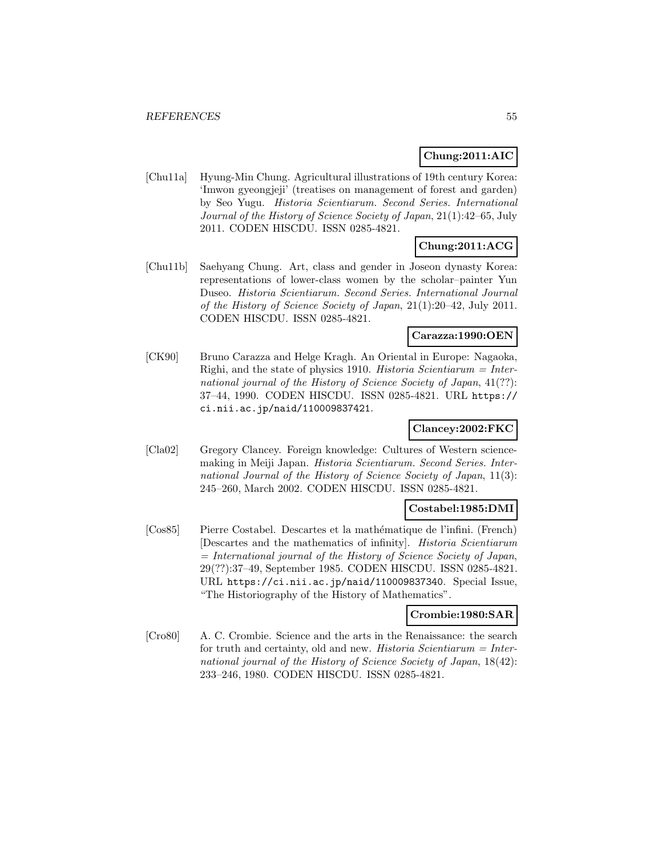# **Chung:2011:AIC**

[Chu11a] Hyung-Min Chung. Agricultural illustrations of 19th century Korea: 'Imwon gyeongjeji' (treatises on management of forest and garden) by Seo Yugu. Historia Scientiarum. Second Series. International Journal of the History of Science Society of Japan, 21(1):42–65, July 2011. CODEN HISCDU. ISSN 0285-4821.

# **Chung:2011:ACG**

[Chu11b] Saehyang Chung. Art, class and gender in Joseon dynasty Korea: representations of lower-class women by the scholar–painter Yun Duseo. Historia Scientiarum. Second Series. International Journal of the History of Science Society of Japan, 21(1):20–42, July 2011. CODEN HISCDU. ISSN 0285-4821.

#### **Carazza:1990:OEN**

[CK90] Bruno Carazza and Helge Kragh. An Oriental in Europe: Nagaoka, Righi, and the state of physics 1910. Historia Scientiarum  $=$  International journal of the History of Science Society of Japan,  $41(??)$ : 37–44, 1990. CODEN HISCDU. ISSN 0285-4821. URL https:// ci.nii.ac.jp/naid/110009837421.

# **Clancey:2002:FKC**

[Cla02] Gregory Clancey. Foreign knowledge: Cultures of Western sciencemaking in Meiji Japan. Historia Scientiarum. Second Series. International Journal of the History of Science Society of Japan, 11(3): 245–260, March 2002. CODEN HISCDU. ISSN 0285-4821.

### **Costabel:1985:DMI**

[Cos85] Pierre Costabel. Descartes et la mathématique de l'infini. (French) [Descartes and the mathematics of infinity]. Historia Scientiarum  $=$  International journal of the History of Science Society of Japan, 29(??):37–49, September 1985. CODEN HISCDU. ISSN 0285-4821. URL https://ci.nii.ac.jp/naid/110009837340. Special Issue, "The Historiography of the History of Mathematics".

### **Crombie:1980:SAR**

[Cro80] A. C. Crombie. Science and the arts in the Renaissance: the search for truth and certainty, old and new. *Historia Scientiarum = Inter*national journal of the History of Science Society of Japan, 18(42): 233–246, 1980. CODEN HISCDU. ISSN 0285-4821.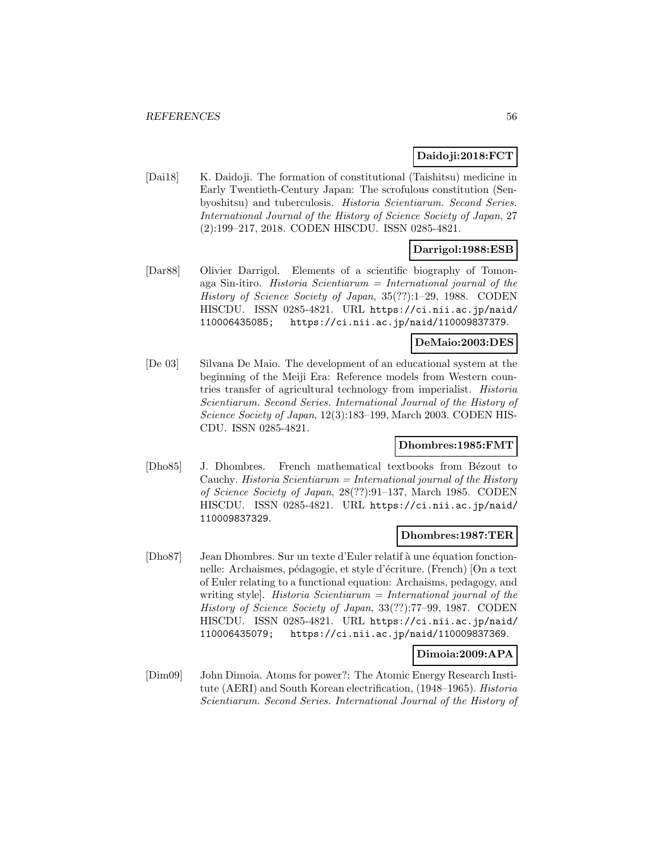# **Daidoji:2018:FCT**

[Dai18] K. Daidoji. The formation of constitutional (Taishitsu) medicine in Early Twentieth-Century Japan: The scrofulous constitution (Senbyoshitsu) and tuberculosis. Historia Scientiarum. Second Series. International Journal of the History of Science Society of Japan, 27 (2):199–217, 2018. CODEN HISCDU. ISSN 0285-4821.

# **Darrigol:1988:ESB**

[Dar88] Olivier Darrigol. Elements of a scientific biography of Tomonaga Sin-itiro. Historia Scientiarum = International journal of the History of Science Society of Japan, 35(??):1–29, 1988. CODEN HISCDU. ISSN 0285-4821. URL https://ci.nii.ac.jp/naid/ 110006435085; https://ci.nii.ac.jp/naid/110009837379.

## **DeMaio:2003:DES**

[De 03] Silvana De Maio. The development of an educational system at the beginning of the Meiji Era: Reference models from Western countries transfer of agricultural technology from imperialist. Historia Scientiarum. Second Series. International Journal of the History of Science Society of Japan, 12(3):183–199, March 2003. CODEN HIS-CDU. ISSN 0285-4821.

# **Dhombres:1985:FMT**

[Dho85] J. Dhombres. French mathematical textbooks from Bézout to Cauchy. Historia  $Scientiarum = International$  journal of the History of Science Society of Japan, 28(??):91–137, March 1985. CODEN HISCDU. ISSN 0285-4821. URL https://ci.nii.ac.jp/naid/ 110009837329.

## **Dhombres:1987:TER**

[Dho87] Jean Dhombres. Sur un texte d'Euler relatif à une équation fonctionnelle: Archaismes, pédagogie, et style d'écriture. (French) [On a text of Euler relating to a functional equation: Archaisms, pedagogy, and writing style. Historia  $Scientiarum = International$  journal of the History of Science Society of Japan, 33(??):77–99, 1987. CODEN HISCDU. ISSN 0285-4821. URL https://ci.nii.ac.jp/naid/ 110006435079; https://ci.nii.ac.jp/naid/110009837369.

### **Dimoia:2009:APA**

[Dim09] John Dimoia. Atoms for power?: The Atomic Energy Research Institute (AERI) and South Korean electrification, (1948–1965). Historia Scientiarum. Second Series. International Journal of the History of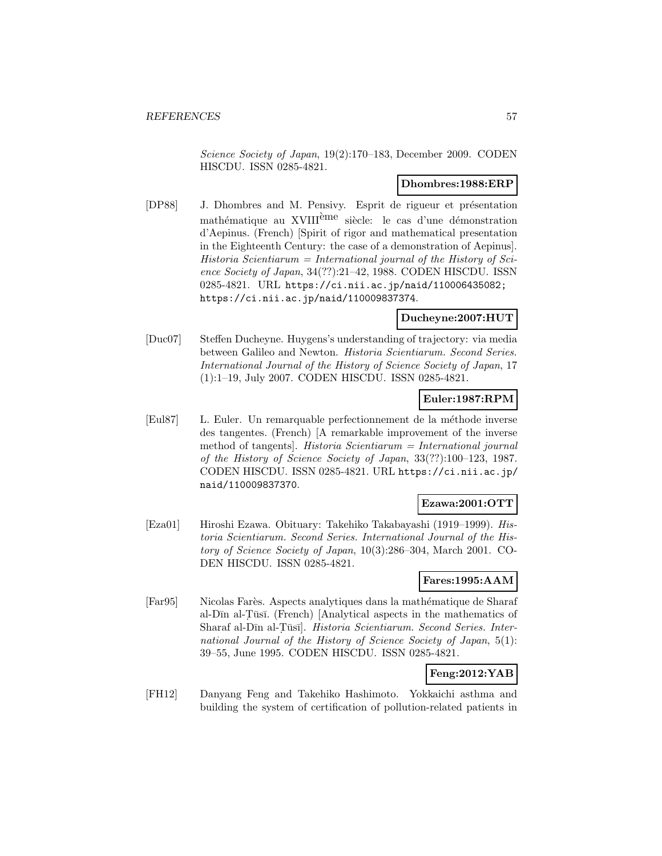Science Society of Japan, 19(2):170–183, December 2009. CODEN HISCDU. ISSN 0285-4821.

### **Dhombres:1988:ERP**

[DP88] J. Dhombres and M. Pensivy. Esprit de rigueur et présentation mathématique au XVIII<sup>ème</sup> siècle: le cas d'une démonstration d'Aepinus. (French) [Spirit of rigor and mathematical presentation in the Eighteenth Century: the case of a demonstration of Aepinus]. Historia Scientiarum = International journal of the History of Science Society of Japan, 34(??):21–42, 1988. CODEN HISCDU. ISSN 0285-4821. URL https://ci.nii.ac.jp/naid/110006435082; https://ci.nii.ac.jp/naid/110009837374.

#### **Ducheyne:2007:HUT**

[Duc07] Steffen Ducheyne. Huygens's understanding of trajectory: via media between Galileo and Newton. Historia Scientiarum. Second Series. International Journal of the History of Science Society of Japan, 17 (1):1–19, July 2007. CODEN HISCDU. ISSN 0285-4821.

# **Euler:1987:RPM**

[Eul87] L. Euler. Un remarquable perfectionnement de la méthode inverse des tangentes. (French) [A remarkable improvement of the inverse method of tangents]. Historia Scientiarum = International journal of the History of Science Society of Japan, 33(??):100–123, 1987. CODEN HISCDU. ISSN 0285-4821. URL https://ci.nii.ac.jp/ naid/110009837370.

## **Ezawa:2001:OTT**

[Eza01] Hiroshi Ezawa. Obituary: Takehiko Takabayashi (1919–1999). Historia Scientiarum. Second Series. International Journal of the History of Science Society of Japan, 10(3):286–304, March 2001. CO-DEN HISCDU. ISSN 0285-4821.

### **Fares:1995:AAM**

[Far95] Nicolas Farès. Aspects analytiques dans la mathématique de Sharaf al-Dīn al-Tūsī. (French) [Analytical aspects in the mathematics of Sharaf al-Dīn al-Tūsī]. Historia Scientiarum. Second Series. International Journal of the History of Science Society of Japan, 5(1): 39–55, June 1995. CODEN HISCDU. ISSN 0285-4821.

# **Feng:2012:YAB**

[FH12] Danyang Feng and Takehiko Hashimoto. Yokkaichi asthma and building the system of certification of pollution-related patients in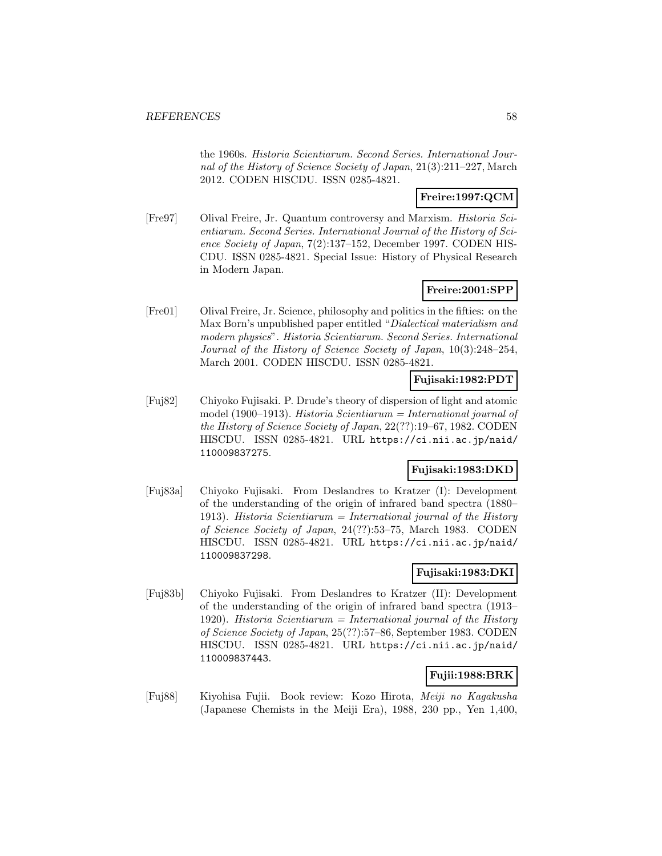the 1960s. Historia Scientiarum. Second Series. International Journal of the History of Science Society of Japan, 21(3):211–227, March 2012. CODEN HISCDU. ISSN 0285-4821.

# **Freire:1997:QCM**

[Fre97] Olival Freire, Jr. Quantum controversy and Marxism. Historia Scientiarum. Second Series. International Journal of the History of Science Society of Japan, 7(2):137–152, December 1997. CODEN HIS-CDU. ISSN 0285-4821. Special Issue: History of Physical Research in Modern Japan.

# **Freire:2001:SPP**

[Fre01] Olival Freire, Jr. Science, philosophy and politics in the fifties: on the Max Born's unpublished paper entitled "Dialectical materialism and modern physics". Historia Scientiarum. Second Series. International Journal of the History of Science Society of Japan, 10(3):248–254, March 2001. CODEN HISCDU. ISSN 0285-4821.

# **Fujisaki:1982:PDT**

[Fuj82] Chiyoko Fujisaki. P. Drude's theory of dispersion of light and atomic model (1900–1913). Historia Scientiarum = International journal of the History of Science Society of Japan, 22(??):19–67, 1982. CODEN HISCDU. ISSN 0285-4821. URL https://ci.nii.ac.jp/naid/ 110009837275.

# **Fujisaki:1983:DKD**

[Fuj83a] Chiyoko Fujisaki. From Deslandres to Kratzer (I): Development of the understanding of the origin of infrared band spectra (1880– 1913). Historia Scientiarum = International journal of the History of Science Society of Japan, 24(??):53–75, March 1983. CODEN HISCDU. ISSN 0285-4821. URL https://ci.nii.ac.jp/naid/ 110009837298.

# **Fujisaki:1983:DKI**

[Fuj83b] Chiyoko Fujisaki. From Deslandres to Kratzer (II): Development of the understanding of the origin of infrared band spectra (1913– 1920). Historia Scientiarum = International journal of the History of Science Society of Japan, 25(??):57–86, September 1983. CODEN HISCDU. ISSN 0285-4821. URL https://ci.nii.ac.jp/naid/ 110009837443.

# **Fujii:1988:BRK**

[Fuj88] Kiyohisa Fujii. Book review: Kozo Hirota, Meiji no Kagakusha (Japanese Chemists in the Meiji Era), 1988, 230 pp., Yen 1,400,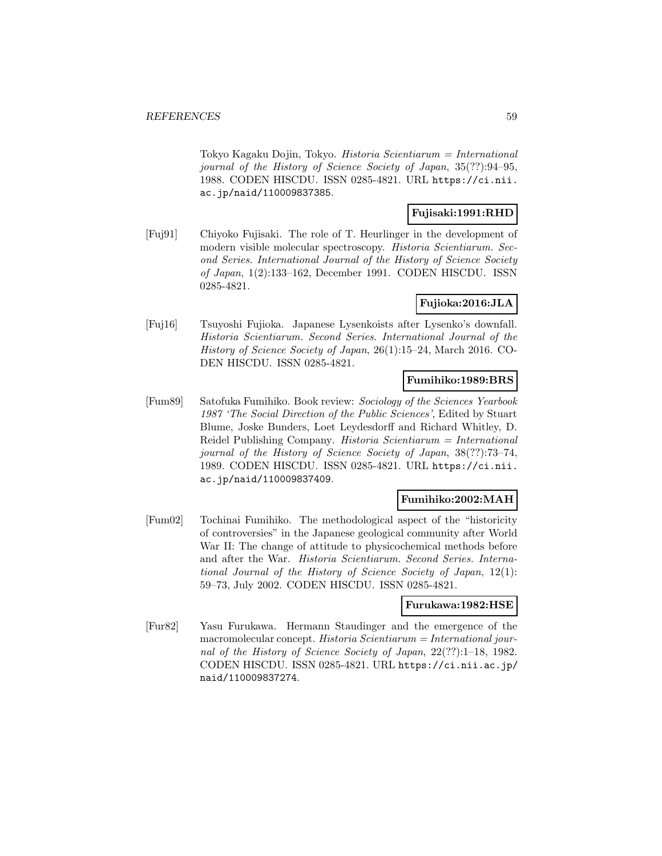Tokyo Kagaku Dojin, Tokyo. Historia Scientiarum = International journal of the History of Science Society of Japan, 35(??):94–95, 1988. CODEN HISCDU. ISSN 0285-4821. URL https://ci.nii. ac.jp/naid/110009837385.

# **Fujisaki:1991:RHD**

[Fuj91] Chiyoko Fujisaki. The role of T. Heurlinger in the development of modern visible molecular spectroscopy. Historia Scientiarum. Second Series. International Journal of the History of Science Society of Japan, 1(2):133–162, December 1991. CODEN HISCDU. ISSN 0285-4821.

# **Fujioka:2016:JLA**

[Fuj16] Tsuyoshi Fujioka. Japanese Lysenkoists after Lysenko's downfall. Historia Scientiarum. Second Series. International Journal of the History of Science Society of Japan, 26(1):15–24, March 2016. CO-DEN HISCDU. ISSN 0285-4821.

## **Fumihiko:1989:BRS**

[Fum89] Satofuka Fumihiko. Book review: Sociology of the Sciences Yearbook 1987 'The Social Direction of the Public Sciences', Edited by Stuart Blume, Joske Bunders, Loet Leydesdorff and Richard Whitley, D. Reidel Publishing Company. Historia Scientiarum = International journal of the History of Science Society of Japan, 38(??):73–74, 1989. CODEN HISCDU. ISSN 0285-4821. URL https://ci.nii. ac.jp/naid/110009837409.

# **Fumihiko:2002:MAH**

[Fum02] Tochinai Fumihiko. The methodological aspect of the "historicity of controversies" in the Japanese geological community after World War II: The change of attitude to physicochemical methods before and after the War. Historia Scientiarum. Second Series. International Journal of the History of Science Society of Japan, 12(1): 59–73, July 2002. CODEN HISCDU. ISSN 0285-4821.

# **Furukawa:1982:HSE**

[Fur82] Yasu Furukawa. Hermann Staudinger and the emergence of the macromolecular concept. Historia  $Scientiarum = International$  journal of the History of Science Society of Japan, 22(??):1–18, 1982. CODEN HISCDU. ISSN 0285-4821. URL https://ci.nii.ac.jp/ naid/110009837274.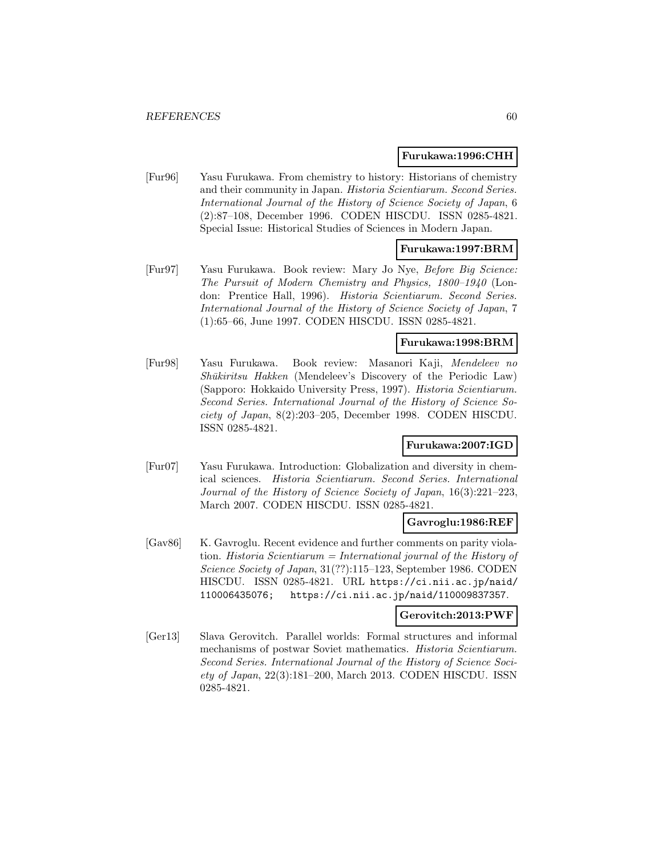#### **Furukawa:1996:CHH**

[Fur96] Yasu Furukawa. From chemistry to history: Historians of chemistry and their community in Japan. Historia Scientiarum. Second Series. International Journal of the History of Science Society of Japan, 6 (2):87–108, December 1996. CODEN HISCDU. ISSN 0285-4821. Special Issue: Historical Studies of Sciences in Modern Japan.

# **Furukawa:1997:BRM**

[Fur97] Yasu Furukawa. Book review: Mary Jo Nye, Before Big Science: The Pursuit of Modern Chemistry and Physics, 1800–1940 (London: Prentice Hall, 1996). Historia Scientiarum. Second Series. International Journal of the History of Science Society of Japan, 7 (1):65–66, June 1997. CODEN HISCDU. ISSN 0285-4821.

## **Furukawa:1998:BRM**

[Fur98] Yasu Furukawa. Book review: Masanori Kaji, Mendeleev no  $Sh\bar{u}kiritsu$  Hakken (Mendeleev's Discovery of the Periodic Law) (Sapporo: Hokkaido University Press, 1997). Historia Scientiarum. Second Series. International Journal of the History of Science Society of Japan, 8(2):203–205, December 1998. CODEN HISCDU. ISSN 0285-4821.

# **Furukawa:2007:IGD**

[Fur07] Yasu Furukawa. Introduction: Globalization and diversity in chemical sciences. Historia Scientiarum. Second Series. International Journal of the History of Science Society of Japan, 16(3):221–223, March 2007. CODEN HISCDU. ISSN 0285-4821.

#### **Gavroglu:1986:REF**

[Gav86] K. Gavroglu. Recent evidence and further comments on parity violation. Historia Scientiarum = International journal of the History of Science Society of Japan, 31(??):115–123, September 1986. CODEN HISCDU. ISSN 0285-4821. URL https://ci.nii.ac.jp/naid/ 110006435076; https://ci.nii.ac.jp/naid/110009837357.

#### **Gerovitch:2013:PWF**

[Ger13] Slava Gerovitch. Parallel worlds: Formal structures and informal mechanisms of postwar Soviet mathematics. Historia Scientiarum. Second Series. International Journal of the History of Science Soci $ety of Japan, 22(3):181-200, March 2013. CODEN HISCDU. ISSN$ 0285-4821.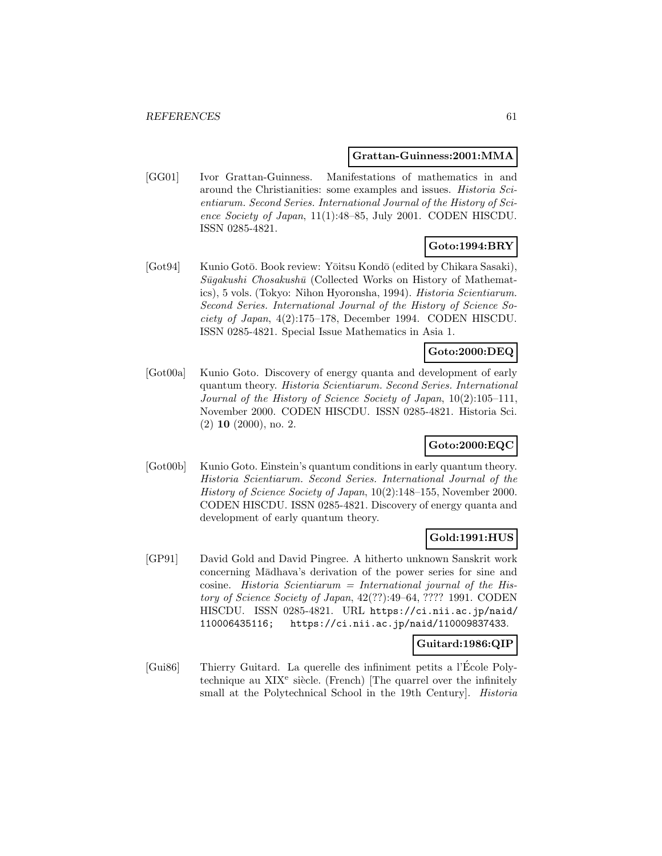#### **Grattan-Guinness:2001:MMA**

[GG01] Ivor Grattan-Guinness. Manifestations of mathematics in and around the Christianities: some examples and issues. Historia Scientiarum. Second Series. International Journal of the History of Science Society of Japan, 11(1):48–85, July 2001. CODEN HISCDU. ISSN 0285-4821.

# **Goto:1994:BRY**

[Got94] Kunio Gotō. Book review: Yōitsu Kondō (edited by Chikara Sasaki),  $S\bar{u}gakushi Chosakush\bar{u}$  (Collected Works on History of Mathematics), 5 vols. (Tokyo: Nihon Hyoronsha, 1994). Historia Scientiarum. Second Series. International Journal of the History of Science Society of Japan, 4(2):175–178, December 1994. CODEN HISCDU. ISSN 0285-4821. Special Issue Mathematics in Asia 1.

# **Goto:2000:DEQ**

[Got00a] Kunio Goto. Discovery of energy quanta and development of early quantum theory. Historia Scientiarum. Second Series. International Journal of the History of Science Society of Japan, 10(2):105–111, November 2000. CODEN HISCDU. ISSN 0285-4821. Historia Sci. (2) **10** (2000), no. 2.

# **Goto:2000:EQC**

[Got00b] Kunio Goto. Einstein's quantum conditions in early quantum theory. Historia Scientiarum. Second Series. International Journal of the History of Science Society of Japan, 10(2):148–155, November 2000. CODEN HISCDU. ISSN 0285-4821. Discovery of energy quanta and development of early quantum theory.

# **Gold:1991:HUS**

[GP91] David Gold and David Pingree. A hitherto unknown Sanskrit work concerning Mādhava's derivation of the power series for sine and cosine. Historia Scientiarum = International journal of the History of Science Society of Japan, 42(??):49–64, ???? 1991. CODEN HISCDU. ISSN 0285-4821. URL https://ci.nii.ac.jp/naid/ 110006435116; https://ci.nii.ac.jp/naid/110009837433.

# **Guitard:1986:QIP**

[Gui86] Thierry Guitard. La querelle des infiniment petits a l'Ecole Poly- ´ technique au  $XIX<sup>e</sup>$  siècle. (French) [The quarrel over the infinitely small at the Polytechnical School in the 19th Century]. Historia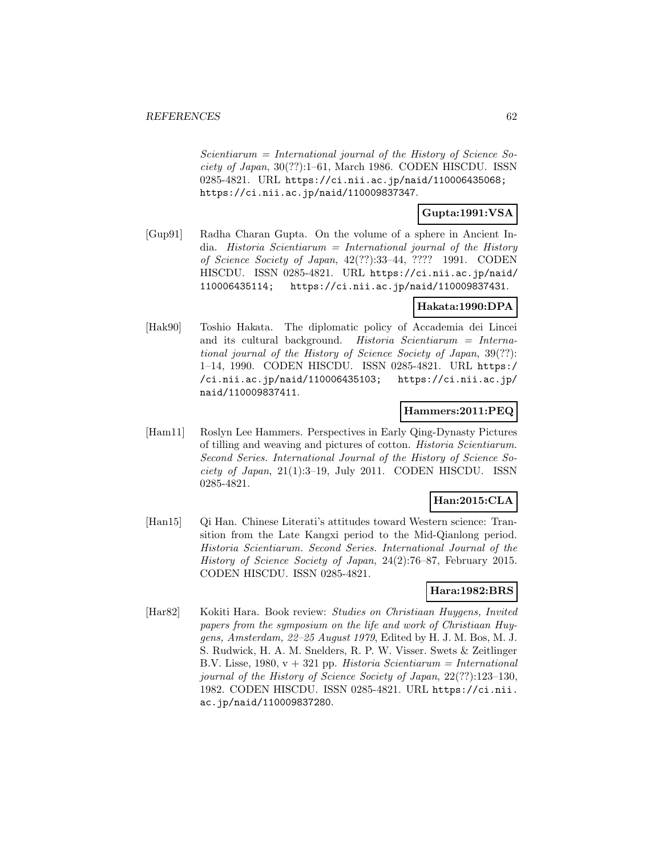$Scientiarum = International journal of the History of Science So$ ciety of Japan, 30(??):1–61, March 1986. CODEN HISCDU. ISSN 0285-4821. URL https://ci.nii.ac.jp/naid/110006435068; https://ci.nii.ac.jp/naid/110009837347.

# **Gupta:1991:VSA**

[Gup91] Radha Charan Gupta. On the volume of a sphere in Ancient India. Historia Scientiarum = International journal of the History of Science Society of Japan, 42(??):33–44, ???? 1991. CODEN HISCDU. ISSN 0285-4821. URL https://ci.nii.ac.jp/naid/ 110006435114; https://ci.nii.ac.jp/naid/110009837431.

# **Hakata:1990:DPA**

[Hak90] Toshio Hakata. The diplomatic policy of Accademia dei Lincei and its cultural background. Historia Scientiarum = International journal of the History of Science Society of Japan, 39(??): 1–14, 1990. CODEN HISCDU. ISSN 0285-4821. URL https:/ /ci.nii.ac.jp/naid/110006435103; https://ci.nii.ac.jp/ naid/110009837411.

# **Hammers:2011:PEQ**

[Ham11] Roslyn Lee Hammers. Perspectives in Early Qing-Dynasty Pictures of tilling and weaving and pictures of cotton. Historia Scientiarum. Second Series. International Journal of the History of Science Society of Japan,  $21(1):3-19$ , July  $2011$ . CODEN HISCDU. ISSN 0285-4821.

# **Han:2015:CLA**

[Han15] Qi Han. Chinese Literati's attitudes toward Western science: Transition from the Late Kangxi period to the Mid-Qianlong period. Historia Scientiarum. Second Series. International Journal of the History of Science Society of Japan, 24(2):76–87, February 2015. CODEN HISCDU. ISSN 0285-4821.

# **Hara:1982:BRS**

[Har82] Kokiti Hara. Book review: Studies on Christiaan Huygens, Invited papers from the symposium on the life and work of Christiaan Huygens, Amsterdam, 22–25 August 1979, Edited by H. J. M. Bos, M. J. S. Rudwick, H. A. M. Snelders, R. P. W. Visser. Swets & Zeitlinger B.V. Lisse, 1980,  $v + 321$  pp. Historia Scientiarum = International journal of the History of Science Society of Japan, 22(??):123–130, 1982. CODEN HISCDU. ISSN 0285-4821. URL https://ci.nii. ac.jp/naid/110009837280.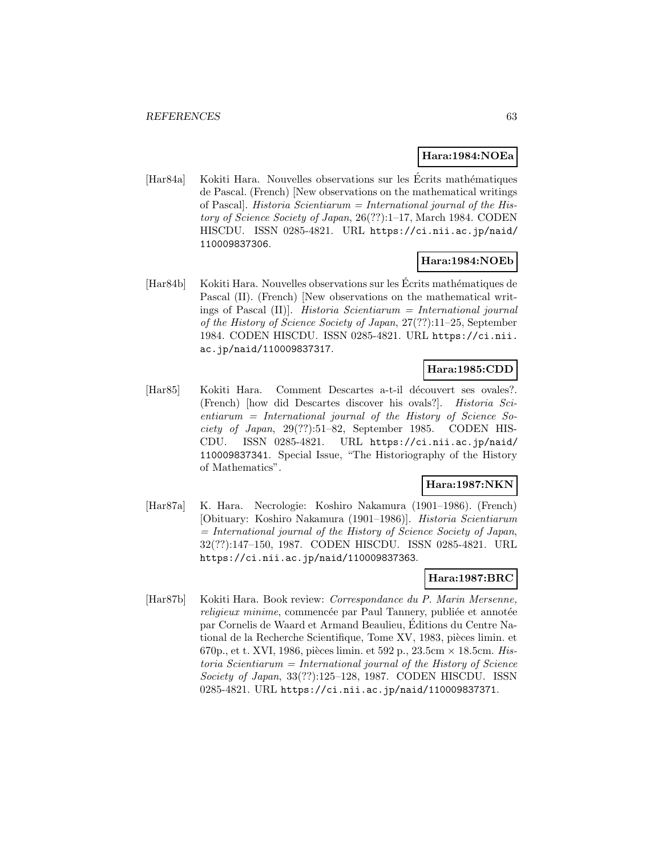### **Hara:1984:NOEa**

[Har84a] Kokiti Hara. Nouvelles observations sur les Écrits mathématiques de Pascal. (French) [New observations on the mathematical writings of Pascal]. Historia Scientiarum = International journal of the History of Science Society of Japan, 26(??):1–17, March 1984. CODEN HISCDU. ISSN 0285-4821. URL https://ci.nii.ac.jp/naid/ 110009837306.

# **Hara:1984:NOEb**

[Har84b] Kokiti Hara. Nouvelles observations sur les Écrits mathématiques de Pascal (II). (French) [New observations on the mathematical writings of Pascal  $(II)$ . Historia Scientiarum = International journal of the History of Science Society of Japan, 27(??):11–25, September 1984. CODEN HISCDU. ISSN 0285-4821. URL https://ci.nii. ac.jp/naid/110009837317.

# **Hara:1985:CDD**

[Har85] Kokiti Hara. Comment Descartes a-t-il découvert ses ovales?. (French) [how did Descartes discover his ovals?]. Historia Scientiarum = International journal of the History of Science Society of Japan,  $29(??):51–82$ , September 1985. CODEN HIS-CDU. ISSN 0285-4821. URL https://ci.nii.ac.jp/naid/ 110009837341. Special Issue, "The Historiography of the History of Mathematics".

# **Hara:1987:NKN**

[Har87a] K. Hara. Necrologie: Koshiro Nakamura (1901–1986). (French) [Obituary: Koshiro Nakamura (1901–1986)]. Historia Scientiarum  $=$  International journal of the History of Science Society of Japan, 32(??):147–150, 1987. CODEN HISCDU. ISSN 0285-4821. URL https://ci.nii.ac.jp/naid/110009837363.

# **Hara:1987:BRC**

[Har87b] Kokiti Hara. Book review: Correspondance du P. Marin Mersenne, religieux minime, commencée par Paul Tannery, publiée et annotée par Cornelis de Waard et Armand Beaulieu, Editions du Centre Na- ´ tional de la Recherche Scientifique, Tome XV, 1983, pièces limin. et 670p., et t. XVI, 1986, pièces limin. et 592 p.,  $23.5cm \times 18.5cm$ . Historia Scientiarum = International journal of the History of Science Society of Japan, 33(??):125–128, 1987. CODEN HISCDU. ISSN 0285-4821. URL https://ci.nii.ac.jp/naid/110009837371.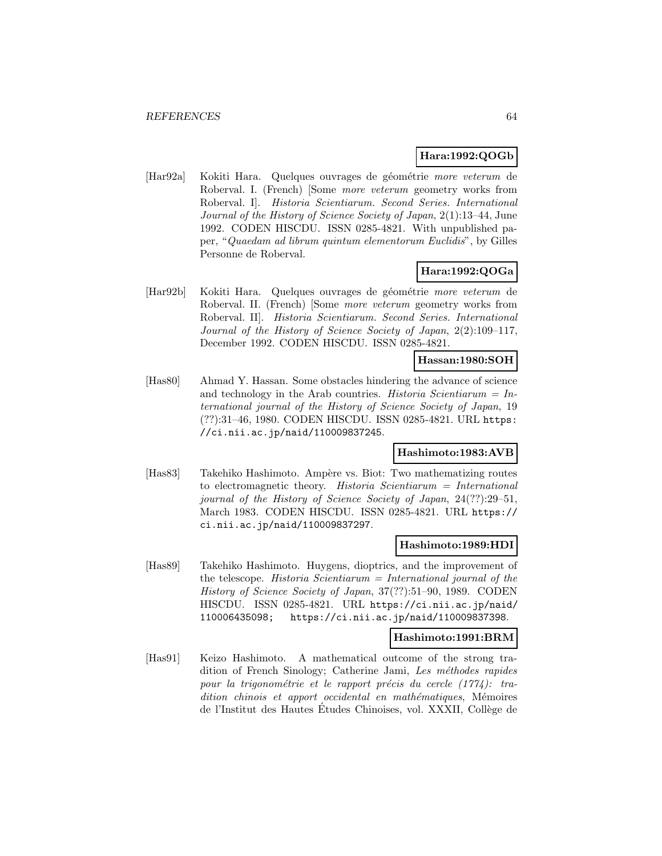## **Hara:1992:QOGb**

[Har92a] Kokiti Hara. Quelques ouvrages de géométrie more veterum de Roberval. I. (French) [Some more veterum geometry works from Roberval. I]. Historia Scientiarum. Second Series. International Journal of the History of Science Society of Japan, 2(1):13–44, June 1992. CODEN HISCDU. ISSN 0285-4821. With unpublished paper, "Quaedam ad librum quintum elementorum Euclidis", by Gilles Personne de Roberval.

# **Hara:1992:QOGa**

[Har92b] Kokiti Hara. Quelques ouvrages de géométrie more veterum de Roberval. II. (French) [Some more veterum geometry works from Roberval. II]. Historia Scientiarum. Second Series. International Journal of the History of Science Society of Japan, 2(2):109–117, December 1992. CODEN HISCDU. ISSN 0285-4821.

# **Hassan:1980:SOH**

[Has80] Ahmad Y. Hassan. Some obstacles hindering the advance of science and technology in the Arab countries. Historia Scientiarum =  $In$ ternational journal of the History of Science Society of Japan, 19 (??):31–46, 1980. CODEN HISCDU. ISSN 0285-4821. URL https: //ci.nii.ac.jp/naid/110009837245.

# **Hashimoto:1983:AVB**

[Has83] Takehiko Hashimoto. Ampère vs. Biot: Two mathematizing routes to electromagnetic theory. Historia Scientiarum = International journal of the History of Science Society of Japan, 24(??):29–51, March 1983. CODEN HISCDU. ISSN 0285-4821. URL https:// ci.nii.ac.jp/naid/110009837297.

### **Hashimoto:1989:HDI**

[Has89] Takehiko Hashimoto. Huygens, dioptrics, and the improvement of the telescope. Historia Scientiarum  $=$  International journal of the History of Science Society of Japan, 37(??):51–90, 1989. CODEN HISCDU. ISSN 0285-4821. URL https://ci.nii.ac.jp/naid/ 110006435098; https://ci.nii.ac.jp/naid/110009837398.

### **Hashimoto:1991:BRM**

[Has91] Keizo Hashimoto. A mathematical outcome of the strong tradition of French Sinology; Catherine Jami, Les méthodes rapides pour la trigonométrie et le rapport précis du cercle  $(1774)$ : tradition chinois et apport occidental en mathématiques, Mémoires de l'Institut des Hautes Etudes Chinoises, vol. XXXII, Collège de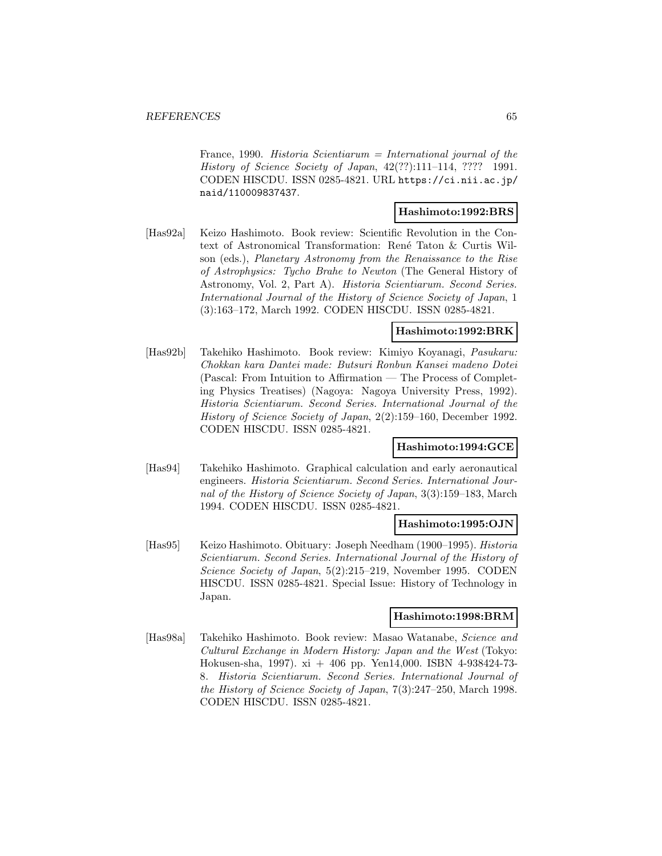France, 1990. Historia Scientiarum = International journal of the History of Science Society of Japan, 42(??):111–114, ???? 1991. CODEN HISCDU. ISSN 0285-4821. URL https://ci.nii.ac.jp/ naid/110009837437.

#### **Hashimoto:1992:BRS**

[Has92a] Keizo Hashimoto. Book review: Scientific Revolution in the Context of Astronomical Transformation: René Taton & Curtis Wilson (eds.), Planetary Astronomy from the Renaissance to the Rise of Astrophysics: Tycho Brahe to Newton (The General History of Astronomy, Vol. 2, Part A). Historia Scientiarum. Second Series. International Journal of the History of Science Society of Japan, 1 (3):163–172, March 1992. CODEN HISCDU. ISSN 0285-4821.

# **Hashimoto:1992:BRK**

[Has92b] Takehiko Hashimoto. Book review: Kimiyo Koyanagi, Pasukaru: Chokkan kara Dantei made: Butsuri Ronbun Kansei madeno Dotei (Pascal: From Intuition to Affirmation — The Process of Completing Physics Treatises) (Nagoya: Nagoya University Press, 1992). Historia Scientiarum. Second Series. International Journal of the History of Science Society of Japan, 2(2):159–160, December 1992. CODEN HISCDU. ISSN 0285-4821.

# **Hashimoto:1994:GCE**

[Has94] Takehiko Hashimoto. Graphical calculation and early aeronautical engineers. Historia Scientiarum. Second Series. International Journal of the History of Science Society of Japan, 3(3):159–183, March 1994. CODEN HISCDU. ISSN 0285-4821.

### **Hashimoto:1995:OJN**

[Has95] Keizo Hashimoto. Obituary: Joseph Needham (1900–1995). Historia Scientiarum. Second Series. International Journal of the History of Science Society of Japan, 5(2):215–219, November 1995. CODEN HISCDU. ISSN 0285-4821. Special Issue: History of Technology in Japan.

### **Hashimoto:1998:BRM**

[Has98a] Takehiko Hashimoto. Book review: Masao Watanabe, Science and Cultural Exchange in Modern History: Japan and the West (Tokyo: Hokusen-sha, 1997). xi + 406 pp. Yen14,000. ISBN 4-938424-73- 8. Historia Scientiarum. Second Series. International Journal of the History of Science Society of Japan, 7(3):247–250, March 1998. CODEN HISCDU. ISSN 0285-4821.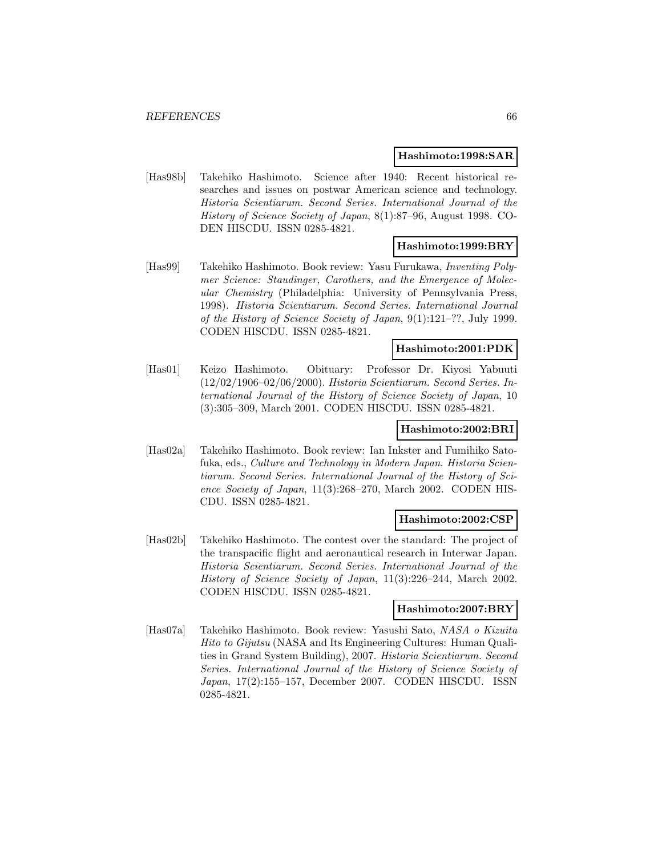#### **Hashimoto:1998:SAR**

[Has98b] Takehiko Hashimoto. Science after 1940: Recent historical researches and issues on postwar American science and technology. Historia Scientiarum. Second Series. International Journal of the History of Science Society of Japan, 8(1):87–96, August 1998. CO-DEN HISCDU. ISSN 0285-4821.

# **Hashimoto:1999:BRY**

[Has99] Takehiko Hashimoto. Book review: Yasu Furukawa, Inventing Polymer Science: Staudinger, Carothers, and the Emergence of Molecular Chemistry (Philadelphia: University of Pennsylvania Press, 1998). Historia Scientiarum. Second Series. International Journal of the History of Science Society of Japan, 9(1):121–??, July 1999. CODEN HISCDU. ISSN 0285-4821.

#### **Hashimoto:2001:PDK**

[Has01] Keizo Hashimoto. Obituary: Professor Dr. Kiyosi Yabuuti (12/02/1906–02/06/2000). Historia Scientiarum. Second Series. International Journal of the History of Science Society of Japan, 10 (3):305–309, March 2001. CODEN HISCDU. ISSN 0285-4821.

# **Hashimoto:2002:BRI**

[Has02a] Takehiko Hashimoto. Book review: Ian Inkster and Fumihiko Satofuka, eds., Culture and Technology in Modern Japan. Historia Scientiarum. Second Series. International Journal of the History of Science Society of Japan, 11(3):268–270, March 2002. CODEN HIS-CDU. ISSN 0285-4821.

## **Hashimoto:2002:CSP**

[Has02b] Takehiko Hashimoto. The contest over the standard: The project of the transpacific flight and aeronautical research in Interwar Japan. Historia Scientiarum. Second Series. International Journal of the History of Science Society of Japan, 11(3):226–244, March 2002. CODEN HISCDU. ISSN 0285-4821.

### **Hashimoto:2007:BRY**

[Has07a] Takehiko Hashimoto. Book review: Yasushi Sato, NASA o Kizuita Hito to Gijutsu (NASA and Its Engineering Cultures: Human Qualities in Grand System Building), 2007. Historia Scientiarum. Second Series. International Journal of the History of Science Society of Japan, 17(2):155–157, December 2007. CODEN HISCDU. ISSN 0285-4821.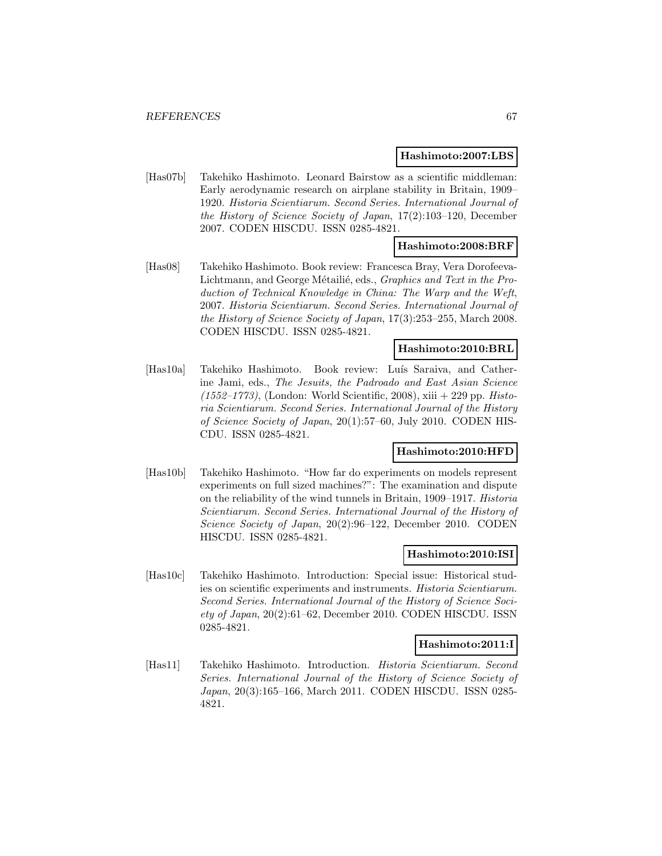#### **Hashimoto:2007:LBS**

[Has07b] Takehiko Hashimoto. Leonard Bairstow as a scientific middleman: Early aerodynamic research on airplane stability in Britain, 1909– 1920. Historia Scientiarum. Second Series. International Journal of the History of Science Society of Japan, 17(2):103–120, December 2007. CODEN HISCDU. ISSN 0285-4821.

#### **Hashimoto:2008:BRF**

[Has08] Takehiko Hashimoto. Book review: Francesca Bray, Vera Dorofeeva-Lichtmann, and George Métailié, eds., Graphics and Text in the Production of Technical Knowledge in China: The Warp and the Weft, 2007. Historia Scientiarum. Second Series. International Journal of the History of Science Society of Japan, 17(3):253–255, March 2008. CODEN HISCDU. ISSN 0285-4821.

#### **Hashimoto:2010:BRL**

[Has10a] Takehiko Hashimoto. Book review: Luís Saraiva, and Catherine Jami, eds., The Jesuits, the Padroado and East Asian Science  $(1552-1773)$ , (London: World Scientific, 2008), xiii  $+$  229 pp. Historia Scientiarum. Second Series. International Journal of the History of Science Society of Japan, 20(1):57–60, July 2010. CODEN HIS-CDU. ISSN 0285-4821.

## **Hashimoto:2010:HFD**

[Has10b] Takehiko Hashimoto. "How far do experiments on models represent experiments on full sized machines?": The examination and dispute on the reliability of the wind tunnels in Britain, 1909–1917. Historia Scientiarum. Second Series. International Journal of the History of Science Society of Japan, 20(2):96–122, December 2010. CODEN HISCDU. ISSN 0285-4821.

### **Hashimoto:2010:ISI**

[Has10c] Takehiko Hashimoto. Introduction: Special issue: Historical studies on scientific experiments and instruments. Historia Scientiarum. Second Series. International Journal of the History of Science Society of Japan, 20(2):61–62, December 2010. CODEN HISCDU. ISSN 0285-4821.

### **Hashimoto:2011:I**

[Has11] Takehiko Hashimoto. Introduction. Historia Scientiarum. Second Series. International Journal of the History of Science Society of Japan, 20(3):165–166, March 2011. CODEN HISCDU. ISSN 0285- 4821.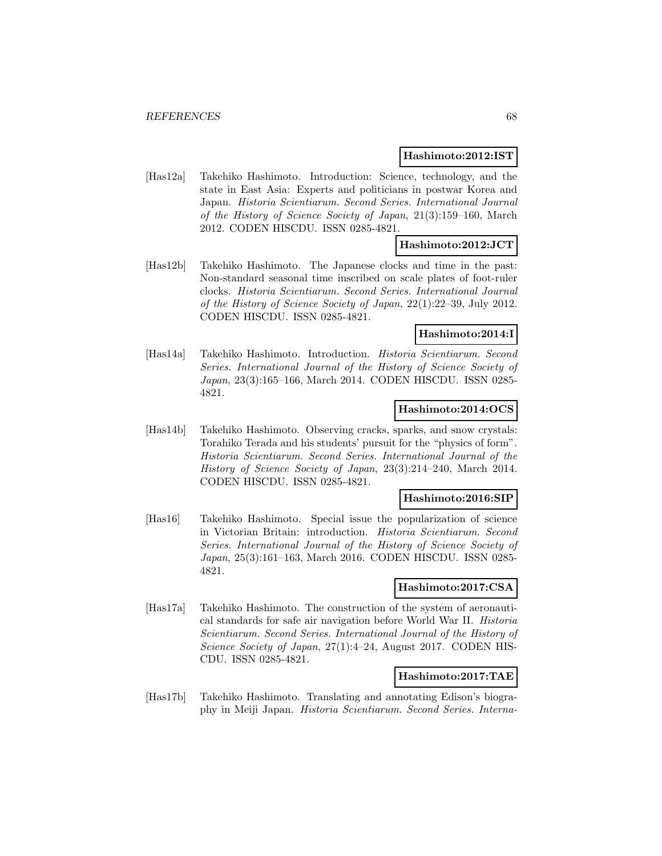### **Hashimoto:2012:IST**

[Has12a] Takehiko Hashimoto. Introduction: Science, technology, and the state in East Asia: Experts and politicians in postwar Korea and Japan. Historia Scientiarum. Second Series. International Journal of the History of Science Society of Japan, 21(3):159–160, March 2012. CODEN HISCDU. ISSN 0285-4821.

### **Hashimoto:2012:JCT**

[Has12b] Takehiko Hashimoto. The Japanese clocks and time in the past: Non-standard seasonal time inscribed on scale plates of foot-ruler clocks. Historia Scientiarum. Second Series. International Journal of the History of Science Society of Japan, 22(1):22–39, July 2012. CODEN HISCDU. ISSN 0285-4821.

# **Hashimoto:2014:I**

[Has14a] Takehiko Hashimoto. Introduction. Historia Scientiarum. Second Series. International Journal of the History of Science Society of Japan, 23(3):165–166, March 2014. CODEN HISCDU. ISSN 0285- 4821.

### **Hashimoto:2014:OCS**

[Has14b] Takehiko Hashimoto. Observing cracks, sparks, and snow crystals: Torahiko Terada and his students' pursuit for the "physics of form". Historia Scientiarum. Second Series. International Journal of the History of Science Society of Japan, 23(3):214–240, March 2014. CODEN HISCDU. ISSN 0285-4821.

# **Hashimoto:2016:SIP**

[Has16] Takehiko Hashimoto. Special issue the popularization of science in Victorian Britain: introduction. Historia Scientiarum. Second Series. International Journal of the History of Science Society of Japan, 25(3):161–163, March 2016. CODEN HISCDU. ISSN 0285- 4821.

# **Hashimoto:2017:CSA**

[Has17a] Takehiko Hashimoto. The construction of the system of aeronautical standards for safe air navigation before World War II. Historia Scientiarum. Second Series. International Journal of the History of Science Society of Japan, 27(1):4-24, August 2017. CODEN HIS-CDU. ISSN 0285-4821.

# **Hashimoto:2017:TAE**

[Has17b] Takehiko Hashimoto. Translating and annotating Edison's biography in Meiji Japan. Historia Scientiarum. Second Series. Interna-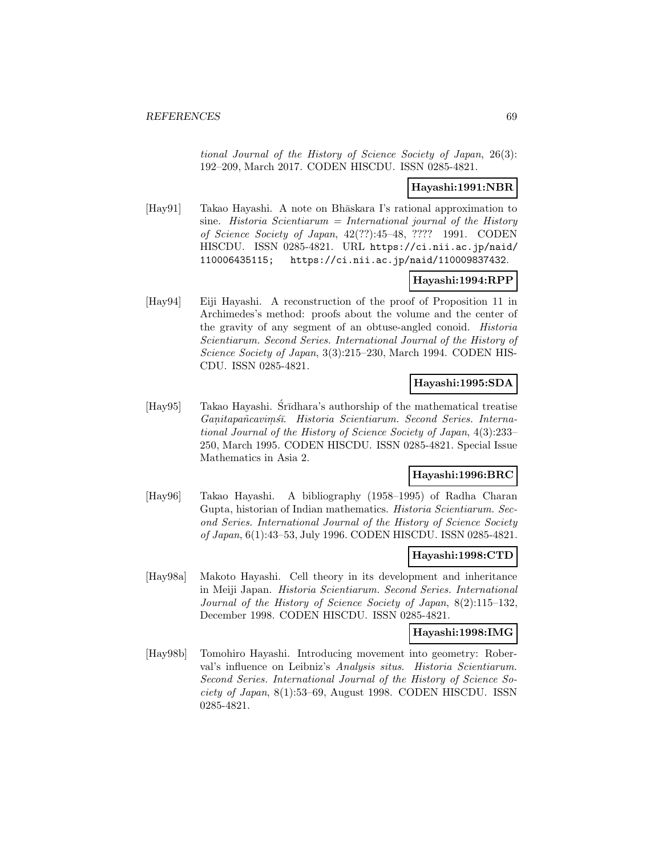tional Journal of the History of Science Society of Japan, 26(3): 192–209, March 2017. CODEN HISCDU. ISSN 0285-4821.

### **Hayashi:1991:NBR**

[Hay91] Takao Hayashi. A note on Bhāskara I's rational approximation to sine. Historia Scientiarum = International journal of the History of Science Society of Japan, 42(??):45–48, ???? 1991. CODEN HISCDU. ISSN 0285-4821. URL https://ci.nii.ac.jp/naid/ 110006435115; https://ci.nii.ac.jp/naid/110009837432.

# **Hayashi:1994:RPP**

[Hay94] Eiji Hayashi. A reconstruction of the proof of Proposition 11 in Archimedes's method: proofs about the volume and the center of the gravity of any segment of an obtuse-angled conoid. Historia Scientiarum. Second Series. International Journal of the History of Science Society of Japan, 3(3):215–230, March 1994. CODEN HIS-CDU. ISSN 0285-4821.

# **Hayashi:1995:SDA**

[Hay95] Takao Hayashi. Sr<del>dhara's authorship of the mathematical treatise</del> Ganitapañ cavim sī. Historia Scientiarum. Second Series. International Journal of the History of Science Society of Japan, 4(3):233– 250, March 1995. CODEN HISCDU. ISSN 0285-4821. Special Issue Mathematics in Asia 2.

# **Hayashi:1996:BRC**

[Hay96] Takao Hayashi. A bibliography (1958–1995) of Radha Charan Gupta, historian of Indian mathematics. Historia Scientiarum. Second Series. International Journal of the History of Science Society of Japan, 6(1):43–53, July 1996. CODEN HISCDU. ISSN 0285-4821.

### **Hayashi:1998:CTD**

[Hay98a] Makoto Hayashi. Cell theory in its development and inheritance in Meiji Japan. Historia Scientiarum. Second Series. International Journal of the History of Science Society of Japan, 8(2):115–132, December 1998. CODEN HISCDU. ISSN 0285-4821.

#### **Hayashi:1998:IMG**

[Hay98b] Tomohiro Hayashi. Introducing movement into geometry: Roberval's influence on Leibniz's Analysis situs. Historia Scientiarum. Second Series. International Journal of the History of Science Society of Japan, 8(1):53–69, August 1998. CODEN HISCDU. ISSN 0285-4821.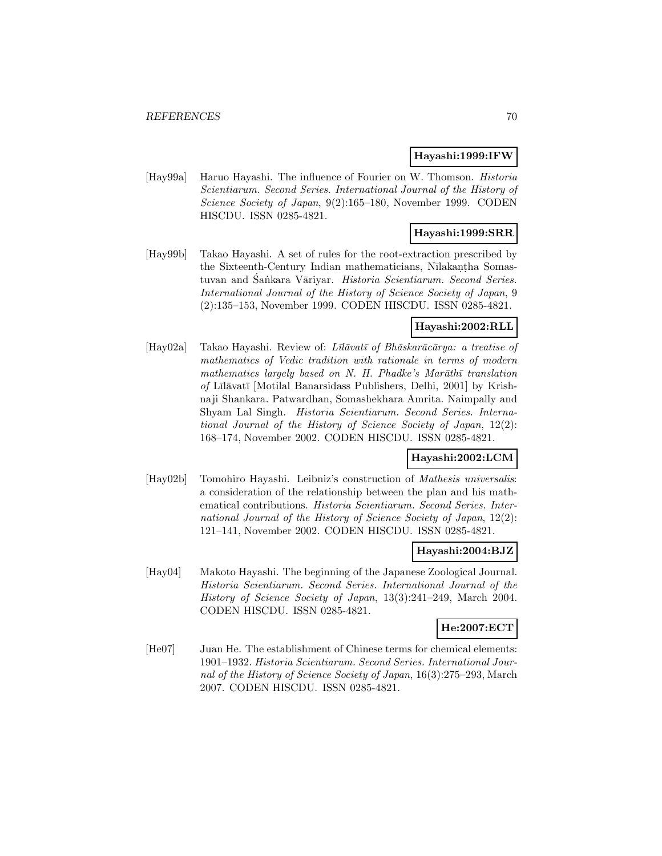### **Hayashi:1999:IFW**

[Hay99a] Haruo Hayashi. The influence of Fourier on W. Thomson. Historia Scientiarum. Second Series. International Journal of the History of Science Society of Japan, 9(2):165–180, November 1999. CODEN HISCDU. ISSN 0285-4821.

# **Hayashi:1999:SRR**

[Hay99b] Takao Hayashi. A set of rules for the root-extraction prescribed by the Sixteenth-Century Indian mathematicians, Nīlakan tha Somastuvan and Śankara Vāriyar. Historia Scientiarum. Second Series. International Journal of the History of Science Society of Japan, 9 (2):135–153, November 1999. CODEN HISCDU. ISSN 0285-4821.

# **Hayashi:2002:RLL**

[Hay02a] Takao Hayashi. Review of: Lū $\bar{a}$ watī of Bh $\bar{a}$ skar $\bar{a}c\bar{a}r$ ya: a treatise of mathematics of Vedic tradition with rationale in terms of modern mathematics largely based on N. H. Phadke's Mar $\bar{a}$ th $\bar{a}$  translation  $of$  Līlāvatī [Motilal Banarsidass Publishers, Delhi, 2001] by Krishnaji Shankara. Patwardhan, Somashekhara Amrita. Naimpally and Shyam Lal Singh. Historia Scientiarum. Second Series. International Journal of the History of Science Society of Japan, 12(2): 168–174, November 2002. CODEN HISCDU. ISSN 0285-4821.

# **Hayashi:2002:LCM**

[Hay02b] Tomohiro Hayashi. Leibniz's construction of Mathesis universalis: a consideration of the relationship between the plan and his mathematical contributions. Historia Scientiarum. Second Series. International Journal of the History of Science Society of Japan, 12(2): 121–141, November 2002. CODEN HISCDU. ISSN 0285-4821.

# **Hayashi:2004:BJZ**

[Hay04] Makoto Hayashi. The beginning of the Japanese Zoological Journal. Historia Scientiarum. Second Series. International Journal of the History of Science Society of Japan, 13(3):241–249, March 2004. CODEN HISCDU. ISSN 0285-4821.

## **He:2007:ECT**

[He07] Juan He. The establishment of Chinese terms for chemical elements: 1901–1932. Historia Scientiarum. Second Series. International Journal of the History of Science Society of Japan, 16(3):275–293, March 2007. CODEN HISCDU. ISSN 0285-4821.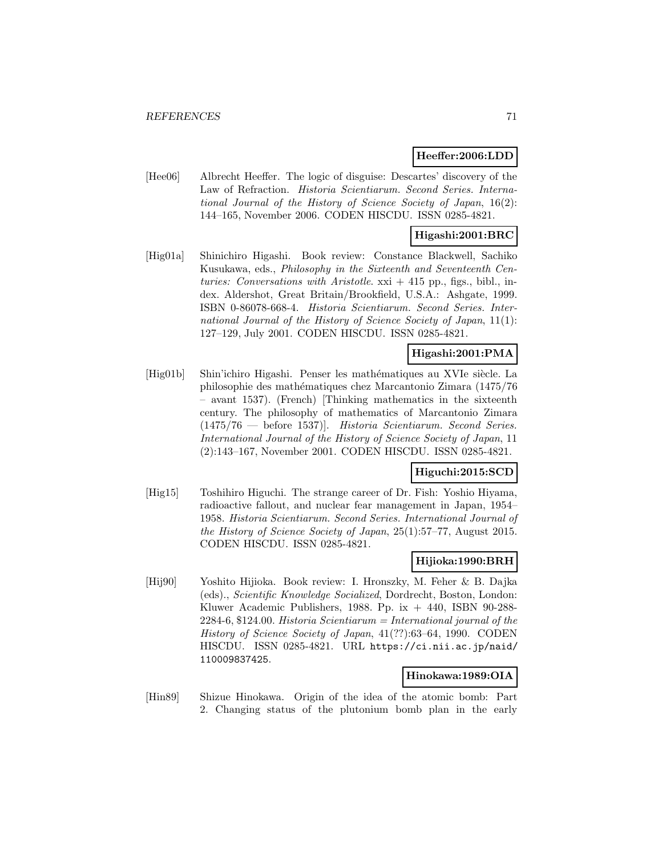#### **Heeffer:2006:LDD**

[Hee06] Albrecht Heeffer. The logic of disguise: Descartes' discovery of the Law of Refraction. Historia Scientiarum. Second Series. International Journal of the History of Science Society of Japan, 16(2): 144–165, November 2006. CODEN HISCDU. ISSN 0285-4821.

## **Higashi:2001:BRC**

[Hig01a] Shinichiro Higashi. Book review: Constance Blackwell, Sachiko Kusukawa, eds., Philosophy in the Sixteenth and Seventeenth Centuries: Conversations with Aristotle.  $xxi + 415$  pp., figs., bibl., index. Aldershot, Great Britain/Brookfield, U.S.A.: Ashgate, 1999. ISBN 0-86078-668-4. Historia Scientiarum. Second Series. International Journal of the History of Science Society of Japan, 11(1): 127–129, July 2001. CODEN HISCDU. ISSN 0285-4821.

# **Higashi:2001:PMA**

[Hig01b] Shin'ichiro Higashi. Penser les mathématiques au XVIe siècle. La philosophie des math´ematiques chez Marcantonio Zimara (1475/76 – avant 1537). (French) [Thinking mathematics in the sixteenth century. The philosophy of mathematics of Marcantonio Zimara (1475/76 — before 1537)]. Historia Scientiarum. Second Series. International Journal of the History of Science Society of Japan, 11 (2):143–167, November 2001. CODEN HISCDU. ISSN 0285-4821.

# **Higuchi:2015:SCD**

[Hig15] Toshihiro Higuchi. The strange career of Dr. Fish: Yoshio Hiyama, radioactive fallout, and nuclear fear management in Japan, 1954– 1958. Historia Scientiarum. Second Series. International Journal of the History of Science Society of Japan, 25(1):57–77, August 2015. CODEN HISCDU. ISSN 0285-4821.

#### **Hijioka:1990:BRH**

[Hij90] Yoshito Hijioka. Book review: I. Hronszky, M. Feher & B. Dajka (eds)., Scientific Knowledge Socialized, Dordrecht, Boston, London: Kluwer Academic Publishers, 1988. Pp. ix  $+$  440, ISBN 90-288- $2284-6, $124.00$ . Historia Scientiarum = International journal of the History of Science Society of Japan, 41(??):63–64, 1990. CODEN HISCDU. ISSN 0285-4821. URL https://ci.nii.ac.jp/naid/ 110009837425.

#### **Hinokawa:1989:OIA**

[Hin89] Shizue Hinokawa. Origin of the idea of the atomic bomb: Part 2. Changing status of the plutonium bomb plan in the early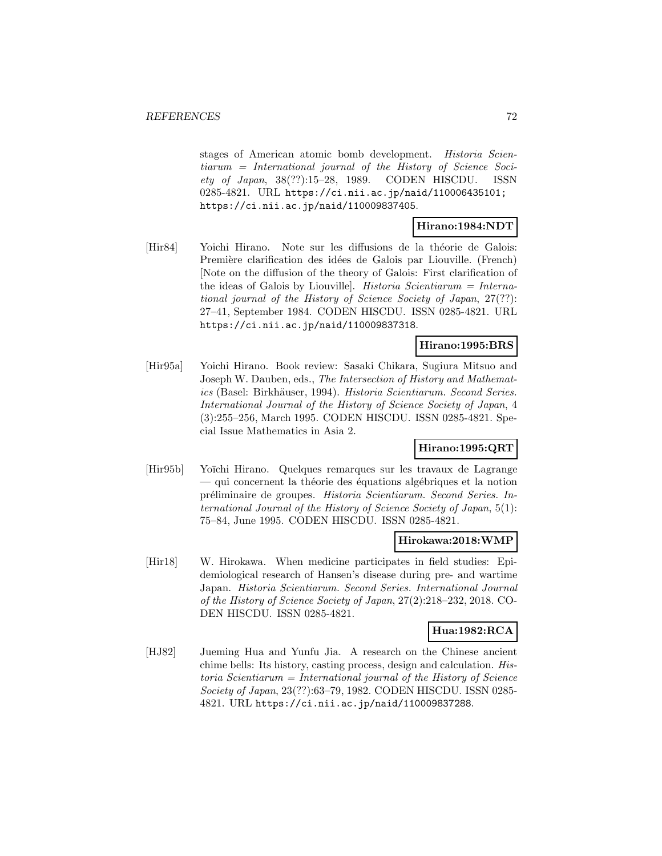stages of American atomic bomb development. Historia Scientiarum = International journal of the History of Science Society of Japan, 38(??):15–28, 1989. CODEN HISCDU. ISSN 0285-4821. URL https://ci.nii.ac.jp/naid/110006435101; https://ci.nii.ac.jp/naid/110009837405.

# **Hirano:1984:NDT**

[Hir84] Yoichi Hirano. Note sur les diffusions de la théorie de Galois: Première clarification des idées de Galois par Liouville. (French) [Note on the diffusion of the theory of Galois: First clarification of the ideas of Galois by Liouville. *Historia Scientiarum* =  $\text{Interna-}$ tional journal of the History of Science Society of Japan, 27(??): 27–41, September 1984. CODEN HISCDU. ISSN 0285-4821. URL https://ci.nii.ac.jp/naid/110009837318.

# **Hirano:1995:BRS**

[Hir95a] Yoichi Hirano. Book review: Sasaki Chikara, Sugiura Mitsuo and Joseph W. Dauben, eds., The Intersection of History and Mathematics (Basel: Birkhäuser, 1994). Historia Scientiarum. Second Series. International Journal of the History of Science Society of Japan, 4 (3):255–256, March 1995. CODEN HISCDU. ISSN 0285-4821. Special Issue Mathematics in Asia 2.

# **Hirano:1995:QRT**

[Hir95b] Yoīchi Hirano. Quelques remarques sur les travaux de Lagrange  $-$  qui concernent la théorie des équations algébriques et la notion pr´eliminaire de groupes. Historia Scientiarum. Second Series. International Journal of the History of Science Society of Japan, 5(1): 75–84, June 1995. CODEN HISCDU. ISSN 0285-4821.

#### **Hirokawa:2018:WMP**

[Hir18] W. Hirokawa. When medicine participates in field studies: Epidemiological research of Hansen's disease during pre- and wartime Japan. Historia Scientiarum. Second Series. International Journal of the History of Science Society of Japan, 27(2):218–232, 2018. CO-DEN HISCDU. ISSN 0285-4821.

### **Hua:1982:RCA**

[HJ82] Jueming Hua and Yunfu Jia. A research on the Chinese ancient chime bells: Its history, casting process, design and calculation. His $toria$  Scientiarum = International journal of the History of Science Society of Japan, 23(??):63–79, 1982. CODEN HISCDU. ISSN 0285- 4821. URL https://ci.nii.ac.jp/naid/110009837288.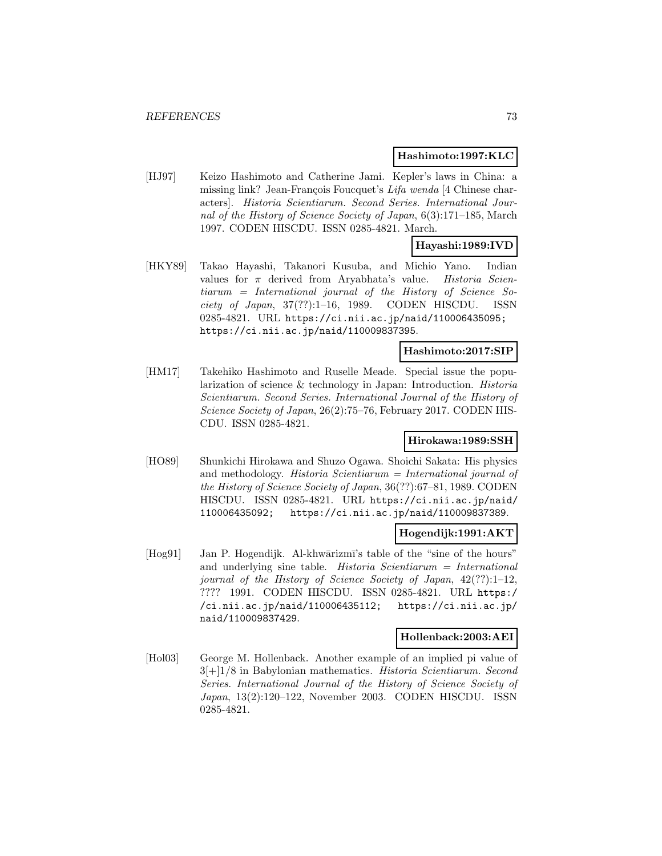#### **Hashimoto:1997:KLC**

[HJ97] Keizo Hashimoto and Catherine Jami. Kepler's laws in China: a missing link? Jean-François Foucquet's  $Lifa$  wenda [4 Chinese characters]. Historia Scientiarum. Second Series. International Journal of the History of Science Society of Japan, 6(3):171–185, March 1997. CODEN HISCDU. ISSN 0285-4821. March.

### **Hayashi:1989:IVD**

[HKY89] Takao Hayashi, Takanori Kusuba, and Michio Yano. Indian values for  $\pi$  derived from Aryabhata's value. Historia Scientiarum = International journal of the History of Science Society of Japan, 37(??):1–16, 1989. CODEN HISCDU. ISSN 0285-4821. URL https://ci.nii.ac.jp/naid/110006435095; https://ci.nii.ac.jp/naid/110009837395.

## **Hashimoto:2017:SIP**

[HM17] Takehiko Hashimoto and Ruselle Meade. Special issue the popularization of science & technology in Japan: Introduction. Historia Scientiarum. Second Series. International Journal of the History of Science Society of Japan, 26(2):75–76, February 2017. CODEN HIS-CDU. ISSN 0285-4821.

#### **Hirokawa:1989:SSH**

[HO89] Shunkichi Hirokawa and Shuzo Ogawa. Shoichi Sakata: His physics and methodology. Historia Scientiarum = International journal of the History of Science Society of Japan, 36(??):67–81, 1989. CODEN HISCDU. ISSN 0285-4821. URL https://ci.nii.ac.jp/naid/ 110006435092; https://ci.nii.ac.jp/naid/110009837389.

#### **Hogendijk:1991:AKT**

[Hog91] Jan P. Hogendijk. Al-khwārizmī's table of the "sine of the hours" and underlying sine table. Historia Scientiarum = International journal of the History of Science Society of Japan, 42(??):1–12, ???? 1991. CODEN HISCDU. ISSN 0285-4821. URL https:/ /ci.nii.ac.jp/naid/110006435112; https://ci.nii.ac.jp/ naid/110009837429.

#### **Hollenback:2003:AEI**

[Hol03] George M. Hollenback. Another example of an implied pi value of  $3[+]1/8$  in Babylonian mathematics. Historia Scientiarum. Second Series. International Journal of the History of Science Society of Japan, 13(2):120–122, November 2003. CODEN HISCDU. ISSN 0285-4821.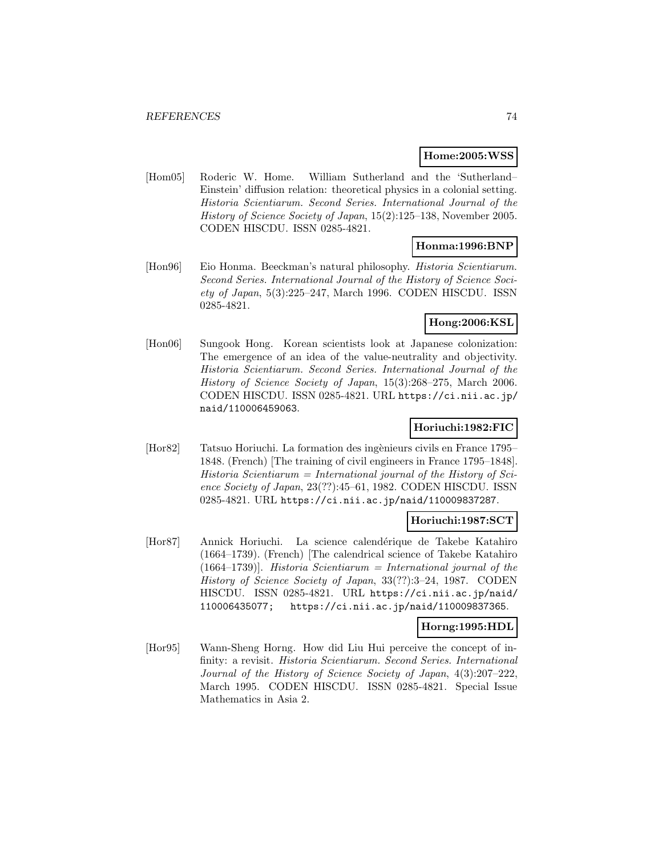#### **Home:2005:WSS**

[Hom05] Roderic W. Home. William Sutherland and the 'Sutherland– Einstein' diffusion relation: theoretical physics in a colonial setting. Historia Scientiarum. Second Series. International Journal of the History of Science Society of Japan, 15(2):125–138, November 2005. CODEN HISCDU. ISSN 0285-4821.

#### **Honma:1996:BNP**

[Hon96] Eio Honma. Beeckman's natural philosophy. Historia Scientiarum. Second Series. International Journal of the History of Science Society of Japan, 5(3):225–247, March 1996. CODEN HISCDU. ISSN 0285-4821.

# **Hong:2006:KSL**

[Hon06] Sungook Hong. Korean scientists look at Japanese colonization: The emergence of an idea of the value-neutrality and objectivity. Historia Scientiarum. Second Series. International Journal of the History of Science Society of Japan, 15(3):268–275, March 2006. CODEN HISCDU. ISSN 0285-4821. URL https://ci.nii.ac.jp/ naid/110006459063.

# **Horiuchi:1982:FIC**

[Hor82] Tatsuo Horiuchi. La formation des ing`enieurs civils en France 1795– 1848. (French) [The training of civil engineers in France 1795–1848].  $Historia$  Scientiarum = International journal of the History of Science Society of Japan, 23(??):45–61, 1982. CODEN HISCDU. ISSN 0285-4821. URL https://ci.nii.ac.jp/naid/110009837287.

## **Horiuchi:1987:SCT**

[Hor87] Annick Horiuchi. La science calendérique de Takebe Katahiro (1664–1739). (French) [The calendrical science of Takebe Katahiro  $(1664-1739)$ . Historia Scientiarum = International journal of the History of Science Society of Japan, 33(??):3–24, 1987. CODEN HISCDU. ISSN 0285-4821. URL https://ci.nii.ac.jp/naid/ 110006435077; https://ci.nii.ac.jp/naid/110009837365.

## **Horng:1995:HDL**

[Hor95] Wann-Sheng Horng. How did Liu Hui perceive the concept of infinity: a revisit. Historia Scientiarum. Second Series. International Journal of the History of Science Society of Japan, 4(3):207–222, March 1995. CODEN HISCDU. ISSN 0285-4821. Special Issue Mathematics in Asia 2.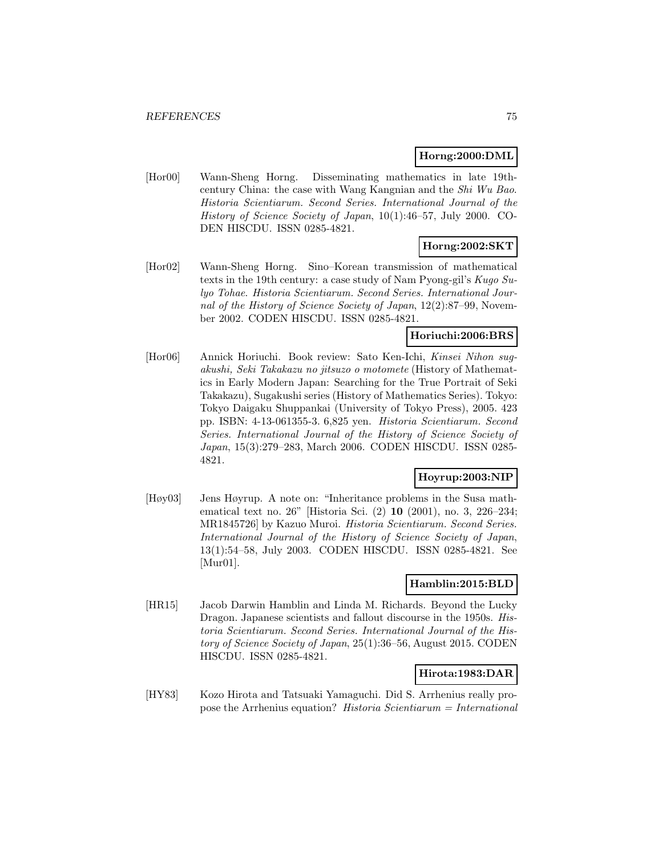### **Horng:2000:DML**

[Hor00] Wann-Sheng Horng. Disseminating mathematics in late 19thcentury China: the case with Wang Kangnian and the Shi Wu Bao. Historia Scientiarum. Second Series. International Journal of the History of Science Society of Japan, 10(1):46–57, July 2000. CO-DEN HISCDU. ISSN 0285-4821.

## **Horng:2002:SKT**

[Hor02] Wann-Sheng Horng. Sino–Korean transmission of mathematical texts in the 19th century: a case study of Nam Pyong-gil's Kugo Sulyo Tohae. Historia Scientiarum. Second Series. International Journal of the History of Science Society of Japan, 12(2):87–99, November 2002. CODEN HISCDU. ISSN 0285-4821.

### **Horiuchi:2006:BRS**

[Hor06] Annick Horiuchi. Book review: Sato Ken-Ichi, Kinsei Nihon sugakushi, Seki Takakazu no jitsuzo o motomete (History of Mathematics in Early Modern Japan: Searching for the True Portrait of Seki Takakazu), Sugakushi series (History of Mathematics Series). Tokyo: Tokyo Daigaku Shuppankai (University of Tokyo Press), 2005. 423 pp. ISBN: 4-13-061355-3. 6,825 yen. Historia Scientiarum. Second Series. International Journal of the History of Science Society of Japan, 15(3):279–283, March 2006. CODEN HISCDU. ISSN 0285- 4821.

#### **Hoyrup:2003:NIP**

[Høy03] Jens Høyrup. A note on: "Inheritance problems in the Susa mathematical text no. 26" [Historia Sci. (2) **10** (2001), no. 3, 226–234; MR1845726] by Kazuo Muroi. Historia Scientiarum. Second Series. International Journal of the History of Science Society of Japan, 13(1):54–58, July 2003. CODEN HISCDU. ISSN 0285-4821. See [Mur01].

#### **Hamblin:2015:BLD**

[HR15] Jacob Darwin Hamblin and Linda M. Richards. Beyond the Lucky Dragon. Japanese scientists and fallout discourse in the 1950s. Historia Scientiarum. Second Series. International Journal of the History of Science Society of Japan, 25(1):36–56, August 2015. CODEN HISCDU. ISSN 0285-4821.

#### **Hirota:1983:DAR**

[HY83] Kozo Hirota and Tatsuaki Yamaguchi. Did S. Arrhenius really propose the Arrhenius equation? Historia Scientiarum  $=$  International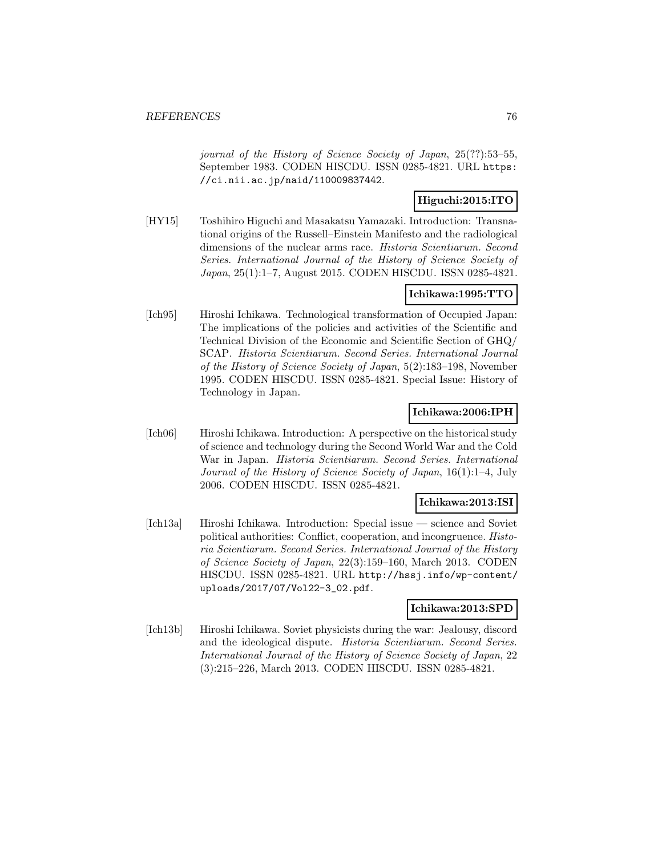journal of the History of Science Society of Japan, 25(??):53–55, September 1983. CODEN HISCDU. ISSN 0285-4821. URL https: //ci.nii.ac.jp/naid/110009837442.

## **Higuchi:2015:ITO**

[HY15] Toshihiro Higuchi and Masakatsu Yamazaki. Introduction: Transnational origins of the Russell–Einstein Manifesto and the radiological dimensions of the nuclear arms race. Historia Scientiarum. Second Series. International Journal of the History of Science Society of Japan, 25(1):1–7, August 2015. CODEN HISCDU. ISSN 0285-4821.

### **Ichikawa:1995:TTO**

[Ich95] Hiroshi Ichikawa. Technological transformation of Occupied Japan: The implications of the policies and activities of the Scientific and Technical Division of the Economic and Scientific Section of GHQ/ SCAP. Historia Scientiarum. Second Series. International Journal of the History of Science Society of Japan, 5(2):183–198, November 1995. CODEN HISCDU. ISSN 0285-4821. Special Issue: History of Technology in Japan.

#### **Ichikawa:2006:IPH**

[Ich06] Hiroshi Ichikawa. Introduction: A perspective on the historical study of science and technology during the Second World War and the Cold War in Japan. Historia Scientiarum. Second Series. International Journal of the History of Science Society of Japan, 16(1):1–4, July 2006. CODEN HISCDU. ISSN 0285-4821.

## **Ichikawa:2013:ISI**

[Ich13a] Hiroshi Ichikawa. Introduction: Special issue — science and Soviet political authorities: Conflict, cooperation, and incongruence. Historia Scientiarum. Second Series. International Journal of the History of Science Society of Japan, 22(3):159–160, March 2013. CODEN HISCDU. ISSN 0285-4821. URL http://hssj.info/wp-content/ uploads/2017/07/Vol22-3\_02.pdf.

#### **Ichikawa:2013:SPD**

[Ich13b] Hiroshi Ichikawa. Soviet physicists during the war: Jealousy, discord and the ideological dispute. Historia Scientiarum. Second Series. International Journal of the History of Science Society of Japan, 22 (3):215–226, March 2013. CODEN HISCDU. ISSN 0285-4821.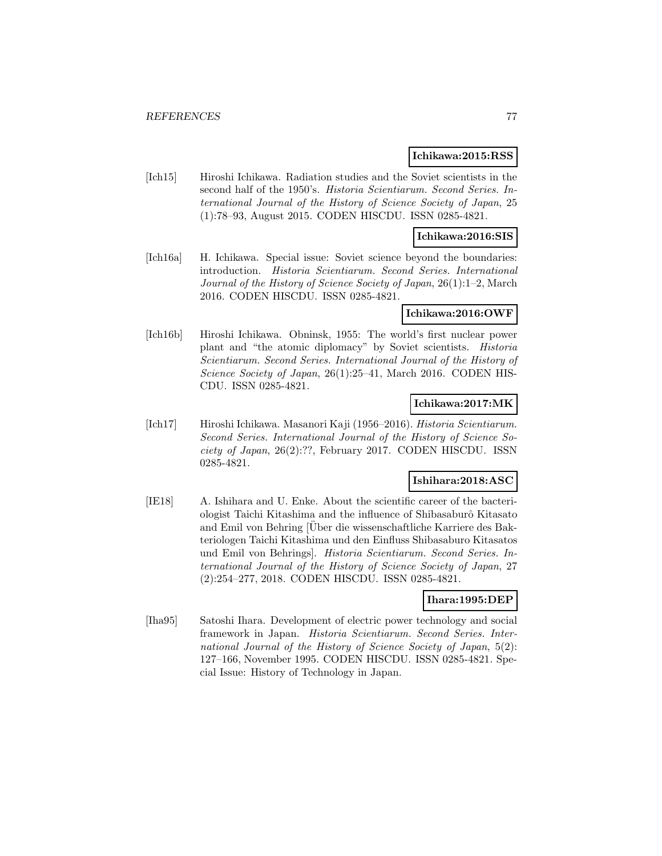#### **Ichikawa:2015:RSS**

[Ich15] Hiroshi Ichikawa. Radiation studies and the Soviet scientists in the second half of the 1950's. Historia Scientiarum. Second Series. International Journal of the History of Science Society of Japan, 25 (1):78–93, August 2015. CODEN HISCDU. ISSN 0285-4821.

#### **Ichikawa:2016:SIS**

[Ich16a] H. Ichikawa. Special issue: Soviet science beyond the boundaries: introduction. Historia Scientiarum. Second Series. International Journal of the History of Science Society of Japan, 26(1):1–2, March 2016. CODEN HISCDU. ISSN 0285-4821.

#### **Ichikawa:2016:OWF**

[Ich16b] Hiroshi Ichikawa. Obninsk, 1955: The world's first nuclear power plant and "the atomic diplomacy" by Soviet scientists. Historia Scientiarum. Second Series. International Journal of the History of Science Society of Japan, 26(1):25–41, March 2016. CODEN HIS-CDU. ISSN 0285-4821.

### **Ichikawa:2017:MK**

[Ich17] Hiroshi Ichikawa. Masanori Kaji (1956–2016). Historia Scientiarum. Second Series. International Journal of the History of Science Society of Japan, 26(2):??, February 2017. CODEN HISCDU. ISSN 0285-4821.

### **Ishihara:2018:ASC**

[IE18] A. Ishihara and U. Enke. About the scientific career of the bacteriologist Taichi Kitashima and the influence of Shibasaburô Kitasato and Emil von Behring [Uber die wissenschaftliche Karriere des Bakteriologen Taichi Kitashima und den Einfluss Shibasaburo Kitasatos und Emil von Behrings]. Historia Scientiarum. Second Series. International Journal of the History of Science Society of Japan, 27 (2):254–277, 2018. CODEN HISCDU. ISSN 0285-4821.

#### **Ihara:1995:DEP**

[Iha95] Satoshi Ihara. Development of electric power technology and social framework in Japan. Historia Scientiarum. Second Series. International Journal of the History of Science Society of Japan, 5(2): 127–166, November 1995. CODEN HISCDU. ISSN 0285-4821. Special Issue: History of Technology in Japan.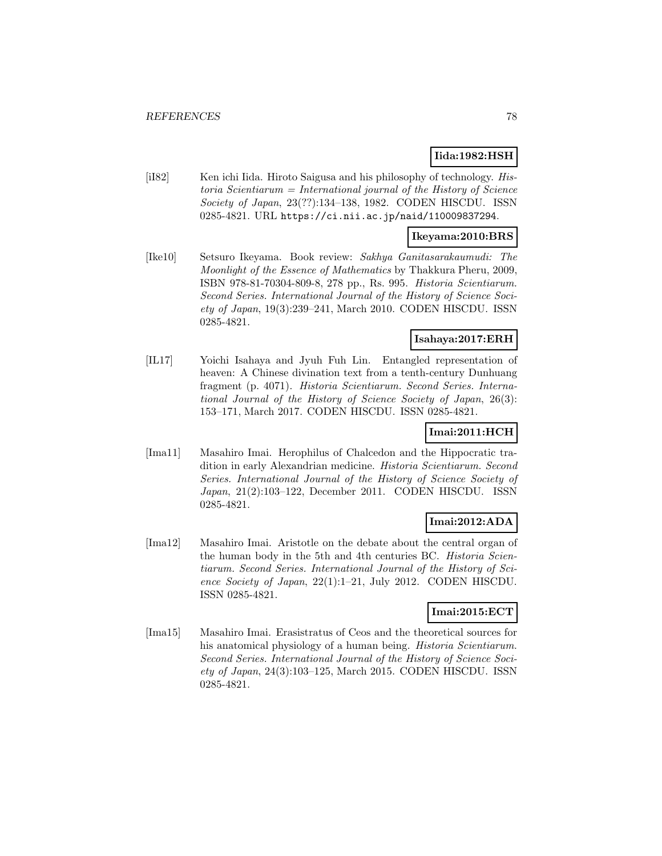## **Iida:1982:HSH**

[iI82] Ken ichi Iida. Hiroto Saigusa and his philosophy of technology. Historia Scientiarum = International journal of the History of Science Society of Japan, 23(??):134–138, 1982. CODEN HISCDU. ISSN 0285-4821. URL https://ci.nii.ac.jp/naid/110009837294.

#### **Ikeyama:2010:BRS**

[Ike10] Setsuro Ikeyama. Book review: Sakhya Ganitasarakaumudi: The Moonlight of the Essence of Mathematics by Thakkura Pheru, 2009, ISBN 978-81-70304-809-8, 278 pp., Rs. 995. Historia Scientiarum. Second Series. International Journal of the History of Science Society of Japan, 19(3):239–241, March 2010. CODEN HISCDU. ISSN 0285-4821.

### **Isahaya:2017:ERH**

[IL17] Yoichi Isahaya and Jyuh Fuh Lin. Entangled representation of heaven: A Chinese divination text from a tenth-century Dunhuang fragment (p. 4071). Historia Scientiarum. Second Series. International Journal of the History of Science Society of Japan, 26(3): 153–171, March 2017. CODEN HISCDU. ISSN 0285-4821.

## **Imai:2011:HCH**

[Ima11] Masahiro Imai. Herophilus of Chalcedon and the Hippocratic tradition in early Alexandrian medicine. Historia Scientiarum. Second Series. International Journal of the History of Science Society of Japan, 21(2):103–122, December 2011. CODEN HISCDU. ISSN 0285-4821.

## **Imai:2012:ADA**

[Ima12] Masahiro Imai. Aristotle on the debate about the central organ of the human body in the 5th and 4th centuries BC. *Historia Scien*tiarum. Second Series. International Journal of the History of Science Society of Japan, 22(1):1–21, July 2012. CODEN HISCDU. ISSN 0285-4821.

## **Imai:2015:ECT**

[Ima15] Masahiro Imai. Erasistratus of Ceos and the theoretical sources for his anatomical physiology of a human being. *Historia Scientiarum*. Second Series. International Journal of the History of Science Society of Japan, 24(3):103–125, March 2015. CODEN HISCDU. ISSN 0285-4821.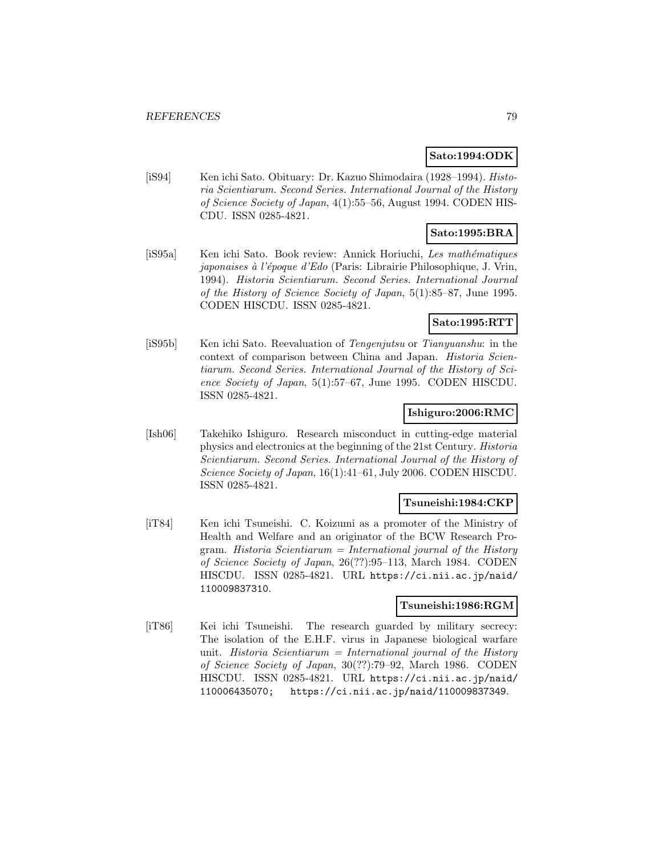#### **Sato:1994:ODK**

[iS94] Ken ichi Sato. Obituary: Dr. Kazuo Shimodaira (1928–1994). Historia Scientiarum. Second Series. International Journal of the History of Science Society of Japan, 4(1):55–56, August 1994. CODEN HIS-CDU. ISSN 0285-4821.

# **Sato:1995:BRA**

[iS95a] Ken ichi Sato. Book review: Annick Horiuchi, Les mathématiques japonaises à l'époque d'Edo (Paris: Librairie Philosophique, J. Vrin, 1994). Historia Scientiarum. Second Series. International Journal of the History of Science Society of Japan, 5(1):85–87, June 1995. CODEN HISCDU. ISSN 0285-4821.

## **Sato:1995:RTT**

[iS95b] Ken ichi Sato. Reevaluation of Tengenjutsu or Tianyuanshu: in the context of comparison between China and Japan. Historia Scientiarum. Second Series. International Journal of the History of Science Society of Japan, 5(1):57–67, June 1995. CODEN HISCDU. ISSN 0285-4821.

### **Ishiguro:2006:RMC**

[Ish06] Takehiko Ishiguro. Research misconduct in cutting-edge material physics and electronics at the beginning of the 21st Century. Historia Scientiarum. Second Series. International Journal of the History of Science Society of Japan, 16(1):41–61, July 2006. CODEN HISCDU. ISSN 0285-4821.

## **Tsuneishi:1984:CKP**

[iT84] Ken ichi Tsuneishi. C. Koizumi as a promoter of the Ministry of Health and Welfare and an originator of the BCW Research Program. Historia Scientiarum = International journal of the History of Science Society of Japan, 26(??):95–113, March 1984. CODEN HISCDU. ISSN 0285-4821. URL https://ci.nii.ac.jp/naid/ 110009837310.

## **Tsuneishi:1986:RGM**

[iT86] Kei ichi Tsuneishi. The research guarded by military secrecy: The isolation of the E.H.F. virus in Japanese biological warfare unit. Historia Scientiarum = International journal of the History of Science Society of Japan, 30(??):79–92, March 1986. CODEN HISCDU. ISSN 0285-4821. URL https://ci.nii.ac.jp/naid/ 110006435070; https://ci.nii.ac.jp/naid/110009837349.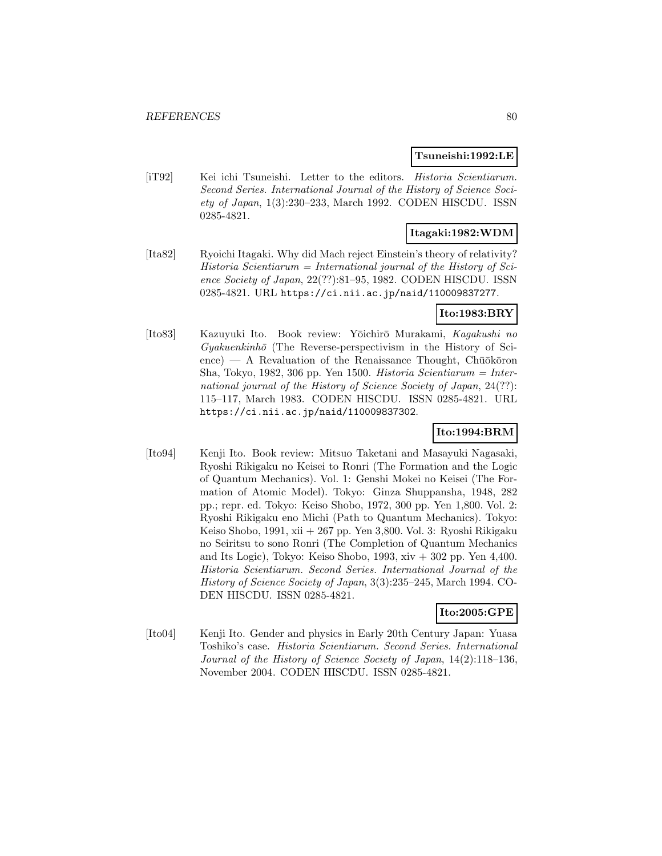#### **Tsuneishi:1992:LE**

[iT92] Kei ichi Tsuneishi. Letter to the editors. *Historia Scientiarum*. Second Series. International Journal of the History of Science Society of Japan, 1(3):230–233, March 1992. CODEN HISCDU. ISSN 0285-4821.

## **Itagaki:1982:WDM**

[Ita82] Ryoichi Itagaki. Why did Mach reject Einstein's theory of relativity?  $Historia$  Scientiarum = International journal of the History of Science Society of Japan, 22(??):81–95, 1982. CODEN HISCDU. ISSN 0285-4821. URL https://ci.nii.ac.jp/naid/110009837277.

## **Ito:1983:BRY**

[Ito83] Kazuyuki Ito. Book review: Yōichirō Murakami, Kagakushi no  $Gyakuenkinh\bar{o}$  (The Reverse-perspectivism in the History of Sci- $\epsilon$ ence) — A Revaluation of the Renaissance Thought, Chūōkōron Sha, Tokyo, 1982, 306 pp. Yen 1500. Historia Scientiarum = International journal of the History of Science Society of Japan, 24(??): 115–117, March 1983. CODEN HISCDU. ISSN 0285-4821. URL https://ci.nii.ac.jp/naid/110009837302.

## **Ito:1994:BRM**

[Ito94] Kenji Ito. Book review: Mitsuo Taketani and Masayuki Nagasaki, Ryoshi Rikigaku no Keisei to Ronri (The Formation and the Logic of Quantum Mechanics). Vol. 1: Genshi Mokei no Keisei (The Formation of Atomic Model). Tokyo: Ginza Shuppansha, 1948, 282 pp.; repr. ed. Tokyo: Keiso Shobo, 1972, 300 pp. Yen 1,800. Vol. 2: Ryoshi Rikigaku eno Michi (Path to Quantum Mechanics). Tokyo: Keiso Shobo, 1991, xii + 267 pp. Yen 3,800. Vol. 3: Ryoshi Rikigaku no Seiritsu to sono Ronri (The Completion of Quantum Mechanics and Its Logic), Tokyo: Keiso Shobo, 1993,  $xiv + 302$  pp. Yen 4,400. Historia Scientiarum. Second Series. International Journal of the History of Science Society of Japan, 3(3):235–245, March 1994. CO-DEN HISCDU. ISSN 0285-4821.

### **Ito:2005:GPE**

[Ito04] Kenji Ito. Gender and physics in Early 20th Century Japan: Yuasa Toshiko's case. Historia Scientiarum. Second Series. International Journal of the History of Science Society of Japan, 14(2):118–136, November 2004. CODEN HISCDU. ISSN 0285-4821.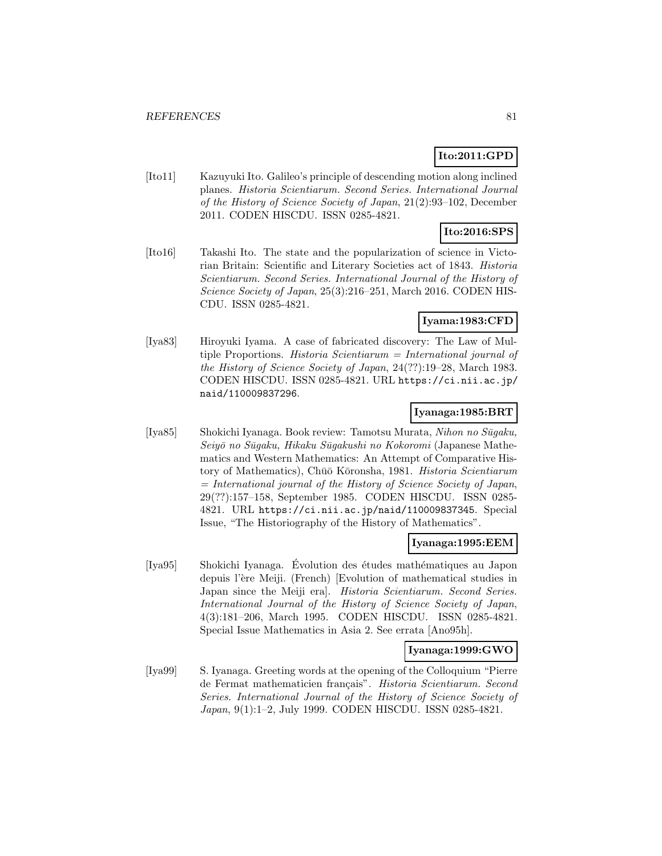# **Ito:2011:GPD**

[Ito11] Kazuyuki Ito. Galileo's principle of descending motion along inclined planes. Historia Scientiarum. Second Series. International Journal of the History of Science Society of Japan, 21(2):93–102, December 2011. CODEN HISCDU. ISSN 0285-4821.

# **Ito:2016:SPS**

[Ito16] Takashi Ito. The state and the popularization of science in Victorian Britain: Scientific and Literary Societies act of 1843. Historia Scientiarum. Second Series. International Journal of the History of Science Society of Japan, 25(3):216–251, March 2016. CODEN HIS-CDU. ISSN 0285-4821.

# **Iyama:1983:CFD**

[Iya83] Hiroyuki Iyama. A case of fabricated discovery: The Law of Multiple Proportions. Historia Scientiarum = International journal of the History of Science Society of Japan, 24(??):19–28, March 1983. CODEN HISCDU. ISSN 0285-4821. URL https://ci.nii.ac.jp/ naid/110009837296.

## **Iyanaga:1985:BRT**

[Iya85] Shokichi Iyanaga. Book review: Tamotsu Murata, Nihon no Sūgaku, Seiyō no Sūgaku, Hikaku Sūgakushi no Kokoromi (Japanese Mathematics and Western Mathematics: An Attempt of Comparative History of Mathematics), Chūō Kōronsha, 1981. *Historia Scientiarum* = International journal of the History of Science Society of Japan, 29(??):157–158, September 1985. CODEN HISCDU. ISSN 0285- 4821. URL https://ci.nii.ac.jp/naid/110009837345. Special Issue, "The Historiography of the History of Mathematics".

## **Iyanaga:1995:EEM**

[Iya95] Shokichi Iyanaga. Évolution des études mathématiques au Japon depuis l'ère Meiji. (French) [Evolution of mathematical studies in Japan since the Meiji era]. Historia Scientiarum. Second Series. International Journal of the History of Science Society of Japan, 4(3):181–206, March 1995. CODEN HISCDU. ISSN 0285-4821. Special Issue Mathematics in Asia 2. See errata [Ano95h].

## **Iyanaga:1999:GWO**

[Iya99] S. Iyanaga. Greeting words at the opening of the Colloquium "Pierre de Fermat mathematicien français". Historia Scientiarum. Second Series. International Journal of the History of Science Society of Japan, 9(1):1–2, July 1999. CODEN HISCDU. ISSN 0285-4821.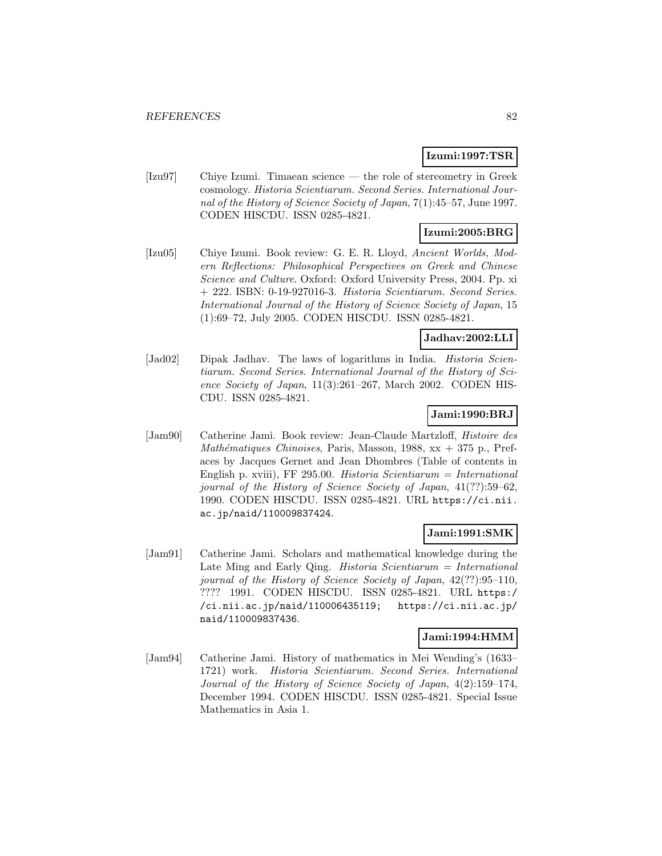## **Izumi:1997:TSR**

[Izu97] Chiye Izumi. Timaean science — the role of stereometry in Greek cosmology. Historia Scientiarum. Second Series. International Journal of the History of Science Society of Japan, 7(1):45–57, June 1997. CODEN HISCDU. ISSN 0285-4821.

# **Izumi:2005:BRG**

[Izu05] Chiye Izumi. Book review: G. E. R. Lloyd, Ancient Worlds, Modern Reflections: Philosophical Perspectives on Greek and Chinese Science and Culture. Oxford: Oxford University Press, 2004. Pp. xi + 222. ISBN: 0-19-927016-3. Historia Scientiarum. Second Series. International Journal of the History of Science Society of Japan, 15 (1):69–72, July 2005. CODEN HISCDU. ISSN 0285-4821.

# **Jadhav:2002:LLI**

[Jad02] Dipak Jadhav. The laws of logarithms in India. *Historia Scien*tiarum. Second Series. International Journal of the History of Science Society of Japan, 11(3):261–267, March 2002. CODEN HIS-CDU. ISSN 0285-4821.

## **Jami:1990:BRJ**

[Jam90] Catherine Jami. Book review: Jean-Claude Martzloff, Histoire des Mathématiques Chinoises, Paris, Masson, 1988,  $xx + 375$  p., Prefaces by Jacques Gernet and Jean Dhombres (Table of contents in English p. xviii), FF 295.00. Historia Scientiarum = International journal of the History of Science Society of Japan, 41(??):59–62, 1990. CODEN HISCDU. ISSN 0285-4821. URL https://ci.nii. ac.jp/naid/110009837424.

#### **Jami:1991:SMK**

[Jam91] Catherine Jami. Scholars and mathematical knowledge during the Late Ming and Early Qing. *Historia Scientiarum = International* journal of the History of Science Society of Japan, 42(??):95–110, ???? 1991. CODEN HISCDU. ISSN 0285-4821. URL https:/ /ci.nii.ac.jp/naid/110006435119; https://ci.nii.ac.jp/ naid/110009837436.

#### **Jami:1994:HMM**

[Jam94] Catherine Jami. History of mathematics in Mei Wending's (1633– 1721) work. Historia Scientiarum. Second Series. International Journal of the History of Science Society of Japan, 4(2):159–174, December 1994. CODEN HISCDU. ISSN 0285-4821. Special Issue Mathematics in Asia 1.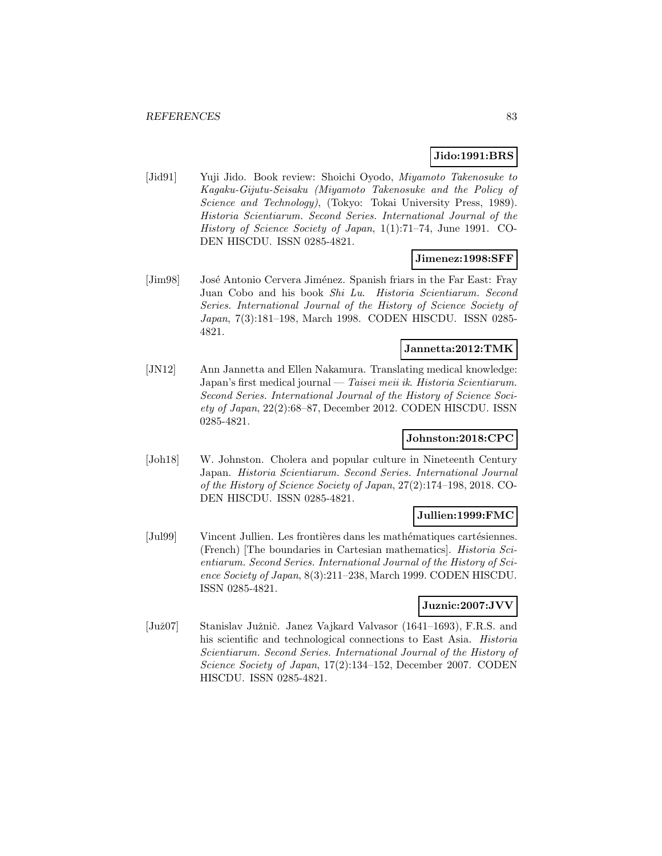## **Jido:1991:BRS**

[Jid91] Yuji Jido. Book review: Shoichi Oyodo, Miyamoto Takenosuke to Kagaku-Gijutu-Seisaku (Miyamoto Takenosuke and the Policy of Science and Technology), (Tokyo: Tokai University Press, 1989). Historia Scientiarum. Second Series. International Journal of the History of Science Society of Japan, 1(1):71–74, June 1991. CO-DEN HISCDU. ISSN 0285-4821.

#### **Jimenez:1998:SFF**

[Jim98] José Antonio Cervera Jiménez. Spanish friars in the Far East: Fray Juan Cobo and his book Shi Lu. Historia Scientiarum. Second Series. International Journal of the History of Science Society of Japan, 7(3):181–198, March 1998. CODEN HISCDU. ISSN 0285- 4821.

### **Jannetta:2012:TMK**

[JN12] Ann Jannetta and Ellen Nakamura. Translating medical knowledge: Japan's first medical journal — Taisei meii ik. Historia Scientiarum. Second Series. International Journal of the History of Science Society of Japan, 22(2):68–87, December 2012. CODEN HISCDU. ISSN 0285-4821.

### **Johnston:2018:CPC**

[Joh18] W. Johnston. Cholera and popular culture in Nineteenth Century Japan. Historia Scientiarum. Second Series. International Journal of the History of Science Society of Japan, 27(2):174–198, 2018. CO-DEN HISCDU. ISSN 0285-4821.

## **Jullien:1999:FMC**

[Jul99] Vincent Jullien. Les frontières dans les mathématiques cartésiennes. (French) [The boundaries in Cartesian mathematics]. Historia Scientiarum. Second Series. International Journal of the History of Science Society of Japan, 8(3):211–238, March 1999. CODEN HISCDU. ISSN 0285-4821.

# **Juznic:2007:JVV**

[Juž07] Stanislav Južnič. Janez Vajkard Valvasor (1641–1693), F.R.S. and his scientific and technological connections to East Asia. Historia Scientiarum. Second Series. International Journal of the History of Science Society of Japan, 17(2):134–152, December 2007. CODEN HISCDU. ISSN 0285-4821.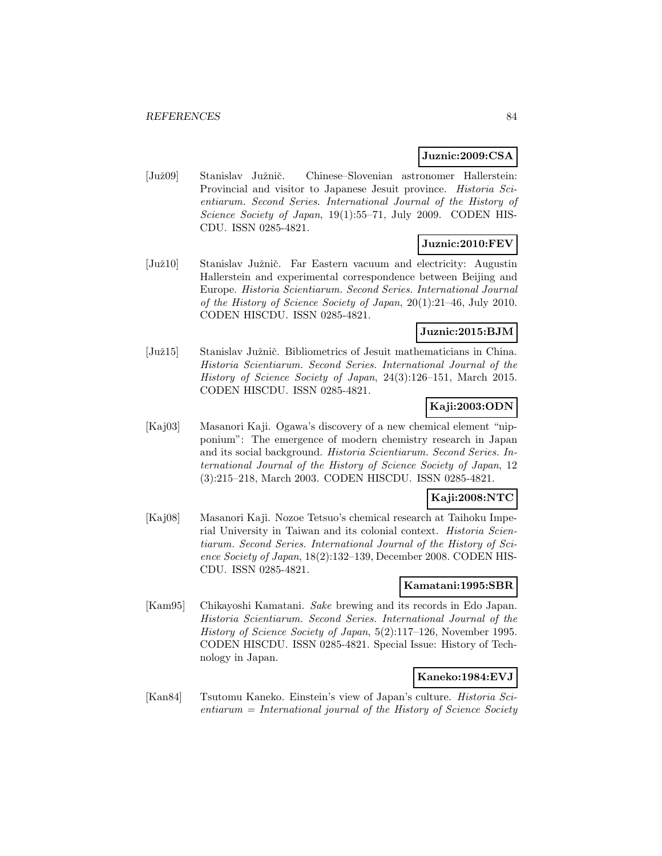#### **Juznic:2009:CSA**

[Juˇz09] Stanislav Juˇzniˇc. Chinese–Slovenian astronomer Hallerstein: Provincial and visitor to Japanese Jesuit province. Historia Scientiarum. Second Series. International Journal of the History of Science Society of Japan, 19(1):55–71, July 2009. CODEN HIS-CDU. ISSN 0285-4821.

## **Juznic:2010:FEV**

[Juž10] Stanislav Južnič. Far Eastern vacuum and electricity: Augustin Hallerstein and experimental correspondence between Beijing and Europe. Historia Scientiarum. Second Series. International Journal of the History of Science Society of Japan, 20(1):21–46, July 2010. CODEN HISCDU. ISSN 0285-4821.

## **Juznic:2015:BJM**

[Juž15] Stanislav Južnič. Bibliometrics of Jesuit mathematicians in China. Historia Scientiarum. Second Series. International Journal of the History of Science Society of Japan, 24(3):126–151, March 2015. CODEN HISCDU. ISSN 0285-4821.

### **Kaji:2003:ODN**

[Kaj03] Masanori Kaji. Ogawa's discovery of a new chemical element "nipponium": The emergence of modern chemistry research in Japan and its social background. Historia Scientiarum. Second Series. International Journal of the History of Science Society of Japan, 12 (3):215–218, March 2003. CODEN HISCDU. ISSN 0285-4821.

# **Kaji:2008:NTC**

[Kaj08] Masanori Kaji. Nozoe Tetsuo's chemical research at Taihoku Imperial University in Taiwan and its colonial context. Historia Scientiarum. Second Series. International Journal of the History of Science Society of Japan, 18(2):132–139, December 2008. CODEN HIS-CDU. ISSN 0285-4821.

#### **Kamatani:1995:SBR**

[Kam95] Chikayoshi Kamatani. Sake brewing and its records in Edo Japan. Historia Scientiarum. Second Series. International Journal of the History of Science Society of Japan, 5(2):117–126, November 1995. CODEN HISCDU. ISSN 0285-4821. Special Issue: History of Technology in Japan.

## **Kaneko:1984:EVJ**

[Kan84] Tsutomu Kaneko. Einstein's view of Japan's culture. Historia Sci $entiarum = International$  journal of the History of Science Society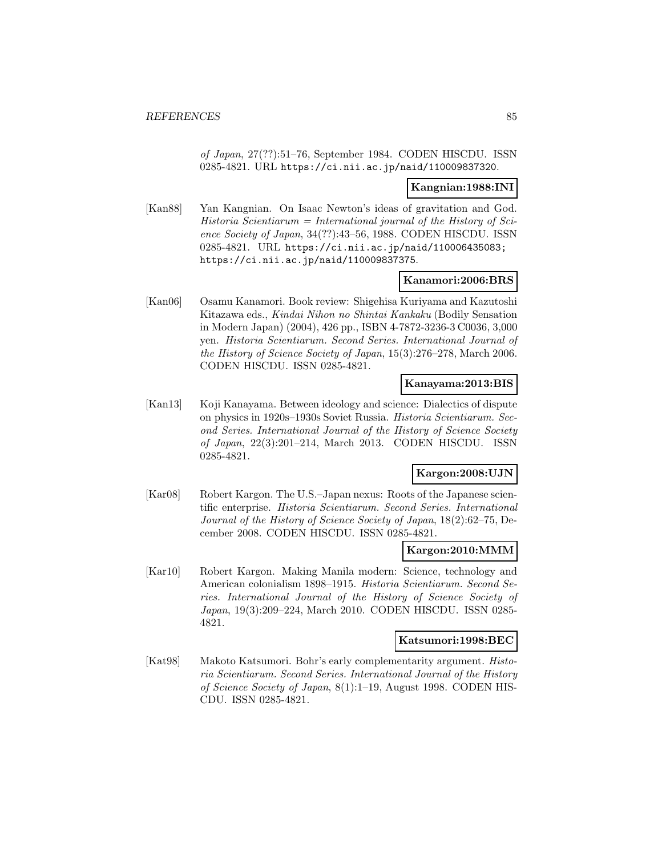of Japan, 27(??):51–76, September 1984. CODEN HISCDU. ISSN 0285-4821. URL https://ci.nii.ac.jp/naid/110009837320.

#### **Kangnian:1988:INI**

[Kan88] Yan Kangnian. On Isaac Newton's ideas of gravitation and God.  $Historia$  Scientiarum = International journal of the History of Science Society of Japan, 34(??):43–56, 1988. CODEN HISCDU. ISSN 0285-4821. URL https://ci.nii.ac.jp/naid/110006435083; https://ci.nii.ac.jp/naid/110009837375.

#### **Kanamori:2006:BRS**

[Kan06] Osamu Kanamori. Book review: Shigehisa Kuriyama and Kazutoshi Kitazawa eds., Kindai Nihon no Shintai Kankaku (Bodily Sensation in Modern Japan) (2004), 426 pp., ISBN 4-7872-3236-3 C0036, 3,000 yen. Historia Scientiarum. Second Series. International Journal of the History of Science Society of Japan, 15(3):276–278, March 2006. CODEN HISCDU. ISSN 0285-4821.

#### **Kanayama:2013:BIS**

[Kan13] Koji Kanayama. Between ideology and science: Dialectics of dispute on physics in 1920s–1930s Soviet Russia. Historia Scientiarum. Second Series. International Journal of the History of Science Society of Japan, 22(3):201–214, March 2013. CODEN HISCDU. ISSN 0285-4821.

## **Kargon:2008:UJN**

[Kar08] Robert Kargon. The U.S.–Japan nexus: Roots of the Japanese scientific enterprise. Historia Scientiarum. Second Series. International Journal of the History of Science Society of Japan, 18(2):62–75, December 2008. CODEN HISCDU. ISSN 0285-4821.

#### **Kargon:2010:MMM**

[Kar10] Robert Kargon. Making Manila modern: Science, technology and American colonialism 1898–1915. Historia Scientiarum. Second Series. International Journal of the History of Science Society of Japan, 19(3):209–224, March 2010. CODEN HISCDU. ISSN 0285- 4821.

### **Katsumori:1998:BEC**

[Kat98] Makoto Katsumori. Bohr's early complementarity argument. Historia Scientiarum. Second Series. International Journal of the History of Science Society of Japan, 8(1):1–19, August 1998. CODEN HIS-CDU. ISSN 0285-4821.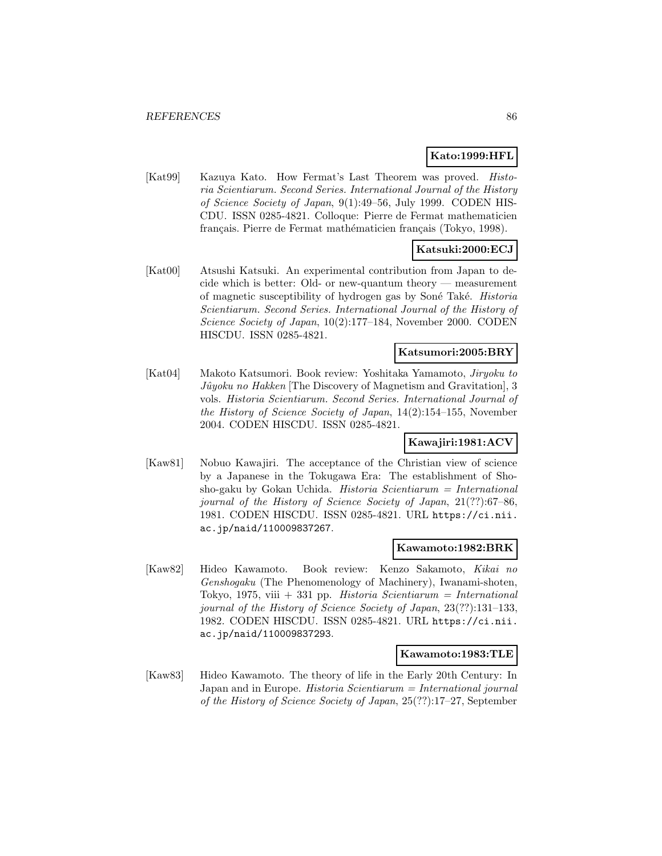#### **Kato:1999:HFL**

[Kat99] Kazuya Kato. How Fermat's Last Theorem was proved. Historia Scientiarum. Second Series. International Journal of the History of Science Society of Japan, 9(1):49–56, July 1999. CODEN HIS-CDU. ISSN 0285-4821. Colloque: Pierre de Fermat mathematicien français. Pierre de Fermat mathématicien français (Tokyo, 1998).

# **Katsuki:2000:ECJ**

[Kat00] Atsushi Katsuki. An experimental contribution from Japan to decide which is better: Old- or new-quantum theory — measurement of magnetic susceptibility of hydrogen gas by Soné Také. *Historia* Scientiarum. Second Series. International Journal of the History of Science Society of Japan, 10(2):177–184, November 2000. CODEN HISCDU. ISSN 0285-4821.

### **Katsumori:2005:BRY**

[Kat04] Makoto Katsumori. Book review: Yoshitaka Yamamoto, Jiryoku to  $J\hat{u}yoku$  no Hakken [The Discovery of Magnetism and Gravitation], 3 vols. Historia Scientiarum. Second Series. International Journal of the History of Science Society of Japan, 14(2):154–155, November 2004. CODEN HISCDU. ISSN 0285-4821.

#### **Kawajiri:1981:ACV**

[Kaw81] Nobuo Kawajiri. The acceptance of the Christian view of science by a Japanese in the Tokugawa Era: The establishment of Shosho-gaku by Gokan Uchida. Historia Scientiarum  $=$  International journal of the History of Science Society of Japan, 21(??):67–86, 1981. CODEN HISCDU. ISSN 0285-4821. URL https://ci.nii. ac.jp/naid/110009837267.

#### **Kawamoto:1982:BRK**

[Kaw82] Hideo Kawamoto. Book review: Kenzo Sakamoto, Kikai no Genshogaku (The Phenomenology of Machinery), Iwanami-shoten, Tokyo, 1975, viii + 331 pp. Historia Scientiarum = International journal of the History of Science Society of Japan, 23(??):131–133, 1982. CODEN HISCDU. ISSN 0285-4821. URL https://ci.nii. ac.jp/naid/110009837293.

#### **Kawamoto:1983:TLE**

[Kaw83] Hideo Kawamoto. The theory of life in the Early 20th Century: In Japan and in Europe. Historia Scientiarum = International journal of the History of Science Society of Japan, 25(??):17–27, September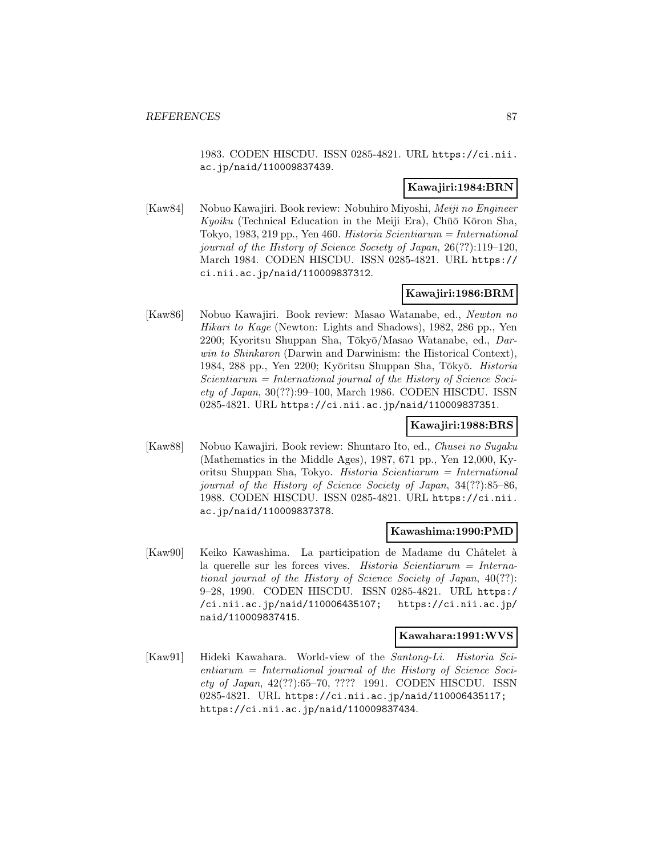1983. CODEN HISCDU. ISSN 0285-4821. URL https://ci.nii. ac.jp/naid/110009837439.

#### **Kawajiri:1984:BRN**

[Kaw84] Nobuo Kawajiri. Book review: Nobuhiro Miyoshi, Meiji no Engineer Kyoiku (Technical Education in the Meiji Era), Chūō Kōron Sha, Tokyo, 1983, 219 pp., Yen 460. Historia Scientiarum = International journal of the History of Science Society of Japan, 26(??):119–120, March 1984. CODEN HISCDU. ISSN 0285-4821. URL https:// ci.nii.ac.jp/naid/110009837312.

## **Kawajiri:1986:BRM**

[Kaw86] Nobuo Kawajiri. Book review: Masao Watanabe, ed., Newton no Hikari to Kage (Newton: Lights and Shadows), 1982, 286 pp., Yen 2200; Kyoritsu Shuppan Sha, Tōkyō/Masao Watanabe, ed., Darwin to Shinkaron (Darwin and Darwinism: the Historical Context), 1984, 288 pp., Yen 2200; Kyōritsu Shuppan Sha, Tōkyō. Historia  $Scientiarum = International journal of the History of Science Soci$ ety of Japan, 30(??):99–100, March 1986. CODEN HISCDU. ISSN 0285-4821. URL https://ci.nii.ac.jp/naid/110009837351.

## **Kawajiri:1988:BRS**

[Kaw88] Nobuo Kawajiri. Book review: Shuntaro Ito, ed., Chusei no Sugaku (Mathematics in the Middle Ages), 1987, 671 pp., Yen 12,000, Kyoritsu Shuppan Sha, Tokyo. Historia Scientiarum = International journal of the History of Science Society of Japan, 34(??):85–86, 1988. CODEN HISCDU. ISSN 0285-4821. URL https://ci.nii. ac.jp/naid/110009837378.

#### **Kawashima:1990:PMD**

[Kaw90] Keiko Kawashima. La participation de Madame du Châtelet à la querelle sur les forces vives. Historia Scientiarum = International journal of the History of Science Society of Japan, 40(??): 9–28, 1990. CODEN HISCDU. ISSN 0285-4821. URL https:/ /ci.nii.ac.jp/naid/110006435107; https://ci.nii.ac.jp/ naid/110009837415.

#### **Kawahara:1991:WVS**

[Kaw91] Hideki Kawahara. World-view of the Santong-Li. Historia Sci $entiarum = International$  journal of the History of Science Society of Japan, 42(??):65–70, ???? 1991. CODEN HISCDU. ISSN 0285-4821. URL https://ci.nii.ac.jp/naid/110006435117; https://ci.nii.ac.jp/naid/110009837434.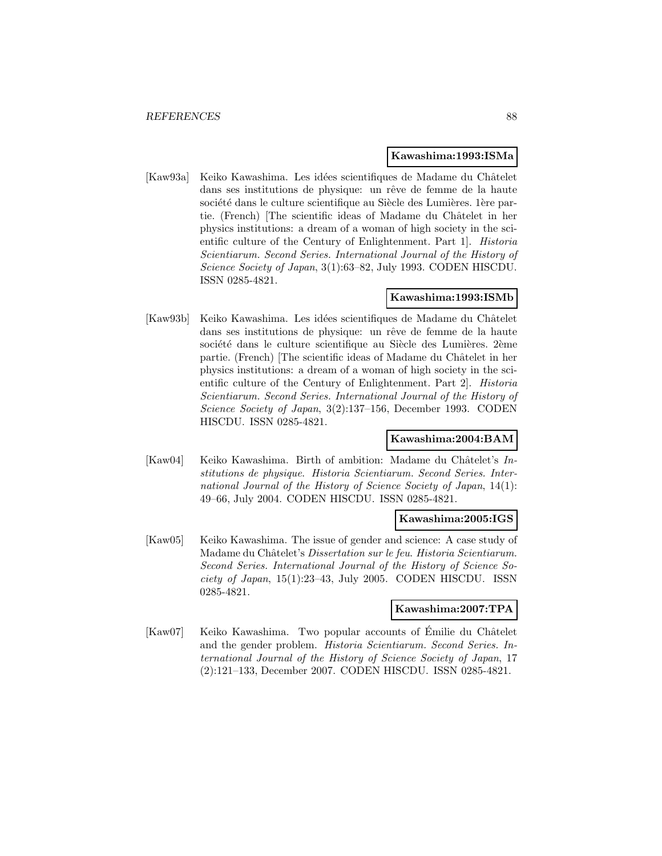#### **Kawashima:1993:ISMa**

[Kaw93a] Keiko Kawashima. Les idées scientifiques de Madame du Châtelet dans ses institutions de physique: un rêve de femme de la haute société dans le culture scientifique au Siècle des Lumières. 1ère partie. (French) [The scientific ideas of Madame du Châtelet in her physics institutions: a dream of a woman of high society in the scientific culture of the Century of Enlightenment. Part 1. *Historia* Scientiarum. Second Series. International Journal of the History of Science Society of Japan, 3(1):63–82, July 1993. CODEN HISCDU. ISSN 0285-4821.

## **Kawashima:1993:ISMb**

[Kaw93b] Keiko Kawashima. Les idées scientifiques de Madame du Châtelet dans ses institutions de physique: un rêve de femme de la haute société dans le culture scientifique au Siècle des Lumières. 2ème partie. (French) [The scientific ideas of Madame du Châtelet in her physics institutions: a dream of a woman of high society in the scientific culture of the Century of Enlightenment. Part 2]. Historia Scientiarum. Second Series. International Journal of the History of Science Society of Japan, 3(2):137–156, December 1993. CODEN HISCDU. ISSN 0285-4821.

#### **Kawashima:2004:BAM**

[Kaw04] Keiko Kawashima. Birth of ambition: Madame du Châtelet's  $In$ stitutions de physique. Historia Scientiarum. Second Series. International Journal of the History of Science Society of Japan, 14(1): 49–66, July 2004. CODEN HISCDU. ISSN 0285-4821.

#### **Kawashima:2005:IGS**

[Kaw05] Keiko Kawashima. The issue of gender and science: A case study of Madame du Châtelet's Dissertation sur le feu. Historia Scientiarum. Second Series. International Journal of the History of Science So $ciety$  of Japan,  $15(1):23-43$ , July 2005. CODEN HISCDU. ISSN 0285-4821.

#### **Kawashima:2007:TPA**

[Kaw07] Keiko Kawashima. Two popular accounts of Émilie du Châtelet and the gender problem. Historia Scientiarum. Second Series. International Journal of the History of Science Society of Japan, 17 (2):121–133, December 2007. CODEN HISCDU. ISSN 0285-4821.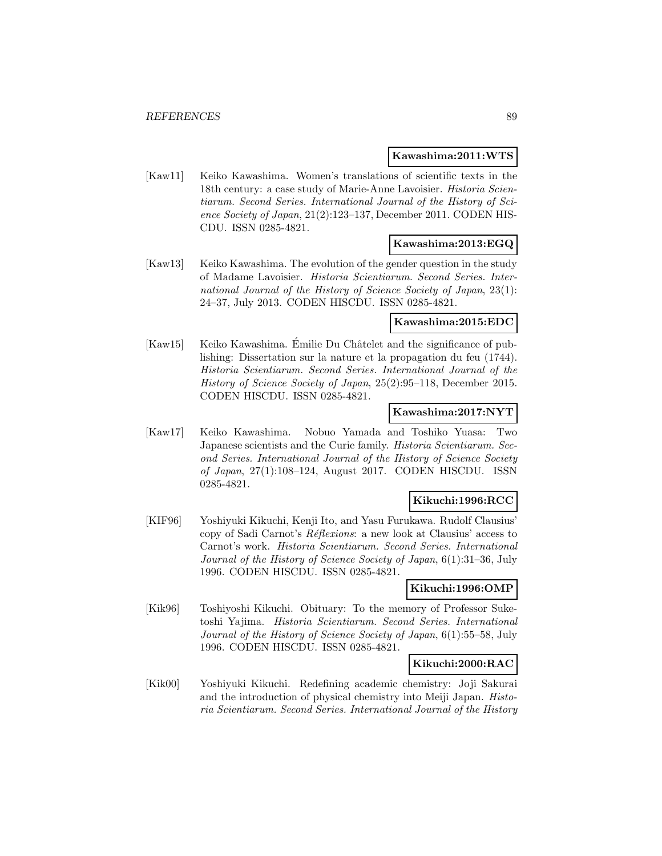#### **Kawashima:2011:WTS**

[Kaw11] Keiko Kawashima. Women's translations of scientific texts in the 18th century: a case study of Marie-Anne Lavoisier. Historia Scientiarum. Second Series. International Journal of the History of Science Society of Japan, 21(2):123–137, December 2011. CODEN HIS-CDU. ISSN 0285-4821.

#### **Kawashima:2013:EGQ**

[Kaw13] Keiko Kawashima. The evolution of the gender question in the study of Madame Lavoisier. Historia Scientiarum. Second Series. International Journal of the History of Science Society of Japan, 23(1): 24–37, July 2013. CODEN HISCDU. ISSN 0285-4821.

## **Kawashima:2015:EDC**

[Kaw15] Keiko Kawashima. Émilie Du Châtelet and the significance of publishing: Dissertation sur la nature et la propagation du feu (1744). Historia Scientiarum. Second Series. International Journal of the History of Science Society of Japan, 25(2):95–118, December 2015. CODEN HISCDU. ISSN 0285-4821.

### **Kawashima:2017:NYT**

[Kaw17] Keiko Kawashima. Nobuo Yamada and Toshiko Yuasa: Two Japanese scientists and the Curie family. Historia Scientiarum. Second Series. International Journal of the History of Science Society of Japan, 27(1):108–124, August 2017. CODEN HISCDU. ISSN 0285-4821.

## **Kikuchi:1996:RCC**

[KIF96] Yoshiyuki Kikuchi, Kenji Ito, and Yasu Furukawa. Rudolf Clausius' copy of Sadi Carnot's  $R\acute{e}f$ exions: a new look at Clausius' access to Carnot's work. Historia Scientiarum. Second Series. International Journal of the History of Science Society of Japan, 6(1):31–36, July 1996. CODEN HISCDU. ISSN 0285-4821.

### **Kikuchi:1996:OMP**

[Kik96] Toshiyoshi Kikuchi. Obituary: To the memory of Professor Suketoshi Yajima. Historia Scientiarum. Second Series. International Journal of the History of Science Society of Japan, 6(1):55–58, July 1996. CODEN HISCDU. ISSN 0285-4821.

## **Kikuchi:2000:RAC**

[Kik00] Yoshiyuki Kikuchi. Redefining academic chemistry: Joji Sakurai and the introduction of physical chemistry into Meiji Japan. Historia Scientiarum. Second Series. International Journal of the History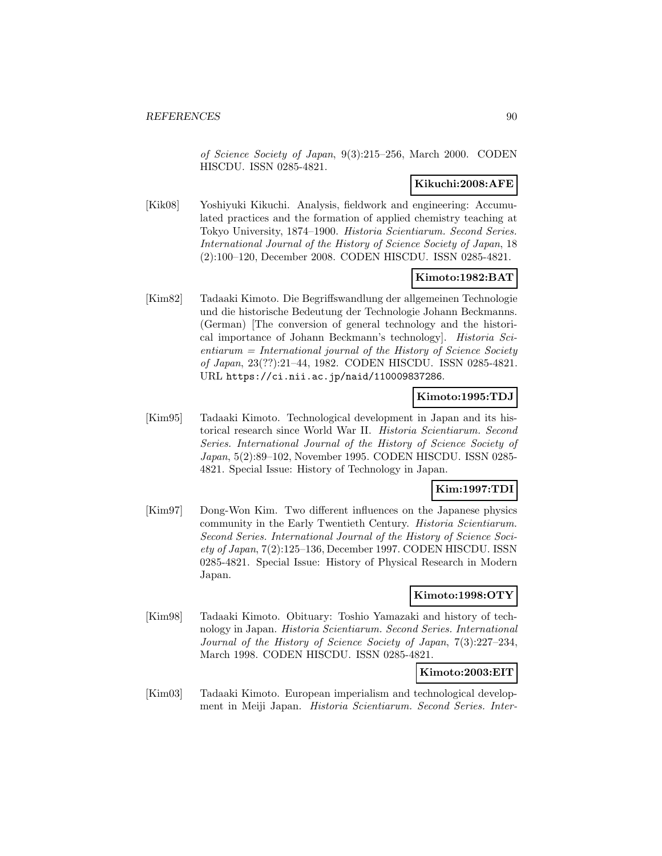of Science Society of Japan, 9(3):215–256, March 2000. CODEN HISCDU. ISSN 0285-4821.

#### **Kikuchi:2008:AFE**

[Kik08] Yoshiyuki Kikuchi. Analysis, fieldwork and engineering: Accumulated practices and the formation of applied chemistry teaching at Tokyo University, 1874–1900. Historia Scientiarum. Second Series. International Journal of the History of Science Society of Japan, 18 (2):100–120, December 2008. CODEN HISCDU. ISSN 0285-4821.

## **Kimoto:1982:BAT**

[Kim82] Tadaaki Kimoto. Die Begriffswandlung der allgemeinen Technologie und die historische Bedeutung der Technologie Johann Beckmanns. (German) [The conversion of general technology and the historical importance of Johann Beckmann's technology]. Historia Sci $entiarum = International journal of the History of Science Society$ of Japan, 23(??):21–44, 1982. CODEN HISCDU. ISSN 0285-4821. URL https://ci.nii.ac.jp/naid/110009837286.

## **Kimoto:1995:TDJ**

[Kim95] Tadaaki Kimoto. Technological development in Japan and its historical research since World War II. Historia Scientiarum. Second Series. International Journal of the History of Science Society of Japan, 5(2):89–102, November 1995. CODEN HISCDU. ISSN 0285- 4821. Special Issue: History of Technology in Japan.

## **Kim:1997:TDI**

[Kim97] Dong-Won Kim. Two different influences on the Japanese physics community in the Early Twentieth Century. Historia Scientiarum. Second Series. International Journal of the History of Science Society of Japan, 7(2):125–136, December 1997. CODEN HISCDU. ISSN 0285-4821. Special Issue: History of Physical Research in Modern Japan.

#### **Kimoto:1998:OTY**

[Kim98] Tadaaki Kimoto. Obituary: Toshio Yamazaki and history of technology in Japan. Historia Scientiarum. Second Series. International Journal of the History of Science Society of Japan, 7(3):227–234, March 1998. CODEN HISCDU. ISSN 0285-4821.

#### **Kimoto:2003:EIT**

[Kim03] Tadaaki Kimoto. European imperialism and technological development in Meiji Japan. Historia Scientiarum. Second Series. Inter-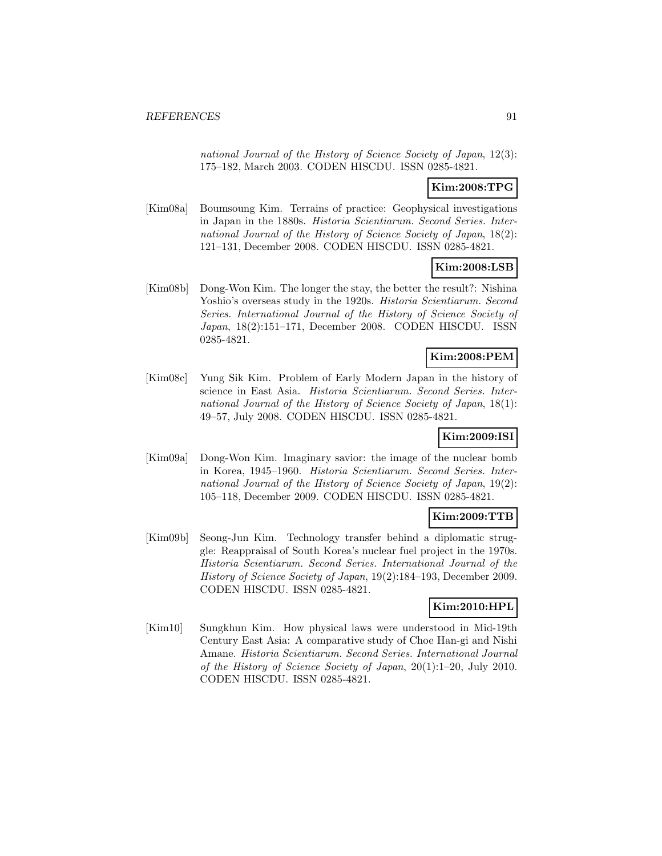national Journal of the History of Science Society of Japan, 12(3): 175–182, March 2003. CODEN HISCDU. ISSN 0285-4821.

# **Kim:2008:TPG**

[Kim08a] Boumsoung Kim. Terrains of practice: Geophysical investigations in Japan in the 1880s. Historia Scientiarum. Second Series. International Journal of the History of Science Society of Japan, 18(2): 121–131, December 2008. CODEN HISCDU. ISSN 0285-4821.

# **Kim:2008:LSB**

[Kim08b] Dong-Won Kim. The longer the stay, the better the result?: Nishina Yoshio's overseas study in the 1920s. *Historia Scientiarum. Second* Series. International Journal of the History of Science Society of Japan, 18(2):151–171, December 2008. CODEN HISCDU. ISSN 0285-4821.

## **Kim:2008:PEM**

[Kim08c] Yung Sik Kim. Problem of Early Modern Japan in the history of science in East Asia. Historia Scientiarum. Second Series. International Journal of the History of Science Society of Japan, 18(1): 49–57, July 2008. CODEN HISCDU. ISSN 0285-4821.

## **Kim:2009:ISI**

[Kim09a] Dong-Won Kim. Imaginary savior: the image of the nuclear bomb in Korea, 1945–1960. Historia Scientiarum. Second Series. International Journal of the History of Science Society of Japan, 19(2): 105–118, December 2009. CODEN HISCDU. ISSN 0285-4821.

# **Kim:2009:TTB**

[Kim09b] Seong-Jun Kim. Technology transfer behind a diplomatic struggle: Reappraisal of South Korea's nuclear fuel project in the 1970s. Historia Scientiarum. Second Series. International Journal of the History of Science Society of Japan, 19(2):184–193, December 2009. CODEN HISCDU. ISSN 0285-4821.

# **Kim:2010:HPL**

[Kim10] Sungkhun Kim. How physical laws were understood in Mid-19th Century East Asia: A comparative study of Choe Han-gi and Nishi Amane. Historia Scientiarum. Second Series. International Journal of the History of Science Society of Japan, 20(1):1–20, July 2010. CODEN HISCDU. ISSN 0285-4821.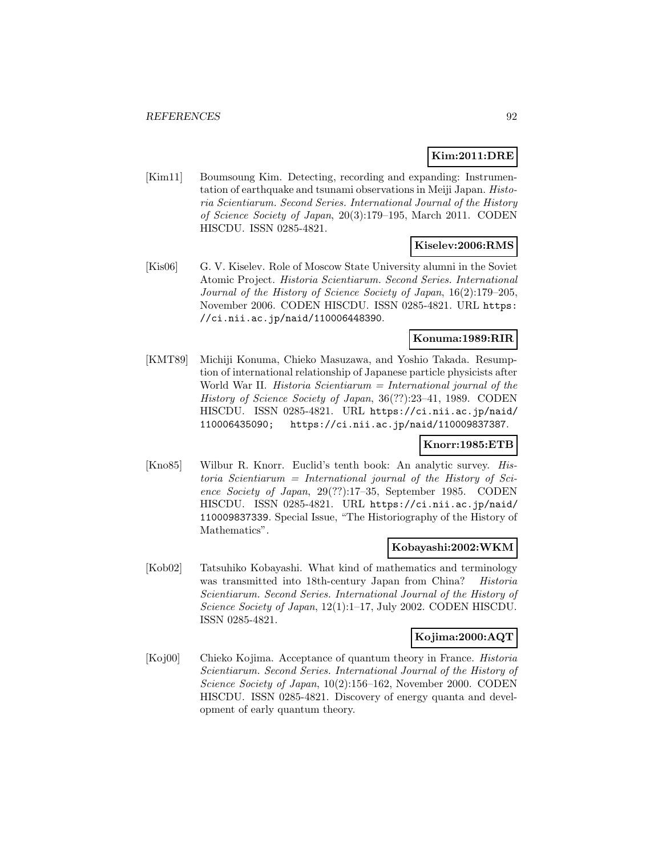# **Kim:2011:DRE**

[Kim11] Boumsoung Kim. Detecting, recording and expanding: Instrumentation of earthquake and tsunami observations in Meiji Japan. Historia Scientiarum. Second Series. International Journal of the History of Science Society of Japan, 20(3):179–195, March 2011. CODEN HISCDU. ISSN 0285-4821.

#### **Kiselev:2006:RMS**

[Kis06] G. V. Kiselev. Role of Moscow State University alumni in the Soviet Atomic Project. Historia Scientiarum. Second Series. International Journal of the History of Science Society of Japan, 16(2):179–205, November 2006. CODEN HISCDU. ISSN 0285-4821. URL https: //ci.nii.ac.jp/naid/110006448390.

### **Konuma:1989:RIR**

[KMT89] Michiji Konuma, Chieko Masuzawa, and Yoshio Takada. Resumption of international relationship of Japanese particle physicists after World War II. Historia Scientiarum  $=$  International journal of the History of Science Society of Japan, 36(??):23–41, 1989. CODEN HISCDU. ISSN 0285-4821. URL https://ci.nii.ac.jp/naid/ 110006435090; https://ci.nii.ac.jp/naid/110009837387.

## **Knorr:1985:ETB**

[Kno85] Wilbur R. Knorr. Euclid's tenth book: An analytic survey. Historia Scientiarum = International journal of the History of Science Society of Japan, 29(??):17–35, September 1985. CODEN HISCDU. ISSN 0285-4821. URL https://ci.nii.ac.jp/naid/ 110009837339. Special Issue, "The Historiography of the History of Mathematics".

#### **Kobayashi:2002:WKM**

[Kob02] Tatsuhiko Kobayashi. What kind of mathematics and terminology was transmitted into 18th-century Japan from China? Historia Scientiarum. Second Series. International Journal of the History of Science Society of Japan, 12(1):1-17, July 2002. CODEN HISCDU. ISSN 0285-4821.

#### **Kojima:2000:AQT**

[Koj00] Chieko Kojima. Acceptance of quantum theory in France. Historia Scientiarum. Second Series. International Journal of the History of Science Society of Japan, 10(2):156–162, November 2000. CODEN HISCDU. ISSN 0285-4821. Discovery of energy quanta and development of early quantum theory.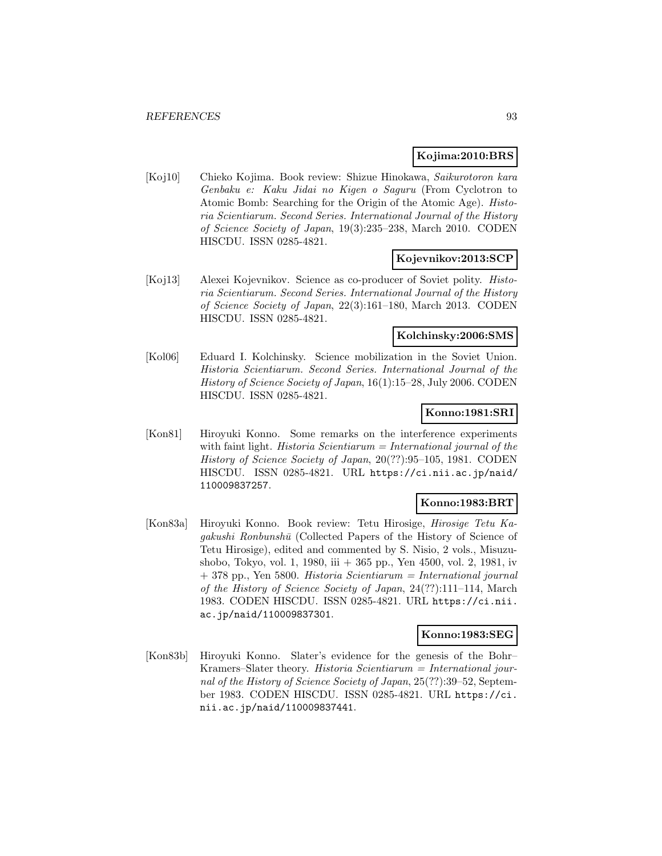### **Kojima:2010:BRS**

[Koj10] Chieko Kojima. Book review: Shizue Hinokawa, Saikurotoron kara Genbaku e: Kaku Jidai no Kigen o Saguru (From Cyclotron to Atomic Bomb: Searching for the Origin of the Atomic Age). Historia Scientiarum. Second Series. International Journal of the History of Science Society of Japan, 19(3):235–238, March 2010. CODEN HISCDU. ISSN 0285-4821.

### **Kojevnikov:2013:SCP**

[Koj13] Alexei Kojevnikov. Science as co-producer of Soviet polity. Historia Scientiarum. Second Series. International Journal of the History of Science Society of Japan, 22(3):161–180, March 2013. CODEN HISCDU. ISSN 0285-4821.

#### **Kolchinsky:2006:SMS**

[Kol06] Eduard I. Kolchinsky. Science mobilization in the Soviet Union. Historia Scientiarum. Second Series. International Journal of the History of Science Society of Japan, 16(1):15–28, July 2006. CODEN HISCDU. ISSN 0285-4821.

### **Konno:1981:SRI**

[Kon81] Hiroyuki Konno. Some remarks on the interference experiments with faint light. Historia Scientiarum  $=$  International journal of the History of Science Society of Japan, 20(??):95–105, 1981. CODEN HISCDU. ISSN 0285-4821. URL https://ci.nii.ac.jp/naid/ 110009837257.

## **Konno:1983:BRT**

[Kon83a] Hiroyuki Konno. Book review: Tetu Hirosige, Hirosige Tetu Ka $qakushi$  Ronbunsh $\bar{u}$  (Collected Papers of the History of Science of Tetu Hirosige), edited and commented by S. Nisio, 2 vols., Misuzushobo, Tokyo, vol. 1, 1980, iii + 365 pp., Yen 4500, vol. 2, 1981, iv  $+ 378$  pp., Yen 5800. Historia Scientiarum = International journal of the History of Science Society of Japan, 24(??):111–114, March 1983. CODEN HISCDU. ISSN 0285-4821. URL https://ci.nii. ac.jp/naid/110009837301.

#### **Konno:1983:SEG**

[Kon83b] Hiroyuki Konno. Slater's evidence for the genesis of the Bohr– Kramers–Slater theory. Historia Scientiarum = International journal of the History of Science Society of Japan, 25(??):39–52, September 1983. CODEN HISCDU. ISSN 0285-4821. URL https://ci. nii.ac.jp/naid/110009837441.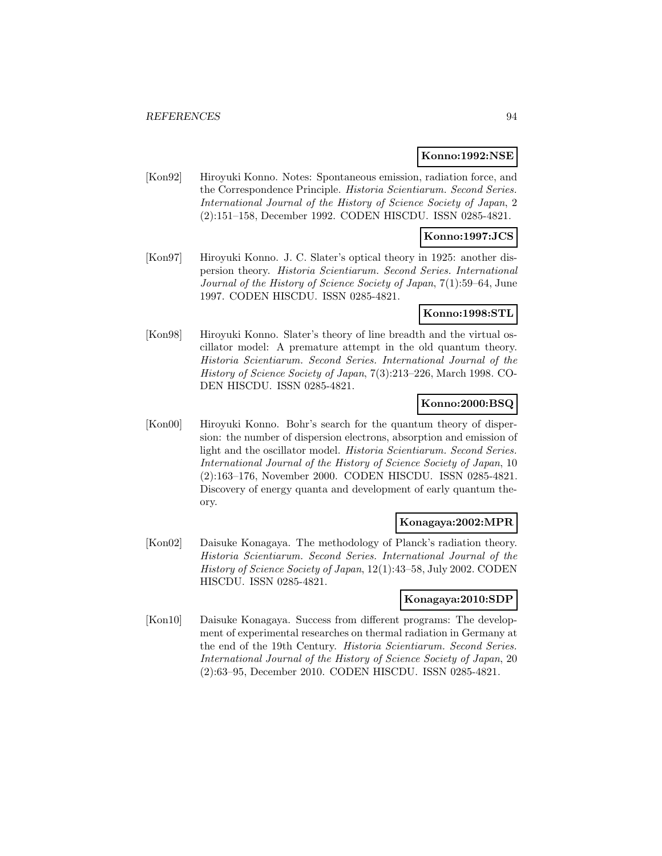#### **Konno:1992:NSE**

[Kon92] Hiroyuki Konno. Notes: Spontaneous emission, radiation force, and the Correspondence Principle. Historia Scientiarum. Second Series. International Journal of the History of Science Society of Japan, 2 (2):151–158, December 1992. CODEN HISCDU. ISSN 0285-4821.

### **Konno:1997:JCS**

[Kon97] Hiroyuki Konno. J. C. Slater's optical theory in 1925: another dispersion theory. Historia Scientiarum. Second Series. International Journal of the History of Science Society of Japan, 7(1):59–64, June 1997. CODEN HISCDU. ISSN 0285-4821.

## **Konno:1998:STL**

[Kon98] Hiroyuki Konno. Slater's theory of line breadth and the virtual oscillator model: A premature attempt in the old quantum theory. Historia Scientiarum. Second Series. International Journal of the History of Science Society of Japan, 7(3):213–226, March 1998. CO-DEN HISCDU. ISSN 0285-4821.

## **Konno:2000:BSQ**

[Kon00] Hiroyuki Konno. Bohr's search for the quantum theory of dispersion: the number of dispersion electrons, absorption and emission of light and the oscillator model. Historia Scientiarum. Second Series. International Journal of the History of Science Society of Japan, 10 (2):163–176, November 2000. CODEN HISCDU. ISSN 0285-4821. Discovery of energy quanta and development of early quantum theory.

#### **Konagaya:2002:MPR**

[Kon02] Daisuke Konagaya. The methodology of Planck's radiation theory. Historia Scientiarum. Second Series. International Journal of the History of Science Society of Japan, 12(1):43–58, July 2002. CODEN HISCDU. ISSN 0285-4821.

#### **Konagaya:2010:SDP**

[Kon10] Daisuke Konagaya. Success from different programs: The development of experimental researches on thermal radiation in Germany at the end of the 19th Century. Historia Scientiarum. Second Series. International Journal of the History of Science Society of Japan, 20 (2):63–95, December 2010. CODEN HISCDU. ISSN 0285-4821.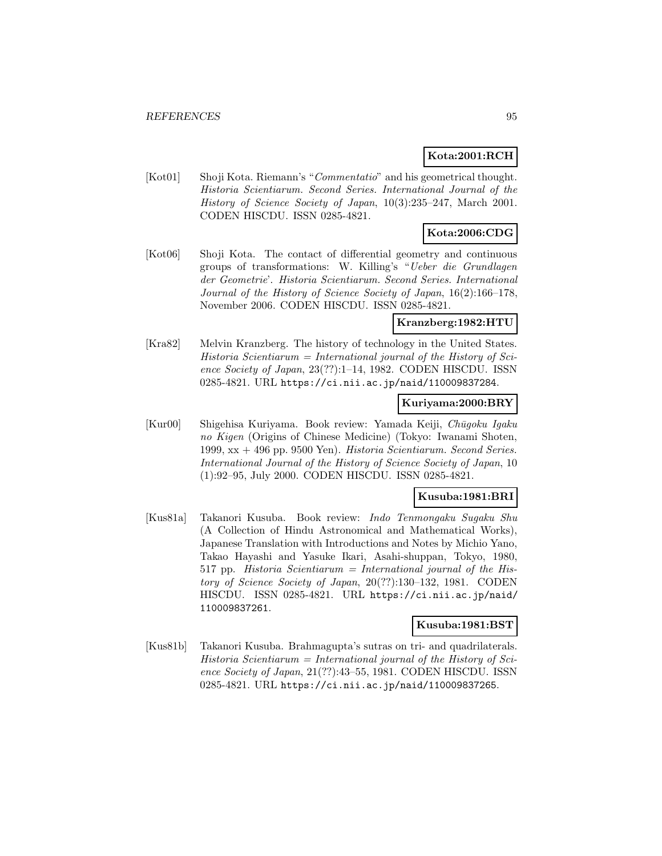## **Kota:2001:RCH**

[Kot01] Shoji Kota. Riemann's "Commentatio" and his geometrical thought. Historia Scientiarum. Second Series. International Journal of the History of Science Society of Japan, 10(3):235–247, March 2001. CODEN HISCDU. ISSN 0285-4821.

# **Kota:2006:CDG**

[Kot06] Shoji Kota. The contact of differential geometry and continuous groups of transformations: W. Killing's "Ueber die Grundlagen der Geometrie'. Historia Scientiarum. Second Series. International Journal of the History of Science Society of Japan, 16(2):166–178, November 2006. CODEN HISCDU. ISSN 0285-4821.

### **Kranzberg:1982:HTU**

[Kra82] Melvin Kranzberg. The history of technology in the United States.  $Historia$  Scientiarum = International journal of the History of Science Society of Japan, 23(??):1-14, 1982. CODEN HISCDU. ISSN 0285-4821. URL https://ci.nii.ac.jp/naid/110009837284.

#### **Kuriyama:2000:BRY**

 $|Kur00|$  Shigehisa Kuriyama. Book review: Yamada Keiji, *Chūqoku Iqaku* no Kigen (Origins of Chinese Medicine) (Tokyo: Iwanami Shoten, 1999,  $xx + 496$  pp. 9500 Yen). Historia Scientiarum. Second Series. International Journal of the History of Science Society of Japan, 10 (1):92–95, July 2000. CODEN HISCDU. ISSN 0285-4821.

### **Kusuba:1981:BRI**

[Kus81a] Takanori Kusuba. Book review: Indo Tenmongaku Sugaku Shu (A Collection of Hindu Astronomical and Mathematical Works), Japanese Translation with Introductions and Notes by Michio Yano, Takao Hayashi and Yasuke Ikari, Asahi-shuppan, Tokyo, 1980, 517 pp. Historia Scientiarum = International journal of the History of Science Society of Japan, 20(??):130–132, 1981. CODEN HISCDU. ISSN 0285-4821. URL https://ci.nii.ac.jp/naid/ 110009837261.

## **Kusuba:1981:BST**

[Kus81b] Takanori Kusuba. Brahmagupta's sutras on tri- and quadrilaterals.  $Historia$  Scientiarum = International journal of the History of Science Society of Japan, 21(??):43–55, 1981. CODEN HISCDU. ISSN 0285-4821. URL https://ci.nii.ac.jp/naid/110009837265.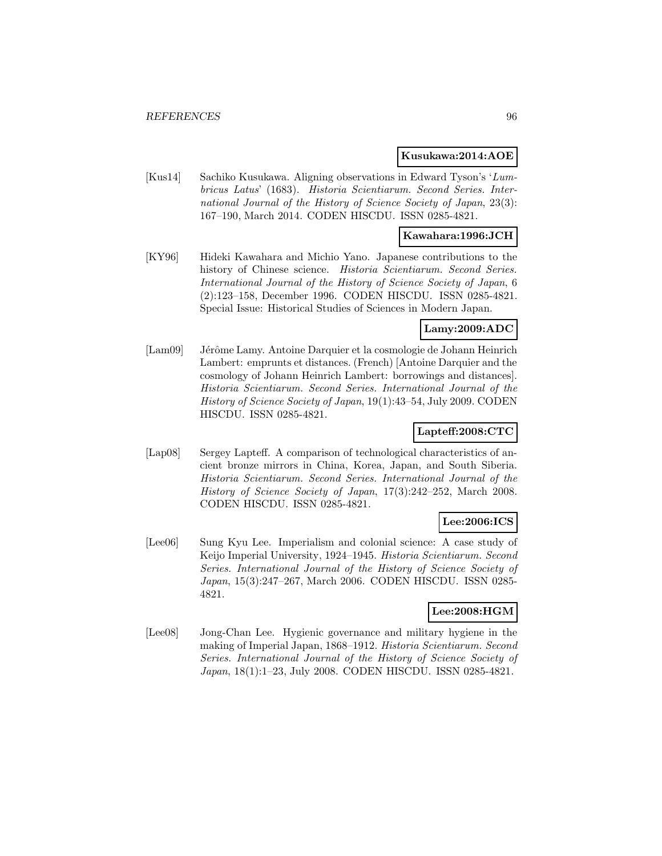#### **Kusukawa:2014:AOE**

[Kus14] Sachiko Kusukawa. Aligning observations in Edward Tyson's 'Lumbricus Latus' (1683). Historia Scientiarum. Second Series. International Journal of the History of Science Society of Japan, 23(3): 167–190, March 2014. CODEN HISCDU. ISSN 0285-4821.

#### **Kawahara:1996:JCH**

[KY96] Hideki Kawahara and Michio Yano. Japanese contributions to the history of Chinese science. Historia Scientiarum. Second Series. International Journal of the History of Science Society of Japan, 6 (2):123–158, December 1996. CODEN HISCDU. ISSN 0285-4821. Special Issue: Historical Studies of Sciences in Modern Japan.

## **Lamy:2009:ADC**

[Lam09] Jérôme Lamy. Antoine Darquier et la cosmologie de Johann Heinrich Lambert: emprunts et distances. (French) [Antoine Darquier and the cosmology of Johann Heinrich Lambert: borrowings and distances]. Historia Scientiarum. Second Series. International Journal of the History of Science Society of Japan, 19(1):43–54, July 2009. CODEN HISCDU. ISSN 0285-4821.

## **Lapteff:2008:CTC**

[Lap08] Sergey Lapteff. A comparison of technological characteristics of ancient bronze mirrors in China, Korea, Japan, and South Siberia. Historia Scientiarum. Second Series. International Journal of the History of Science Society of Japan, 17(3):242–252, March 2008. CODEN HISCDU. ISSN 0285-4821.

## **Lee:2006:ICS**

[Lee06] Sung Kyu Lee. Imperialism and colonial science: A case study of Keijo Imperial University, 1924–1945. Historia Scientiarum. Second Series. International Journal of the History of Science Society of Japan, 15(3):247–267, March 2006. CODEN HISCDU. ISSN 0285- 4821.

## **Lee:2008:HGM**

[Lee08] Jong-Chan Lee. Hygienic governance and military hygiene in the making of Imperial Japan, 1868–1912. Historia Scientiarum. Second Series. International Journal of the History of Science Society of Japan, 18(1):1–23, July 2008. CODEN HISCDU. ISSN 0285-4821.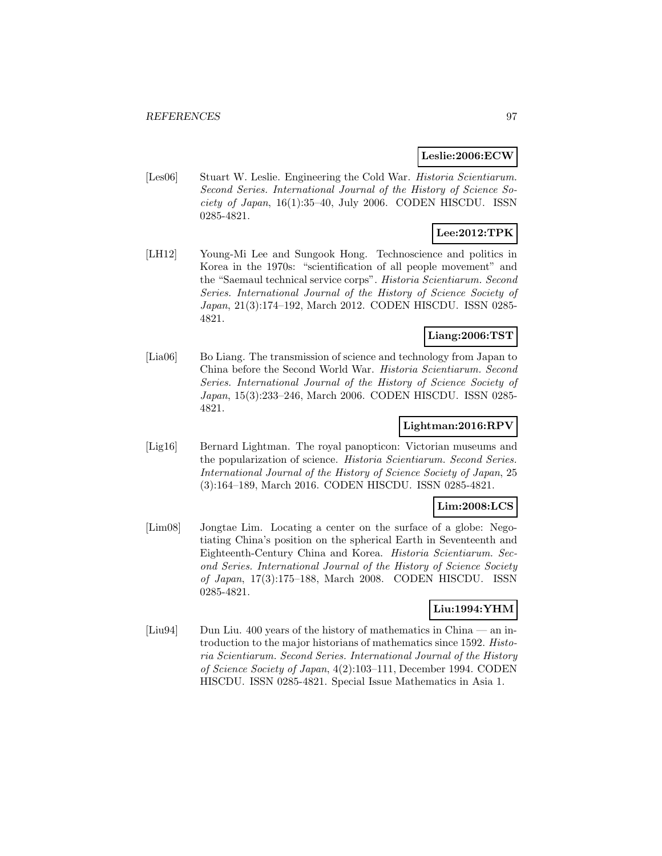#### **Leslie:2006:ECW**

[Les06] Stuart W. Leslie. Engineering the Cold War. *Historia Scientiarum*. Second Series. International Journal of the History of Science Society of Japan, 16(1):35–40, July 2006. CODEN HISCDU. ISSN 0285-4821.

# **Lee:2012:TPK**

[LH12] Young-Mi Lee and Sungook Hong. Technoscience and politics in Korea in the 1970s: "scientification of all people movement" and the "Saemaul technical service corps". Historia Scientiarum. Second Series. International Journal of the History of Science Society of Japan, 21(3):174–192, March 2012. CODEN HISCDU. ISSN 0285- 4821.

### **Liang:2006:TST**

[Lia06] Bo Liang. The transmission of science and technology from Japan to China before the Second World War. Historia Scientiarum. Second Series. International Journal of the History of Science Society of Japan, 15(3):233–246, March 2006. CODEN HISCDU. ISSN 0285- 4821.

## **Lightman:2016:RPV**

[Lig16] Bernard Lightman. The royal panopticon: Victorian museums and the popularization of science. Historia Scientiarum. Second Series. International Journal of the History of Science Society of Japan, 25 (3):164–189, March 2016. CODEN HISCDU. ISSN 0285-4821.

## **Lim:2008:LCS**

[Lim08] Jongtae Lim. Locating a center on the surface of a globe: Negotiating China's position on the spherical Earth in Seventeenth and Eighteenth-Century China and Korea. Historia Scientiarum. Second Series. International Journal of the History of Science Society of Japan, 17(3):175–188, March 2008. CODEN HISCDU. ISSN 0285-4821.

## **Liu:1994:YHM**

[Liu94] Dun Liu. 400 years of the history of mathematics in China — an introduction to the major historians of mathematics since 1592. Historia Scientiarum. Second Series. International Journal of the History of Science Society of Japan, 4(2):103–111, December 1994. CODEN HISCDU. ISSN 0285-4821. Special Issue Mathematics in Asia 1.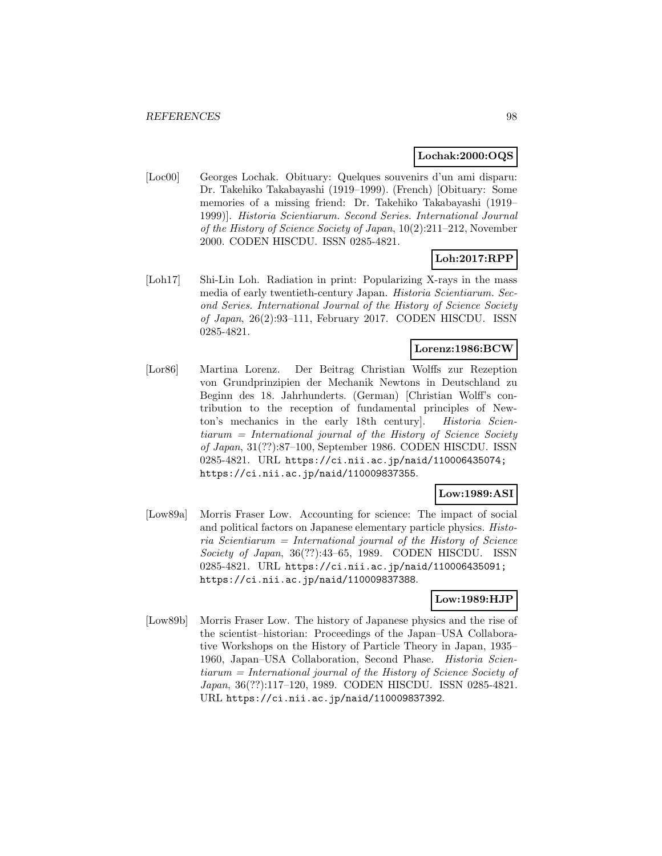#### **Lochak:2000:OQS**

[Loc00] Georges Lochak. Obituary: Quelques souvenirs d'un ami disparu: Dr. Takehiko Takabayashi (1919–1999). (French) [Obituary: Some memories of a missing friend: Dr. Takehiko Takabayashi (1919– 1999)]. Historia Scientiarum. Second Series. International Journal of the History of Science Society of Japan, 10(2):211–212, November 2000. CODEN HISCDU. ISSN 0285-4821.

# **Loh:2017:RPP**

[Loh17] Shi-Lin Loh. Radiation in print: Popularizing X-rays in the mass media of early twentieth-century Japan. Historia Scientiarum. Second Series. International Journal of the History of Science Society of Japan, 26(2):93–111, February 2017. CODEN HISCDU. ISSN 0285-4821.

#### **Lorenz:1986:BCW**

[Lor86] Martina Lorenz. Der Beitrag Christian Wolffs zur Rezeption von Grundprinzipien der Mechanik Newtons in Deutschland zu Beginn des 18. Jahrhunderts. (German) [Christian Wolff's contribution to the reception of fundamental principles of Newton's mechanics in the early 18th century]. Historia Scientiarum = International journal of the History of Science Society of Japan, 31(??):87–100, September 1986. CODEN HISCDU. ISSN 0285-4821. URL https://ci.nii.ac.jp/naid/110006435074; https://ci.nii.ac.jp/naid/110009837355.

## **Low:1989:ASI**

[Low89a] Morris Fraser Low. Accounting for science: The impact of social and political factors on Japanese elementary particle physics. Histo $ria$  Scientiarum = International journal of the History of Science Society of Japan, 36(??):43–65, 1989. CODEN HISCDU. ISSN 0285-4821. URL https://ci.nii.ac.jp/naid/110006435091; https://ci.nii.ac.jp/naid/110009837388.

## **Low:1989:HJP**

[Low89b] Morris Fraser Low. The history of Japanese physics and the rise of the scientist–historian: Proceedings of the Japan–USA Collaborative Workshops on the History of Particle Theory in Japan, 1935– 1960, Japan–USA Collaboration, Second Phase. Historia Scientiarum = International journal of the History of Science Society of Japan, 36(??):117–120, 1989. CODEN HISCDU. ISSN 0285-4821. URL https://ci.nii.ac.jp/naid/110009837392.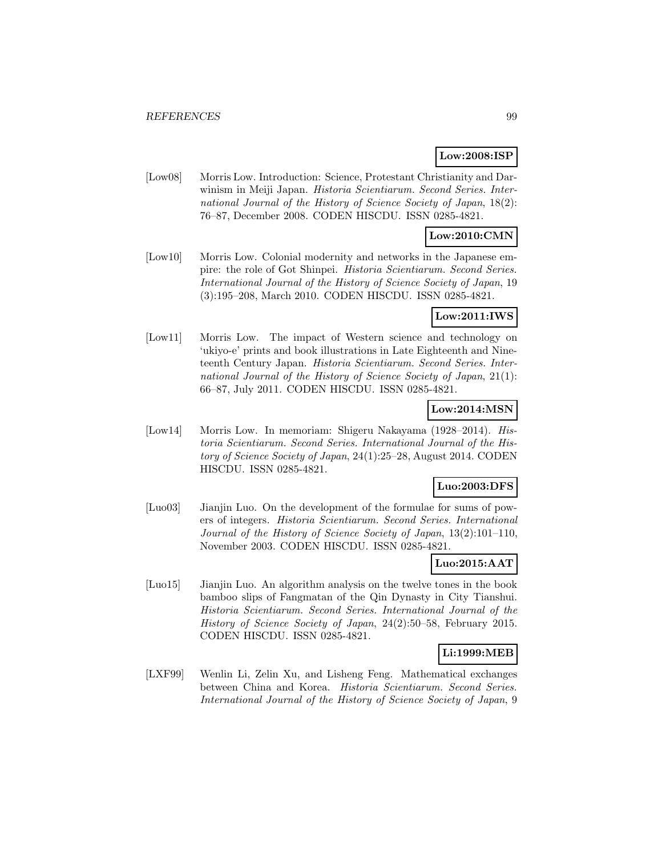## **Low:2008:ISP**

[Low08] Morris Low. Introduction: Science, Protestant Christianity and Darwinism in Meiji Japan. Historia Scientiarum. Second Series. International Journal of the History of Science Society of Japan, 18(2): 76–87, December 2008. CODEN HISCDU. ISSN 0285-4821.

#### **Low:2010:CMN**

[Low10] Morris Low. Colonial modernity and networks in the Japanese empire: the role of Got Shinpei. Historia Scientiarum. Second Series. International Journal of the History of Science Society of Japan, 19 (3):195–208, March 2010. CODEN HISCDU. ISSN 0285-4821.

### **Low:2011:IWS**

[Low11] Morris Low. The impact of Western science and technology on 'ukiyo-e' prints and book illustrations in Late Eighteenth and Nineteenth Century Japan. Historia Scientiarum. Second Series. International Journal of the History of Science Society of Japan, 21(1): 66–87, July 2011. CODEN HISCDU. ISSN 0285-4821.

# **Low:2014:MSN**

[Low14] Morris Low. In memoriam: Shigeru Nakayama (1928–2014). Historia Scientiarum. Second Series. International Journal of the History of Science Society of Japan, 24(1):25–28, August 2014. CODEN HISCDU. ISSN 0285-4821.

### **Luo:2003:DFS**

[Luo03] Jianjin Luo. On the development of the formulae for sums of powers of integers. Historia Scientiarum. Second Series. International Journal of the History of Science Society of Japan, 13(2):101–110, November 2003. CODEN HISCDU. ISSN 0285-4821.

## **Luo:2015:AAT**

[Luo15] Jianjin Luo. An algorithm analysis on the twelve tones in the book bamboo slips of Fangmatan of the Qin Dynasty in City Tianshui. Historia Scientiarum. Second Series. International Journal of the History of Science Society of Japan, 24(2):50–58, February 2015. CODEN HISCDU. ISSN 0285-4821.

## **Li:1999:MEB**

[LXF99] Wenlin Li, Zelin Xu, and Lisheng Feng. Mathematical exchanges between China and Korea. Historia Scientiarum. Second Series. International Journal of the History of Science Society of Japan, 9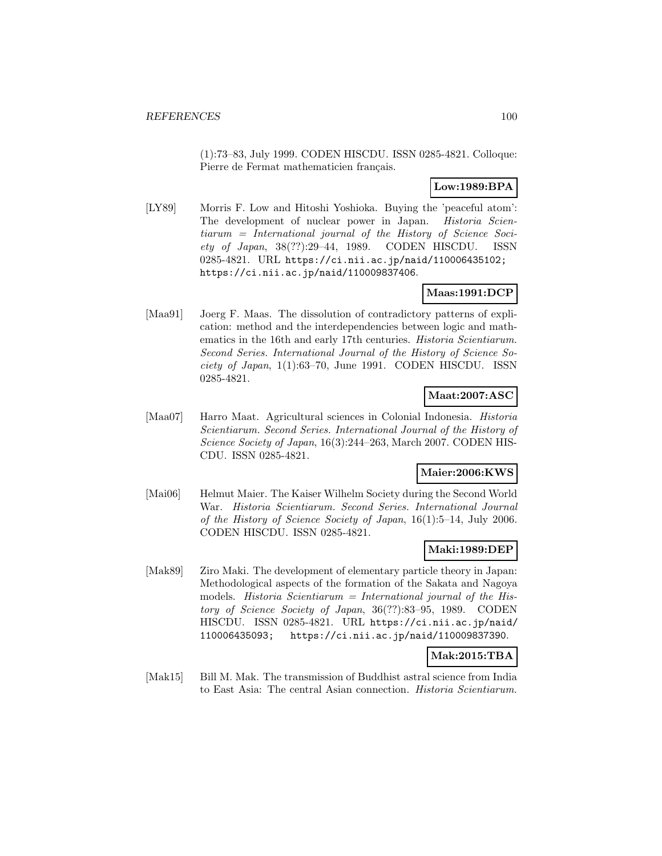(1):73–83, July 1999. CODEN HISCDU. ISSN 0285-4821. Colloque: Pierre de Fermat mathematicien français.

# **Low:1989:BPA**

[LY89] Morris F. Low and Hitoshi Yoshioka. Buying the 'peaceful atom': The development of nuclear power in Japan. Historia Scientiarum = International journal of the History of Science Society of Japan, 38(??):29–44, 1989. CODEN HISCDU. ISSN 0285-4821. URL https://ci.nii.ac.jp/naid/110006435102; https://ci.nii.ac.jp/naid/110009837406.

# **Maas:1991:DCP**

[Maa91] Joerg F. Maas. The dissolution of contradictory patterns of explication: method and the interdependencies between logic and mathematics in the 16th and early 17th centuries. Historia Scientiarum. Second Series. International Journal of the History of Science Society of Japan, 1(1):63–70, June 1991. CODEN HISCDU. ISSN 0285-4821.

# **Maat:2007:ASC**

[Maa07] Harro Maat. Agricultural sciences in Colonial Indonesia. Historia Scientiarum. Second Series. International Journal of the History of Science Society of Japan, 16(3):244–263, March 2007. CODEN HIS-CDU. ISSN 0285-4821.

## **Maier:2006:KWS**

[Mai06] Helmut Maier. The Kaiser Wilhelm Society during the Second World War. Historia Scientiarum. Second Series. International Journal of the History of Science Society of Japan, 16(1):5–14, July 2006. CODEN HISCDU. ISSN 0285-4821.

## **Maki:1989:DEP**

[Mak89] Ziro Maki. The development of elementary particle theory in Japan: Methodological aspects of the formation of the Sakata and Nagoya models. Historia Scientiarum = International journal of the History of Science Society of Japan, 36(??):83–95, 1989. CODEN HISCDU. ISSN 0285-4821. URL https://ci.nii.ac.jp/naid/ 110006435093; https://ci.nii.ac.jp/naid/110009837390.

## **Mak:2015:TBA**

[Mak15] Bill M. Mak. The transmission of Buddhist astral science from India to East Asia: The central Asian connection. Historia Scientiarum.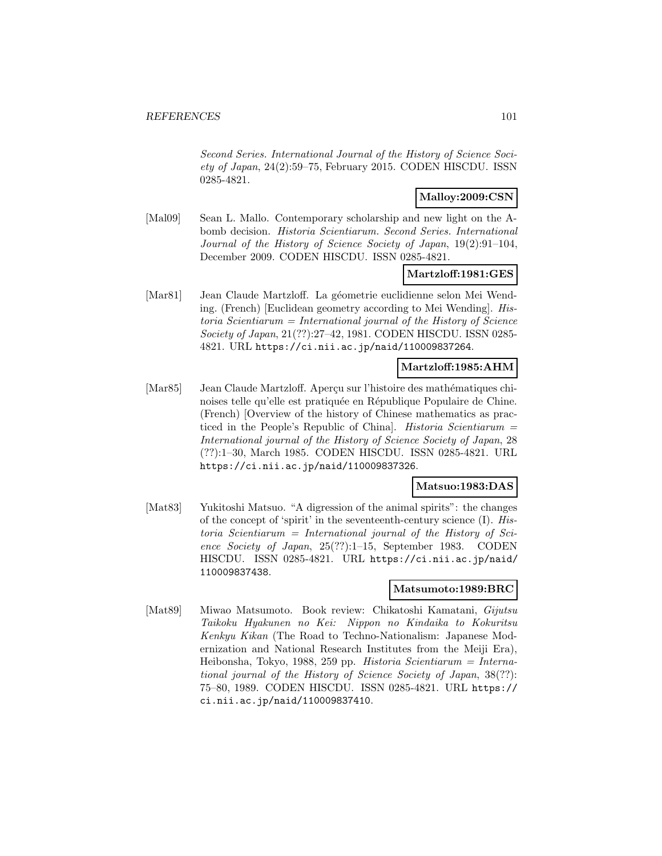Second Series. International Journal of the History of Science Society of Japan, 24(2):59–75, February 2015. CODEN HISCDU. ISSN 0285-4821.

## **Malloy:2009:CSN**

[Mal09] Sean L. Mallo. Contemporary scholarship and new light on the Abomb decision. Historia Scientiarum. Second Series. International Journal of the History of Science Society of Japan, 19(2):91–104, December 2009. CODEN HISCDU. ISSN 0285-4821.

### **Martzloff:1981:GES**

[Mar81] Jean Claude Martzloff. La géometrie euclidienne selon Mei Wending. (French) [Euclidean geometry according to Mei Wending]. His $toria$  Scientiarum = International journal of the History of Science Society of Japan, 21(??):27–42, 1981. CODEN HISCDU. ISSN 0285- 4821. URL https://ci.nii.ac.jp/naid/110009837264.

#### **Martzloff:1985:AHM**

[Mar85] Jean Claude Martzloff. Apercu sur l'histoire des mathématiques chinoises telle qu'elle est pratiquée en République Populaire de Chine. (French) [Overview of the history of Chinese mathematics as practiced in the People's Republic of China]. Historia Scientiarum = International journal of the History of Science Society of Japan, 28 (??):1–30, March 1985. CODEN HISCDU. ISSN 0285-4821. URL https://ci.nii.ac.jp/naid/110009837326.

### **Matsuo:1983:DAS**

[Mat83] Yukitoshi Matsuo. "A digression of the animal spirits": the changes of the concept of 'spirit' in the seventeenth-century science (I). His $toria$  Scientiarum = International journal of the History of Science Society of Japan, 25(??):1–15, September 1983. CODEN HISCDU. ISSN 0285-4821. URL https://ci.nii.ac.jp/naid/ 110009837438.

### **Matsumoto:1989:BRC**

[Mat89] Miwao Matsumoto. Book review: Chikatoshi Kamatani, Gijutsu Taikoku Hyakunen no Kei: Nippon no Kindaika to Kokuritsu Kenkyu Kikan (The Road to Techno-Nationalism: Japanese Modernization and National Research Institutes from the Meiji Era), Heibonsha, Tokyo, 1988, 259 pp. Historia Scientiarum = International journal of the History of Science Society of Japan, 38(??): 75–80, 1989. CODEN HISCDU. ISSN 0285-4821. URL https:// ci.nii.ac.jp/naid/110009837410.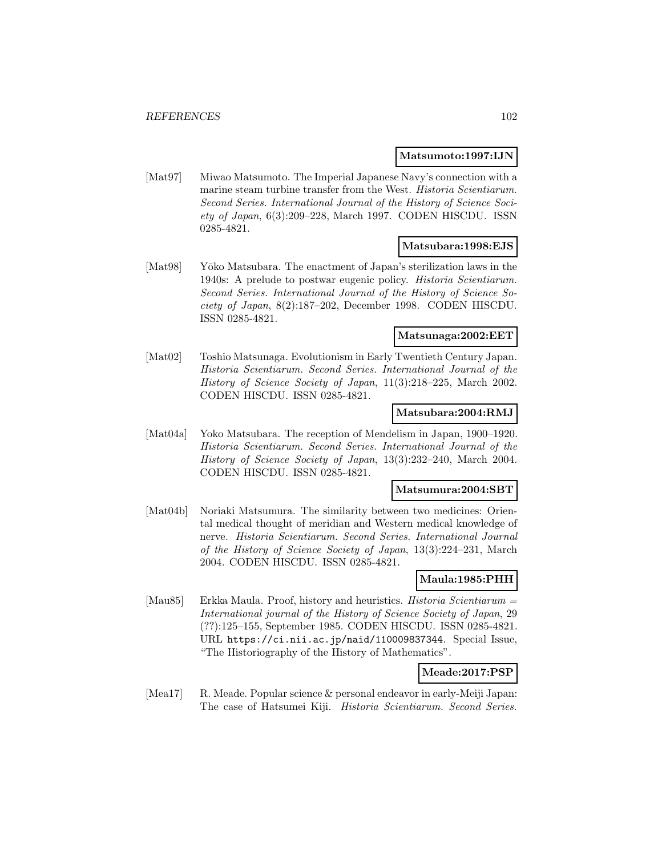#### **Matsumoto:1997:IJN**

[Mat97] Miwao Matsumoto. The Imperial Japanese Navy's connection with a marine steam turbine transfer from the West. Historia Scientiarum. Second Series. International Journal of the History of Science Society of Japan, 6(3):209–228, March 1997. CODEN HISCDU. ISSN 0285-4821.

#### **Matsubara:1998:EJS**

[Mat98] Yōko Matsubara. The enactment of Japan's sterilization laws in the 1940s: A prelude to postwar eugenic policy. Historia Scientiarum. Second Series. International Journal of the History of Science Society of Japan, 8(2):187–202, December 1998. CODEN HISCDU. ISSN 0285-4821.

#### **Matsunaga:2002:EET**

[Mat02] Toshio Matsunaga. Evolutionism in Early Twentieth Century Japan. Historia Scientiarum. Second Series. International Journal of the History of Science Society of Japan, 11(3):218–225, March 2002. CODEN HISCDU. ISSN 0285-4821.

#### **Matsubara:2004:RMJ**

[Mat04a] Yoko Matsubara. The reception of Mendelism in Japan, 1900–1920. Historia Scientiarum. Second Series. International Journal of the History of Science Society of Japan, 13(3):232–240, March 2004. CODEN HISCDU. ISSN 0285-4821.

#### **Matsumura:2004:SBT**

[Mat04b] Noriaki Matsumura. The similarity between two medicines: Oriental medical thought of meridian and Western medical knowledge of nerve. Historia Scientiarum. Second Series. International Journal of the History of Science Society of Japan, 13(3):224–231, March 2004. CODEN HISCDU. ISSN 0285-4821.

## **Maula:1985:PHH**

[Mau85] Erkka Maula. Proof, history and heuristics. Historia Scientiarum = International journal of the History of Science Society of Japan, 29 (??):125–155, September 1985. CODEN HISCDU. ISSN 0285-4821. URL https://ci.nii.ac.jp/naid/110009837344. Special Issue, "The Historiography of the History of Mathematics".

#### **Meade:2017:PSP**

[Mea17] R. Meade. Popular science & personal endeavor in early-Meiji Japan: The case of Hatsumei Kiji. Historia Scientiarum. Second Series.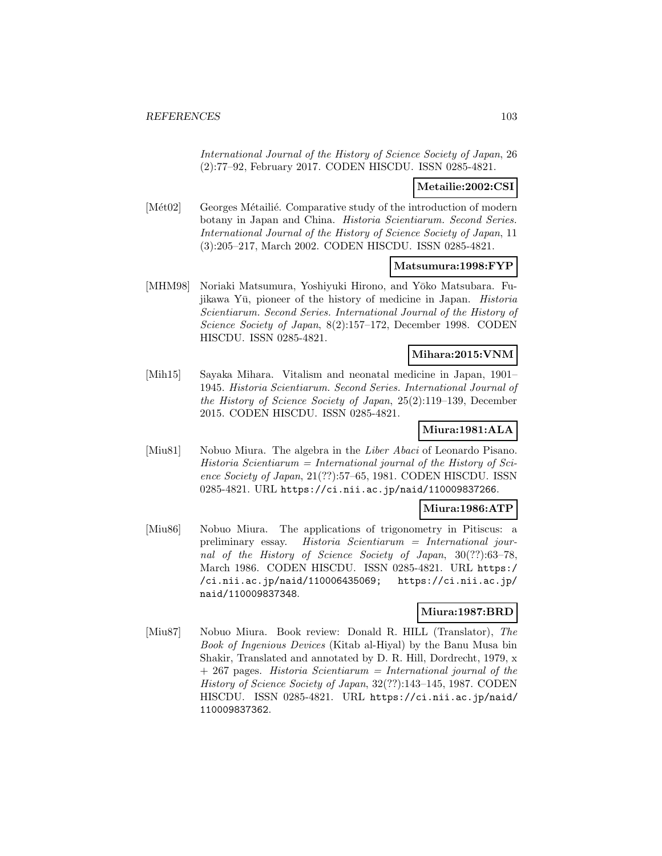International Journal of the History of Science Society of Japan, 26 (2):77–92, February 2017. CODEN HISCDU. ISSN 0285-4821.

## **Metailie:2002:CSI**

[Mét02] Georges Métailié. Comparative study of the introduction of modern botany in Japan and China. Historia Scientiarum. Second Series. International Journal of the History of Science Society of Japan, 11 (3):205–217, March 2002. CODEN HISCDU. ISSN 0285-4821.

### **Matsumura:1998:FYP**

[MHM98] Noriaki Matsumura, Yoshiyuki Hirono, and Y¯oko Matsubara. Fujikawa Yū, pioneer of the history of medicine in Japan. *Historia* Scientiarum. Second Series. International Journal of the History of Science Society of Japan, 8(2):157–172, December 1998. CODEN HISCDU. ISSN 0285-4821.

## **Mihara:2015:VNM**

[Mih15] Sayaka Mihara. Vitalism and neonatal medicine in Japan, 1901– 1945. Historia Scientiarum. Second Series. International Journal of the History of Science Society of Japan, 25(2):119–139, December 2015. CODEN HISCDU. ISSN 0285-4821.

## **Miura:1981:ALA**

[Miu81] Nobuo Miura. The algebra in the Liber Abaci of Leonardo Pisano.  $Historia$  Scientiarum = International journal of the History of Science Society of Japan, 21(??):57–65, 1981. CODEN HISCDU. ISSN 0285-4821. URL https://ci.nii.ac.jp/naid/110009837266.

# **Miura:1986:ATP**

[Miu86] Nobuo Miura. The applications of trigonometry in Pitiscus: a preliminary essay. Historia Scientiarum = International journal of the History of Science Society of Japan, 30(??):63–78, March 1986. CODEN HISCDU. ISSN 0285-4821. URL https:/ /ci.nii.ac.jp/naid/110006435069; https://ci.nii.ac.jp/ naid/110009837348.

## **Miura:1987:BRD**

[Miu87] Nobuo Miura. Book review: Donald R. HILL (Translator), The Book of Ingenious Devices (Kitab al-Hiyal) by the Banu Musa bin Shakir, Translated and annotated by D. R. Hill, Dordrecht, 1979, x + 267 pages. Historia Scientiarum = International journal of the History of Science Society of Japan, 32(??):143–145, 1987. CODEN HISCDU. ISSN 0285-4821. URL https://ci.nii.ac.jp/naid/ 110009837362.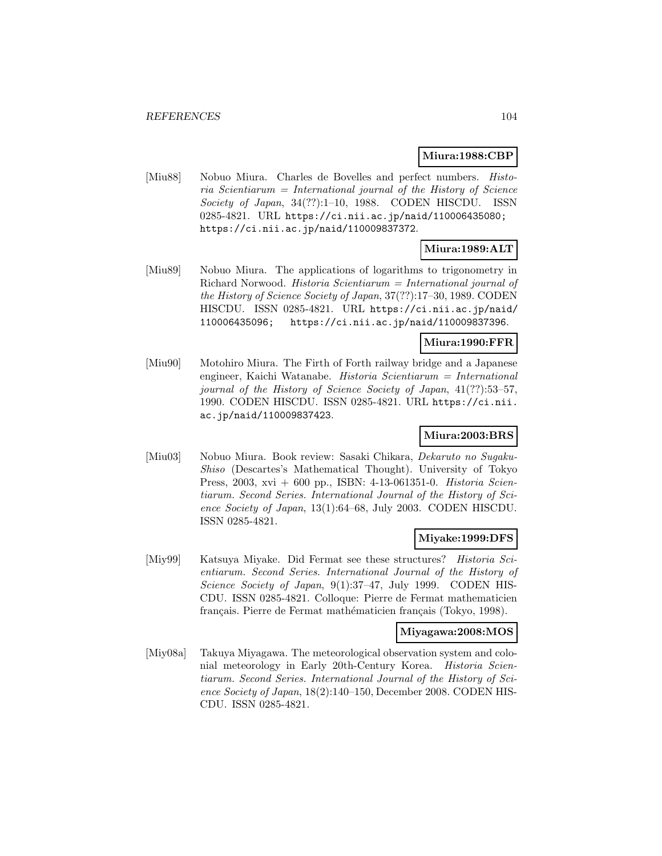#### **Miura:1988:CBP**

[Miu88] Nobuo Miura. Charles de Bovelles and perfect numbers. *Histo*ria Scientiarum = International journal of the History of Science Society of Japan, 34(??):1–10, 1988. CODEN HISCDU. ISSN 0285-4821. URL https://ci.nii.ac.jp/naid/110006435080; https://ci.nii.ac.jp/naid/110009837372.

# **Miura:1989:ALT**

[Miu89] Nobuo Miura. The applications of logarithms to trigonometry in Richard Norwood. Historia Scientiarum = International journal of the History of Science Society of Japan, 37(??):17–30, 1989. CODEN HISCDU. ISSN 0285-4821. URL https://ci.nii.ac.jp/naid/ 110006435096; https://ci.nii.ac.jp/naid/110009837396.

### **Miura:1990:FFR**

[Miu90] Motohiro Miura. The Firth of Forth railway bridge and a Japanese engineer, Kaichi Watanabe. Historia Scientiarum = International journal of the History of Science Society of Japan, 41(??):53–57, 1990. CODEN HISCDU. ISSN 0285-4821. URL https://ci.nii. ac.jp/naid/110009837423.

## **Miura:2003:BRS**

[Miu03] Nobuo Miura. Book review: Sasaki Chikara, Dekaruto no Sugaku-Shiso (Descartes's Mathematical Thought). University of Tokyo Press, 2003, xvi + 600 pp., ISBN: 4-13-061351-0. Historia Scientiarum. Second Series. International Journal of the History of Science Society of Japan, 13(1):64–68, July 2003. CODEN HISCDU. ISSN 0285-4821.

## **Miyake:1999:DFS**

[Miy99] Katsuya Miyake. Did Fermat see these structures? Historia Scientiarum. Second Series. International Journal of the History of Science Society of Japan, 9(1):37–47, July 1999. CODEN HIS-CDU. ISSN 0285-4821. Colloque: Pierre de Fermat mathematicien français. Pierre de Fermat mathématicien français (Tokyo, 1998).

#### **Miyagawa:2008:MOS**

[Miy08a] Takuya Miyagawa. The meteorological observation system and colonial meteorology in Early 20th-Century Korea. Historia Scientiarum. Second Series. International Journal of the History of Science Society of Japan, 18(2):140–150, December 2008. CODEN HIS-CDU. ISSN 0285-4821.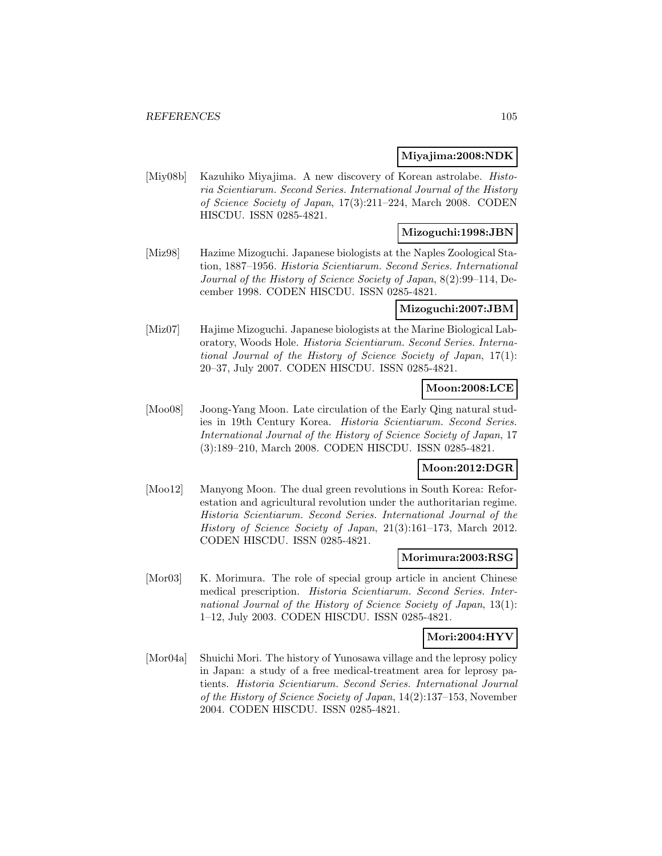#### **Miyajima:2008:NDK**

[Miy08b] Kazuhiko Miyajima. A new discovery of Korean astrolabe. Historia Scientiarum. Second Series. International Journal of the History of Science Society of Japan, 17(3):211–224, March 2008. CODEN HISCDU. ISSN 0285-4821.

## **Mizoguchi:1998:JBN**

[Miz98] Hazime Mizoguchi. Japanese biologists at the Naples Zoological Station, 1887–1956. Historia Scientiarum. Second Series. International Journal of the History of Science Society of Japan, 8(2):99–114, December 1998. CODEN HISCDU. ISSN 0285-4821.

### **Mizoguchi:2007:JBM**

[Miz07] Hajime Mizoguchi. Japanese biologists at the Marine Biological Laboratory, Woods Hole. Historia Scientiarum. Second Series. International Journal of the History of Science Society of Japan, 17(1): 20–37, July 2007. CODEN HISCDU. ISSN 0285-4821.

#### **Moon:2008:LCE**

[Moo08] Joong-Yang Moon. Late circulation of the Early Qing natural studies in 19th Century Korea. Historia Scientiarum. Second Series. International Journal of the History of Science Society of Japan, 17 (3):189–210, March 2008. CODEN HISCDU. ISSN 0285-4821.

#### **Moon:2012:DGR**

[Moo12] Manyong Moon. The dual green revolutions in South Korea: Reforestation and agricultural revolution under the authoritarian regime. Historia Scientiarum. Second Series. International Journal of the History of Science Society of Japan, 21(3):161–173, March 2012. CODEN HISCDU. ISSN 0285-4821.

#### **Morimura:2003:RSG**

[Mor03] K. Morimura. The role of special group article in ancient Chinese medical prescription. Historia Scientiarum. Second Series. International Journal of the History of Science Society of Japan, 13(1): 1–12, July 2003. CODEN HISCDU. ISSN 0285-4821.

#### **Mori:2004:HYV**

[Mor04a] Shuichi Mori. The history of Yunosawa village and the leprosy policy in Japan: a study of a free medical-treatment area for leprosy patients. Historia Scientiarum. Second Series. International Journal of the History of Science Society of Japan, 14(2):137–153, November 2004. CODEN HISCDU. ISSN 0285-4821.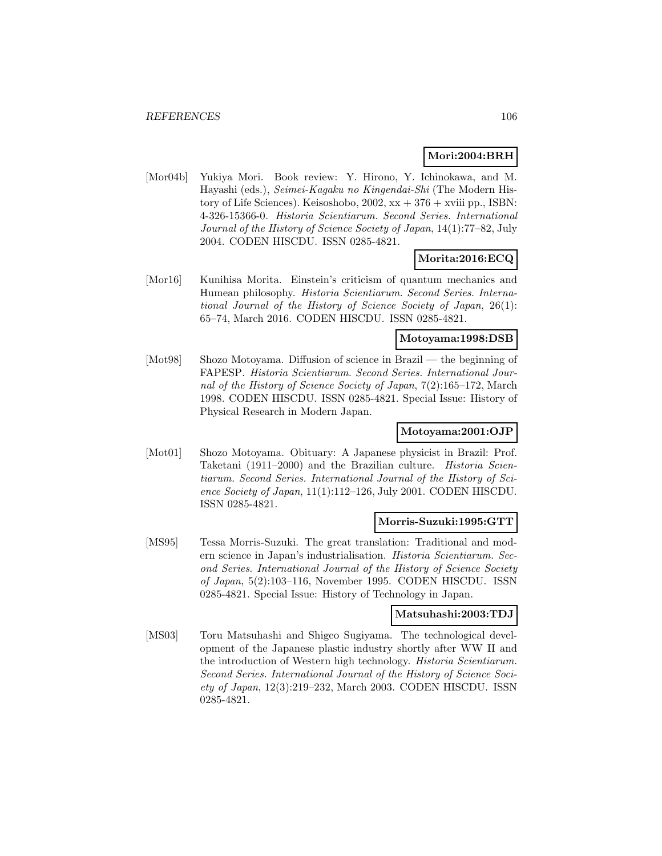## **Mori:2004:BRH**

[Mor04b] Yukiya Mori. Book review: Y. Hirono, Y. Ichinokawa, and M. Hayashi (eds.), Seimei-Kagaku no Kingendai-Shi (The Modern History of Life Sciences). Keisoshobo,  $2002$ ,  $xx + 376 + xviii$  pp., ISBN: 4-326-15366-0. Historia Scientiarum. Second Series. International Journal of the History of Science Society of Japan, 14(1):77–82, July 2004. CODEN HISCDU. ISSN 0285-4821.

## **Morita:2016:ECQ**

[Mor16] Kunihisa Morita. Einstein's criticism of quantum mechanics and Humean philosophy. Historia Scientiarum. Second Series. International Journal of the History of Science Society of Japan, 26(1): 65–74, March 2016. CODEN HISCDU. ISSN 0285-4821.

## **Motoyama:1998:DSB**

[Mot98] Shozo Motoyama. Diffusion of science in Brazil — the beginning of FAPESP. Historia Scientiarum. Second Series. International Journal of the History of Science Society of Japan, 7(2):165–172, March 1998. CODEN HISCDU. ISSN 0285-4821. Special Issue: History of Physical Research in Modern Japan.

## **Motoyama:2001:OJP**

[Mot01] Shozo Motoyama. Obituary: A Japanese physicist in Brazil: Prof. Taketani (1911–2000) and the Brazilian culture. Historia Scientiarum. Second Series. International Journal of the History of Science Society of Japan, 11(1):112–126, July 2001. CODEN HISCDU. ISSN 0285-4821.

#### **Morris-Suzuki:1995:GTT**

[MS95] Tessa Morris-Suzuki. The great translation: Traditional and modern science in Japan's industrialisation. Historia Scientiarum. Second Series. International Journal of the History of Science Society of Japan, 5(2):103–116, November 1995. CODEN HISCDU. ISSN 0285-4821. Special Issue: History of Technology in Japan.

### **Matsuhashi:2003:TDJ**

[MS03] Toru Matsuhashi and Shigeo Sugiyama. The technological development of the Japanese plastic industry shortly after WW II and the introduction of Western high technology. Historia Scientiarum. Second Series. International Journal of the History of Science Soci $ety of Japan, 12(3):219-232, March 2003. CODEN HISCDU. ISSN$ 0285-4821.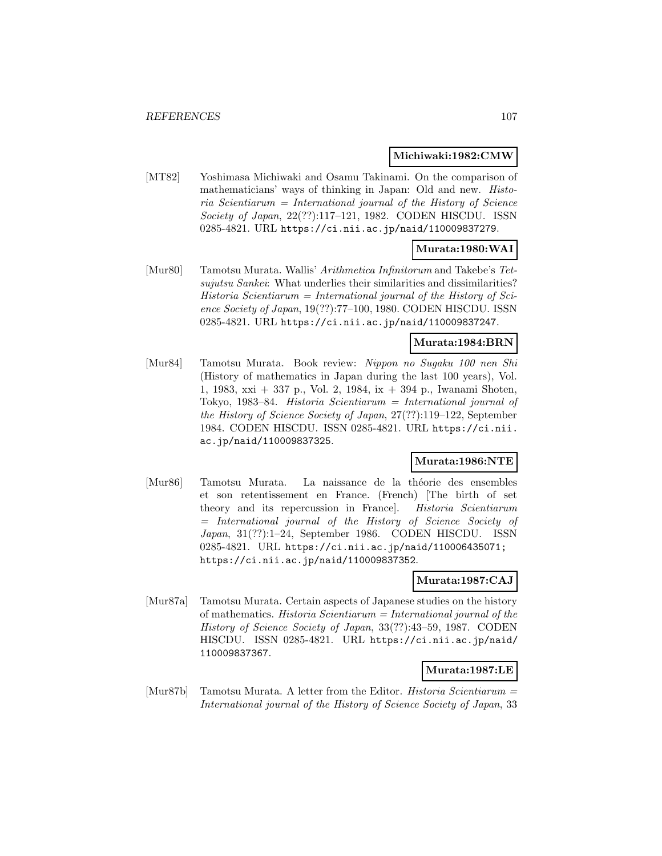#### **Michiwaki:1982:CMW**

[MT82] Yoshimasa Michiwaki and Osamu Takinami. On the comparison of mathematicians' ways of thinking in Japan: Old and new. Histo $ria$  Scientiarum = International journal of the History of Science Society of Japan, 22(??):117–121, 1982. CODEN HISCDU. ISSN 0285-4821. URL https://ci.nii.ac.jp/naid/110009837279.

### **Murata:1980:WAI**

[Mur80] Tamotsu Murata. Wallis' Arithmetica Infinitorum and Takebe's Tetsujutsu Sankei: What underlies their similarities and dissimilarities? Historia Scientiarum = International journal of the History of Science Society of Japan, 19(??):77–100, 1980. CODEN HISCDU. ISSN 0285-4821. URL https://ci.nii.ac.jp/naid/110009837247.

#### **Murata:1984:BRN**

[Mur84] Tamotsu Murata. Book review: Nippon no Sugaku 100 nen Shi (History of mathematics in Japan during the last 100 years), Vol. 1, 1983, xxi + 337 p., Vol. 2, 1984, ix + 394 p., Iwanami Shoten, Tokyo, 1983–84. Historia Scientiarum = International journal of the History of Science Society of Japan, 27(??):119–122, September 1984. CODEN HISCDU. ISSN 0285-4821. URL https://ci.nii. ac.jp/naid/110009837325.

#### **Murata:1986:NTE**

[Mur86] Tamotsu Murata. La naissance de la théorie des ensembles et son retentissement en France. (French) [The birth of set theory and its repercussion in France]. Historia Scientiarum = International journal of the History of Science Society of Japan, 31(??):1–24, September 1986. CODEN HISCDU. ISSN 0285-4821. URL https://ci.nii.ac.jp/naid/110006435071; https://ci.nii.ac.jp/naid/110009837352.

#### **Murata:1987:CAJ**

[Mur87a] Tamotsu Murata. Certain aspects of Japanese studies on the history of mathematics. Historia Scientiarum = International journal of the History of Science Society of Japan, 33(??):43–59, 1987. CODEN HISCDU. ISSN 0285-4821. URL https://ci.nii.ac.jp/naid/ 110009837367.

## **Murata:1987:LE**

[Mur87b] Tamotsu Murata. A letter from the Editor. Historia Scientiarum = International journal of the History of Science Society of Japan, 33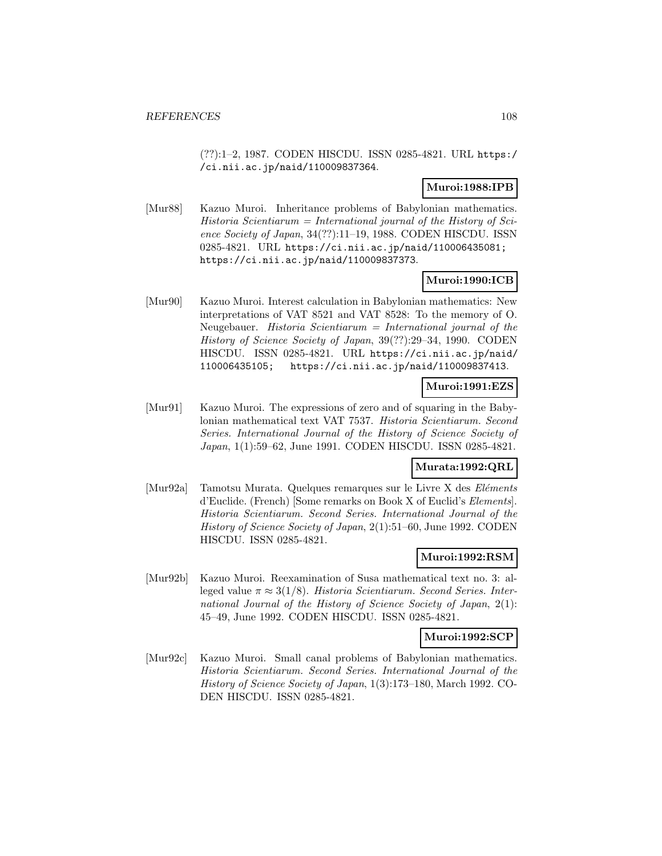(??):1–2, 1987. CODEN HISCDU. ISSN 0285-4821. URL https:/ /ci.nii.ac.jp/naid/110009837364.

## **Muroi:1988:IPB**

[Mur88] Kazuo Muroi. Inheritance problems of Babylonian mathematics. Historia Scientiarum = International journal of the History of Science Society of Japan, 34(??):11–19, 1988. CODEN HISCDU. ISSN 0285-4821. URL https://ci.nii.ac.jp/naid/110006435081; https://ci.nii.ac.jp/naid/110009837373.

## **Muroi:1990:ICB**

[Mur90] Kazuo Muroi. Interest calculation in Babylonian mathematics: New interpretations of VAT 8521 and VAT 8528: To the memory of O. Neugebauer. Historia Scientiarum = International journal of the History of Science Society of Japan, 39(??):29–34, 1990. CODEN HISCDU. ISSN 0285-4821. URL https://ci.nii.ac.jp/naid/ 110006435105; https://ci.nii.ac.jp/naid/110009837413.

### **Muroi:1991:EZS**

[Mur91] Kazuo Muroi. The expressions of zero and of squaring in the Babylonian mathematical text VAT 7537. Historia Scientiarum. Second Series. International Journal of the History of Science Society of Japan, 1(1):59–62, June 1991. CODEN HISCDU. ISSN 0285-4821.

## **Murata:1992:QRL**

[Mur92a] Tamotsu Murata. Quelques remarques sur le Livre X des Eléments d'Euclide. (French) [Some remarks on Book X of Euclid's Elements]. Historia Scientiarum. Second Series. International Journal of the History of Science Society of Japan, 2(1):51–60, June 1992. CODEN HISCDU. ISSN 0285-4821.

#### **Muroi:1992:RSM**

[Mur92b] Kazuo Muroi. Reexamination of Susa mathematical text no. 3: alleged value  $\pi \approx 3(1/8)$ . Historia Scientiarum. Second Series. International Journal of the History of Science Society of Japan, 2(1): 45–49, June 1992. CODEN HISCDU. ISSN 0285-4821.

#### **Muroi:1992:SCP**

[Mur92c] Kazuo Muroi. Small canal problems of Babylonian mathematics. Historia Scientiarum. Second Series. International Journal of the History of Science Society of Japan, 1(3):173–180, March 1992. CO-DEN HISCDU. ISSN 0285-4821.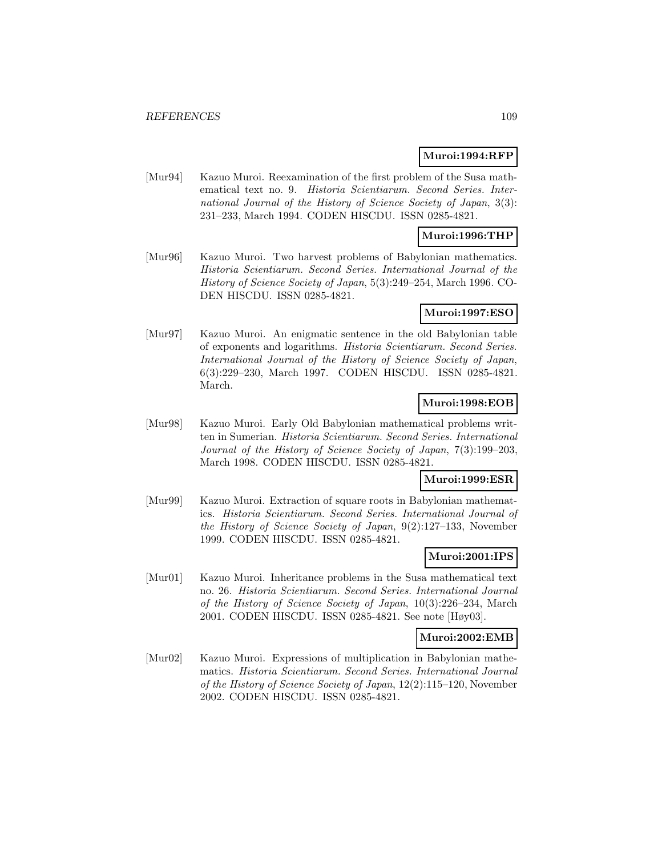### **Muroi:1994:RFP**

[Mur94] Kazuo Muroi. Reexamination of the first problem of the Susa mathematical text no. 9. Historia Scientiarum. Second Series. International Journal of the History of Science Society of Japan, 3(3): 231–233, March 1994. CODEN HISCDU. ISSN 0285-4821.

## **Muroi:1996:THP**

[Mur96] Kazuo Muroi. Two harvest problems of Babylonian mathematics. Historia Scientiarum. Second Series. International Journal of the History of Science Society of Japan, 5(3):249–254, March 1996. CO-DEN HISCDU. ISSN 0285-4821.

## **Muroi:1997:ESO**

[Mur97] Kazuo Muroi. An enigmatic sentence in the old Babylonian table of exponents and logarithms. Historia Scientiarum. Second Series. International Journal of the History of Science Society of Japan, 6(3):229–230, March 1997. CODEN HISCDU. ISSN 0285-4821. March.

## **Muroi:1998:EOB**

[Mur98] Kazuo Muroi. Early Old Babylonian mathematical problems written in Sumerian. Historia Scientiarum. Second Series. International Journal of the History of Science Society of Japan, 7(3):199–203, March 1998. CODEN HISCDU. ISSN 0285-4821.

## **Muroi:1999:ESR**

[Mur99] Kazuo Muroi. Extraction of square roots in Babylonian mathematics. Historia Scientiarum. Second Series. International Journal of the History of Science Society of Japan, 9(2):127–133, November 1999. CODEN HISCDU. ISSN 0285-4821.

## **Muroi:2001:IPS**

[Mur01] Kazuo Muroi. Inheritance problems in the Susa mathematical text no. 26. Historia Scientiarum. Second Series. International Journal of the History of Science Society of Japan, 10(3):226–234, March 2001. CODEN HISCDU. ISSN 0285-4821. See note [Høy03].

### **Muroi:2002:EMB**

[Mur02] Kazuo Muroi. Expressions of multiplication in Babylonian mathematics. Historia Scientiarum. Second Series. International Journal of the History of Science Society of Japan, 12(2):115–120, November 2002. CODEN HISCDU. ISSN 0285-4821.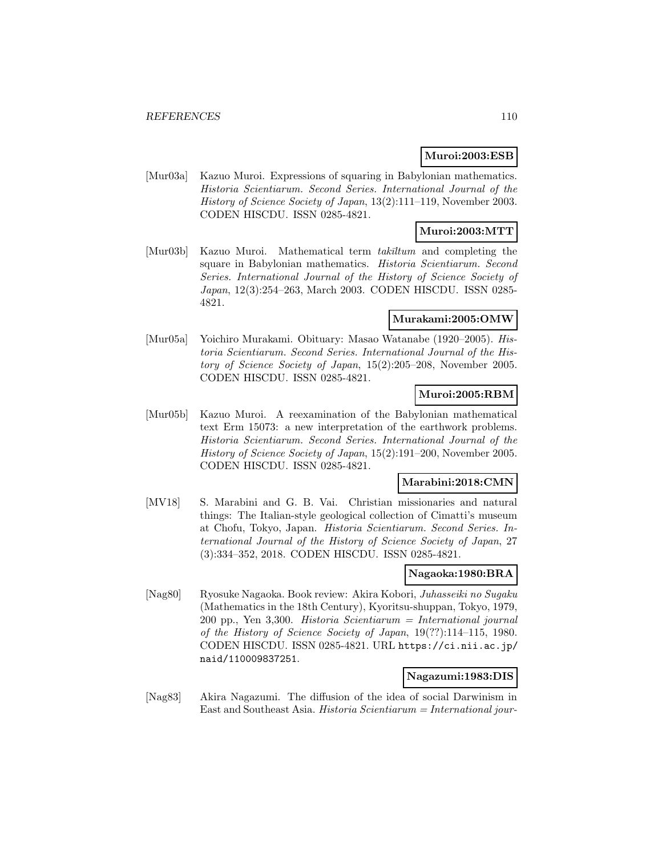## **Muroi:2003:ESB**

[Mur03a] Kazuo Muroi. Expressions of squaring in Babylonian mathematics. Historia Scientiarum. Second Series. International Journal of the History of Science Society of Japan, 13(2):111–119, November 2003. CODEN HISCDU. ISSN 0285-4821.

## **Muroi:2003:MTT**

[Mur03b] Kazuo Muroi. Mathematical term takīltum and completing the square in Babylonian mathematics. *Historia Scientiarum. Second* Series. International Journal of the History of Science Society of Japan, 12(3):254–263, March 2003. CODEN HISCDU. ISSN 0285- 4821.

### **Murakami:2005:OMW**

[Mur05a] Yoichiro Murakami. Obituary: Masao Watanabe (1920–2005). Historia Scientiarum. Second Series. International Journal of the History of Science Society of Japan, 15(2):205–208, November 2005. CODEN HISCDU. ISSN 0285-4821.

## **Muroi:2005:RBM**

[Mur05b] Kazuo Muroi. A reexamination of the Babylonian mathematical text Erm 15073: a new interpretation of the earthwork problems. Historia Scientiarum. Second Series. International Journal of the History of Science Society of Japan, 15(2):191–200, November 2005. CODEN HISCDU. ISSN 0285-4821.

## **Marabini:2018:CMN**

[MV18] S. Marabini and G. B. Vai. Christian missionaries and natural things: The Italian-style geological collection of Cimatti's museum at Chofu, Tokyo, Japan. Historia Scientiarum. Second Series. International Journal of the History of Science Society of Japan, 27 (3):334–352, 2018. CODEN HISCDU. ISSN 0285-4821.

## **Nagaoka:1980:BRA**

[Nag80] Ryosuke Nagaoka. Book review: Akira Kobori, Juhasseiki no Sugaku (Mathematics in the 18th Century), Kyoritsu-shuppan, Tokyo, 1979, 200 pp., Yen 3,300. Historia Scientiarum = International journal of the History of Science Society of Japan, 19(??):114–115, 1980. CODEN HISCDU. ISSN 0285-4821. URL https://ci.nii.ac.jp/ naid/110009837251.

## **Nagazumi:1983:DIS**

[Nag83] Akira Nagazumi. The diffusion of the idea of social Darwinism in East and Southeast Asia. Historia Scientiarum = International jour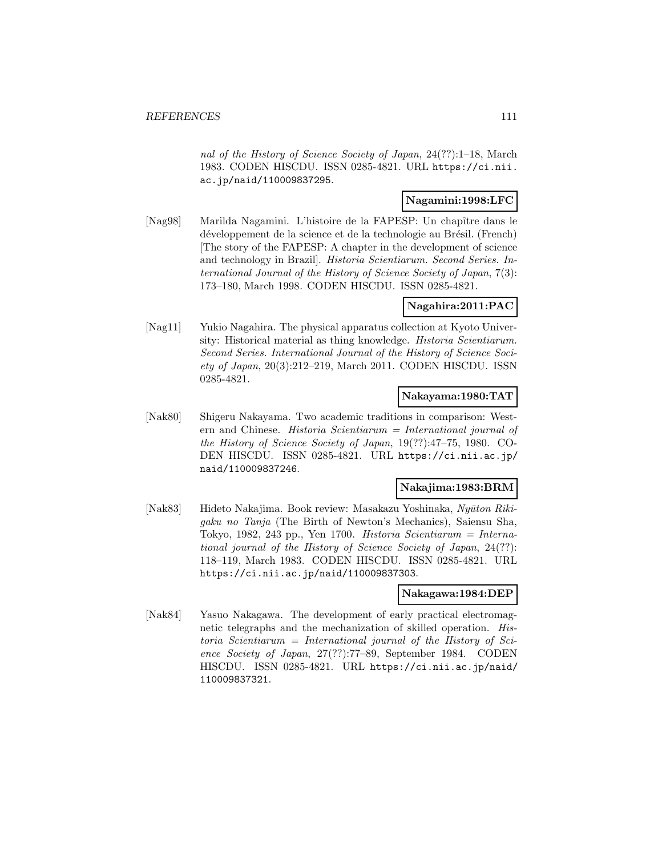nal of the History of Science Society of Japan, 24(??):1–18, March 1983. CODEN HISCDU. ISSN 0285-4821. URL https://ci.nii. ac.jp/naid/110009837295.

## **Nagamini:1998:LFC**

[Nag98] Marilda Nagamini. L'histoire de la FAPESP: Un chapître dans le développement de la science et de la technologie au Brésil. (French) [The story of the FAPESP: A chapter in the development of science and technology in Brazil]. Historia Scientiarum. Second Series. International Journal of the History of Science Society of Japan, 7(3): 173–180, March 1998. CODEN HISCDU. ISSN 0285-4821.

## **Nagahira:2011:PAC**

[Nag11] Yukio Nagahira. The physical apparatus collection at Kyoto University: Historical material as thing knowledge. Historia Scientiarum. Second Series. International Journal of the History of Science Society of Japan, 20(3):212–219, March 2011. CODEN HISCDU. ISSN 0285-4821.

## **Nakayama:1980:TAT**

[Nak80] Shigeru Nakayama. Two academic traditions in comparison: Western and Chinese. Historia Scientiarum = International journal of the History of Science Society of Japan, 19(??):47–75, 1980. CO-DEN HISCDU. ISSN 0285-4821. URL https://ci.nii.ac.jp/ naid/110009837246.

## **Nakajima:1983:BRM**

[Nak83] Hideto Nakajima. Book review: Masakazu Yoshinaka, Nyūton Rikigaku no Tanja (The Birth of Newton's Mechanics), Saiensu Sha, Tokyo, 1982, 243 pp., Yen 1700. Historia Scientiarum = International journal of the History of Science Society of Japan, 24(??): 118–119, March 1983. CODEN HISCDU. ISSN 0285-4821. URL https://ci.nii.ac.jp/naid/110009837303.

### **Nakagawa:1984:DEP**

[Nak84] Yasuo Nakagawa. The development of early practical electromagnetic telegraphs and the mechanization of skilled operation. Historia Scientiarum = International journal of the History of Science Society of Japan, 27(??):77–89, September 1984. CODEN HISCDU. ISSN 0285-4821. URL https://ci.nii.ac.jp/naid/ 110009837321.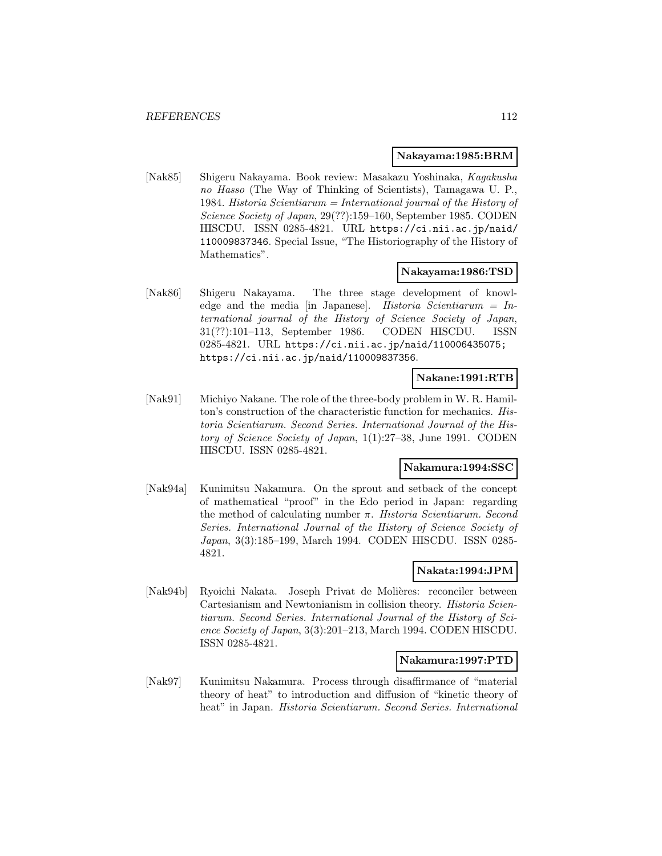#### **Nakayama:1985:BRM**

[Nak85] Shigeru Nakayama. Book review: Masakazu Yoshinaka, Kagakusha no Hasso (The Way of Thinking of Scientists), Tamagawa U. P., 1984. Historia Scientiarum = International journal of the History of Science Society of Japan, 29(??):159–160, September 1985. CODEN HISCDU. ISSN 0285-4821. URL https://ci.nii.ac.jp/naid/ 110009837346. Special Issue, "The Historiography of the History of Mathematics".

### **Nakayama:1986:TSD**

[Nak86] Shigeru Nakayama. The three stage development of knowledge and the media [in Japanese]. Historia Scientiarum = International journal of the History of Science Society of Japan, 31(??):101–113, September 1986. CODEN HISCDU. ISSN 0285-4821. URL https://ci.nii.ac.jp/naid/110006435075; https://ci.nii.ac.jp/naid/110009837356.

## **Nakane:1991:RTB**

[Nak91] Michiyo Nakane. The role of the three-body problem in W. R. Hamilton's construction of the characteristic function for mechanics. Historia Scientiarum. Second Series. International Journal of the History of Science Society of Japan, 1(1):27–38, June 1991. CODEN HISCDU. ISSN 0285-4821.

### **Nakamura:1994:SSC**

[Nak94a] Kunimitsu Nakamura. On the sprout and setback of the concept of mathematical "proof" in the Edo period in Japan: regarding the method of calculating number  $\pi$ . Historia Scientiarum. Second Series. International Journal of the History of Science Society of Japan, 3(3):185–199, March 1994. CODEN HISCDU. ISSN 0285- 4821.

### **Nakata:1994:JPM**

[Nak94b] Ryoichi Nakata. Joseph Privat de Molières: reconciler between Cartesianism and Newtonianism in collision theory. Historia Scientiarum. Second Series. International Journal of the History of Science Society of Japan, 3(3):201–213, March 1994. CODEN HISCDU. ISSN 0285-4821.

#### **Nakamura:1997:PTD**

[Nak97] Kunimitsu Nakamura. Process through disaffirmance of "material theory of heat" to introduction and diffusion of "kinetic theory of heat" in Japan. Historia Scientiarum. Second Series. International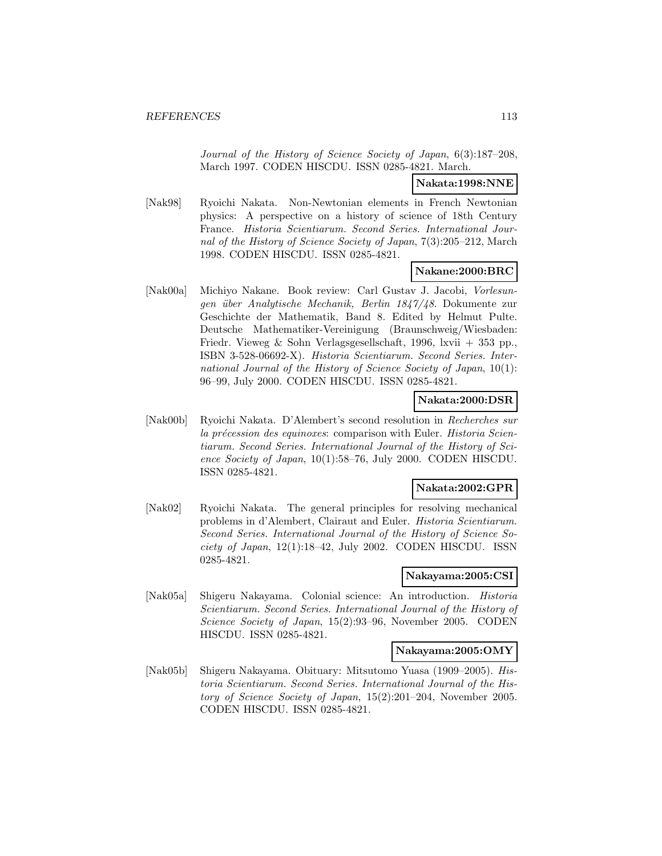Journal of the History of Science Society of Japan, 6(3):187–208, March 1997. CODEN HISCDU. ISSN 0285-4821. March.

**Nakata:1998:NNE**

[Nak98] Ryoichi Nakata. Non-Newtonian elements in French Newtonian physics: A perspective on a history of science of 18th Century France. Historia Scientiarum. Second Series. International Journal of the History of Science Society of Japan, 7(3):205–212, March 1998. CODEN HISCDU. ISSN 0285-4821.

## **Nakane:2000:BRC**

[Nak00a] Michiyo Nakane. Book review: Carl Gustav J. Jacobi, Vorlesungen über Analytische Mechanik, Berlin 1847/48. Dokumente zur Geschichte der Mathematik, Band 8. Edited by Helmut Pulte. Deutsche Mathematiker-Vereinigung (Braunschweig/Wiesbaden: Friedr. Vieweg & Sohn Verlagsgesellschaft, 1996, lxvii + 353 pp., ISBN 3-528-06692-X). Historia Scientiarum. Second Series. International Journal of the History of Science Society of Japan, 10(1): 96–99, July 2000. CODEN HISCDU. ISSN 0285-4821.

### **Nakata:2000:DSR**

[Nak00b] Ryoichi Nakata. D'Alembert's second resolution in Recherches sur la précession des equinoxes: comparison with Euler. Historia Scientiarum. Second Series. International Journal of the History of Science Society of Japan, 10(1):58–76, July 2000. CODEN HISCDU. ISSN 0285-4821.

### **Nakata:2002:GPR**

[Nak02] Ryoichi Nakata. The general principles for resolving mechanical problems in d'Alembert, Clairaut and Euler. Historia Scientiarum. Second Series. International Journal of the History of Science Society of Japan, 12(1):18–42, July 2002. CODEN HISCDU. ISSN 0285-4821.

## **Nakayama:2005:CSI**

[Nak05a] Shigeru Nakayama. Colonial science: An introduction. Historia Scientiarum. Second Series. International Journal of the History of Science Society of Japan, 15(2):93–96, November 2005. CODEN HISCDU. ISSN 0285-4821.

#### **Nakayama:2005:OMY**

[Nak05b] Shigeru Nakayama. Obituary: Mitsutomo Yuasa (1909–2005). Historia Scientiarum. Second Series. International Journal of the History of Science Society of Japan, 15(2):201–204, November 2005. CODEN HISCDU. ISSN 0285-4821.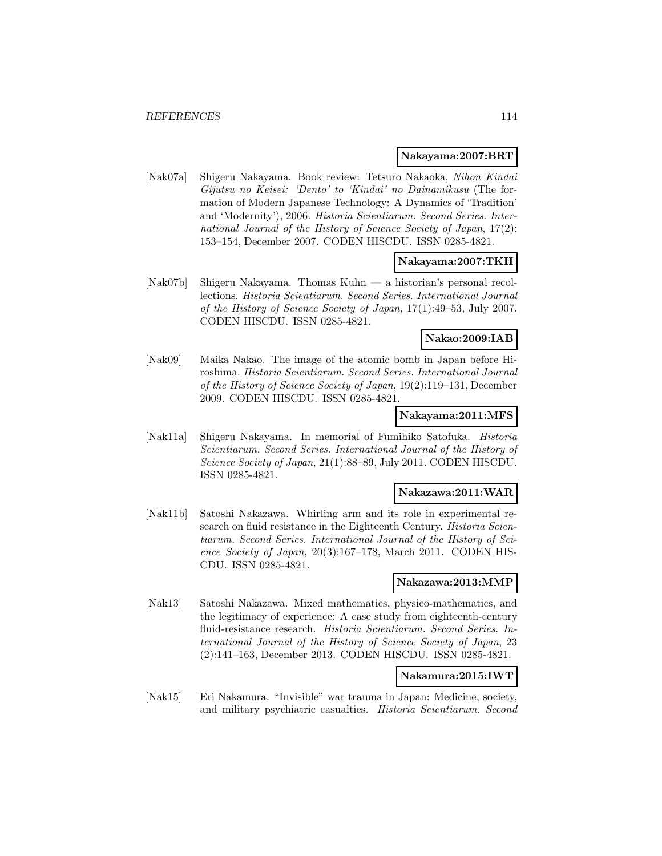#### **Nakayama:2007:BRT**

[Nak07a] Shigeru Nakayama. Book review: Tetsuro Nakaoka, Nihon Kindai Gijutsu no Keisei: 'Dento' to 'Kindai' no Dainamikusu (The formation of Modern Japanese Technology: A Dynamics of 'Tradition' and 'Modernity'), 2006. Historia Scientiarum. Second Series. International Journal of the History of Science Society of Japan, 17(2): 153–154, December 2007. CODEN HISCDU. ISSN 0285-4821.

## **Nakayama:2007:TKH**

[Nak07b] Shigeru Nakayama. Thomas Kuhn — a historian's personal recollections. Historia Scientiarum. Second Series. International Journal of the History of Science Society of Japan, 17(1):49–53, July 2007. CODEN HISCDU. ISSN 0285-4821.

## **Nakao:2009:IAB**

[Nak09] Maika Nakao. The image of the atomic bomb in Japan before Hiroshima. Historia Scientiarum. Second Series. International Journal of the History of Science Society of Japan, 19(2):119–131, December 2009. CODEN HISCDU. ISSN 0285-4821.

## **Nakayama:2011:MFS**

[Nak11a] Shigeru Nakayama. In memorial of Fumihiko Satofuka. Historia Scientiarum. Second Series. International Journal of the History of Science Society of Japan, 21(1):88–89, July 2011. CODEN HISCDU. ISSN 0285-4821.

#### **Nakazawa:2011:WAR**

[Nak11b] Satoshi Nakazawa. Whirling arm and its role in experimental research on fluid resistance in the Eighteenth Century. *Historia Scien*tiarum. Second Series. International Journal of the History of Science Society of Japan, 20(3):167–178, March 2011. CODEN HIS-CDU. ISSN 0285-4821.

## **Nakazawa:2013:MMP**

[Nak13] Satoshi Nakazawa. Mixed mathematics, physico-mathematics, and the legitimacy of experience: A case study from eighteenth-century fluid-resistance research. Historia Scientiarum. Second Series. International Journal of the History of Science Society of Japan, 23 (2):141–163, December 2013. CODEN HISCDU. ISSN 0285-4821.

### **Nakamura:2015:IWT**

[Nak15] Eri Nakamura. "Invisible" war trauma in Japan: Medicine, society, and military psychiatric casualties. Historia Scientiarum. Second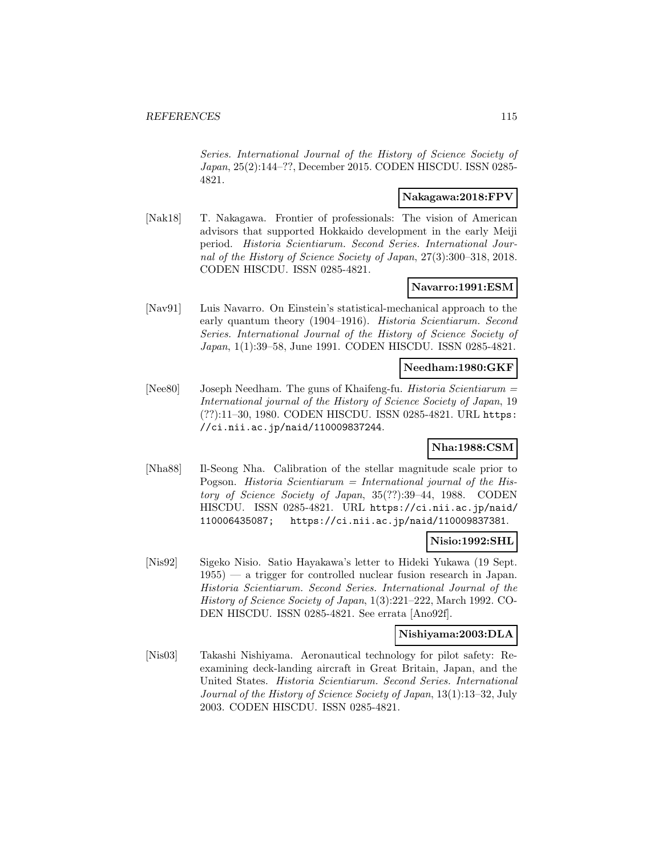Series. International Journal of the History of Science Society of Japan, 25(2):144–??, December 2015. CODEN HISCDU. ISSN 0285- 4821.

## **Nakagawa:2018:FPV**

[Nak18] T. Nakagawa. Frontier of professionals: The vision of American advisors that supported Hokkaido development in the early Meiji period. Historia Scientiarum. Second Series. International Journal of the History of Science Society of Japan, 27(3):300–318, 2018. CODEN HISCDU. ISSN 0285-4821.

## **Navarro:1991:ESM**

[Nav91] Luis Navarro. On Einstein's statistical-mechanical approach to the early quantum theory (1904–1916). Historia Scientiarum. Second Series. International Journal of the History of Science Society of Japan, 1(1):39–58, June 1991. CODEN HISCDU. ISSN 0285-4821.

## **Needham:1980:GKF**

[Nee80] Joseph Needham. The guns of Khaifeng-fu. Historia Scientiarum = International journal of the History of Science Society of Japan, 19 (??):11–30, 1980. CODEN HISCDU. ISSN 0285-4821. URL https: //ci.nii.ac.jp/naid/110009837244.

### **Nha:1988:CSM**

[Nha88] Il-Seong Nha. Calibration of the stellar magnitude scale prior to Pogson. Historia Scientiarum = International journal of the History of Science Society of Japan, 35(??):39–44, 1988. CODEN HISCDU. ISSN 0285-4821. URL https://ci.nii.ac.jp/naid/ 110006435087; https://ci.nii.ac.jp/naid/110009837381.

### **Nisio:1992:SHL**

[Nis92] Sigeko Nisio. Satio Hayakawa's letter to Hideki Yukawa (19 Sept. 1955) — a trigger for controlled nuclear fusion research in Japan. Historia Scientiarum. Second Series. International Journal of the History of Science Society of Japan, 1(3):221–222, March 1992. CO-DEN HISCDU. ISSN 0285-4821. See errata [Ano92f].

### **Nishiyama:2003:DLA**

[Nis03] Takashi Nishiyama. Aeronautical technology for pilot safety: Reexamining deck-landing aircraft in Great Britain, Japan, and the United States. Historia Scientiarum. Second Series. International Journal of the History of Science Society of Japan, 13(1):13–32, July 2003. CODEN HISCDU. ISSN 0285-4821.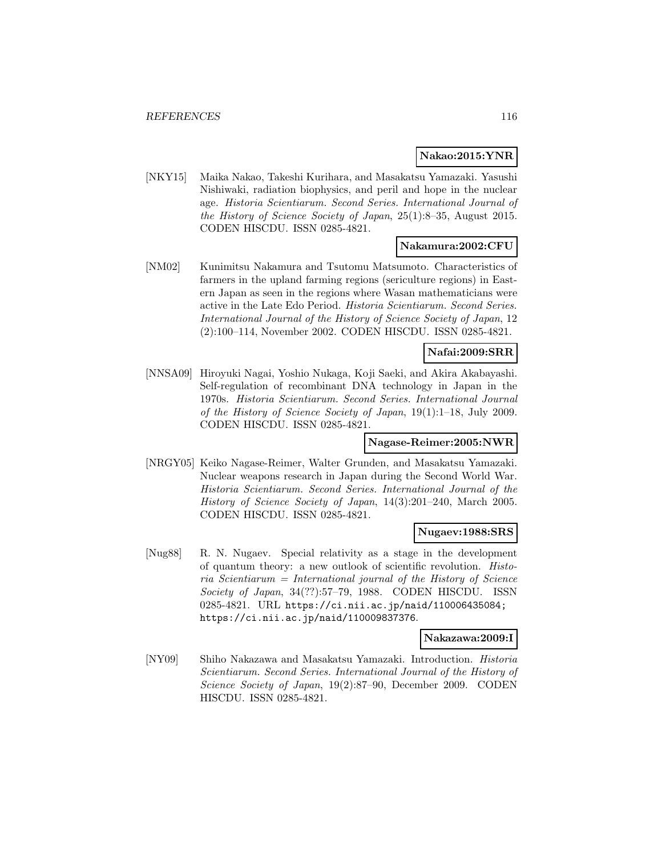## **Nakao:2015:YNR**

[NKY15] Maika Nakao, Takeshi Kurihara, and Masakatsu Yamazaki. Yasushi Nishiwaki, radiation biophysics, and peril and hope in the nuclear age. Historia Scientiarum. Second Series. International Journal of the History of Science Society of Japan, 25(1):8–35, August 2015. CODEN HISCDU. ISSN 0285-4821.

### **Nakamura:2002:CFU**

[NM02] Kunimitsu Nakamura and Tsutomu Matsumoto. Characteristics of farmers in the upland farming regions (sericulture regions) in Eastern Japan as seen in the regions where Wasan mathematicians were active in the Late Edo Period. Historia Scientiarum. Second Series. International Journal of the History of Science Society of Japan, 12 (2):100–114, November 2002. CODEN HISCDU. ISSN 0285-4821.

## **Nafai:2009:SRR**

[NNSA09] Hiroyuki Nagai, Yoshio Nukaga, Koji Saeki, and Akira Akabayashi. Self-regulation of recombinant DNA technology in Japan in the 1970s. Historia Scientiarum. Second Series. International Journal of the History of Science Society of Japan, 19(1):1–18, July 2009. CODEN HISCDU. ISSN 0285-4821.

### **Nagase-Reimer:2005:NWR**

[NRGY05] Keiko Nagase-Reimer, Walter Grunden, and Masakatsu Yamazaki. Nuclear weapons research in Japan during the Second World War. Historia Scientiarum. Second Series. International Journal of the History of Science Society of Japan, 14(3):201–240, March 2005. CODEN HISCDU. ISSN 0285-4821.

## **Nugaev:1988:SRS**

[Nug88] R. N. Nugaev. Special relativity as a stage in the development of quantum theory: a new outlook of scientific revolution. Historia Scientiarum = International journal of the History of Science Society of Japan, 34(??):57–79, 1988. CODEN HISCDU. ISSN 0285-4821. URL https://ci.nii.ac.jp/naid/110006435084; https://ci.nii.ac.jp/naid/110009837376.

#### **Nakazawa:2009:I**

[NY09] Shiho Nakazawa and Masakatsu Yamazaki. Introduction. Historia Scientiarum. Second Series. International Journal of the History of Science Society of Japan, 19(2):87–90, December 2009. CODEN HISCDU. ISSN 0285-4821.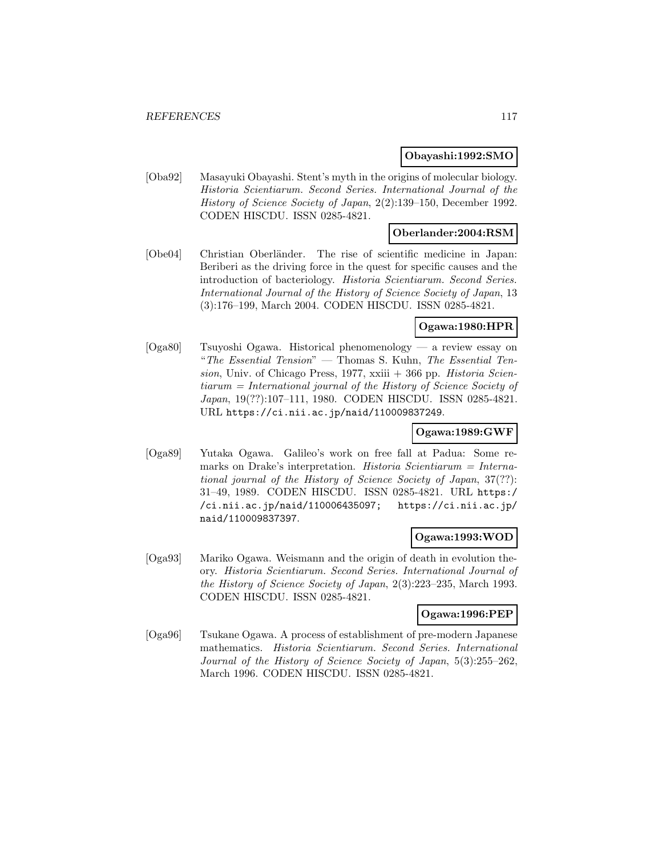## **Obayashi:1992:SMO**

[Oba92] Masayuki Obayashi. Stent's myth in the origins of molecular biology. Historia Scientiarum. Second Series. International Journal of the History of Science Society of Japan, 2(2):139–150, December 1992. CODEN HISCDU. ISSN 0285-4821.

## **Oberlander:2004:RSM**

[Obe04] Christian Oberländer. The rise of scientific medicine in Japan: Beriberi as the driving force in the quest for specific causes and the introduction of bacteriology. Historia Scientiarum. Second Series. International Journal of the History of Science Society of Japan, 13 (3):176–199, March 2004. CODEN HISCDU. ISSN 0285-4821.

## **Ogawa:1980:HPR**

[Oga80] Tsuyoshi Ogawa. Historical phenomenology — a review essay on "The Essential Tension" — Thomas S. Kuhn, The Essential Tension, Univ. of Chicago Press,  $1977$ , xxiii  $+366$  pp. Historia Scientiarum = International journal of the History of Science Society of Japan, 19(??):107–111, 1980. CODEN HISCDU. ISSN 0285-4821. URL https://ci.nii.ac.jp/naid/110009837249.

## **Ogawa:1989:GWF**

[Oga89] Yutaka Ogawa. Galileo's work on free fall at Padua: Some remarks on Drake's interpretation. Historia Scientiarum = International journal of the History of Science Society of Japan, 37(??): 31–49, 1989. CODEN HISCDU. ISSN 0285-4821. URL https:/ /ci.nii.ac.jp/naid/110006435097; https://ci.nii.ac.jp/ naid/110009837397.

## **Ogawa:1993:WOD**

[Oga93] Mariko Ogawa. Weismann and the origin of death in evolution theory. Historia Scientiarum. Second Series. International Journal of the History of Science Society of Japan, 2(3):223–235, March 1993. CODEN HISCDU. ISSN 0285-4821.

### **Ogawa:1996:PEP**

[Oga96] Tsukane Ogawa. A process of establishment of pre-modern Japanese mathematics. Historia Scientiarum. Second Series. International Journal of the History of Science Society of Japan, 5(3):255–262, March 1996. CODEN HISCDU. ISSN 0285-4821.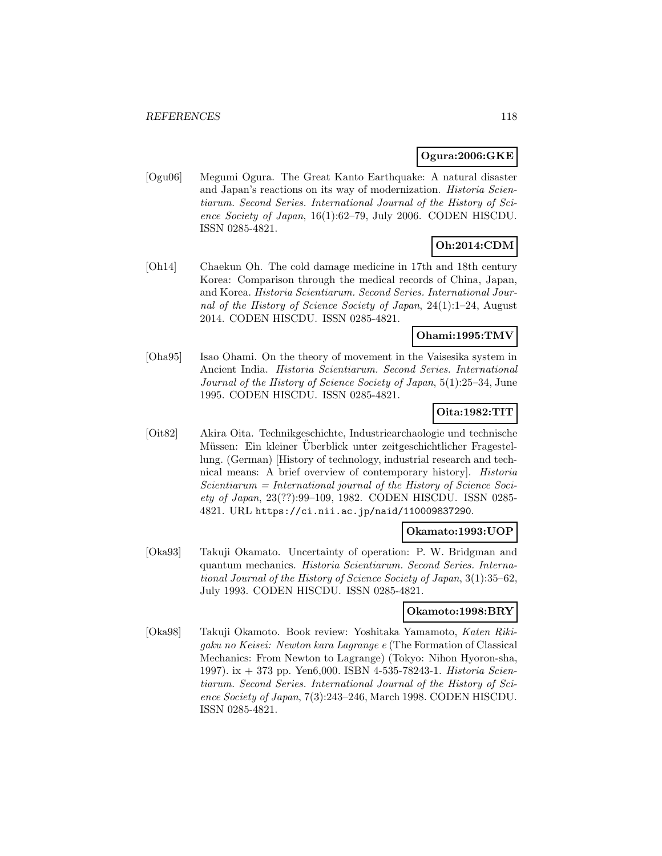## **Ogura:2006:GKE**

[Ogu06] Megumi Ogura. The Great Kanto Earthquake: A natural disaster and Japan's reactions on its way of modernization. Historia Scientiarum. Second Series. International Journal of the History of Science Society of Japan, 16(1):62–79, July 2006. CODEN HISCDU. ISSN 0285-4821.

# **Oh:2014:CDM**

[Oh14] Chaekun Oh. The cold damage medicine in 17th and 18th century Korea: Comparison through the medical records of China, Japan, and Korea. Historia Scientiarum. Second Series. International Journal of the History of Science Society of Japan, 24(1):1–24, August 2014. CODEN HISCDU. ISSN 0285-4821.

### **Ohami:1995:TMV**

[Oha95] Isao Ohami. On the theory of movement in the Vaisesika system in Ancient India. Historia Scientiarum. Second Series. International Journal of the History of Science Society of Japan, 5(1):25–34, June 1995. CODEN HISCDU. ISSN 0285-4821.

## **Oita:1982:TIT**

[Oit82] Akira Oita. Technikgeschichte, Industriearchaologie und technische Müssen: Ein kleiner Uberblick unter zeitgeschichtlicher Fragestellung. (German) [History of technology, industrial research and technical means: A brief overview of contemporary history]. Historia  $Scientiarum = International journal of the History of Science Soci$ ety of Japan, 23(??):99–109, 1982. CODEN HISCDU. ISSN 0285- 4821. URL https://ci.nii.ac.jp/naid/110009837290.

#### **Okamato:1993:UOP**

[Oka93] Takuji Okamato. Uncertainty of operation: P. W. Bridgman and quantum mechanics. Historia Scientiarum. Second Series. International Journal of the History of Science Society of Japan, 3(1):35–62, July 1993. CODEN HISCDU. ISSN 0285-4821.

## **Okamoto:1998:BRY**

[Oka98] Takuji Okamoto. Book review: Yoshitaka Yamamoto, Katen Rikigaku no Keisei: Newton kara Lagrange e (The Formation of Classical Mechanics: From Newton to Lagrange) (Tokyo: Nihon Hyoron-sha, 1997). ix + 373 pp. Yen6,000. ISBN 4-535-78243-1. Historia Scientiarum. Second Series. International Journal of the History of Science Society of Japan, 7(3):243–246, March 1998. CODEN HISCDU. ISSN 0285-4821.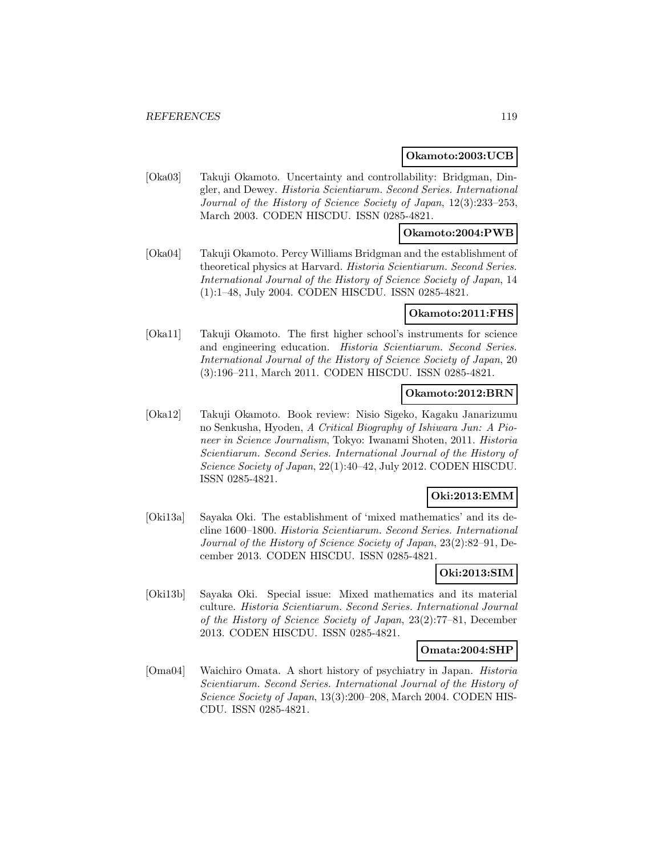#### **Okamoto:2003:UCB**

[Oka03] Takuji Okamoto. Uncertainty and controllability: Bridgman, Dingler, and Dewey. Historia Scientiarum. Second Series. International Journal of the History of Science Society of Japan, 12(3):233–253, March 2003. CODEN HISCDU. ISSN 0285-4821.

## **Okamoto:2004:PWB**

[Oka04] Takuji Okamoto. Percy Williams Bridgman and the establishment of theoretical physics at Harvard. Historia Scientiarum. Second Series. International Journal of the History of Science Society of Japan, 14 (1):1–48, July 2004. CODEN HISCDU. ISSN 0285-4821.

#### **Okamoto:2011:FHS**

[Oka11] Takuji Okamoto. The first higher school's instruments for science and engineering education. Historia Scientiarum. Second Series. International Journal of the History of Science Society of Japan, 20 (3):196–211, March 2011. CODEN HISCDU. ISSN 0285-4821.

## **Okamoto:2012:BRN**

[Oka12] Takuji Okamoto. Book review: Nisio Sigeko, Kagaku Janarizumu no Senkusha, Hyoden, A Critical Biography of Ishiwara Jun: A Pioneer in Science Journalism, Tokyo: Iwanami Shoten, 2011. Historia Scientiarum. Second Series. International Journal of the History of Science Society of Japan, 22(1):40–42, July 2012. CODEN HISCDU. ISSN 0285-4821.

## **Oki:2013:EMM**

[Oki13a] Sayaka Oki. The establishment of 'mixed mathematics' and its decline 1600–1800. Historia Scientiarum. Second Series. International Journal of the History of Science Society of Japan, 23(2):82–91, December 2013. CODEN HISCDU. ISSN 0285-4821.

## **Oki:2013:SIM**

[Oki13b] Sayaka Oki. Special issue: Mixed mathematics and its material culture. Historia Scientiarum. Second Series. International Journal of the History of Science Society of Japan, 23(2):77–81, December 2013. CODEN HISCDU. ISSN 0285-4821.

### **Omata:2004:SHP**

[Oma04] Waichiro Omata. A short history of psychiatry in Japan. Historia Scientiarum. Second Series. International Journal of the History of Science Society of Japan, 13(3):200–208, March 2004. CODEN HIS-CDU. ISSN 0285-4821.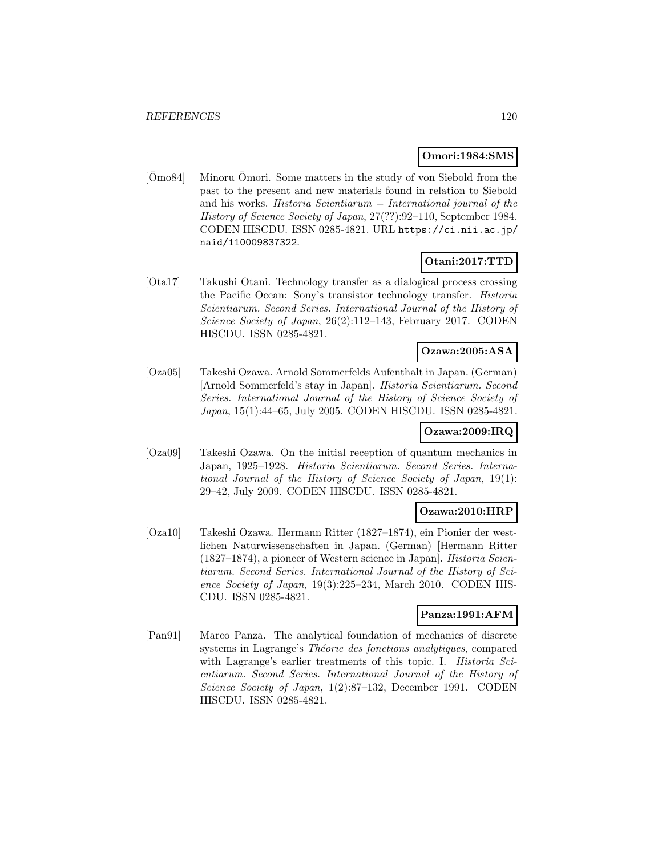## **Omori:1984:SMS**

 $\overline{[O}$ mo84 Minoru  $\overline{O}$ mori. Some matters in the study of von Siebold from the past to the present and new materials found in relation to Siebold and his works. Historia Scientiarum  $=$  International journal of the History of Science Society of Japan, 27(??):92–110, September 1984. CODEN HISCDU. ISSN 0285-4821. URL https://ci.nii.ac.jp/ naid/110009837322.

## **Otani:2017:TTD**

[Ota17] Takushi Otani. Technology transfer as a dialogical process crossing the Pacific Ocean: Sony's transistor technology transfer. Historia Scientiarum. Second Series. International Journal of the History of Science Society of Japan, 26(2):112–143, February 2017. CODEN HISCDU. ISSN 0285-4821.

## **Ozawa:2005:ASA**

[Oza05] Takeshi Ozawa. Arnold Sommerfelds Aufenthalt in Japan. (German) [Arnold Sommerfeld's stay in Japan]. Historia Scientiarum. Second Series. International Journal of the History of Science Society of Japan, 15(1):44–65, July 2005. CODEN HISCDU. ISSN 0285-4821.

## **Ozawa:2009:IRQ**

[Oza09] Takeshi Ozawa. On the initial reception of quantum mechanics in Japan, 1925–1928. Historia Scientiarum. Second Series. International Journal of the History of Science Society of Japan, 19(1): 29–42, July 2009. CODEN HISCDU. ISSN 0285-4821.

## **Ozawa:2010:HRP**

[Oza10] Takeshi Ozawa. Hermann Ritter (1827–1874), ein Pionier der westlichen Naturwissenschaften in Japan. (German) [Hermann Ritter (1827–1874), a pioneer of Western science in Japan]. Historia Scientiarum. Second Series. International Journal of the History of Science Society of Japan, 19(3):225–234, March 2010. CODEN HIS-CDU. ISSN 0285-4821.

### **Panza:1991:AFM**

[Pan91] Marco Panza. The analytical foundation of mechanics of discrete systems in Lagrange's Théorie des fonctions analytiques, compared with Lagrange's earlier treatments of this topic. I. *Historia Sci*entiarum. Second Series. International Journal of the History of Science Society of Japan, 1(2):87–132, December 1991. CODEN HISCDU. ISSN 0285-4821.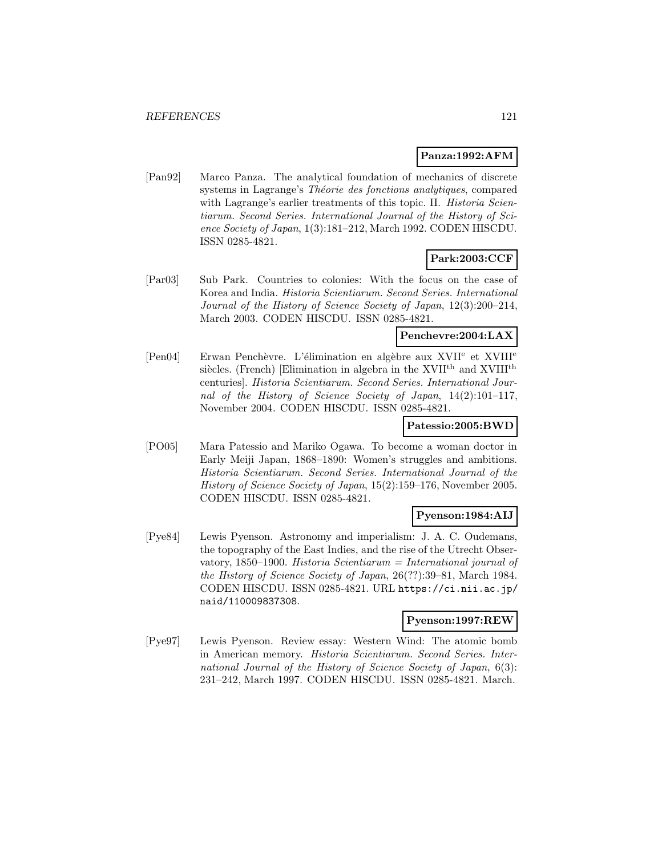### **Panza:1992:AFM**

[Pan92] Marco Panza. The analytical foundation of mechanics of discrete systems in Lagrange's Théorie des fonctions analytiques, compared with Lagrange's earlier treatments of this topic. II. Historia Scientiarum. Second Series. International Journal of the History of Science Society of Japan, 1(3):181–212, March 1992. CODEN HISCDU. ISSN 0285-4821.

## **Park:2003:CCF**

[Par03] Sub Park. Countries to colonies: With the focus on the case of Korea and India. Historia Scientiarum. Second Series. International Journal of the History of Science Society of Japan, 12(3):200–214, March 2003. CODEN HISCDU. ISSN 0285-4821.

### **Penchevre:2004:LAX**

[Pen04] Erwan Penchèvre. L'élimination en algèbre aux XVII<sup>e</sup> et XVIII<sup>e</sup> siècles. (French) [Elimination in algebra in the XVII<sup>th</sup> and XVIII<sup>th</sup> centuries]. Historia Scientiarum. Second Series. International Journal of the History of Science Society of Japan, 14(2):101–117, November 2004. CODEN HISCDU. ISSN 0285-4821.

## **Patessio:2005:BWD**

[PO05] Mara Patessio and Mariko Ogawa. To become a woman doctor in Early Meiji Japan, 1868–1890: Women's struggles and ambitions. Historia Scientiarum. Second Series. International Journal of the History of Science Society of Japan, 15(2):159–176, November 2005. CODEN HISCDU. ISSN 0285-4821.

### **Pyenson:1984:AIJ**

[Pye84] Lewis Pyenson. Astronomy and imperialism: J. A. C. Oudemans, the topography of the East Indies, and the rise of the Utrecht Observatory, 1850–1900. Historia Scientiarum = International journal of the History of Science Society of Japan, 26(??):39–81, March 1984. CODEN HISCDU. ISSN 0285-4821. URL https://ci.nii.ac.jp/ naid/110009837308.

## **Pyenson:1997:REW**

[Pye97] Lewis Pyenson. Review essay: Western Wind: The atomic bomb in American memory. Historia Scientiarum. Second Series. International Journal of the History of Science Society of Japan, 6(3): 231–242, March 1997. CODEN HISCDU. ISSN 0285-4821. March.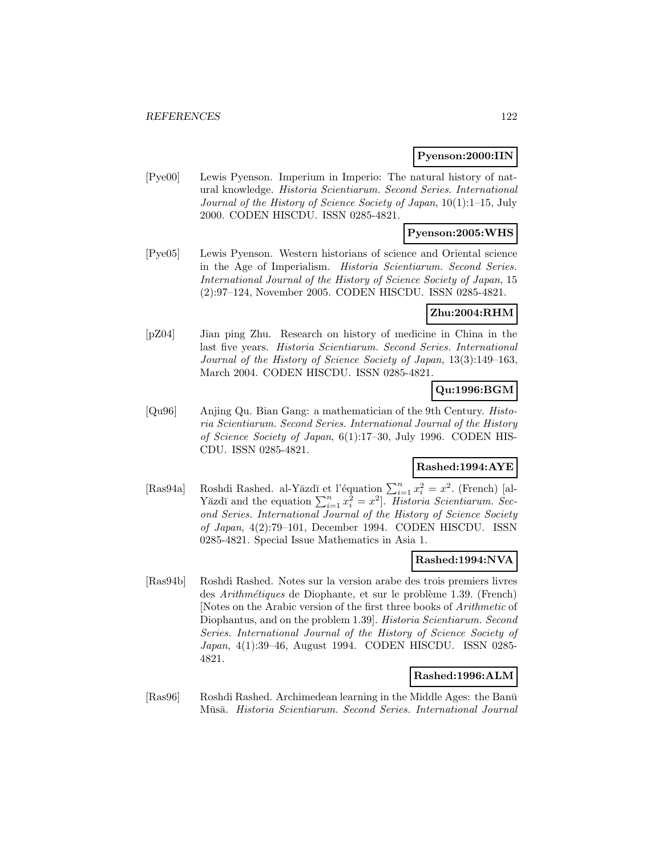#### **Pyenson:2000:IIN**

[Pye00] Lewis Pyenson. Imperium in Imperio: The natural history of natural knowledge. Historia Scientiarum. Second Series. International Journal of the History of Science Society of Japan, 10(1):1–15, July 2000. CODEN HISCDU. ISSN 0285-4821.

## **Pyenson:2005:WHS**

[Pye05] Lewis Pyenson. Western historians of science and Oriental science in the Age of Imperialism. Historia Scientiarum. Second Series. International Journal of the History of Science Society of Japan, 15 (2):97–124, November 2005. CODEN HISCDU. ISSN 0285-4821.

### **Zhu:2004:RHM**

[pZ04] Jian ping Zhu. Research on history of medicine in China in the last five years. Historia Scientiarum. Second Series. International Journal of the History of Science Society of Japan, 13(3):149–163, March 2004. CODEN HISCDU. ISSN 0285-4821.

# **Qu:1996:BGM**

[Qu96] Anjing Qu. Bian Gang: a mathematician of the 9th Century. Historia Scientiarum. Second Series. International Journal of the History of Science Society of Japan, 6(1):17–30, July 1996. CODEN HIS-CDU. ISSN 0285-4821.

### **Rashed:1994:AYE**

[Ras94a] Roshdi Rashed. al-Yāzdī et l'équation  $\sum_{i=1}^{n} x_i^2 = x^2$ . (French) [al-Yāzdī and the equation  $\sum_{i=1}^{n} x_i^2 = x^2$ . Historia Scientiarum. Second Series. International Journal of the History of Science Society of Japan, 4(2):79–101, December 1994. CODEN HISCDU. ISSN 0285-4821. Special Issue Mathematics in Asia 1.

## **Rashed:1994:NVA**

[Ras94b] Roshdi Rashed. Notes sur la version arabe des trois premiers livres des Arithmétiques de Diophante, et sur le problème 1.39. (French) [Notes on the Arabic version of the first three books of Arithmetic of Diophantus, and on the problem 1.39]. Historia Scientiarum. Second Series. International Journal of the History of Science Society of Japan, 4(1):39–46, August 1994. CODEN HISCDU. ISSN 0285- 4821.

### **Rashed:1996:ALM**

[Ras96] Roshdi Rashed. Archimedean learning in the Middle Ages: the Banū Mūsā. Historia Scientiarum. Second Series. International Journal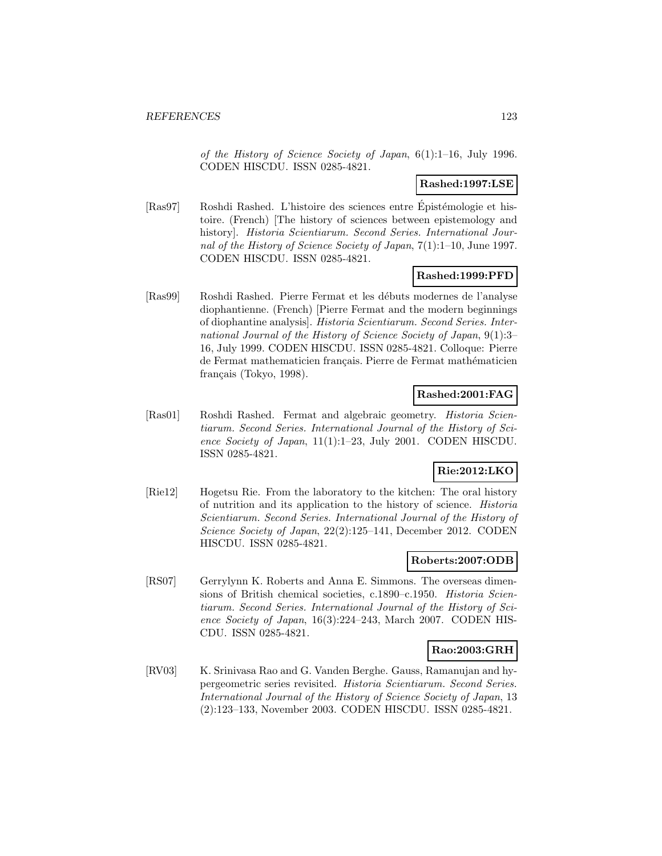of the History of Science Society of Japan, 6(1):1–16, July 1996. CODEN HISCDU. ISSN 0285-4821.

## **Rashed:1997:LSE**

[Ras97] Roshdi Rashed. L'histoire des sciences entre Epistémologie et histoire. (French) [The history of sciences between epistemology and history]. Historia Scientiarum. Second Series. International Journal of the History of Science Society of Japan, 7(1):1–10, June 1997. CODEN HISCDU. ISSN 0285-4821.

## **Rashed:1999:PFD**

[Ras99] Roshdi Rashed. Pierre Fermat et les débuts modernes de l'analyse diophantienne. (French) [Pierre Fermat and the modern beginnings of diophantine analysis]. Historia Scientiarum. Second Series. International Journal of the History of Science Society of Japan, 9(1):3– 16, July 1999. CODEN HISCDU. ISSN 0285-4821. Colloque: Pierre de Fermat mathematicien français. Pierre de Fermat mathématicien français (Tokyo, 1998).

## **Rashed:2001:FAG**

[Ras01] Roshdi Rashed. Fermat and algebraic geometry. Historia Scientiarum. Second Series. International Journal of the History of Science Society of Japan, 11(1):1–23, July 2001. CODEN HISCDU. ISSN 0285-4821.

## **Rie:2012:LKO**

[Rie12] Hogetsu Rie. From the laboratory to the kitchen: The oral history of nutrition and its application to the history of science. Historia Scientiarum. Second Series. International Journal of the History of Science Society of Japan, 22(2):125–141, December 2012. CODEN HISCDU. ISSN 0285-4821.

## **Roberts:2007:ODB**

[RS07] Gerrylynn K. Roberts and Anna E. Simmons. The overseas dimensions of British chemical societies, c.1890–c.1950. Historia Scientiarum. Second Series. International Journal of the History of Science Society of Japan, 16(3):224–243, March 2007. CODEN HIS-CDU. ISSN 0285-4821.

## **Rao:2003:GRH**

[RV03] K. Srinivasa Rao and G. Vanden Berghe. Gauss, Ramanujan and hypergeometric series revisited. Historia Scientiarum. Second Series. International Journal of the History of Science Society of Japan, 13 (2):123–133, November 2003. CODEN HISCDU. ISSN 0285-4821.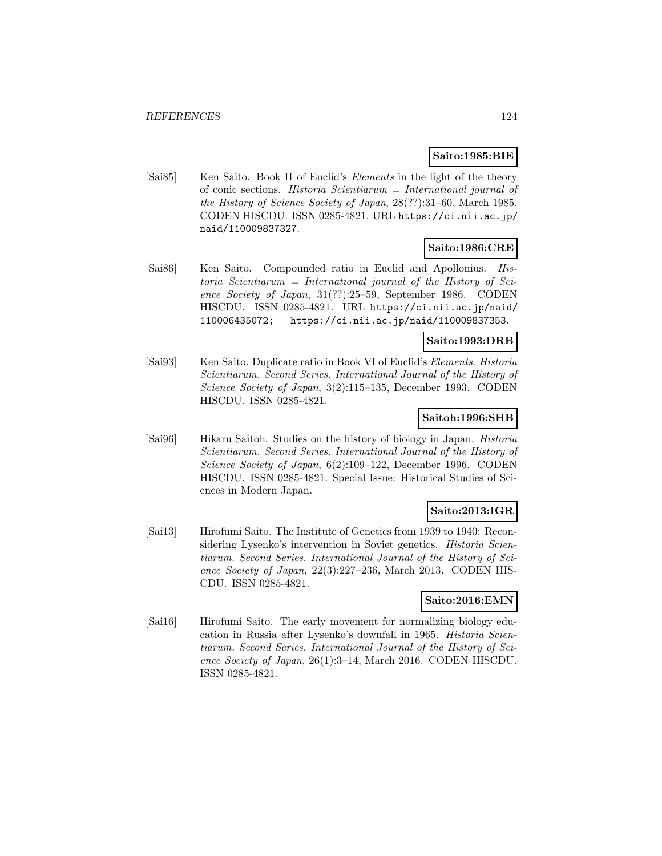## **Saito:1985:BIE**

[Sai85] Ken Saito. Book II of Euclid's *Elements* in the light of the theory of conic sections. Historia Scientiarum = International journal of the History of Science Society of Japan, 28(??):31–60, March 1985. CODEN HISCDU. ISSN 0285-4821. URL https://ci.nii.ac.jp/ naid/110009837327.

## **Saito:1986:CRE**

[Sai86] Ken Saito. Compounded ratio in Euclid and Apollonius. His $toria$  Scientiarum = International journal of the History of Science Society of Japan, 31(??):25–59, September 1986. CODEN HISCDU. ISSN 0285-4821. URL https://ci.nii.ac.jp/naid/ 110006435072; https://ci.nii.ac.jp/naid/110009837353.

### **Saito:1993:DRB**

[Sai93] Ken Saito. Duplicate ratio in Book VI of Euclid's Elements. Historia Scientiarum. Second Series. International Journal of the History of Science Society of Japan, 3(2):115–135, December 1993. CODEN HISCDU. ISSN 0285-4821.

### **Saitoh:1996:SHB**

[Sai96] Hikaru Saitoh. Studies on the history of biology in Japan. Historia Scientiarum. Second Series. International Journal of the History of Science Society of Japan, 6(2):109–122, December 1996. CODEN HISCDU. ISSN 0285-4821. Special Issue: Historical Studies of Sciences in Modern Japan.

## **Saito:2013:IGR**

[Sai13] Hirofumi Saito. The Institute of Genetics from 1939 to 1940: Reconsidering Lysenko's intervention in Soviet genetics. *Historia Scien*tiarum. Second Series. International Journal of the History of Science Society of Japan, 22(3):227–236, March 2013. CODEN HIS-CDU. ISSN 0285-4821.

### **Saito:2016:EMN**

[Sai16] Hirofumi Saito. The early movement for normalizing biology education in Russia after Lysenko's downfall in 1965. Historia Scientiarum. Second Series. International Journal of the History of Science Society of Japan, 26(1):3–14, March 2016. CODEN HISCDU. ISSN 0285-4821.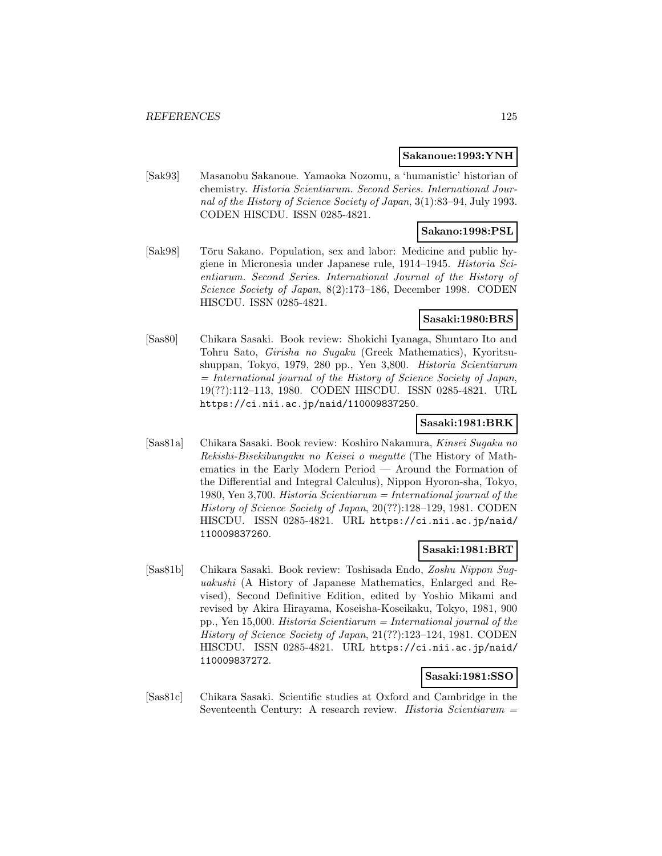#### **Sakanoue:1993:YNH**

[Sak93] Masanobu Sakanoue. Yamaoka Nozomu, a 'humanistic' historian of chemistry. Historia Scientiarum. Second Series. International Journal of the History of Science Society of Japan, 3(1):83–94, July 1993. CODEN HISCDU. ISSN 0285-4821.

## **Sakano:1998:PSL**

[Sak98] Tōru Sakano. Population, sex and labor: Medicine and public hygiene in Micronesia under Japanese rule, 1914–1945. Historia Scientiarum. Second Series. International Journal of the History of Science Society of Japan, 8(2):173–186, December 1998. CODEN HISCDU. ISSN 0285-4821.

## **Sasaki:1980:BRS**

[Sas80] Chikara Sasaki. Book review: Shokichi Iyanaga, Shuntaro Ito and Tohru Sato, Girisha no Sugaku (Greek Mathematics), Kyoritsushuppan, Tokyo, 1979, 280 pp., Yen 3,800. Historia Scientiarum  $=$  International journal of the History of Science Society of Japan, 19(??):112–113, 1980. CODEN HISCDU. ISSN 0285-4821. URL https://ci.nii.ac.jp/naid/110009837250.

## **Sasaki:1981:BRK**

[Sas81a] Chikara Sasaki. Book review: Koshiro Nakamura, Kinsei Sugaku no Rekishi-Bisekibungaku no Keisei o megutte (The History of Mathematics in the Early Modern Period — Around the Formation of the Differential and Integral Calculus), Nippon Hyoron-sha, Tokyo, 1980, Yen 3,700. Historia Scientiarum = International journal of the History of Science Society of Japan, 20(??):128–129, 1981. CODEN HISCDU. ISSN 0285-4821. URL https://ci.nii.ac.jp/naid/ 110009837260.

### **Sasaki:1981:BRT**

[Sas81b] Chikara Sasaki. Book review: Toshisada Endo, Zoshu Nippon Suguakushi (A History of Japanese Mathematics, Enlarged and Revised), Second Definitive Edition, edited by Yoshio Mikami and revised by Akira Hirayama, Koseisha-Koseikaku, Tokyo, 1981, 900 pp., Yen 15,000. Historia Scientiarum = International journal of the History of Science Society of Japan, 21(??):123–124, 1981. CODEN HISCDU. ISSN 0285-4821. URL https://ci.nii.ac.jp/naid/ 110009837272.

## **Sasaki:1981:SSO**

[Sas81c] Chikara Sasaki. Scientific studies at Oxford and Cambridge in the Seventeenth Century: A research review. Historia Scientiarum =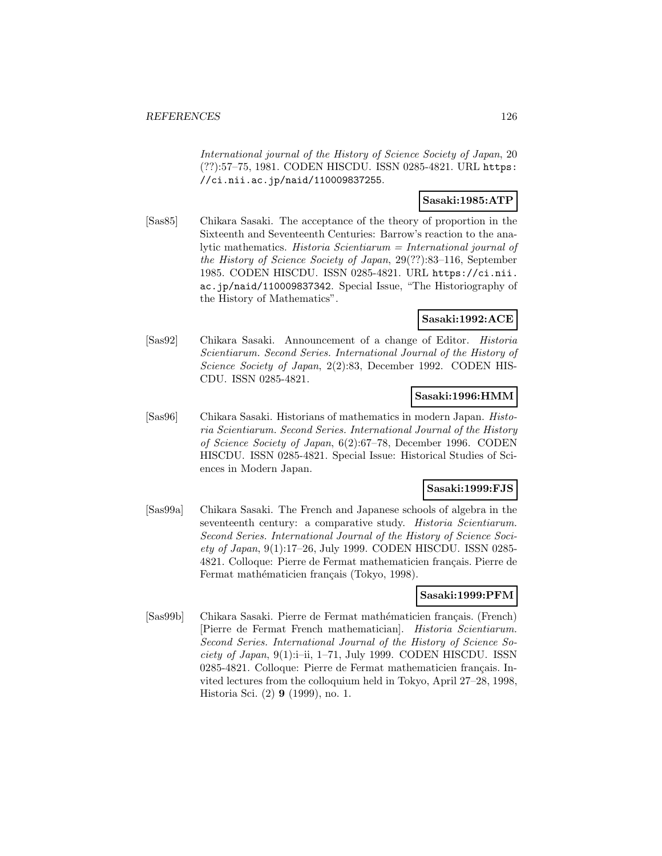International journal of the History of Science Society of Japan, 20 (??):57–75, 1981. CODEN HISCDU. ISSN 0285-4821. URL https: //ci.nii.ac.jp/naid/110009837255.

## **Sasaki:1985:ATP**

[Sas85] Chikara Sasaki. The acceptance of the theory of proportion in the Sixteenth and Seventeenth Centuries: Barrow's reaction to the analytic mathematics. Historia Scientiarum = International journal of the History of Science Society of Japan, 29(??):83–116, September 1985. CODEN HISCDU. ISSN 0285-4821. URL https://ci.nii. ac.jp/naid/110009837342. Special Issue, "The Historiography of the History of Mathematics".

## **Sasaki:1992:ACE**

[Sas92] Chikara Sasaki. Announcement of a change of Editor. Historia Scientiarum. Second Series. International Journal of the History of Science Society of Japan, 2(2):83, December 1992. CODEN HIS-CDU. ISSN 0285-4821.

## **Sasaki:1996:HMM**

[Sas96] Chikara Sasaki. Historians of mathematics in modern Japan. Historia Scientiarum. Second Series. International Journal of the History of Science Society of Japan, 6(2):67–78, December 1996. CODEN HISCDU. ISSN 0285-4821. Special Issue: Historical Studies of Sciences in Modern Japan.

### **Sasaki:1999:FJS**

[Sas99a] Chikara Sasaki. The French and Japanese schools of algebra in the seventeenth century: a comparative study. Historia Scientiarum. Second Series. International Journal of the History of Science Society of Japan, 9(1):17–26, July 1999. CODEN HISCDU. ISSN 0285- 4821. Colloque: Pierre de Fermat mathematicien français. Pierre de Fermat mathématicien français (Tokyo, 1998).

### **Sasaki:1999:PFM**

[Sas99b] Chikara Sasaki. Pierre de Fermat mathématicien français. (French) [Pierre de Fermat French mathematician]. Historia Scientiarum. Second Series. International Journal of the History of Science Society of Japan, 9(1):i–ii, 1–71, July 1999. CODEN HISCDU. ISSN 0285-4821. Colloque: Pierre de Fermat mathematicien français. Invited lectures from the colloquium held in Tokyo, April 27–28, 1998, Historia Sci. (2) **9** (1999), no. 1.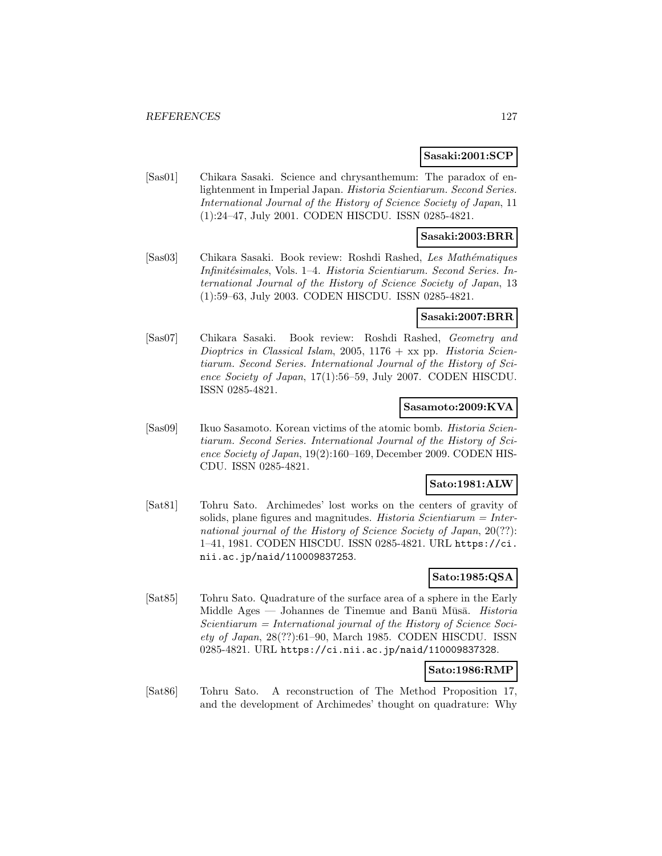#### **Sasaki:2001:SCP**

[Sas01] Chikara Sasaki. Science and chrysanthemum: The paradox of enlightenment in Imperial Japan. Historia Scientiarum. Second Series. International Journal of the History of Science Society of Japan, 11 (1):24–47, July 2001. CODEN HISCDU. ISSN 0285-4821.

## **Sasaki:2003:BRR**

[Sas03] Chikara Sasaki. Book review: Roshdi Rashed, Les Mathématiques Infinitésimales, Vols. 1–4. Historia Scientiarum. Second Series. International Journal of the History of Science Society of Japan, 13 (1):59–63, July 2003. CODEN HISCDU. ISSN 0285-4821.

## **Sasaki:2007:BRR**

[Sas07] Chikara Sasaki. Book review: Roshdi Rashed, Geometry and Dioptrics in Classical Islam, 2005,  $1176 + xx$  pp. Historia Scientiarum. Second Series. International Journal of the History of Science Society of Japan, 17(1):56–59, July 2007. CODEN HISCDU. ISSN 0285-4821.

#### **Sasamoto:2009:KVA**

[Sas09] Ikuo Sasamoto. Korean victims of the atomic bomb. *Historia Scien*tiarum. Second Series. International Journal of the History of Science Society of Japan, 19(2):160–169, December 2009. CODEN HIS-CDU. ISSN 0285-4821.

## **Sato:1981:ALW**

[Sat81] Tohru Sato. Archimedes' lost works on the centers of gravity of solids, plane figures and magnitudes. Historia Scientiarum = International journal of the History of Science Society of Japan, 20(??): 1–41, 1981. CODEN HISCDU. ISSN 0285-4821. URL https://ci. nii.ac.jp/naid/110009837253.

## **Sato:1985:QSA**

[Sat85] Tohru Sato. Quadrature of the surface area of a sphere in the Early Middle Ages — Johannes de Tinemue and Banū Mūsā. Historia  $Scientiarum = International journal of the History of Science Soci$ ety of Japan, 28(??):61–90, March 1985. CODEN HISCDU. ISSN 0285-4821. URL https://ci.nii.ac.jp/naid/110009837328.

### **Sato:1986:RMP**

[Sat86] Tohru Sato. A reconstruction of The Method Proposition 17, and the development of Archimedes' thought on quadrature: Why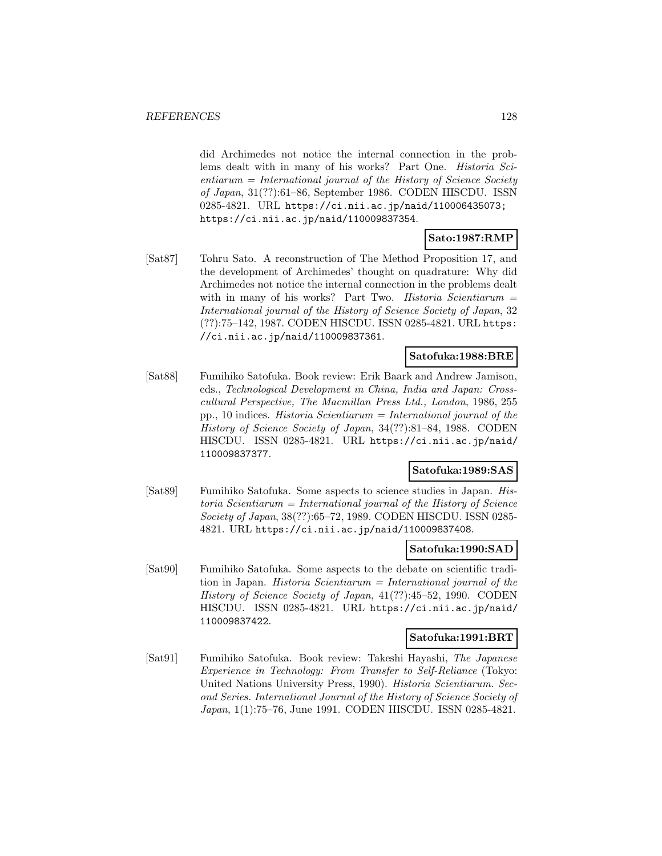did Archimedes not notice the internal connection in the problems dealt with in many of his works? Part One. Historia Sci $entiarum = International journal of the History of Science Society$ of Japan, 31(??):61–86, September 1986. CODEN HISCDU. ISSN 0285-4821. URL https://ci.nii.ac.jp/naid/110006435073; https://ci.nii.ac.jp/naid/110009837354.

#### **Sato:1987:RMP**

[Sat87] Tohru Sato. A reconstruction of The Method Proposition 17, and the development of Archimedes' thought on quadrature: Why did Archimedes not notice the internal connection in the problems dealt with in many of his works? Part Two. Historia Scientiarum  $=$ International journal of the History of Science Society of Japan, 32 (??):75–142, 1987. CODEN HISCDU. ISSN 0285-4821. URL https: //ci.nii.ac.jp/naid/110009837361.

## **Satofuka:1988:BRE**

[Sat88] Fumihiko Satofuka. Book review: Erik Baark and Andrew Jamison, eds., Technological Development in China, India and Japan: Crosscultural Perspective, The Macmillan Press Ltd., London, 1986, 255 pp., 10 indices. Historia Scientiarum = International journal of the History of Science Society of Japan, 34(??):81–84, 1988. CODEN HISCDU. ISSN 0285-4821. URL https://ci.nii.ac.jp/naid/ 110009837377.

## **Satofuka:1989:SAS**

[Sat89] Fumihiko Satofuka. Some aspects to science studies in Japan. Historia Scientiarum = International journal of the History of Science Society of Japan, 38(??):65–72, 1989. CODEN HISCDU. ISSN 0285- 4821. URL https://ci.nii.ac.jp/naid/110009837408.

#### **Satofuka:1990:SAD**

[Sat90] Fumihiko Satofuka. Some aspects to the debate on scientific tradition in Japan. Historia Scientiarum  $=$  International journal of the History of Science Society of Japan, 41(??):45–52, 1990. CODEN HISCDU. ISSN 0285-4821. URL https://ci.nii.ac.jp/naid/ 110009837422.

#### **Satofuka:1991:BRT**

[Sat91] Fumihiko Satofuka. Book review: Takeshi Hayashi, The Japanese Experience in Technology: From Transfer to Self-Reliance (Tokyo: United Nations University Press, 1990). Historia Scientiarum. Second Series. International Journal of the History of Science Society of Japan, 1(1):75–76, June 1991. CODEN HISCDU. ISSN 0285-4821.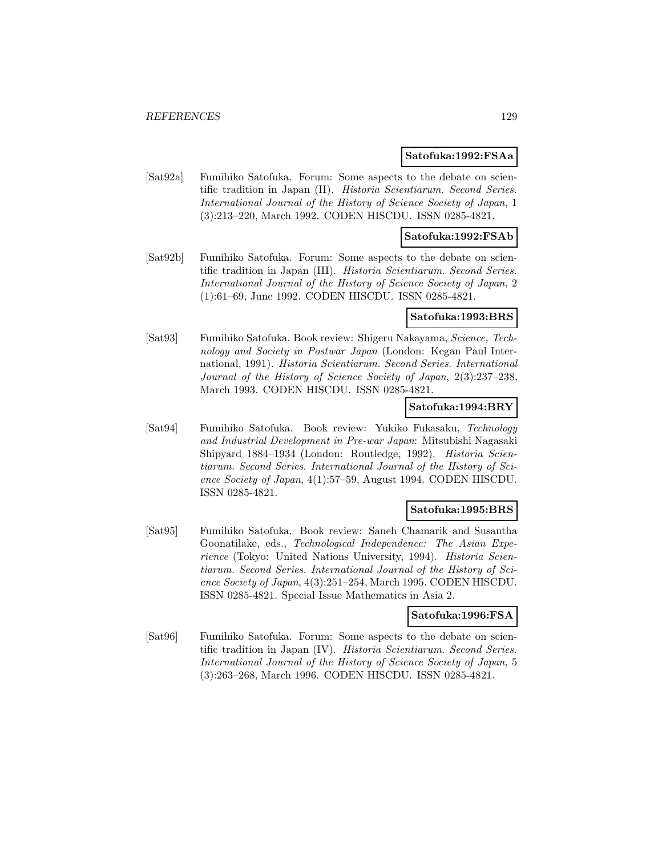#### **Satofuka:1992:FSAa**

[Sat92a] Fumihiko Satofuka. Forum: Some aspects to the debate on scientific tradition in Japan (II). Historia Scientiarum. Second Series. International Journal of the History of Science Society of Japan, 1 (3):213–220, March 1992. CODEN HISCDU. ISSN 0285-4821.

### **Satofuka:1992:FSAb**

[Sat92b] Fumihiko Satofuka. Forum: Some aspects to the debate on scientific tradition in Japan (III). Historia Scientiarum. Second Series. International Journal of the History of Science Society of Japan, 2 (1):61–69, June 1992. CODEN HISCDU. ISSN 0285-4821.

### **Satofuka:1993:BRS**

[Sat93] Fumihiko Satofuka. Book review: Shigeru Nakayama, Science, Technology and Society in Postwar Japan (London: Kegan Paul International, 1991). Historia Scientiarum. Second Series. International Journal of the History of Science Society of Japan, 2(3):237–238, March 1993. CODEN HISCDU. ISSN 0285-4821.

#### **Satofuka:1994:BRY**

[Sat94] Fumihiko Satofuka. Book review: Yukiko Fukasaku, Technology and Industrial Development in Pre-war Japan: Mitsubishi Nagasaki Shipyard 1884–1934 (London: Routledge, 1992). Historia Scientiarum. Second Series. International Journal of the History of Science Society of Japan, 4(1):57–59, August 1994. CODEN HISCDU. ISSN 0285-4821.

### **Satofuka:1995:BRS**

[Sat95] Fumihiko Satofuka. Book review: Saneh Chamarik and Susantha Goonatilake, eds., Technological Independence: The Asian Experience (Tokyo: United Nations University, 1994). Historia Scientiarum. Second Series. International Journal of the History of Science Society of Japan, 4(3):251–254, March 1995. CODEN HISCDU. ISSN 0285-4821. Special Issue Mathematics in Asia 2.

### **Satofuka:1996:FSA**

[Sat96] Fumihiko Satofuka. Forum: Some aspects to the debate on scientific tradition in Japan (IV). Historia Scientiarum. Second Series. International Journal of the History of Science Society of Japan, 5 (3):263–268, March 1996. CODEN HISCDU. ISSN 0285-4821.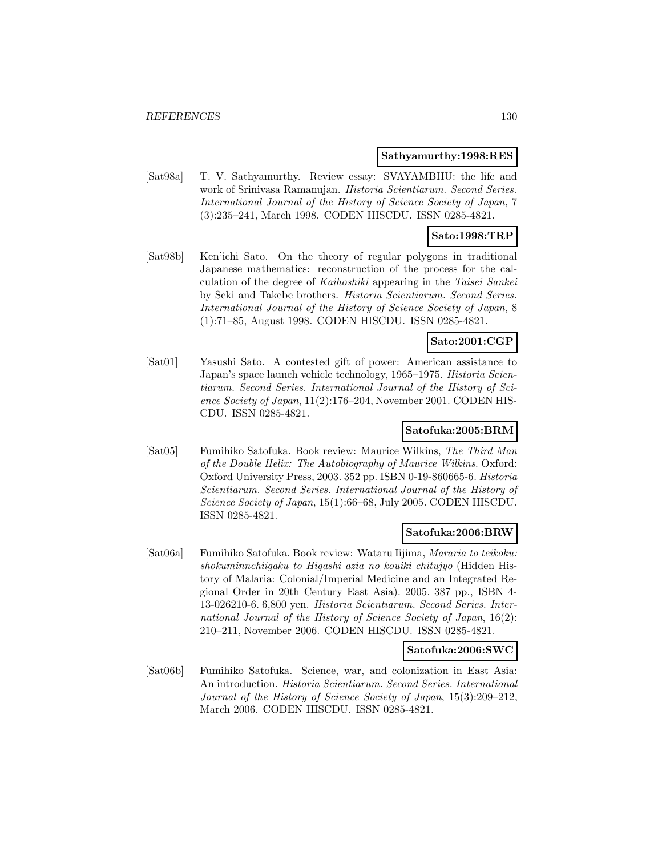#### **Sathyamurthy:1998:RES**

[Sat98a] T. V. Sathyamurthy. Review essay: SVAYAMBHU: the life and work of Srinivasa Ramanujan. Historia Scientiarum. Second Series. International Journal of the History of Science Society of Japan, 7 (3):235–241, March 1998. CODEN HISCDU. ISSN 0285-4821.

## **Sato:1998:TRP**

[Sat98b] Ken'ichi Sato. On the theory of regular polygons in traditional Japanese mathematics: reconstruction of the process for the calculation of the degree of Kaihoshiki appearing in the Taisei Sankei by Seki and Takebe brothers. Historia Scientiarum. Second Series. International Journal of the History of Science Society of Japan, 8 (1):71–85, August 1998. CODEN HISCDU. ISSN 0285-4821.

### **Sato:2001:CGP**

[Sat01] Yasushi Sato. A contested gift of power: American assistance to Japan's space launch vehicle technology, 1965–1975. Historia Scientiarum. Second Series. International Journal of the History of Science Society of Japan, 11(2):176–204, November 2001. CODEN HIS-CDU. ISSN 0285-4821.

## **Satofuka:2005:BRM**

[Sat05] Fumihiko Satofuka. Book review: Maurice Wilkins, The Third Man of the Double Helix: The Autobiography of Maurice Wilkins. Oxford: Oxford University Press, 2003. 352 pp. ISBN 0-19-860665-6. Historia Scientiarum. Second Series. International Journal of the History of Science Society of Japan, 15(1):66–68, July 2005. CODEN HISCDU. ISSN 0285-4821.

#### **Satofuka:2006:BRW**

[Sat06a] Fumihiko Satofuka. Book review: Wataru Iijima, Mararia to teikoku: shokuminnchiigaku to Higashi azia no kouiki chitujyo (Hidden History of Malaria: Colonial/Imperial Medicine and an Integrated Regional Order in 20th Century East Asia). 2005. 387 pp., ISBN 4- 13-026210-6. 6,800 yen. Historia Scientiarum. Second Series. International Journal of the History of Science Society of Japan, 16(2): 210–211, November 2006. CODEN HISCDU. ISSN 0285-4821.

#### **Satofuka:2006:SWC**

[Sat06b] Fumihiko Satofuka. Science, war, and colonization in East Asia: An introduction. Historia Scientiarum. Second Series. International Journal of the History of Science Society of Japan, 15(3):209–212, March 2006. CODEN HISCDU. ISSN 0285-4821.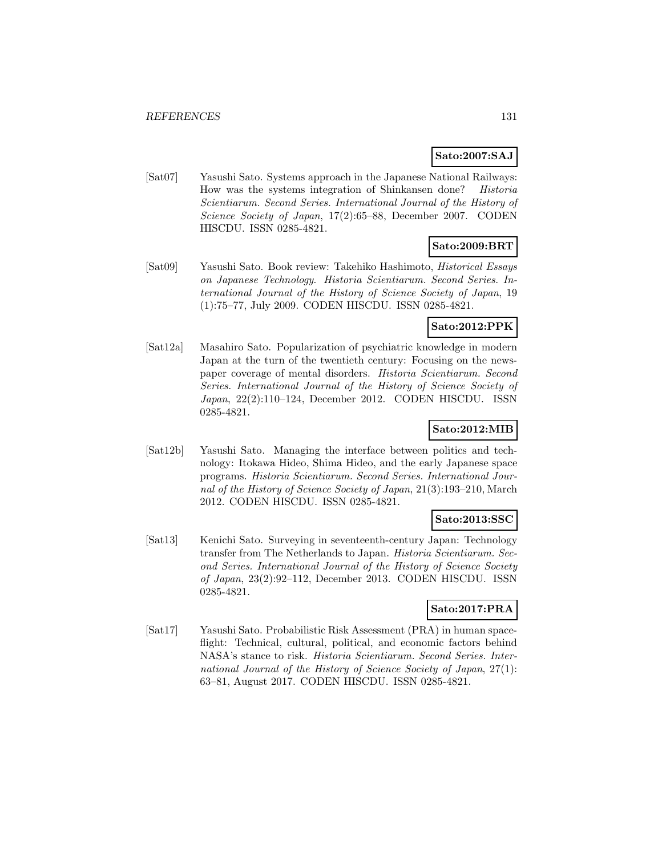## **Sato:2007:SAJ**

[Sat07] Yasushi Sato. Systems approach in the Japanese National Railways: How was the systems integration of Shinkansen done? Historia Scientiarum. Second Series. International Journal of the History of Science Society of Japan, 17(2):65–88, December 2007. CODEN HISCDU. ISSN 0285-4821.

## **Sato:2009:BRT**

[Sat09] Yasushi Sato. Book review: Takehiko Hashimoto, Historical Essays on Japanese Technology. Historia Scientiarum. Second Series. International Journal of the History of Science Society of Japan, 19 (1):75–77, July 2009. CODEN HISCDU. ISSN 0285-4821.

## **Sato:2012:PPK**

[Sat12a] Masahiro Sato. Popularization of psychiatric knowledge in modern Japan at the turn of the twentieth century: Focusing on the newspaper coverage of mental disorders. Historia Scientiarum. Second Series. International Journal of the History of Science Society of Japan, 22(2):110–124, December 2012. CODEN HISCDU. ISSN 0285-4821.

## **Sato:2012:MIB**

[Sat12b] Yasushi Sato. Managing the interface between politics and technology: Itokawa Hideo, Shima Hideo, and the early Japanese space programs. Historia Scientiarum. Second Series. International Journal of the History of Science Society of Japan, 21(3):193–210, March 2012. CODEN HISCDU. ISSN 0285-4821.

## **Sato:2013:SSC**

[Sat13] Kenichi Sato. Surveying in seventeenth-century Japan: Technology transfer from The Netherlands to Japan. Historia Scientiarum. Second Series. International Journal of the History of Science Society of Japan, 23(2):92–112, December 2013. CODEN HISCDU. ISSN 0285-4821.

## **Sato:2017:PRA**

[Sat17] Yasushi Sato. Probabilistic Risk Assessment (PRA) in human spaceflight: Technical, cultural, political, and economic factors behind NASA's stance to risk. Historia Scientiarum. Second Series. International Journal of the History of Science Society of Japan, 27(1): 63–81, August 2017. CODEN HISCDU. ISSN 0285-4821.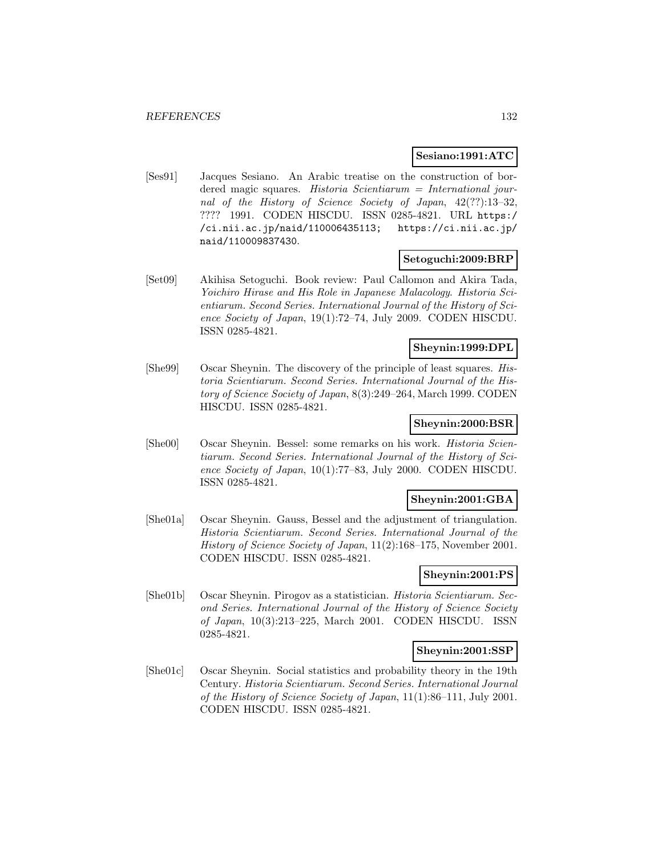#### **Sesiano:1991:ATC**

[Ses91] Jacques Sesiano. An Arabic treatise on the construction of bordered magic squares. Historia Scientiarum = International journal of the History of Science Society of Japan, 42(??):13–32, ???? 1991. CODEN HISCDU. ISSN 0285-4821. URL https:/ /ci.nii.ac.jp/naid/110006435113; https://ci.nii.ac.jp/ naid/110009837430.

## **Setoguchi:2009:BRP**

[Set09] Akihisa Setoguchi. Book review: Paul Callomon and Akira Tada, Yoichiro Hirase and His Role in Japanese Malacology. Historia Scientiarum. Second Series. International Journal of the History of Science Society of Japan, 19(1):72–74, July 2009. CODEN HISCDU. ISSN 0285-4821.

## **Sheynin:1999:DPL**

[She99] Oscar Sheynin. The discovery of the principle of least squares. Historia Scientiarum. Second Series. International Journal of the History of Science Society of Japan, 8(3):249–264, March 1999. CODEN HISCDU. ISSN 0285-4821.

### **Sheynin:2000:BSR**

[She00] Oscar Sheynin. Bessel: some remarks on his work. Historia Scientiarum. Second Series. International Journal of the History of Science Society of Japan, 10(1):77–83, July 2000. CODEN HISCDU. ISSN 0285-4821.

## **Sheynin:2001:GBA**

[She01a] Oscar Sheynin. Gauss, Bessel and the adjustment of triangulation. Historia Scientiarum. Second Series. International Journal of the History of Science Society of Japan, 11(2):168–175, November 2001. CODEN HISCDU. ISSN 0285-4821.

## **Sheynin:2001:PS**

[She01b] Oscar Sheynin. Pirogov as a statistician. Historia Scientiarum. Second Series. International Journal of the History of Science Society of Japan, 10(3):213–225, March 2001. CODEN HISCDU. ISSN 0285-4821.

#### **Sheynin:2001:SSP**

[She01c] Oscar Sheynin. Social statistics and probability theory in the 19th Century. Historia Scientiarum. Second Series. International Journal of the History of Science Society of Japan, 11(1):86–111, July 2001. CODEN HISCDU. ISSN 0285-4821.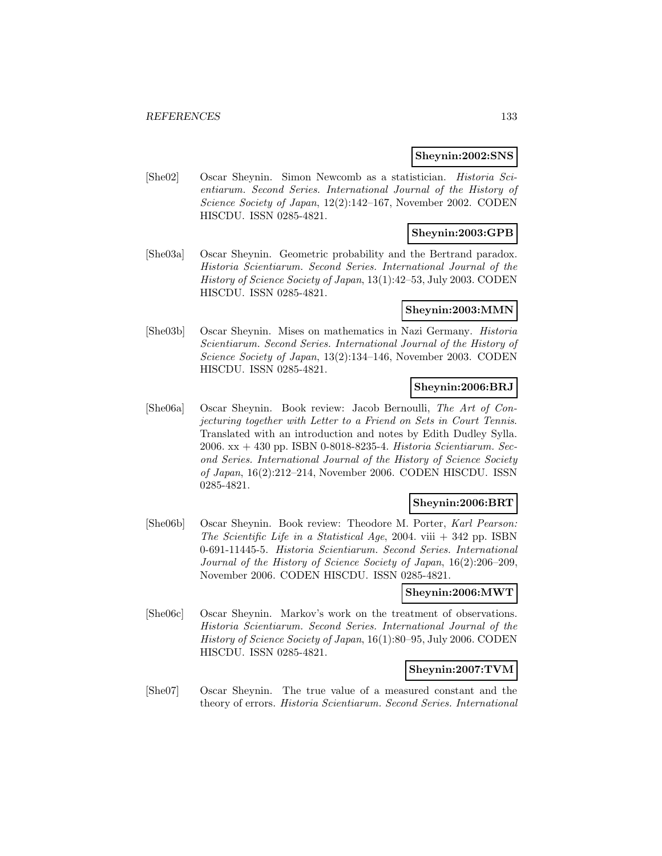### **Sheynin:2002:SNS**

[She02] Oscar Sheynin. Simon Newcomb as a statistician. Historia Scientiarum. Second Series. International Journal of the History of Science Society of Japan, 12(2):142–167, November 2002. CODEN HISCDU. ISSN 0285-4821.

## **Sheynin:2003:GPB**

[She03a] Oscar Sheynin. Geometric probability and the Bertrand paradox. Historia Scientiarum. Second Series. International Journal of the History of Science Society of Japan, 13(1):42–53, July 2003. CODEN HISCDU. ISSN 0285-4821.

## **Sheynin:2003:MMN**

[She03b] Oscar Sheynin. Mises on mathematics in Nazi Germany. Historia Scientiarum. Second Series. International Journal of the History of Science Society of Japan, 13(2):134–146, November 2003. CODEN HISCDU. ISSN 0285-4821.

### **Sheynin:2006:BRJ**

[She06a] Oscar Sheynin. Book review: Jacob Bernoulli, The Art of Conjecturing together with Letter to a Friend on Sets in Court Tennis. Translated with an introduction and notes by Edith Dudley Sylla. 2006. xx + 430 pp. ISBN 0-8018-8235-4. Historia Scientiarum. Second Series. International Journal of the History of Science Society of Japan, 16(2):212–214, November 2006. CODEN HISCDU. ISSN 0285-4821.

## **Sheynin:2006:BRT**

[She06b] Oscar Sheynin. Book review: Theodore M. Porter, Karl Pearson: The Scientific Life in a Statistical Age, 2004. viii  $+$  342 pp. ISBN 0-691-11445-5. Historia Scientiarum. Second Series. International Journal of the History of Science Society of Japan, 16(2):206–209, November 2006. CODEN HISCDU. ISSN 0285-4821.

## **Sheynin:2006:MWT**

[She06c] Oscar Sheynin. Markov's work on the treatment of observations. Historia Scientiarum. Second Series. International Journal of the History of Science Society of Japan, 16(1):80–95, July 2006. CODEN HISCDU. ISSN 0285-4821.

### **Sheynin:2007:TVM**

[She07] Oscar Sheynin. The true value of a measured constant and the theory of errors. Historia Scientiarum. Second Series. International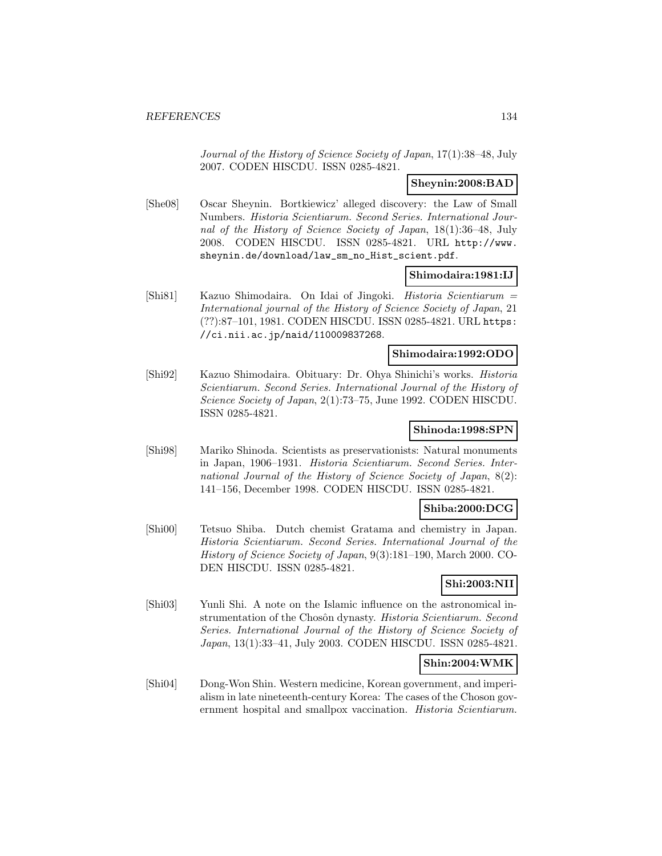Journal of the History of Science Society of Japan, 17(1):38–48, July 2007. CODEN HISCDU. ISSN 0285-4821.

## **Sheynin:2008:BAD**

[She08] Oscar Sheynin. Bortkiewicz' alleged discovery: the Law of Small Numbers. Historia Scientiarum. Second Series. International Journal of the History of Science Society of Japan, 18(1):36–48, July 2008. CODEN HISCDU. ISSN 0285-4821. URL http://www. sheynin.de/download/law\_sm\_no\_Hist\_scient.pdf.

#### **Shimodaira:1981:IJ**

[Shi81] Kazuo Shimodaira. On Idai of Jingoki. Historia Scientiarum = International journal of the History of Science Society of Japan, 21 (??):87–101, 1981. CODEN HISCDU. ISSN 0285-4821. URL https: //ci.nii.ac.jp/naid/110009837268.

### **Shimodaira:1992:ODO**

[Shi92] Kazuo Shimodaira. Obituary: Dr. Ohya Shinichi's works. Historia Scientiarum. Second Series. International Journal of the History of Science Society of Japan, 2(1):73–75, June 1992. CODEN HISCDU. ISSN 0285-4821.

### **Shinoda:1998:SPN**

[Shi98] Mariko Shinoda. Scientists as preservationists: Natural monuments in Japan, 1906–1931. Historia Scientiarum. Second Series. International Journal of the History of Science Society of Japan, 8(2): 141–156, December 1998. CODEN HISCDU. ISSN 0285-4821.

## **Shiba:2000:DCG**

[Shi00] Tetsuo Shiba. Dutch chemist Gratama and chemistry in Japan. Historia Scientiarum. Second Series. International Journal of the History of Science Society of Japan, 9(3):181–190, March 2000. CO-DEN HISCDU. ISSN 0285-4821.

## **Shi:2003:NII**

[Shi03] Yunli Shi. A note on the Islamic influence on the astronomical instrumentation of the Chosôn dynasty. Historia Scientiarum. Second Series. International Journal of the History of Science Society of Japan, 13(1):33–41, July 2003. CODEN HISCDU. ISSN 0285-4821.

### **Shin:2004:WMK**

[Shi04] Dong-Won Shin. Western medicine, Korean government, and imperialism in late nineteenth-century Korea: The cases of the Choson government hospital and smallpox vaccination. Historia Scientiarum.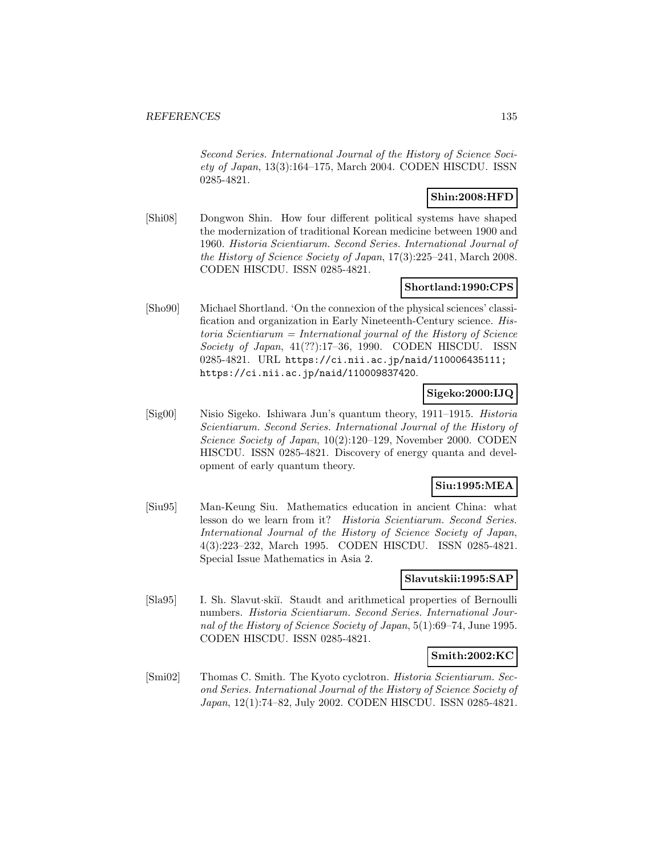Second Series. International Journal of the History of Science Society of Japan, 13(3):164–175, March 2004. CODEN HISCDU. ISSN 0285-4821.

## **Shin:2008:HFD**

[Shi08] Dongwon Shin. How four different political systems have shaped the modernization of traditional Korean medicine between 1900 and 1960. Historia Scientiarum. Second Series. International Journal of the History of Science Society of Japan, 17(3):225–241, March 2008. CODEN HISCDU. ISSN 0285-4821.

## **Shortland:1990:CPS**

[Sho90] Michael Shortland. 'On the connexion of the physical sciences' classification and organization in Early Nineteenth-Century science. His $toria$  Scientiarum = International journal of the History of Science Society of Japan, 41(??):17–36, 1990. CODEN HISCDU. ISSN 0285-4821. URL https://ci.nii.ac.jp/naid/110006435111; https://ci.nii.ac.jp/naid/110009837420.

## **Sigeko:2000:IJQ**

[Sig00] Nisio Sigeko. Ishiwara Jun's quantum theory, 1911–1915. Historia Scientiarum. Second Series. International Journal of the History of Science Society of Japan, 10(2):120–129, November 2000. CODEN HISCDU. ISSN 0285-4821. Discovery of energy quanta and development of early quantum theory.

## **Siu:1995:MEA**

[Siu95] Man-Keung Siu. Mathematics education in ancient China: what lesson do we learn from it? Historia Scientiarum. Second Series. International Journal of the History of Science Society of Japan, 4(3):223–232, March 1995. CODEN HISCDU. ISSN 0285-4821. Special Issue Mathematics in Asia 2.

### **Slavutskii:1995:SAP**

[Sla95] I. Sh. Slavut·skiı̆. Staudt and arithmetical properties of Bernoulli numbers. Historia Scientiarum. Second Series. International Journal of the History of Science Society of Japan, 5(1):69–74, June 1995. CODEN HISCDU. ISSN 0285-4821.

### **Smith:2002:KC**

[Smi02] Thomas C. Smith. The Kyoto cyclotron. Historia Scientiarum. Second Series. International Journal of the History of Science Society of Japan, 12(1):74–82, July 2002. CODEN HISCDU. ISSN 0285-4821.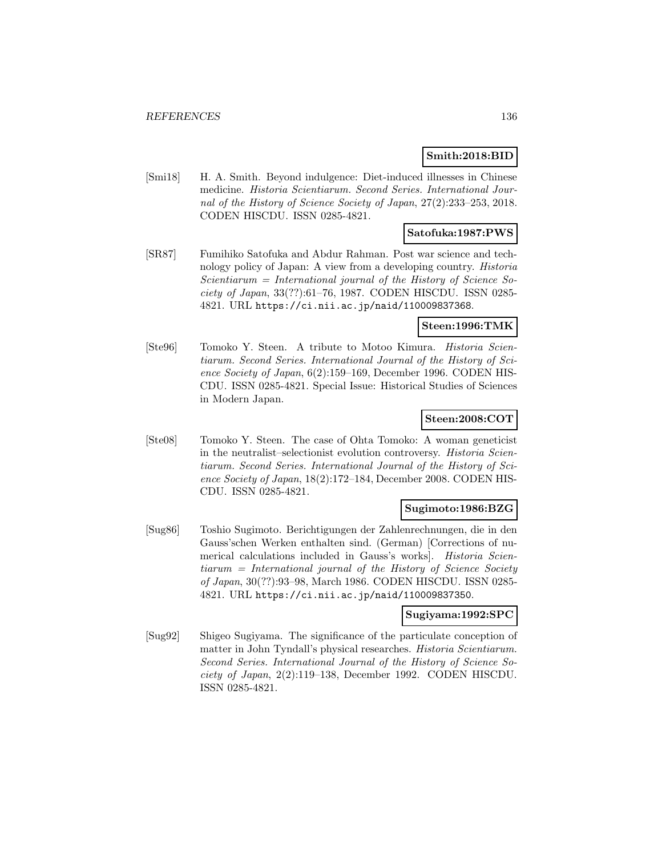## **Smith:2018:BID**

[Smi18] H. A. Smith. Beyond indulgence: Diet-induced illnesses in Chinese medicine. Historia Scientiarum. Second Series. International Journal of the History of Science Society of Japan, 27(2):233–253, 2018. CODEN HISCDU. ISSN 0285-4821.

## **Satofuka:1987:PWS**

[SR87] Fumihiko Satofuka and Abdur Rahman. Post war science and technology policy of Japan: A view from a developing country. Historia Scientiarum = International journal of the History of Science Society of Japan, 33(??):61–76, 1987. CODEN HISCDU. ISSN 0285- 4821. URL https://ci.nii.ac.jp/naid/110009837368.

## **Steen:1996:TMK**

[Ste96] Tomoko Y. Steen. A tribute to Motoo Kimura. Historia Scientiarum. Second Series. International Journal of the History of Science Society of Japan, 6(2):159–169, December 1996. CODEN HIS-CDU. ISSN 0285-4821. Special Issue: Historical Studies of Sciences in Modern Japan.

## **Steen:2008:COT**

[Ste08] Tomoko Y. Steen. The case of Ohta Tomoko: A woman geneticist in the neutralist–selectionist evolution controversy. Historia Scientiarum. Second Series. International Journal of the History of Science Society of Japan, 18(2):172–184, December 2008. CODEN HIS-CDU. ISSN 0285-4821.

## **Sugimoto:1986:BZG**

[Sug86] Toshio Sugimoto. Berichtigungen der Zahlenrechnungen, die in den Gauss'schen Werken enthalten sind. (German) [Corrections of numerical calculations included in Gauss's works. *Historia Scien*tiarum = International journal of the History of Science Society of Japan, 30(??):93–98, March 1986. CODEN HISCDU. ISSN 0285- 4821. URL https://ci.nii.ac.jp/naid/110009837350.

### **Sugiyama:1992:SPC**

[Sug92] Shigeo Sugiyama. The significance of the particulate conception of matter in John Tyndall's physical researches. Historia Scientiarum. Second Series. International Journal of the History of Science Society of Japan, 2(2):119–138, December 1992. CODEN HISCDU. ISSN 0285-4821.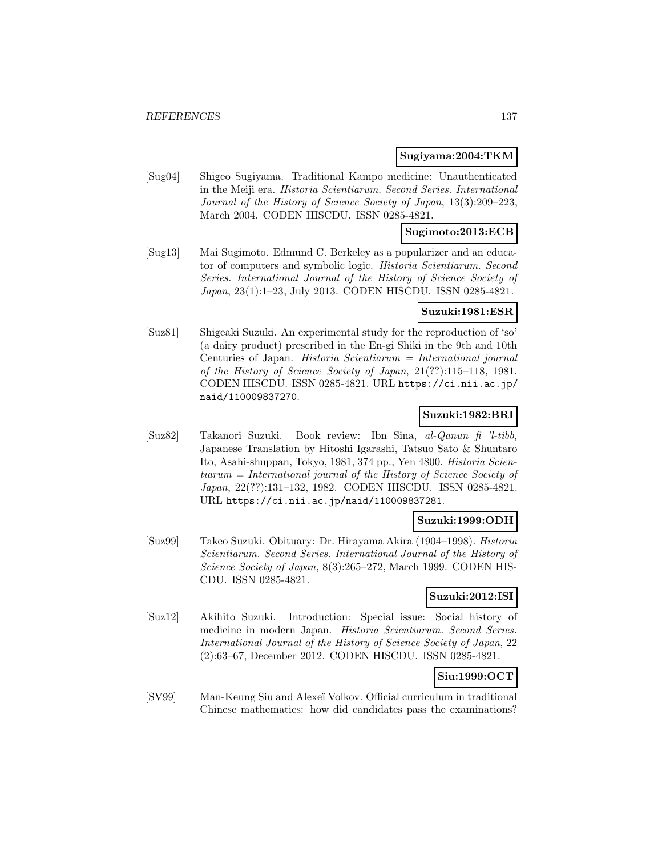### **Sugiyama:2004:TKM**

[Sug04] Shigeo Sugiyama. Traditional Kampo medicine: Unauthenticated in the Meiji era. Historia Scientiarum. Second Series. International Journal of the History of Science Society of Japan, 13(3):209–223, March 2004. CODEN HISCDU. ISSN 0285-4821.

## **Sugimoto:2013:ECB**

[Sug13] Mai Sugimoto. Edmund C. Berkeley as a popularizer and an educator of computers and symbolic logic. Historia Scientiarum. Second Series. International Journal of the History of Science Society of Japan, 23(1):1–23, July 2013. CODEN HISCDU. ISSN 0285-4821.

### **Suzuki:1981:ESR**

[Suz81] Shigeaki Suzuki. An experimental study for the reproduction of 'so' (a dairy product) prescribed in the En-gi Shiki in the 9th and 10th Centuries of Japan. Historia Scientiarum = International journal of the History of Science Society of Japan, 21(??):115–118, 1981. CODEN HISCDU. ISSN 0285-4821. URL https://ci.nii.ac.jp/ naid/110009837270.

## **Suzuki:1982:BRI**

[Suz82] Takanori Suzuki. Book review: Ibn Sina, al-Qanun fi 'l-tibb, Japanese Translation by Hitoshi Igarashi, Tatsuo Sato & Shuntaro Ito, Asahi-shuppan, Tokyo, 1981, 374 pp., Yen 4800. Historia Scientiarum = International journal of the History of Science Society of Japan, 22(??):131–132, 1982. CODEN HISCDU. ISSN 0285-4821. URL https://ci.nii.ac.jp/naid/110009837281.

## **Suzuki:1999:ODH**

[Suz99] Takeo Suzuki. Obituary: Dr. Hirayama Akira (1904–1998). Historia Scientiarum. Second Series. International Journal of the History of Science Society of Japan, 8(3):265–272, March 1999. CODEN HIS-CDU. ISSN 0285-4821.

### **Suzuki:2012:ISI**

[Suz12] Akihito Suzuki. Introduction: Special issue: Social history of medicine in modern Japan. Historia Scientiarum. Second Series. International Journal of the History of Science Society of Japan, 22 (2):63–67, December 2012. CODEN HISCDU. ISSN 0285-4821.

# **Siu:1999:OCT**

[SV99] Man-Keung Siu and Alexe¨ı Volkov. Official curriculum in traditional Chinese mathematics: how did candidates pass the examinations?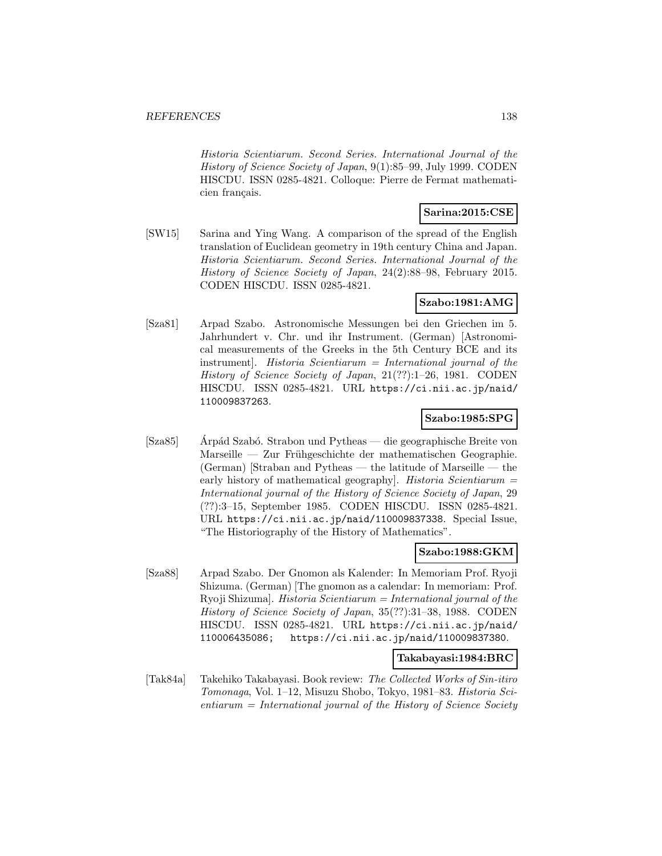Historia Scientiarum. Second Series. International Journal of the History of Science Society of Japan, 9(1):85–99, July 1999. CODEN HISCDU. ISSN 0285-4821. Colloque: Pierre de Fermat mathematicien français.

## **Sarina:2015:CSE**

[SW15] Sarina and Ying Wang. A comparison of the spread of the English translation of Euclidean geometry in 19th century China and Japan. Historia Scientiarum. Second Series. International Journal of the History of Science Society of Japan, 24(2):88–98, February 2015. CODEN HISCDU. ISSN 0285-4821.

## **Szabo:1981:AMG**

[Sza81] Arpad Szabo. Astronomische Messungen bei den Griechen im 5. Jahrhundert v. Chr. und ihr Instrument. (German) [Astronomical measurements of the Greeks in the 5th Century BCE and its instrument]. Historia Scientiarum = International journal of the History of Science Society of Japan, 21(??):1–26, 1981. CODEN HISCDU. ISSN 0285-4821. URL https://ci.nii.ac.jp/naid/ 110009837263.

## **Szabo:1985:SPG**

[Sza85] Arpád Szabó. Strabon und Pytheas — die geographische Breite von Marseille — Zur Frühgeschichte der mathematischen Geographie. (German) [Straban and Pytheas — the latitude of Marseille — the early history of mathematical geography]. Historia Scientiarum = International journal of the History of Science Society of Japan, 29 (??):3–15, September 1985. CODEN HISCDU. ISSN 0285-4821. URL https://ci.nii.ac.jp/naid/110009837338. Special Issue, "The Historiography of the History of Mathematics".

### **Szabo:1988:GKM**

[Sza88] Arpad Szabo. Der Gnomon als Kalender: In Memoriam Prof. Ryoji Shizuma. (German) [The gnomon as a calendar: In memoriam: Prof. Ryoji Shizuma]. *Historia Scientiarum* = *International journal of the* History of Science Society of Japan, 35(??):31–38, 1988. CODEN HISCDU. ISSN 0285-4821. URL https://ci.nii.ac.jp/naid/ 110006435086; https://ci.nii.ac.jp/naid/110009837380.

### **Takabayasi:1984:BRC**

[Tak84a] Takehiko Takabayasi. Book review: The Collected Works of Sin-itiro Tomonaga, Vol. 1–12, Misuzu Shobo, Tokyo, 1981–83. Historia Sci $entiarum = International$  journal of the History of Science Society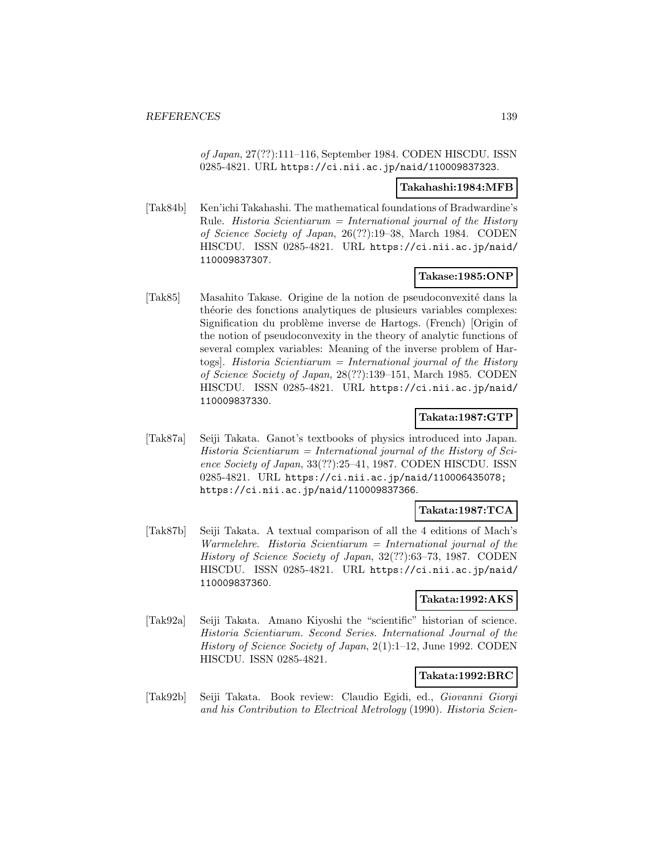of Japan, 27(??):111–116, September 1984. CODEN HISCDU. ISSN 0285-4821. URL https://ci.nii.ac.jp/naid/110009837323.

#### **Takahashi:1984:MFB**

[Tak84b] Ken'ichi Takahashi. The mathematical foundations of Bradwardine's Rule. *Historia Scientiarum* = *International journal of the History* of Science Society of Japan, 26(??):19–38, March 1984. CODEN HISCDU. ISSN 0285-4821. URL https://ci.nii.ac.jp/naid/ 110009837307.

## **Takase:1985:ONP**

[Tak85] Masahito Takase. Origine de la notion de pseudoconvexit´e dans la théorie des fonctions analytiques de plusieurs variables complexes: Signification du problème inverse de Hartogs. (French) [Origin of the notion of pseudoconvexity in the theory of analytic functions of several complex variables: Meaning of the inverse problem of Hartogs]. Historia Scientiarum = International journal of the History of Science Society of Japan, 28(??):139–151, March 1985. CODEN HISCDU. ISSN 0285-4821. URL https://ci.nii.ac.jp/naid/ 110009837330.

## **Takata:1987:GTP**

[Tak87a] Seiji Takata. Ganot's textbooks of physics introduced into Japan.  $Historia$  Scientiarum = International journal of the History of Science Society of Japan, 33(??):25–41, 1987. CODEN HISCDU. ISSN 0285-4821. URL https://ci.nii.ac.jp/naid/110006435078; https://ci.nii.ac.jp/naid/110009837366.

## **Takata:1987:TCA**

[Tak87b] Seiji Takata. A textual comparison of all the 4 editions of Mach's Warmelehre. Historia  $Scientiarum = International$  journal of the History of Science Society of Japan, 32(??):63–73, 1987. CODEN HISCDU. ISSN 0285-4821. URL https://ci.nii.ac.jp/naid/ 110009837360.

### **Takata:1992:AKS**

[Tak92a] Seiji Takata. Amano Kiyoshi the "scientific" historian of science. Historia Scientiarum. Second Series. International Journal of the History of Science Society of Japan, 2(1):1–12, June 1992. CODEN HISCDU. ISSN 0285-4821.

### **Takata:1992:BRC**

[Tak92b] Seiji Takata. Book review: Claudio Egidi, ed., Giovanni Giorgi and his Contribution to Electrical Metrology (1990). Historia Scien-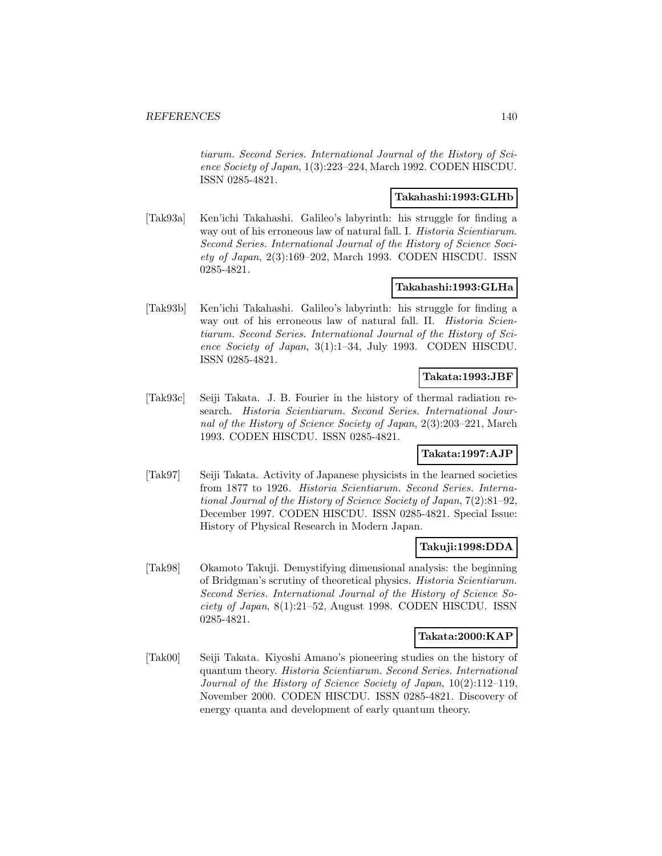tiarum. Second Series. International Journal of the History of Science Society of Japan, 1(3):223–224, March 1992. CODEN HISCDU. ISSN 0285-4821.

## **Takahashi:1993:GLHb**

[Tak93a] Ken'ichi Takahashi. Galileo's labyrinth: his struggle for finding a way out of his erroneous law of natural fall. I. Historia Scientiarum. Second Series. International Journal of the History of Science Society of Japan, 2(3):169–202, March 1993. CODEN HISCDU. ISSN 0285-4821.

## **Takahashi:1993:GLHa**

[Tak93b] Ken'ichi Takahashi. Galileo's labyrinth: his struggle for finding a way out of his erroneous law of natural fall. II. Historia Scientiarum. Second Series. International Journal of the History of Science Society of Japan, 3(1):1–34, July 1993. CODEN HISCDU. ISSN 0285-4821.

## **Takata:1993:JBF**

[Tak93c] Seiji Takata. J. B. Fourier in the history of thermal radiation research. Historia Scientiarum. Second Series. International Journal of the History of Science Society of Japan, 2(3):203–221, March 1993. CODEN HISCDU. ISSN 0285-4821.

## **Takata:1997:AJP**

[Tak97] Seiji Takata. Activity of Japanese physicists in the learned societies from 1877 to 1926. Historia Scientiarum. Second Series. International Journal of the History of Science Society of Japan, 7(2):81–92, December 1997. CODEN HISCDU. ISSN 0285-4821. Special Issue: History of Physical Research in Modern Japan.

## **Takuji:1998:DDA**

[Tak98] Okamoto Takuji. Demystifying dimensional analysis: the beginning of Bridgman's scrutiny of theoretical physics. Historia Scientiarum. Second Series. International Journal of the History of Science Society of Japan, 8(1):21–52, August 1998. CODEN HISCDU. ISSN 0285-4821.

### **Takata:2000:KAP**

[Tak00] Seiji Takata. Kiyoshi Amano's pioneering studies on the history of quantum theory. Historia Scientiarum. Second Series. International Journal of the History of Science Society of Japan, 10(2):112–119, November 2000. CODEN HISCDU. ISSN 0285-4821. Discovery of energy quanta and development of early quantum theory.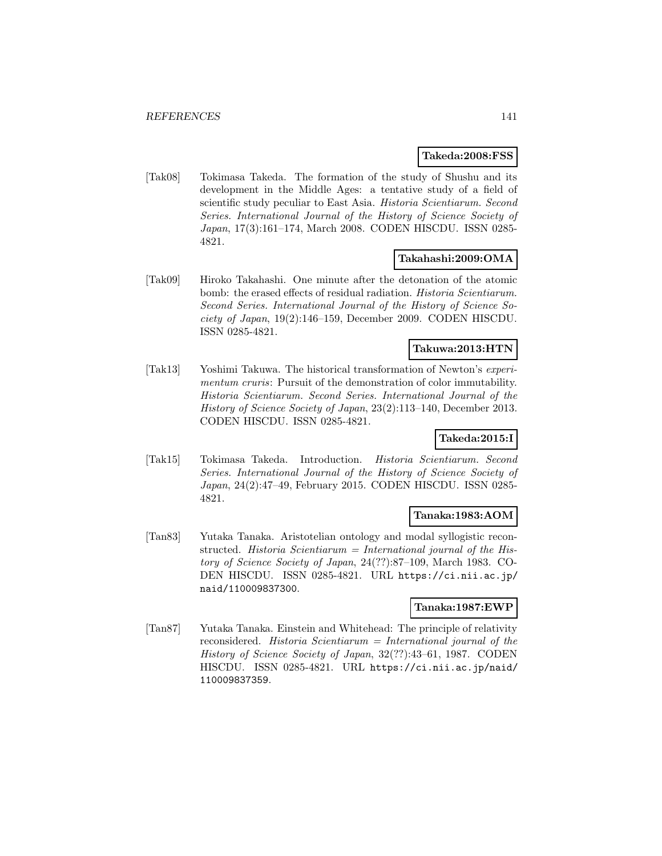### **Takeda:2008:FSS**

[Tak08] Tokimasa Takeda. The formation of the study of Shushu and its development in the Middle Ages: a tentative study of a field of scientific study peculiar to East Asia. Historia Scientiarum. Second Series. International Journal of the History of Science Society of Japan, 17(3):161–174, March 2008. CODEN HISCDU. ISSN 0285- 4821.

## **Takahashi:2009:OMA**

[Tak09] Hiroko Takahashi. One minute after the detonation of the atomic bomb: the erased effects of residual radiation. *Historia Scientiarum*. Second Series. International Journal of the History of Science Society of Japan, 19(2):146–159, December 2009. CODEN HISCDU. ISSN 0285-4821.

### **Takuwa:2013:HTN**

[Tak13] Yoshimi Takuwa. The historical transformation of Newton's experimentum cruris: Pursuit of the demonstration of color immutability. Historia Scientiarum. Second Series. International Journal of the History of Science Society of Japan, 23(2):113–140, December 2013. CODEN HISCDU. ISSN 0285-4821.

## **Takeda:2015:I**

[Tak15] Tokimasa Takeda. Introduction. Historia Scientiarum. Second Series. International Journal of the History of Science Society of Japan, 24(2):47–49, February 2015. CODEN HISCDU. ISSN 0285- 4821.

## **Tanaka:1983:AOM**

[Tan83] Yutaka Tanaka. Aristotelian ontology and modal syllogistic reconstructed. Historia Scientiarum = International journal of the History of Science Society of Japan, 24(??):87–109, March 1983. CO-DEN HISCDU. ISSN 0285-4821. URL https://ci.nii.ac.jp/ naid/110009837300.

## **Tanaka:1987:EWP**

[Tan87] Yutaka Tanaka. Einstein and Whitehead: The principle of relativity reconsidered. Historia Scientiarum = International journal of the History of Science Society of Japan, 32(??):43–61, 1987. CODEN HISCDU. ISSN 0285-4821. URL https://ci.nii.ac.jp/naid/ 110009837359.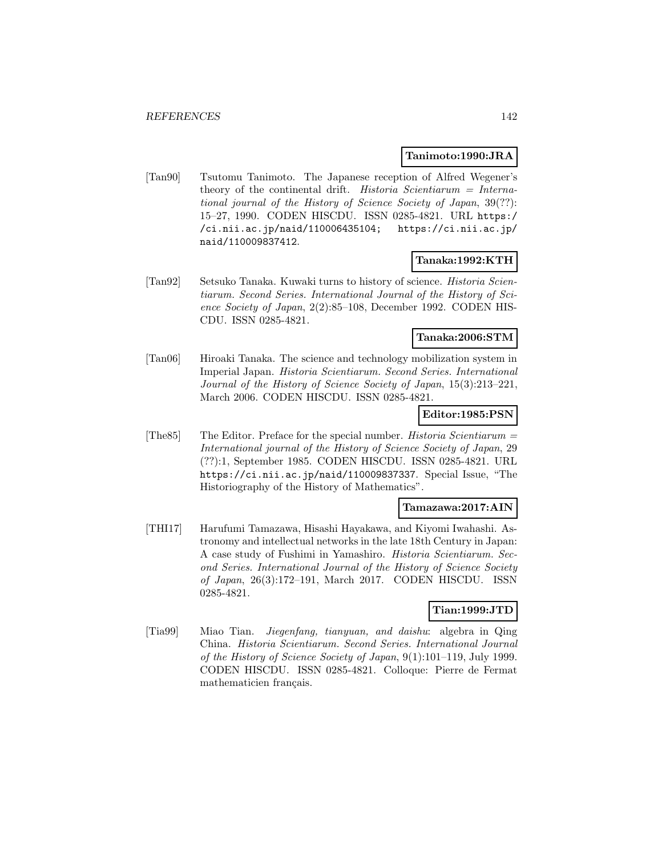### **Tanimoto:1990:JRA**

[Tan90] Tsutomu Tanimoto. The Japanese reception of Alfred Wegener's theory of the continental drift. Historia Scientiarum = International journal of the History of Science Society of Japan, 39(??): 15–27, 1990. CODEN HISCDU. ISSN 0285-4821. URL https:/ /ci.nii.ac.jp/naid/110006435104; https://ci.nii.ac.jp/ naid/110009837412.

## **Tanaka:1992:KTH**

[Tan92] Setsuko Tanaka. Kuwaki turns to history of science. Historia Scientiarum. Second Series. International Journal of the History of Science Society of Japan, 2(2):85–108, December 1992. CODEN HIS-CDU. ISSN 0285-4821.

## **Tanaka:2006:STM**

[Tan06] Hiroaki Tanaka. The science and technology mobilization system in Imperial Japan. Historia Scientiarum. Second Series. International Journal of the History of Science Society of Japan, 15(3):213–221, March 2006. CODEN HISCDU. ISSN 0285-4821.

## **Editor:1985:PSN**

[The S5] The Editor. Preface for the special number. *Historia Scientiarum* = International journal of the History of Science Society of Japan, 29 (??):1, September 1985. CODEN HISCDU. ISSN 0285-4821. URL https://ci.nii.ac.jp/naid/110009837337. Special Issue, "The Historiography of the History of Mathematics".

### **Tamazawa:2017:AIN**

[THI17] Harufumi Tamazawa, Hisashi Hayakawa, and Kiyomi Iwahashi. Astronomy and intellectual networks in the late 18th Century in Japan: A case study of Fushimi in Yamashiro. Historia Scientiarum. Second Series. International Journal of the History of Science Society of Japan, 26(3):172–191, March 2017. CODEN HISCDU. ISSN 0285-4821.

## **Tian:1999:JTD**

[Tia99] Miao Tian. Jiegenfang, tianyuan, and daishu: algebra in Qing China. Historia Scientiarum. Second Series. International Journal of the History of Science Society of Japan, 9(1):101–119, July 1999. CODEN HISCDU. ISSN 0285-4821. Colloque: Pierre de Fermat mathematicien français.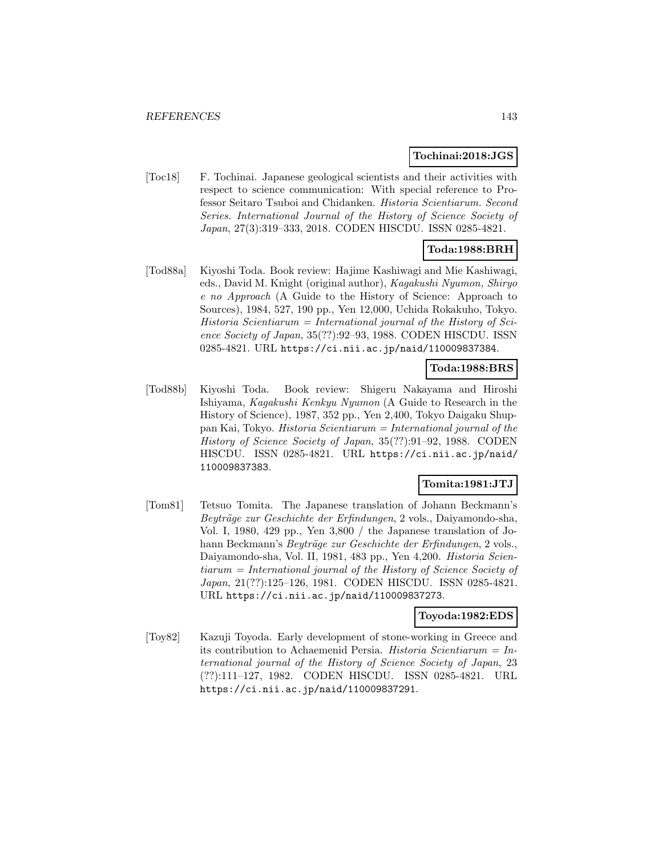### **Tochinai:2018:JGS**

[Toc18] F. Tochinai. Japanese geological scientists and their activities with respect to science communication: With special reference to Professor Seitaro Tsuboi and Chidanken. Historia Scientiarum. Second Series. International Journal of the History of Science Society of Japan, 27(3):319–333, 2018. CODEN HISCDU. ISSN 0285-4821.

## **Toda:1988:BRH**

[Tod88a] Kiyoshi Toda. Book review: Hajime Kashiwagi and Mie Kashiwagi, eds., David M. Knight (original author), Kagakushi Nyumon, Shiryo e no Approach (A Guide to the History of Science: Approach to Sources), 1984, 527, 190 pp., Yen 12,000, Uchida Rokakuho, Tokyo. Historia Scientiarum = International journal of the History of Science Society of Japan, 35(??):92–93, 1988. CODEN HISCDU. ISSN 0285-4821. URL https://ci.nii.ac.jp/naid/110009837384.

## **Toda:1988:BRS**

[Tod88b] Kiyoshi Toda. Book review: Shigeru Nakayama and Hiroshi Ishiyama, Kagakushi Kenkyu Nyumon (A Guide to Research in the History of Science), 1987, 352 pp., Yen 2,400, Tokyo Daigaku Shuppan Kai, Tokyo. Historia Scientiarum = International journal of the History of Science Society of Japan, 35(??):91–92, 1988. CODEN HISCDU. ISSN 0285-4821. URL https://ci.nii.ac.jp/naid/ 110009837383.

## **Tomita:1981:JTJ**

[Tom81] Tetsuo Tomita. The Japanese translation of Johann Beckmann's Beyträge zur Geschichte der Erfindungen, 2 vols., Daiyamondo-sha, Vol. I, 1980, 429 pp., Yen 3,800 / the Japanese translation of Johann Beckmann's *Beyträge zur Geschichte der Erfindungen*, 2 vols., Daiyamondo-sha, Vol. II, 1981, 483 pp., Yen 4,200. Historia Scientiarum = International journal of the History of Science Society of Japan, 21(??):125–126, 1981. CODEN HISCDU. ISSN 0285-4821. URL https://ci.nii.ac.jp/naid/110009837273.

### **Toyoda:1982:EDS**

[Toy82] Kazuji Toyoda. Early development of stone-working in Greece and its contribution to Achaemenid Persia. Historia Scientiarum =  $In$ ternational journal of the History of Science Society of Japan, 23 (??):111–127, 1982. CODEN HISCDU. ISSN 0285-4821. URL https://ci.nii.ac.jp/naid/110009837291.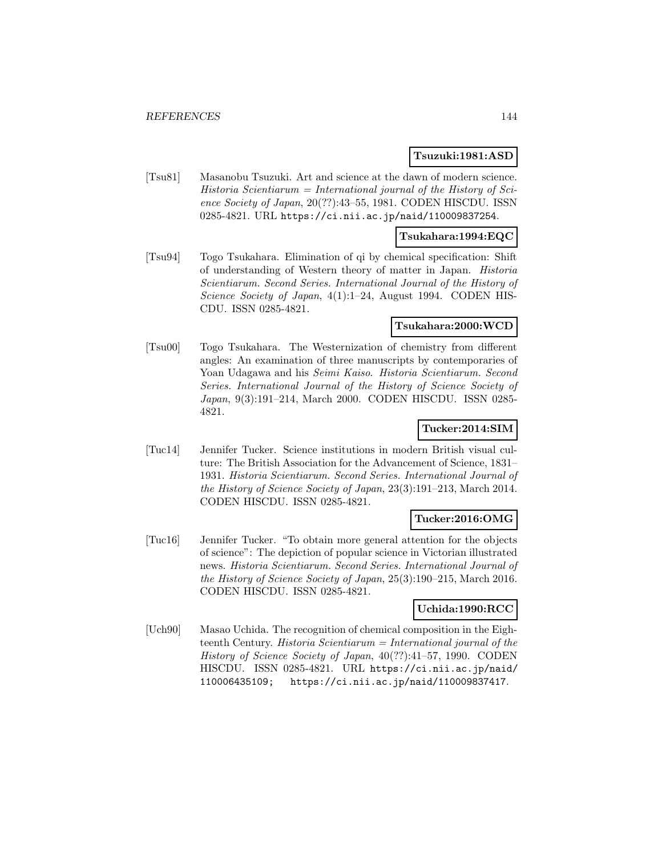### **Tsuzuki:1981:ASD**

[Tsu81] Masanobu Tsuzuki. Art and science at the dawn of modern science.  $Historia$  Scientiarum = International journal of the History of Science Society of Japan, 20(??):43–55, 1981. CODEN HISCDU. ISSN 0285-4821. URL https://ci.nii.ac.jp/naid/110009837254.

### **Tsukahara:1994:EQC**

[Tsu94] Togo Tsukahara. Elimination of qi by chemical specification: Shift of understanding of Western theory of matter in Japan. Historia Scientiarum. Second Series. International Journal of the History of Science Society of Japan, 4(1):1-24, August 1994. CODEN HIS-CDU. ISSN 0285-4821.

### **Tsukahara:2000:WCD**

[Tsu00] Togo Tsukahara. The Westernization of chemistry from different angles: An examination of three manuscripts by contemporaries of Yoan Udagawa and his Seimi Kaiso. Historia Scientiarum. Second Series. International Journal of the History of Science Society of Japan, 9(3):191–214, March 2000. CODEN HISCDU. ISSN 0285- 4821.

## **Tucker:2014:SIM**

[Tuc14] Jennifer Tucker. Science institutions in modern British visual culture: The British Association for the Advancement of Science, 1831– 1931. Historia Scientiarum. Second Series. International Journal of the History of Science Society of Japan, 23(3):191–213, March 2014. CODEN HISCDU. ISSN 0285-4821.

### **Tucker:2016:OMG**

[Tuc16] Jennifer Tucker. "To obtain more general attention for the objects of science": The depiction of popular science in Victorian illustrated news. Historia Scientiarum. Second Series. International Journal of the History of Science Society of Japan, 25(3):190–215, March 2016. CODEN HISCDU. ISSN 0285-4821.

## **Uchida:1990:RCC**

[Uch90] Masao Uchida. The recognition of chemical composition in the Eighteenth Century. Historia Scientiarum = International journal of the History of Science Society of Japan, 40(??):41–57, 1990. CODEN HISCDU. ISSN 0285-4821. URL https://ci.nii.ac.jp/naid/ 110006435109; https://ci.nii.ac.jp/naid/110009837417.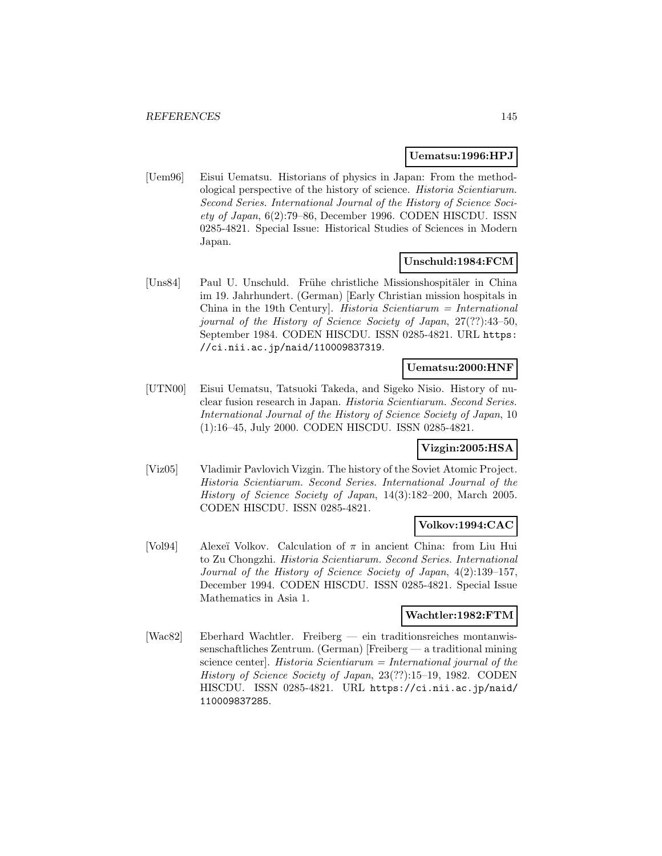### **Uematsu:1996:HPJ**

[Uem96] Eisui Uematsu. Historians of physics in Japan: From the methodological perspective of the history of science. Historia Scientiarum. Second Series. International Journal of the History of Science Society of Japan, 6(2):79–86, December 1996. CODEN HISCDU. ISSN 0285-4821. Special Issue: Historical Studies of Sciences in Modern Japan.

### **Unschuld:1984:FCM**

[Uns84] Paul U. Unschuld. Frühe christliche Missionshospitäler in China im 19. Jahrhundert. (German) [Early Christian mission hospitals in China in the 19th Century]. Historia Scientiarum = International journal of the History of Science Society of Japan, 27(??):43–50, September 1984. CODEN HISCDU. ISSN 0285-4821. URL https: //ci.nii.ac.jp/naid/110009837319.

### **Uematsu:2000:HNF**

[UTN00] Eisui Uematsu, Tatsuoki Takeda, and Sigeko Nisio. History of nuclear fusion research in Japan. Historia Scientiarum. Second Series. International Journal of the History of Science Society of Japan, 10 (1):16–45, July 2000. CODEN HISCDU. ISSN 0285-4821.

### **Vizgin:2005:HSA**

[Viz05] Vladimir Pavlovich Vizgin. The history of the Soviet Atomic Project. Historia Scientiarum. Second Series. International Journal of the History of Science Society of Japan, 14(3):182–200, March 2005. CODEN HISCDU. ISSN 0285-4821.

# **Volkov:1994:CAC**

[Vol94] Alexeï Volkov. Calculation of  $\pi$  in ancient China: from Liu Hui to Zu Chongzhi. Historia Scientiarum. Second Series. International Journal of the History of Science Society of Japan, 4(2):139–157, December 1994. CODEN HISCDU. ISSN 0285-4821. Special Issue Mathematics in Asia 1.

### **Wachtler:1982:FTM**

[Wac82] Eberhard Wachtler. Freiberg — ein traditionsreiches montanwissenschaftliches Zentrum. (German) [Freiberg — a traditional mining science center]. Historia Scientiarum = International journal of the History of Science Society of Japan, 23(??):15–19, 1982. CODEN HISCDU. ISSN 0285-4821. URL https://ci.nii.ac.jp/naid/ 110009837285.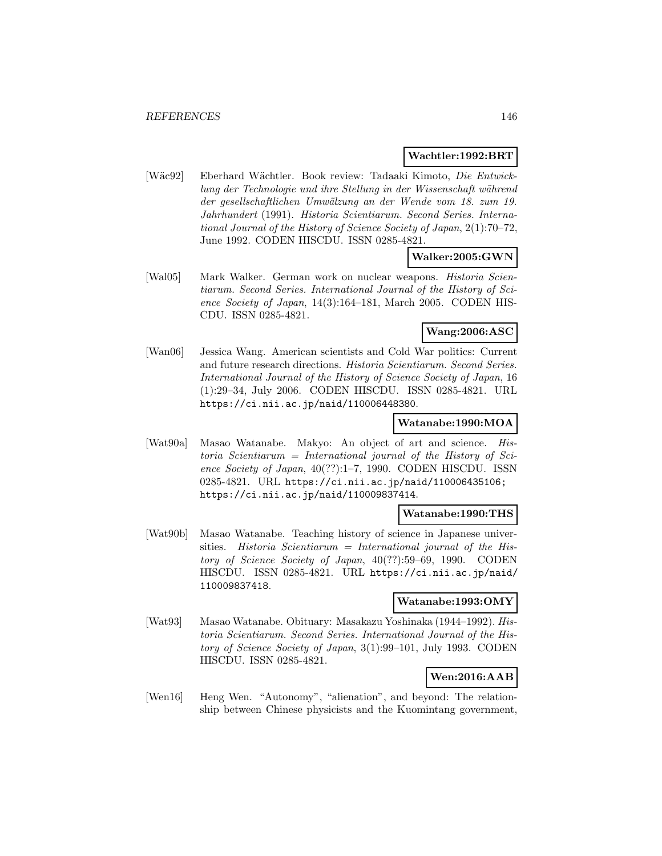### **Wachtler:1992:BRT**

[W¨ac92] Eberhard W¨achtler. Book review: Tadaaki Kimoto, Die Entwicklung der Technologie und ihre Stellung in der Wissenschaft während der gesellschaftlichen Umwälzung an der Wende vom 18. zum 19. Jahrhundert (1991). Historia Scientiarum. Second Series. International Journal of the History of Science Society of Japan, 2(1):70–72, June 1992. CODEN HISCDU. ISSN 0285-4821.

### **Walker:2005:GWN**

[Wal05] Mark Walker. German work on nuclear weapons. Historia Scientiarum. Second Series. International Journal of the History of Science Society of Japan, 14(3):164–181, March 2005. CODEN HIS-CDU. ISSN 0285-4821.

## **Wang:2006:ASC**

[Wan06] Jessica Wang. American scientists and Cold War politics: Current and future research directions. Historia Scientiarum. Second Series. International Journal of the History of Science Society of Japan, 16 (1):29–34, July 2006. CODEN HISCDU. ISSN 0285-4821. URL https://ci.nii.ac.jp/naid/110006448380.

### **Watanabe:1990:MOA**

[Wat90a] Masao Watanabe. Makyo: An object of art and science. His $toria$  Scientiarum = International journal of the History of Science Society of Japan, 40(??):1–7, 1990. CODEN HISCDU. ISSN 0285-4821. URL https://ci.nii.ac.jp/naid/110006435106; https://ci.nii.ac.jp/naid/110009837414.

#### **Watanabe:1990:THS**

[Wat90b] Masao Watanabe. Teaching history of science in Japanese universities. Historia Scientiarum = International journal of the History of Science Society of Japan, 40(??):59–69, 1990. CODEN HISCDU. ISSN 0285-4821. URL https://ci.nii.ac.jp/naid/ 110009837418.

### **Watanabe:1993:OMY**

[Wat93] Masao Watanabe. Obituary: Masakazu Yoshinaka (1944–1992). Historia Scientiarum. Second Series. International Journal of the History of Science Society of Japan, 3(1):99–101, July 1993. CODEN HISCDU. ISSN 0285-4821.

## **Wen:2016:AAB**

[Wen16] Heng Wen. "Autonomy", "alienation", and beyond: The relationship between Chinese physicists and the Kuomintang government,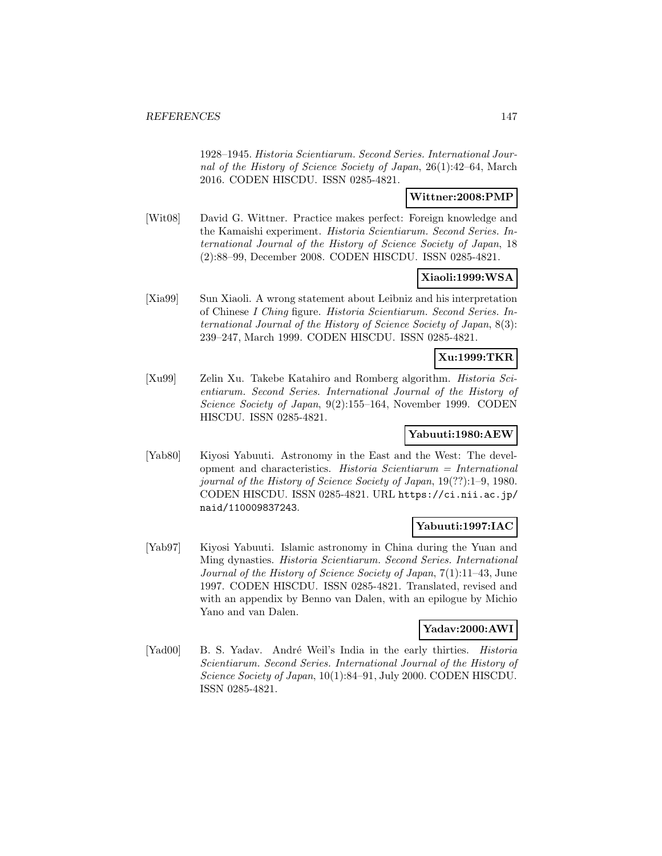1928–1945. Historia Scientiarum. Second Series. International Journal of the History of Science Society of Japan, 26(1):42–64, March 2016. CODEN HISCDU. ISSN 0285-4821.

### **Wittner:2008:PMP**

[Wit08] David G. Wittner. Practice makes perfect: Foreign knowledge and the Kamaishi experiment. Historia Scientiarum. Second Series. International Journal of the History of Science Society of Japan, 18 (2):88–99, December 2008. CODEN HISCDU. ISSN 0285-4821.

## **Xiaoli:1999:WSA**

[Xia99] Sun Xiaoli. A wrong statement about Leibniz and his interpretation of Chinese I Ching figure. Historia Scientiarum. Second Series. International Journal of the History of Science Society of Japan, 8(3): 239–247, March 1999. CODEN HISCDU. ISSN 0285-4821.

# **Xu:1999:TKR**

[Xu99] Zelin Xu. Takebe Katahiro and Romberg algorithm. Historia Scientiarum. Second Series. International Journal of the History of Science Society of Japan, 9(2):155–164, November 1999. CODEN HISCDU. ISSN 0285-4821.

### **Yabuuti:1980:AEW**

[Yab80] Kiyosi Yabuuti. Astronomy in the East and the West: The development and characteristics. Historia Scientiarum = International journal of the History of Science Society of Japan, 19(??):1–9, 1980. CODEN HISCDU. ISSN 0285-4821. URL https://ci.nii.ac.jp/ naid/110009837243.

### **Yabuuti:1997:IAC**

[Yab97] Kiyosi Yabuuti. Islamic astronomy in China during the Yuan and Ming dynasties. Historia Scientiarum. Second Series. International Journal of the History of Science Society of Japan, 7(1):11–43, June 1997. CODEN HISCDU. ISSN 0285-4821. Translated, revised and with an appendix by Benno van Dalen, with an epilogue by Michio Yano and van Dalen.

### **Yadav:2000:AWI**

[Yad00] B. S. Yadav. André Weil's India in the early thirties. *Historia* Scientiarum. Second Series. International Journal of the History of Science Society of Japan, 10(1):84–91, July 2000. CODEN HISCDU. ISSN 0285-4821.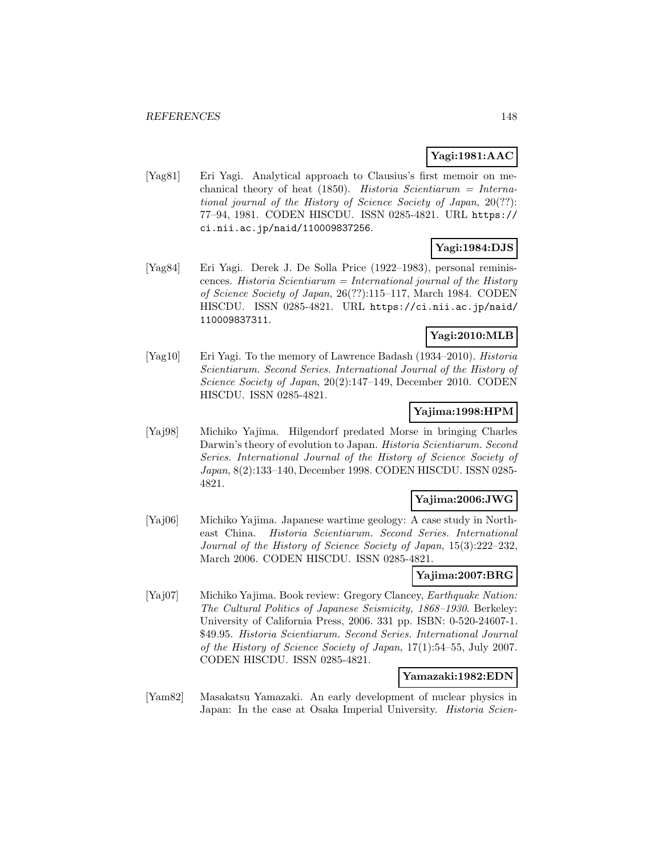# **Yagi:1981:AAC**

[Yag81] Eri Yagi. Analytical approach to Clausius's first memoir on mechanical theory of heat (1850). Historia Scientiarum = International journal of the History of Science Society of Japan, 20(??): 77–94, 1981. CODEN HISCDU. ISSN 0285-4821. URL https:// ci.nii.ac.jp/naid/110009837256.

# **Yagi:1984:DJS**

[Yag84] Eri Yagi. Derek J. De Solla Price (1922–1983), personal reminiscences. Historia Scientiarum = International journal of the History of Science Society of Japan, 26(??):115–117, March 1984. CODEN HISCDU. ISSN 0285-4821. URL https://ci.nii.ac.jp/naid/ 110009837311.

## **Yagi:2010:MLB**

[Yag10] Eri Yagi. To the memory of Lawrence Badash (1934–2010). Historia Scientiarum. Second Series. International Journal of the History of Science Society of Japan, 20(2):147–149, December 2010. CODEN HISCDU. ISSN 0285-4821.

## **Yajima:1998:HPM**

[Yaj98] Michiko Yajima. Hilgendorf predated Morse in bringing Charles Darwin's theory of evolution to Japan. *Historia Scientiarum. Second* Series. International Journal of the History of Science Society of Japan, 8(2):133–140, December 1998. CODEN HISCDU. ISSN 0285- 4821.

## **Yajima:2006:JWG**

[Yaj06] Michiko Yajima. Japanese wartime geology: A case study in Northeast China. Historia Scientiarum. Second Series. International Journal of the History of Science Society of Japan, 15(3):222–232, March 2006. CODEN HISCDU. ISSN 0285-4821.

## **Yajima:2007:BRG**

[Yaj07] Michiko Yajima. Book review: Gregory Clancey, Earthquake Nation: The Cultural Politics of Japanese Seismicity, 1868–1930. Berkeley: University of California Press, 2006. 331 pp. ISBN: 0-520-24607-1. \$49.95. Historia Scientiarum. Second Series. International Journal of the History of Science Society of Japan, 17(1):54–55, July 2007. CODEN HISCDU. ISSN 0285-4821.

### **Yamazaki:1982:EDN**

[Yam82] Masakatsu Yamazaki. An early development of nuclear physics in Japan: In the case at Osaka Imperial University. *Historia Scien-*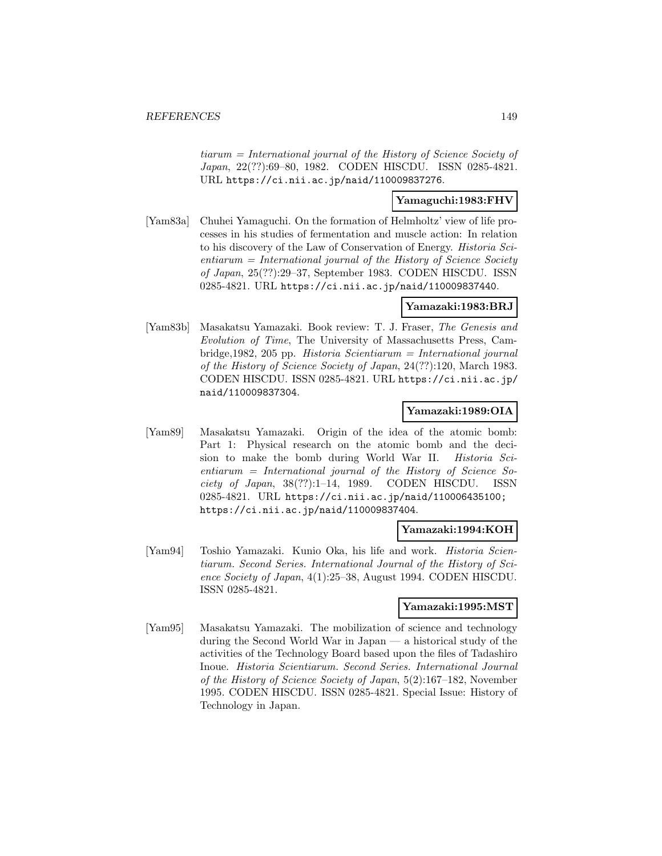tiarum = International journal of the History of Science Society of Japan, 22(??):69–80, 1982. CODEN HISCDU. ISSN 0285-4821. URL https://ci.nii.ac.jp/naid/110009837276.

### **Yamaguchi:1983:FHV**

[Yam83a] Chuhei Yamaguchi. On the formation of Helmholtz' view of life processes in his studies of fermentation and muscle action: In relation to his discovery of the Law of Conservation of Energy. Historia Sci $entiarum = International journal of the History of Science Society$ of Japan, 25(??):29–37, September 1983. CODEN HISCDU. ISSN 0285-4821. URL https://ci.nii.ac.jp/naid/110009837440.

### **Yamazaki:1983:BRJ**

[Yam83b] Masakatsu Yamazaki. Book review: T. J. Fraser, The Genesis and Evolution of Time, The University of Massachusetts Press, Cambridge,1982, 205 pp. Historia Scientiarum = International journal of the History of Science Society of Japan, 24(??):120, March 1983. CODEN HISCDU. ISSN 0285-4821. URL https://ci.nii.ac.jp/ naid/110009837304.

### **Yamazaki:1989:OIA**

[Yam89] Masakatsu Yamazaki. Origin of the idea of the atomic bomb: Part 1: Physical research on the atomic bomb and the decision to make the bomb during World War II. Historia Sci $entiarum = International journal of the History of Science So$ ciety of Japan,  $38(??):1-14$ , 1989. CODEN HISCDU. ISSN 0285-4821. URL https://ci.nii.ac.jp/naid/110006435100; https://ci.nii.ac.jp/naid/110009837404.

### **Yamazaki:1994:KOH**

[Yam94] Toshio Yamazaki. Kunio Oka, his life and work. Historia Scientiarum. Second Series. International Journal of the History of Science Society of Japan, 4(1):25–38, August 1994. CODEN HISCDU. ISSN 0285-4821.

# **Yamazaki:1995:MST**

[Yam95] Masakatsu Yamazaki. The mobilization of science and technology during the Second World War in Japan — a historical study of the activities of the Technology Board based upon the files of Tadashiro Inoue. Historia Scientiarum. Second Series. International Journal of the History of Science Society of Japan, 5(2):167–182, November 1995. CODEN HISCDU. ISSN 0285-4821. Special Issue: History of Technology in Japan.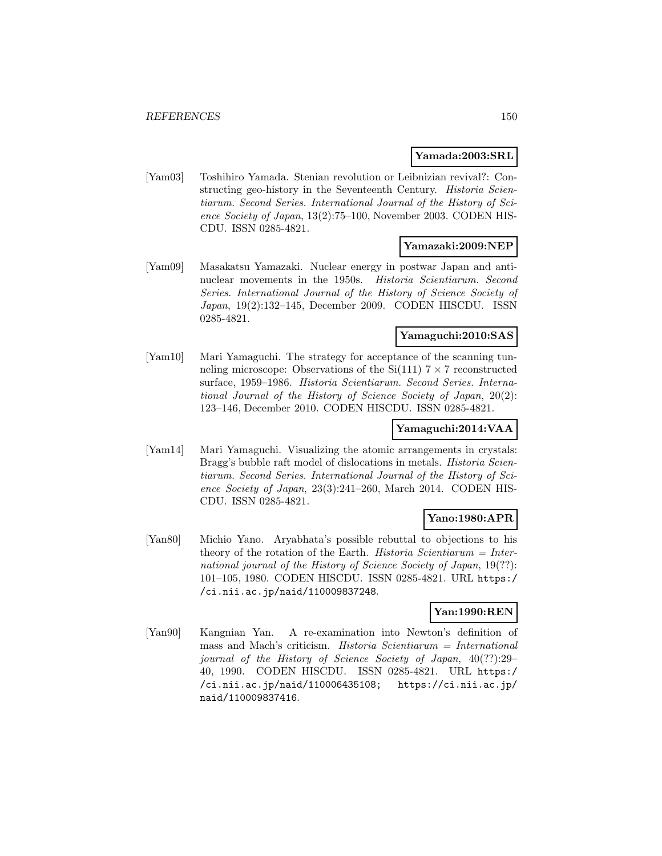### **Yamada:2003:SRL**

[Yam03] Toshihiro Yamada. Stenian revolution or Leibnizian revival?: Constructing geo-history in the Seventeenth Century. Historia Scientiarum. Second Series. International Journal of the History of Science Society of Japan, 13(2):75–100, November 2003. CODEN HIS-CDU. ISSN 0285-4821.

### **Yamazaki:2009:NEP**

[Yam09] Masakatsu Yamazaki. Nuclear energy in postwar Japan and antinuclear movements in the 1950s. Historia Scientiarum. Second Series. International Journal of the History of Science Society of Japan, 19(2):132–145, December 2009. CODEN HISCDU. ISSN 0285-4821.

#### **Yamaguchi:2010:SAS**

[Yam10] Mari Yamaguchi. The strategy for acceptance of the scanning tunneling microscope: Observations of the  $Si(111)$   $7 \times 7$  reconstructed surface, 1959–1986. Historia Scientiarum. Second Series. International Journal of the History of Science Society of Japan, 20(2): 123–146, December 2010. CODEN HISCDU. ISSN 0285-4821.

## **Yamaguchi:2014:VAA**

[Yam14] Mari Yamaguchi. Visualizing the atomic arrangements in crystals: Bragg's bubble raft model of dislocations in metals. Historia Scientiarum. Second Series. International Journal of the History of Science Society of Japan, 23(3):241–260, March 2014. CODEN HIS-CDU. ISSN 0285-4821.

# **Yano:1980:APR**

[Yan80] Michio Yano. Aryabhata's possible rebuttal to objections to his theory of the rotation of the Earth. Historia Scientiarum  $=$  International journal of the History of Science Society of Japan, 19(??): 101–105, 1980. CODEN HISCDU. ISSN 0285-4821. URL https:/ /ci.nii.ac.jp/naid/110009837248.

# **Yan:1990:REN**

[Yan90] Kangnian Yan. A re-examination into Newton's definition of mass and Mach's criticism. Historia Scientiarum = International journal of the History of Science Society of Japan, 40(??):29– 40, 1990. CODEN HISCDU. ISSN 0285-4821. URL https:/ /ci.nii.ac.jp/naid/110006435108; https://ci.nii.ac.jp/ naid/110009837416.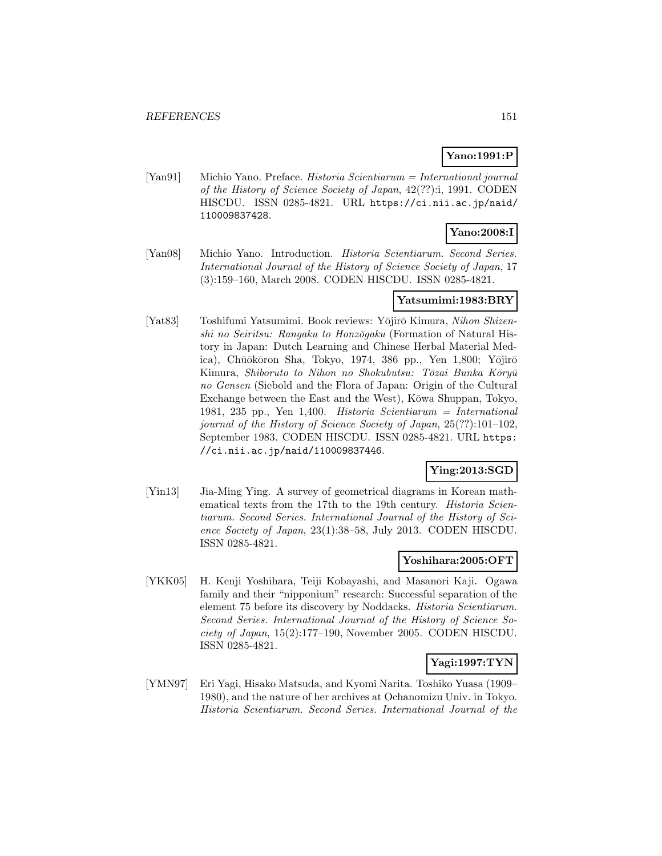# **Yano:1991:P**

[Yan91] Michio Yano. Preface. Historia Scientiarum = International journal of the History of Science Society of Japan, 42(??):i, 1991. CODEN HISCDU. ISSN 0285-4821. URL https://ci.nii.ac.jp/naid/ 110009837428.

# **Yano:2008:I**

[Yan08] Michio Yano. Introduction. Historia Scientiarum. Second Series. International Journal of the History of Science Society of Japan, 17 (3):159–160, March 2008. CODEN HISCDU. ISSN 0285-4821.

## **Yatsumimi:1983:BRY**

[Yat83] Toshifumi Yatsumimi. Book reviews: Yōjirō Kimura, Nihon Shizenshi no Seiritsu: Rangaku to Honzōgaku (Formation of Natural History in Japan: Dutch Learning and Chinese Herbal Material Medica), Chūōkōron Sha, Tokyo, 1974, 386 pp., Yen 1,800; Yōjirō Kimura, Shiboruto to Nihon no Shokubutsu: Tōzai Bunka Kōryū no Gensen (Siebold and the Flora of Japan: Origin of the Cultural Exchange between the East and the West), Kōwa Shuppan, Tokyo, 1981, 235 pp., Yen 1,400. Historia Scientiarum = International journal of the History of Science Society of Japan, 25(??):101–102, September 1983. CODEN HISCDU. ISSN 0285-4821. URL https: //ci.nii.ac.jp/naid/110009837446.

## **Ying:2013:SGD**

[Yin13] Jia-Ming Ying. A survey of geometrical diagrams in Korean mathematical texts from the 17th to the 19th century. *Historia Scien*tiarum. Second Series. International Journal of the History of Science Society of Japan, 23(1):38–58, July 2013. CODEN HISCDU. ISSN 0285-4821.

### **Yoshihara:2005:OFT**

[YKK05] H. Kenji Yoshihara, Teiji Kobayashi, and Masanori Kaji. Ogawa family and their "nipponium" research: Successful separation of the element 75 before its discovery by Noddacks. Historia Scientiarum. Second Series. International Journal of the History of Science Society of Japan, 15(2):177–190, November 2005. CODEN HISCDU. ISSN 0285-4821.

### **Yagi:1997:TYN**

[YMN97] Eri Yagi, Hisako Matsuda, and Kyomi Narita. Toshiko Yuasa (1909– 1980), and the nature of her archives at Ochanomizu Univ. in Tokyo. Historia Scientiarum. Second Series. International Journal of the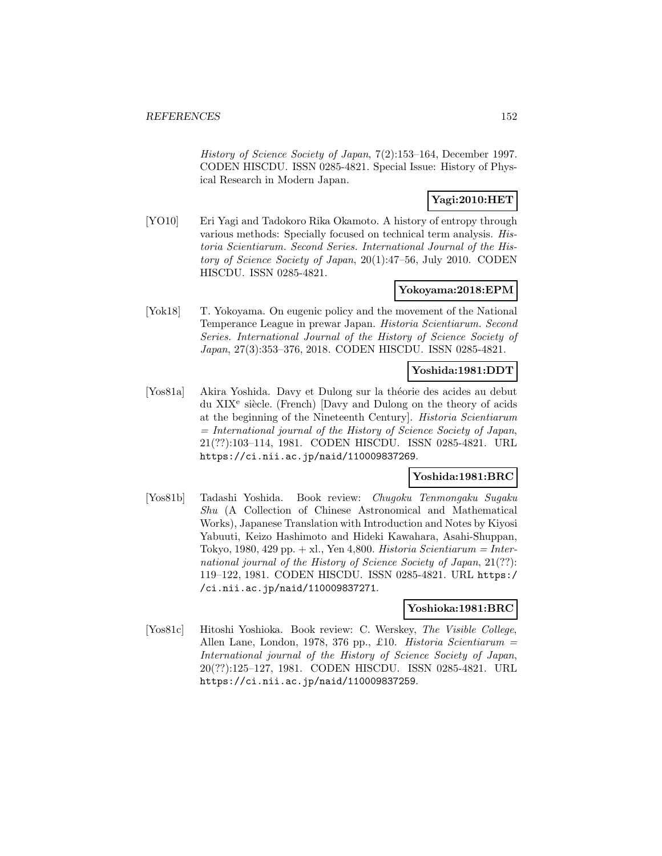History of Science Society of Japan, 7(2):153–164, December 1997. CODEN HISCDU. ISSN 0285-4821. Special Issue: History of Physical Research in Modern Japan.

# **Yagi:2010:HET**

[YO10] Eri Yagi and Tadokoro Rika Okamoto. A history of entropy through various methods: Specially focused on technical term analysis. Historia Scientiarum. Second Series. International Journal of the History of Science Society of Japan, 20(1):47–56, July 2010. CODEN HISCDU. ISSN 0285-4821.

## **Yokoyama:2018:EPM**

[Yok18] T. Yokoyama. On eugenic policy and the movement of the National Temperance League in prewar Japan. Historia Scientiarum. Second Series. International Journal of the History of Science Society of Japan, 27(3):353–376, 2018. CODEN HISCDU. ISSN 0285-4821.

### **Yoshida:1981:DDT**

[Yos81a] Akira Yoshida. Davy et Dulong sur la théorie des acides au debut du XIX<sup>e</sup> siècle. (French) [Davy and Dulong on the theory of acids at the beginning of the Nineteenth Century]. Historia Scientiarum  $=$  International journal of the History of Science Society of Japan, 21(??):103–114, 1981. CODEN HISCDU. ISSN 0285-4821. URL https://ci.nii.ac.jp/naid/110009837269.

## **Yoshida:1981:BRC**

[Yos81b] Tadashi Yoshida. Book review: Chugoku Tenmongaku Sugaku Shu (A Collection of Chinese Astronomical and Mathematical Works), Japanese Translation with Introduction and Notes by Kiyosi Yabuuti, Keizo Hashimoto and Hideki Kawahara, Asahi-Shuppan, Tokyo, 1980, 429 pp.  $+$  xl., Yen 4,800. Historia Scientiarum = International journal of the History of Science Society of Japan, 21(??): 119–122, 1981. CODEN HISCDU. ISSN 0285-4821. URL https:/ /ci.nii.ac.jp/naid/110009837271.

## **Yoshioka:1981:BRC**

[Yos81c] Hitoshi Yoshioka. Book review: C. Werskey, The Visible College, Allen Lane, London, 1978, 376 pp., £10. Historia Scientiarum = International journal of the History of Science Society of Japan, 20(??):125–127, 1981. CODEN HISCDU. ISSN 0285-4821. URL https://ci.nii.ac.jp/naid/110009837259.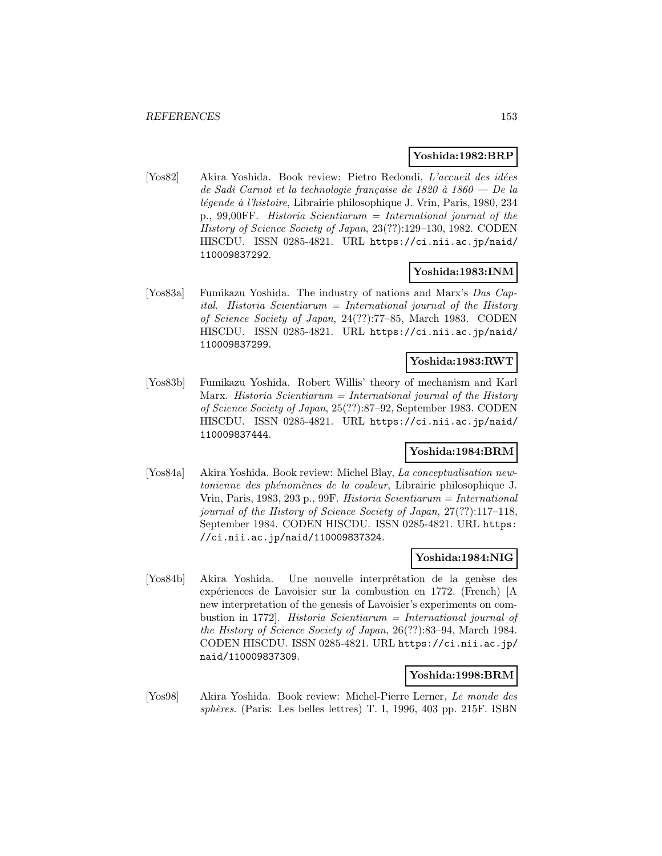### **Yoshida:1982:BRP**

[Yos82] Akira Yoshida. Book review: Pietro Redondi, L'accueil des idées de Sadi Carnot et la technologie française de 1820 à 1860 — De la légende à l'histoire, Librairie philosophique J. Vrin, Paris, 1980, 234 p., 99,00FF. Historia Scientiarum = International journal of the History of Science Society of Japan, 23(??):129–130, 1982. CODEN HISCDU. ISSN 0285-4821. URL https://ci.nii.ac.jp/naid/ 110009837292.

### **Yoshida:1983:INM**

[Yos83a] Fumikazu Yoshida. The industry of nations and Marx's Das Capital. Historia Scientiarum = International journal of the History of Science Society of Japan, 24(??):77–85, March 1983. CODEN HISCDU. ISSN 0285-4821. URL https://ci.nii.ac.jp/naid/ 110009837299.

## **Yoshida:1983:RWT**

[Yos83b] Fumikazu Yoshida. Robert Willis' theory of mechanism and Karl Marx. Historia Scientiarum = International journal of the History of Science Society of Japan, 25(??):87–92, September 1983. CODEN HISCDU. ISSN 0285-4821. URL https://ci.nii.ac.jp/naid/ 110009837444.

## **Yoshida:1984:BRM**

[Yos84a] Akira Yoshida. Book review: Michel Blay, La conceptualisation newtonienne des phénomènes de la couleur, Librairie philosophique J. Vrin, Paris, 1983, 293 p., 99F. Historia Scientiarum = International journal of the History of Science Society of Japan, 27(??):117–118, September 1984. CODEN HISCDU. ISSN 0285-4821. URL https: //ci.nii.ac.jp/naid/110009837324.

### **Yoshida:1984:NIG**

[Yos84b] Akira Yoshida. Une nouvelle interprétation de la genèse des expériences de Lavoisier sur la combustion en 1772. (French) [A new interpretation of the genesis of Lavoisier's experiments on combustion in 1772]. Historia Scientiarum = International journal of the History of Science Society of Japan, 26(??):83–94, March 1984. CODEN HISCDU. ISSN 0285-4821. URL https://ci.nii.ac.jp/ naid/110009837309.

## **Yoshida:1998:BRM**

[Yos98] Akira Yoshida. Book review: Michel-Pierre Lerner, Le monde des sphères. (Paris: Les belles lettres) T. I, 1996, 403 pp. 215 $F$ . ISBN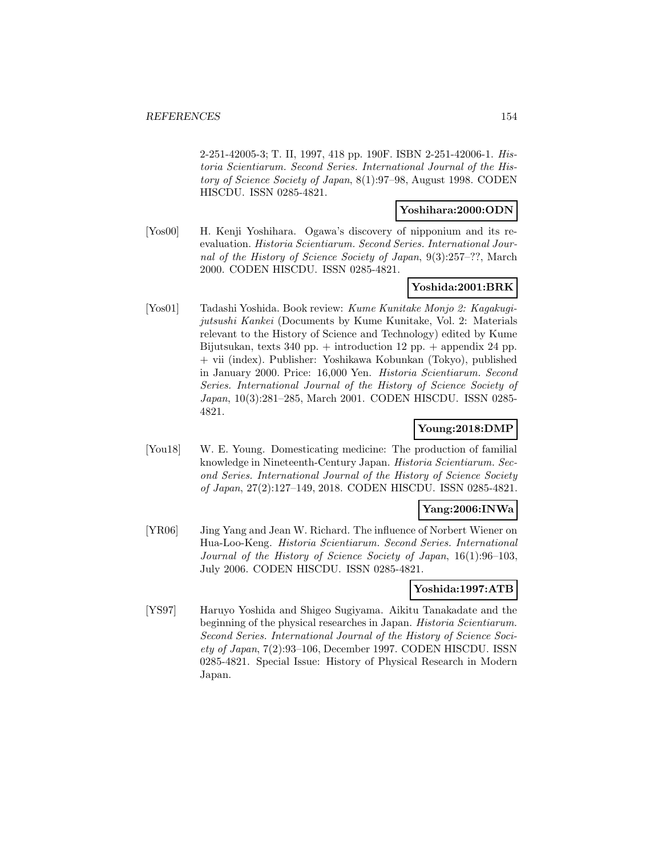2-251-42005-3; T. II, 1997, 418 pp. 190F. ISBN 2-251-42006-1. Historia Scientiarum. Second Series. International Journal of the History of Science Society of Japan, 8(1):97–98, August 1998. CODEN HISCDU. ISSN 0285-4821.

### **Yoshihara:2000:ODN**

[Yos00] H. Kenji Yoshihara. Ogawa's discovery of nipponium and its reevaluation. Historia Scientiarum. Second Series. International Journal of the History of Science Society of Japan, 9(3):257–??, March 2000. CODEN HISCDU. ISSN 0285-4821.

# **Yoshida:2001:BRK**

[Yos01] Tadashi Yoshida. Book review: Kume Kunitake Monjo 2: Kagakugijutsushi Kankei (Documents by Kume Kunitake, Vol. 2: Materials relevant to the History of Science and Technology) edited by Kume Bijutsukan, texts 340 pp.  $+$  introduction 12 pp.  $+$  appendix 24 pp. + vii (index). Publisher: Yoshikawa Kobunkan (Tokyo), published in January 2000. Price: 16,000 Yen. Historia Scientiarum. Second Series. International Journal of the History of Science Society of Japan, 10(3):281–285, March 2001. CODEN HISCDU. ISSN 0285- 4821.

# **Young:2018:DMP**

[You18] W. E. Young. Domesticating medicine: The production of familial knowledge in Nineteenth-Century Japan. Historia Scientiarum. Second Series. International Journal of the History of Science Society of Japan, 27(2):127–149, 2018. CODEN HISCDU. ISSN 0285-4821.

## **Yang:2006:INWa**

[YR06] Jing Yang and Jean W. Richard. The influence of Norbert Wiener on Hua-Loo-Keng. Historia Scientiarum. Second Series. International Journal of the History of Science Society of Japan, 16(1):96–103, July 2006. CODEN HISCDU. ISSN 0285-4821.

## **Yoshida:1997:ATB**

[YS97] Haruyo Yoshida and Shigeo Sugiyama. Aikitu Tanakadate and the beginning of the physical researches in Japan. Historia Scientiarum. Second Series. International Journal of the History of Science Society of Japan, 7(2):93–106, December 1997. CODEN HISCDU. ISSN 0285-4821. Special Issue: History of Physical Research in Modern Japan.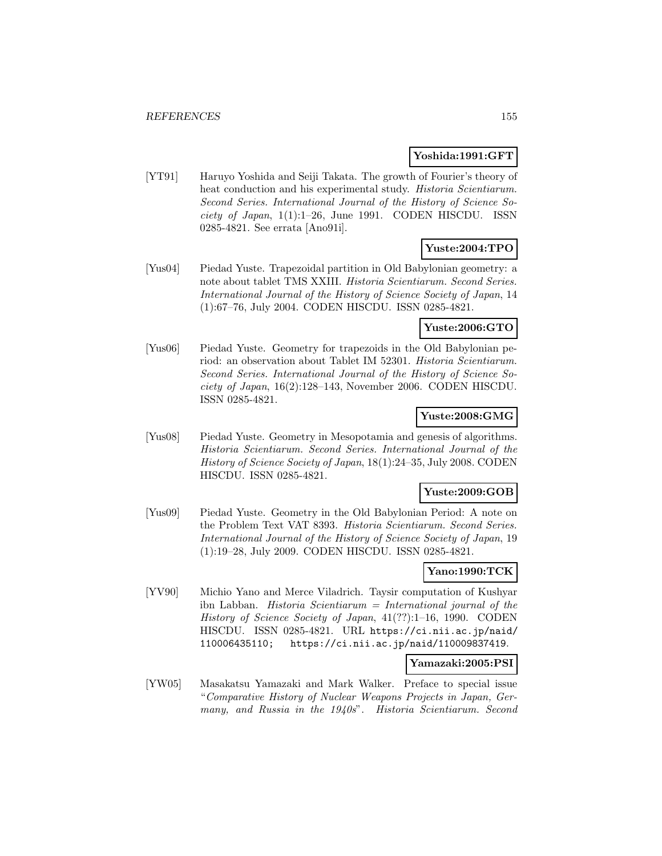### **Yoshida:1991:GFT**

[YT91] Haruyo Yoshida and Seiji Takata. The growth of Fourier's theory of heat conduction and his experimental study. Historia Scientiarum. Second Series. International Journal of the History of Science Society of Japan,  $1(1):1-26$ , June 1991. CODEN HISCDU. ISSN 0285-4821. See errata [Ano91i].

# **Yuste:2004:TPO**

[Yus04] Piedad Yuste. Trapezoidal partition in Old Babylonian geometry: a note about tablet TMS XXIII. Historia Scientiarum. Second Series. International Journal of the History of Science Society of Japan, 14 (1):67–76, July 2004. CODEN HISCDU. ISSN 0285-4821.

# **Yuste:2006:GTO**

[Yus06] Piedad Yuste. Geometry for trapezoids in the Old Babylonian period: an observation about Tablet IM 52301. Historia Scientiarum. Second Series. International Journal of the History of Science Society of Japan, 16(2):128–143, November 2006. CODEN HISCDU. ISSN 0285-4821.

## **Yuste:2008:GMG**

[Yus08] Piedad Yuste. Geometry in Mesopotamia and genesis of algorithms. Historia Scientiarum. Second Series. International Journal of the History of Science Society of Japan, 18(1):24–35, July 2008. CODEN HISCDU. ISSN 0285-4821.

### **Yuste:2009:GOB**

[Yus09] Piedad Yuste. Geometry in the Old Babylonian Period: A note on the Problem Text VAT 8393. Historia Scientiarum. Second Series. International Journal of the History of Science Society of Japan, 19 (1):19–28, July 2009. CODEN HISCDU. ISSN 0285-4821.

# **Yano:1990:TCK**

[YV90] Michio Yano and Merce Viladrich. Taysir computation of Kushyar ibn Labban. *Historia Scientiarum* = *International journal of the* History of Science Society of Japan, 41(??):1–16, 1990. CODEN HISCDU. ISSN 0285-4821. URL https://ci.nii.ac.jp/naid/ 110006435110; https://ci.nii.ac.jp/naid/110009837419.

### **Yamazaki:2005:PSI**

[YW05] Masakatsu Yamazaki and Mark Walker. Preface to special issue "Comparative History of Nuclear Weapons Projects in Japan, Germany, and Russia in the 1940s". Historia Scientiarum. Second